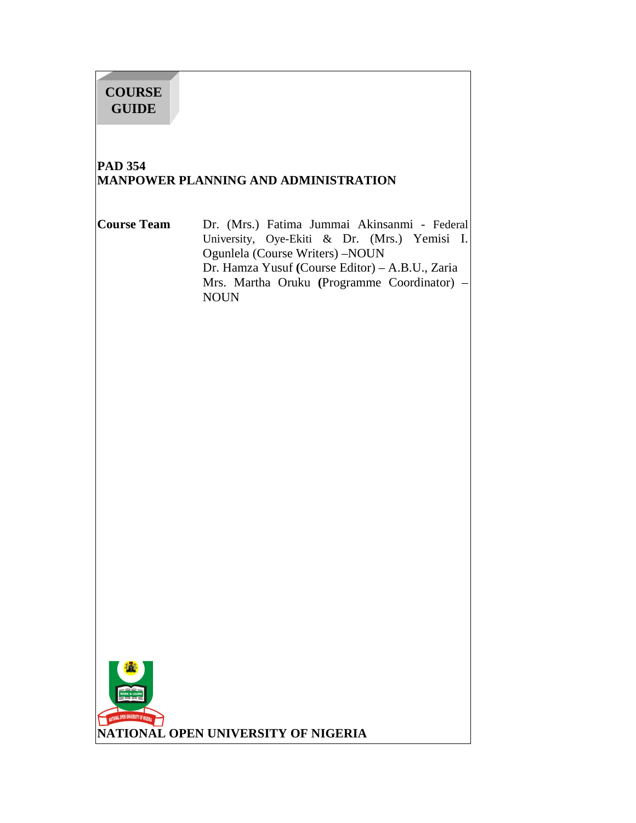# **COURSE GUIDE**

í

# **PAD 354 MANPOWER PLANNING AND ADMINISTRATION**

**Course Team** Dr. (Mrs.) Fatima Jummai Akinsanmi - Federal University, Oye-Ekiti & Dr. (Mrs.) Yemisi I. Ogunlela (Course Writers) –NOUN Dr. Hamza Yusuf **(**Course Editor) – A.B.U., Zaria Mrs. Martha Oruku **(**Programme Coordinator) – NOUN

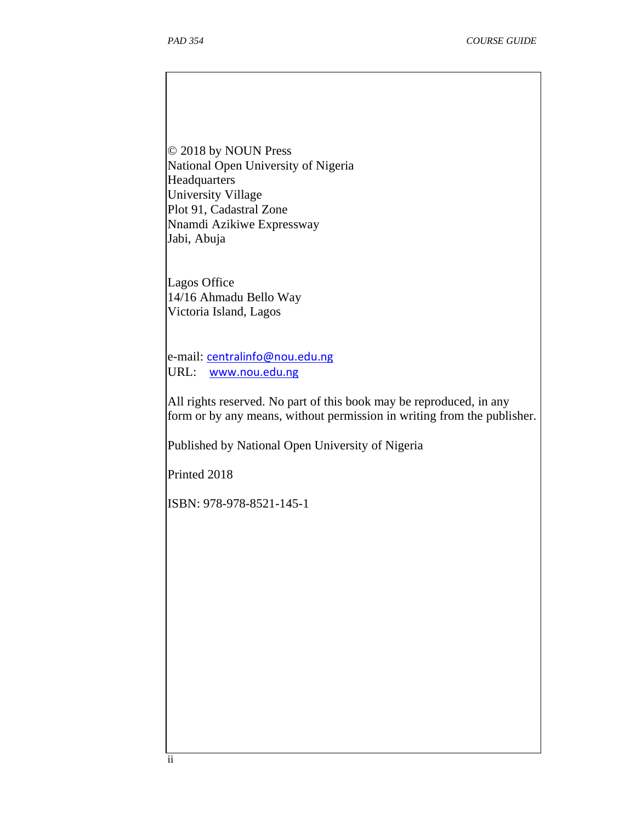© 2018 by NOUN Press National Open University of Nigeria **Headquarters** University Village Plot 91, Cadastral Zone Nnamdi Azikiwe Expressway Jabi, Abuja

Lagos Office 14/16 Ahmadu Bello Way Victoria Island, Lagos

e-mail: centralinfo@nou.edu.ng URL: www.nou.edu.ng

All rights reserved. No part of this book may be reproduced, in any form or by any means, without permission in writing from the publisher.

Published by National Open University of Nigeria

Printed 2018

ISBN: 978-978-8521-145-1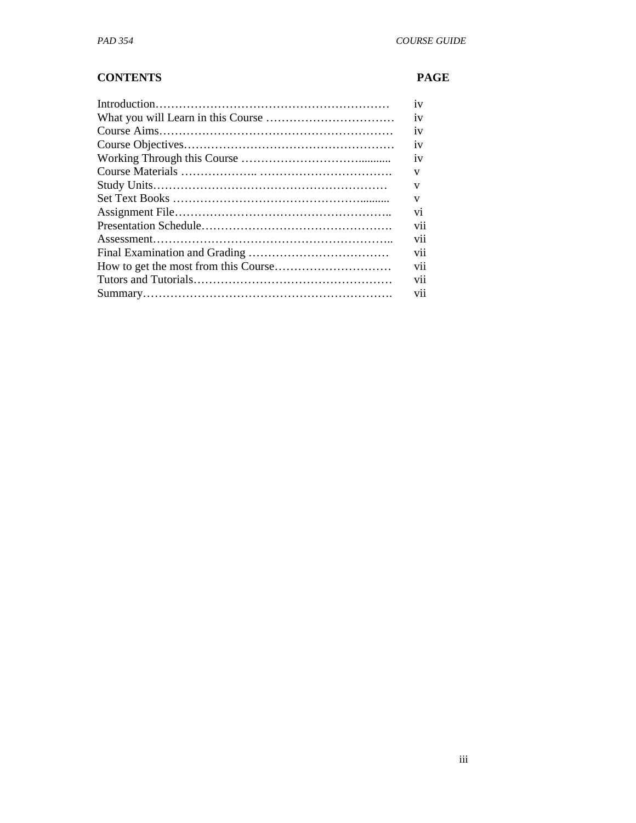## **CONTENTS PAGE**

| 1V             |
|----------------|
| iv             |
| 1V             |
| 1V             |
| 1V             |
| V              |
| V              |
| $\mathbf{V}$   |
| V <sub>1</sub> |
| vii            |
| V11            |
| V11            |
| <b>V11</b>     |
| V11            |
| V11            |
|                |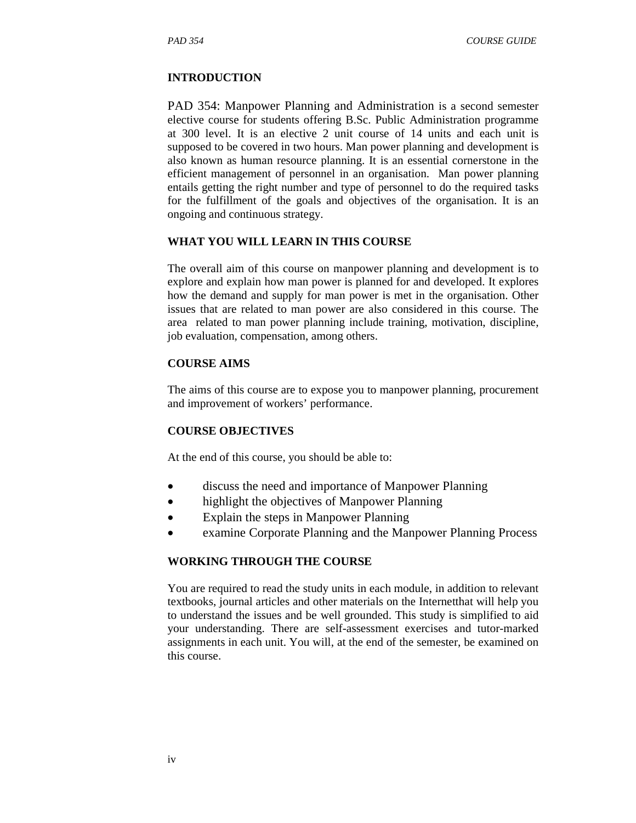#### **INTRODUCTION**

PAD 354: Manpower Planning and Administration is a second semester elective course for students offering B.Sc. Public Administration programme at 300 level. It is an elective 2 unit course of 14 units and each unit is supposed to be covered in two hours. Man power planning and development is also known as human resource planning. It is an essential cornerstone in the efficient management of personnel in an organisation. Man power planning entails getting the right number and type of personnel to do the required tasks for the fulfillment of the goals and objectives of the organisation. It is an ongoing and continuous strategy.

#### **WHAT YOU WILL LEARN IN THIS COURSE**

The overall aim of this course on manpower planning and development is to explore and explain how man power is planned for and developed. It explores how the demand and supply for man power is met in the organisation. Other issues that are related to man power are also considered in this course. The area related to man power planning include training, motivation, discipline, job evaluation, compensation, among others.

#### **COURSE AIMS**

The aims of this course are to expose you to manpower planning, procurement and improvement of workers' performance.

#### **COURSE OBJECTIVES**

At the end of this course, you should be able to:

- discuss the need and importance of Manpower Planning
- highlight the objectives of Manpower Planning
- Explain the steps in Manpower Planning
- examine Corporate Planning and the Manpower Planning Process

#### **WORKING THROUGH THE COURSE**

You are required to read the study units in each module, in addition to relevant textbooks, journal articles and other materials on the Internetthat will help you to understand the issues and be well grounded. This study is simplified to aid your understanding. There are self-assessment exercises and tutor-marked assignments in each unit. You will, at the end of the semester, be examined on this course.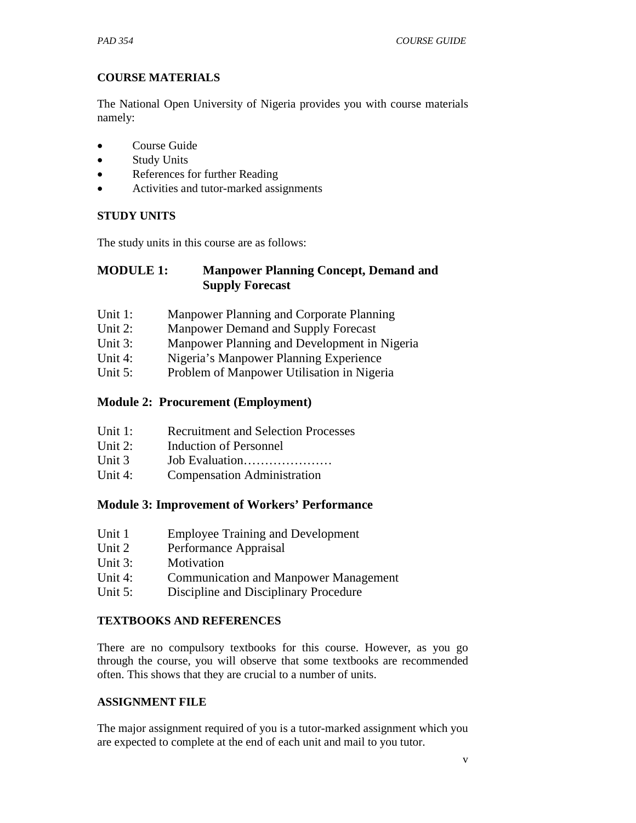## **COURSE MATERIALS**

The National Open University of Nigeria provides you with course materials namely:

- Course Guide
- Study Units
- References for further Reading
- Activities and tutor-marked assignments

### **STUDY UNITS**

The study units in this course are as follows:

### **MODULE 1: Manpower Planning Concept, Demand and Supply Forecast**

- Unit 1: Manpower Planning and Corporate Planning
- Unit 2: Manpower Demand and Supply Forecast
- Unit 3: Manpower Planning and Development in Nigeria
- Unit 4: Nigeria's Manpower Planning Experience
- Unit 5: Problem of Manpower Utilisation in Nigeria

### **Module 2: Procurement (Employment)**

- Unit 1: Recruitment and Selection Processes
- Unit 2: Induction of Personnel
- Unit 3 Job Evaluation…………………
- Unit 4: Compensation Administration

### **Module 3: Improvement of Workers' Performance**

- Unit 1 Employee Training and Development
- Unit 2 Performance Appraisal
- Unit 3: Motivation
- Unit 4: Communication and Manpower Management
- Unit 5: Discipline and Disciplinary Procedure

#### **TEXTBOOKS AND REFERENCES**

There are no compulsory textbooks for this course. However, as you go through the course, you will observe that some textbooks are recommended often. This shows that they are crucial to a number of units.

#### **ASSIGNMENT FILE**

The major assignment required of you is a tutor-marked assignment which you are expected to complete at the end of each unit and mail to you tutor.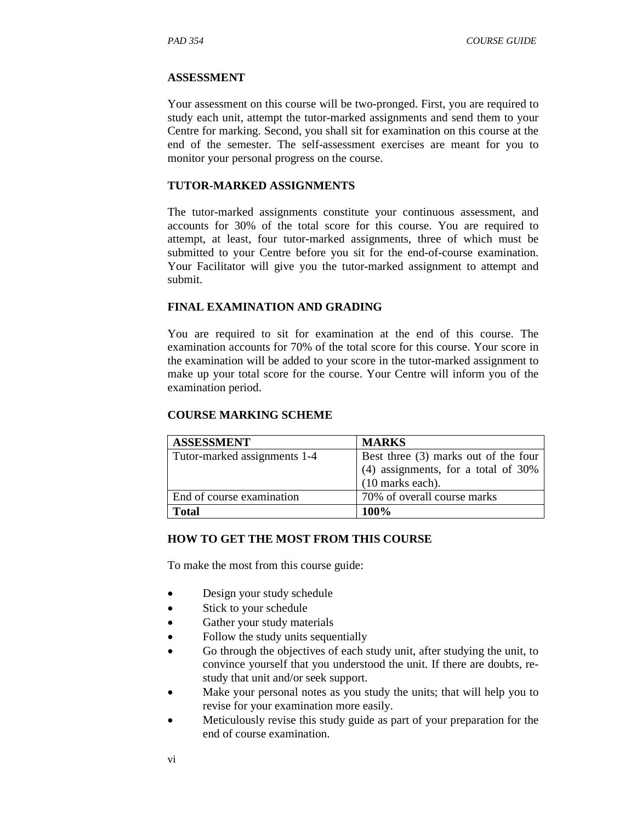#### **ASSESSMENT**

Your assessment on this course will be two-pronged. First, you are required to study each unit, attempt the tutor-marked assignments and send them to your Centre for marking. Second, you shall sit for examination on this course at the end of the semester. The self-assessment exercises are meant for you to monitor your personal progress on the course.

#### **TUTOR-MARKED ASSIGNMENTS**

The tutor-marked assignments constitute your continuous assessment, and accounts for 30% of the total score for this course. You are required to attempt, at least, four tutor-marked assignments, three of which must be submitted to your Centre before you sit for the end-of-course examination. Your Facilitator will give you the tutor-marked assignment to attempt and submit.

#### **FINAL EXAMINATION AND GRADING**

You are required to sit for examination at the end of this course. The examination accounts for 70% of the total score for this course. Your score in the examination will be added to your score in the tutor-marked assignment to make up your total score for the course. Your Centre will inform you of the examination period.

# **COURSE MARKING SCHEME**

| <b>ASSESSMENT</b>            | <b>MARKS</b>                          |
|------------------------------|---------------------------------------|
| Tutor-marked assignments 1-4 | Best three (3) marks out of the four  |
|                              | $(4)$ assignments, for a total of 30% |
|                              | (10 marks each).                      |
| End of course examination    | 70% of overall course marks           |
| Total                        | 100%                                  |

#### **HOW TO GET THE MOST FROM THIS COURSE**

To make the most from this course guide:

- Design your study schedule
- Stick to your schedule
- Gather your study materials
- Follow the study units sequentially
- Go through the objectives of each study unit, after studying the unit, to convince yourself that you understood the unit. If there are doubts, restudy that unit and/or seek support.
- Make your personal notes as you study the units; that will help you to revise for your examination more easily.
- Meticulously revise this study guide as part of your preparation for the end of course examination.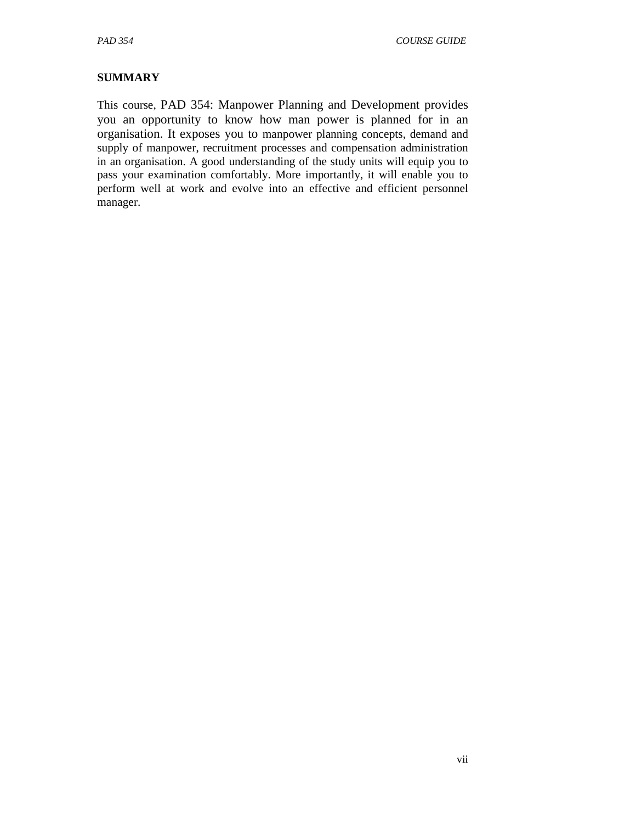#### **SUMMARY**

This course, PAD 354: Manpower Planning and Development provides you an opportunity to know how man power is planned for in an organisation. It exposes you to manpower planning concepts, demand and supply of manpower, recruitment processes and compensation administration in an organisation. A good understanding of the study units will equip you to pass your examination comfortably. More importantly, it will enable you to perform well at work and evolve into an effective and efficient personnel manager.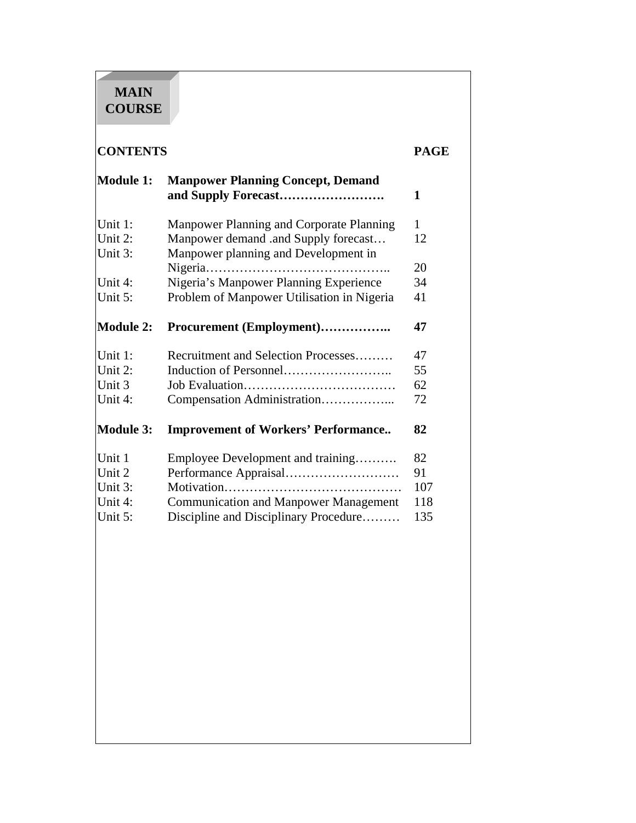# **MAIN COURSE**

í

# **CONTENTS PAGE**

| <b>Module 1:</b> | <b>Manpower Planning Concept, Demand</b><br>and Supply Forecast | 1            |
|------------------|-----------------------------------------------------------------|--------------|
| Unit 1:          | Manpower Planning and Corporate Planning                        | $\mathbf{1}$ |
| Unit 2:          | Manpower demand .and Supply forecast                            | 12           |
| Unit 3:          | Manpower planning and Development in                            | 20           |
| Unit 4:          | Nigeria<br>Nigeria's Manpower Planning Experience               | 34           |
| Unit 5:          | Problem of Manpower Utilisation in Nigeria                      | 41           |
| <b>Module 2:</b> | Procurement (Employment)                                        | 47           |
| Unit 1:          | Recruitment and Selection Processes                             | 47           |
| Unit 2:          |                                                                 | 55           |
| Unit 3           |                                                                 | 62           |
| Unit 4:          | Compensation Administration                                     | 72           |
| <b>Module 3:</b> | <b>Improvement of Workers' Performance</b>                      | 82           |
| Unit 1           | Employee Development and training                               | 82           |
| Unit 2           | Performance Appraisal                                           | 91           |
| Unit 3:          |                                                                 | 107          |
| Unit 4:          | <b>Communication and Manpower Management</b>                    | 118          |
| Unit 5:          | Discipline and Disciplinary Procedure                           | 135          |
|                  |                                                                 |              |
|                  |                                                                 |              |
|                  |                                                                 |              |
|                  |                                                                 |              |
|                  |                                                                 |              |
|                  |                                                                 |              |
|                  |                                                                 |              |
|                  |                                                                 |              |
|                  |                                                                 |              |
|                  |                                                                 |              |
|                  |                                                                 |              |
|                  |                                                                 |              |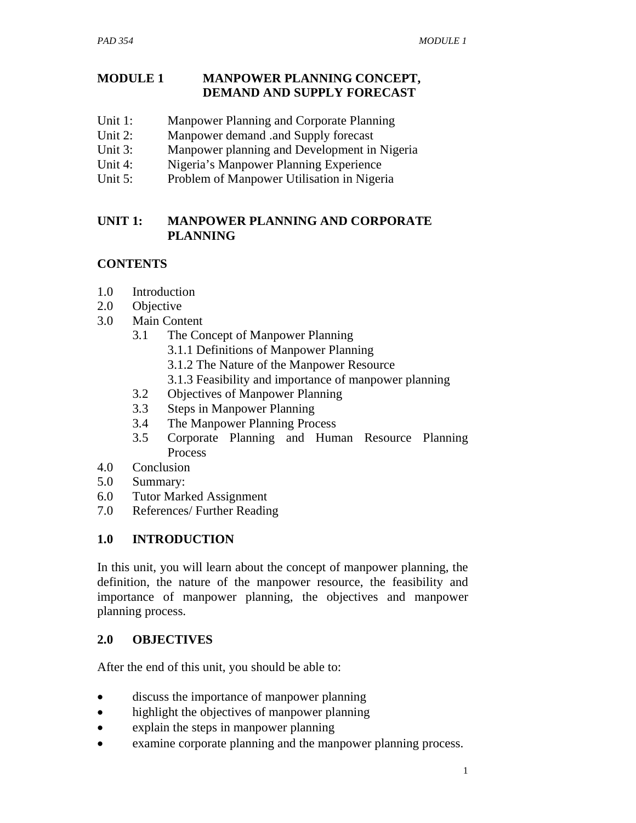## **MODULE 1 MANPOWER PLANNING CONCEPT, DEMAND AND SUPPLY FORECAST**

- Unit 1: Manpower Planning and Corporate Planning
- Unit 2: Manpower demand .and Supply forecast
- Unit 3: Manpower planning and Development in Nigeria
- Unit 4: Nigeria's Manpower Planning Experience
- Unit 5: Problem of Manpower Utilisation in Nigeria

# **UNIT 1: MANPOWER PLANNING AND CORPORATE PLANNING**

# **CONTENTS**

- 1.0 Introduction
- 2.0Objective
- 3.0 Main Content
	- 3.1 The Concept of Manpower Planning
		- 3.1.1 Definitions of Manpower Planning
		- 3.1.2 The Nature of the Manpower Resource
		- 3.1.3 Feasibility and importance of manpower planning
	- 3.2 Objectives of Manpower Planning
	- 3.3 Steps in Manpower Planning
	- 3.4 The Manpower Planning Process
	- 3.5 Corporate Planning and Human Resource Planning Process
- 4.0 Conclusion
- 5.0 Summary:
- 6.0 Tutor Marked Assignment
- 7.0 References/ Further Reading

# **1.0 INTRODUCTION**

In this unit, you will learn about the concept of manpower planning, the definition, the nature of the manpower resource, the feasibility and importance of manpower planning, the objectives and manpower planning process.

# **2.0 OBJECTIVES**

After the end of this unit, you should be able to:

- discuss the importance of manpower planning
- highlight the objectives of manpower planning
- explain the steps in manpower planning
- examine corporate planning and the manpower planning process.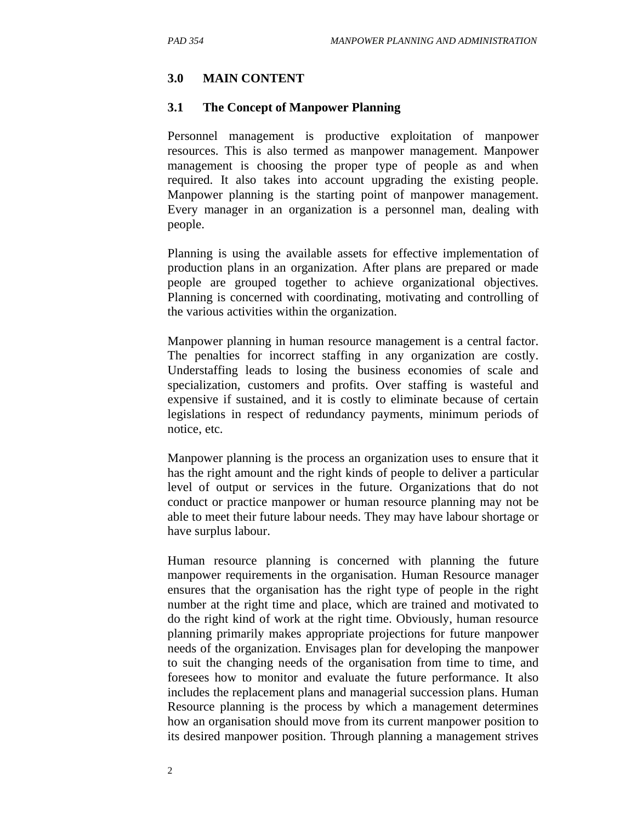#### **3.0 MAIN CONTENT**

#### **3.1 The Concept of Manpower Planning**

Personnel management is productive exploitation of manpower resources. This is also termed as manpower management. Manpower management is choosing the proper type of people as and when required. It also takes into account upgrading the existing people. Manpower planning is the starting point of manpower management. Every manager in an organization is a personnel man, dealing with people.

Planning is using the available assets for effective implementation of production plans in an organization. After plans are prepared or made people are grouped together to achieve organizational objectives. Planning is concerned with coordinating, motivating and controlling of the various activities within the organization.

Manpower planning in human resource management is a central factor. The penalties for incorrect staffing in any organization are costly. Understaffing leads to losing the business economies of scale and specialization, customers and profits. Over staffing is wasteful and expensive if sustained, and it is costly to eliminate because of certain legislations in respect of redundancy payments, minimum periods of notice, etc.

Manpower planning is the process an organization uses to ensure that it has the right amount and the right kinds of people to deliver a particular level of output or services in the future. Organizations that do not conduct or practice manpower or human resource planning may not be able to meet their future labour needs. They may have labour shortage or have surplus labour.

Human resource planning is concerned with planning the future manpower requirements in the organisation. Human Resource manager ensures that the organisation has the right type of people in the right number at the right time and place, which are trained and motivated to do the right kind of work at the right time. Obviously, human resource planning primarily makes appropriate projections for future manpower needs of the organization. Envisages plan for developing the manpower to suit the changing needs of the organisation from time to time, and foresees how to monitor and evaluate the future performance. It also includes the replacement plans and managerial succession plans. Human Resource planning is the process by which a management determines how an organisation should move from its current manpower position to its desired manpower position. Through planning a management strives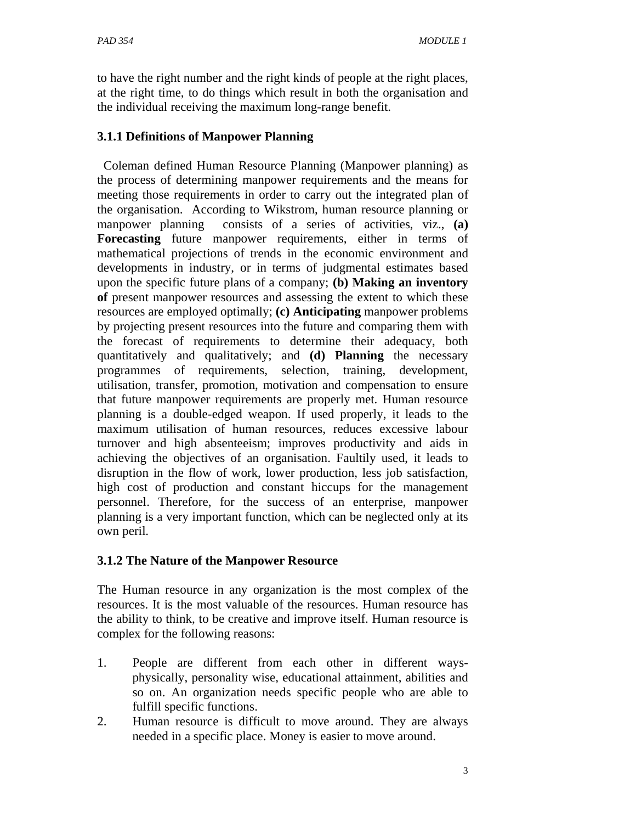to have the right number and the right kinds of people at the right places, at the right time, to do things which result in both the organisation and the individual receiving the maximum long-range benefit.

### **3.1.1 Definitions of Manpower Planning**

Coleman defined Human Resource Planning (Manpower planning) as the process of determining manpower requirements and the means for meeting those requirements in order to carry out the integrated plan of the organisation. According to Wikstrom, human resource planning or manpower planning consists of a series of activities, viz., **(a) Forecasting** future manpower requirements, either in terms of mathematical projections of trends in the economic environment and developments in industry, or in terms of judgmental estimates based upon the specific future plans of a company; **(b) Making an inventory of** present manpower resources and assessing the extent to which these resources are employed optimally; **(c) Anticipating** manpower problems by projecting present resources into the future and comparing them with the forecast of requirements to determine their adequacy, both quantitatively and qualitatively; and **(d) Planning** the necessary programmes of requirements, selection, training, development, utilisation, transfer, promotion, motivation and compensation to ensure that future manpower requirements are properly met. Human resource planning is a double-edged weapon. If used properly, it leads to the maximum utilisation of human resources, reduces excessive labour turnover and high absenteeism; improves productivity and aids in achieving the objectives of an organisation. Faultily used, it leads to disruption in the flow of work, lower production, less job satisfaction, high cost of production and constant hiccups for the management personnel. Therefore, for the success of an enterprise, manpower planning is a very important function, which can be neglected only at its own peril.

### **3.1.2 The Nature of the Manpower Resource**

The Human resource in any organization is the most complex of the resources. It is the most valuable of the resources. Human resource has the ability to think, to be creative and improve itself. Human resource is complex for the following reasons:

- 1. People are different from each other in different waysphysically, personality wise, educational attainment, abilities and so on. An organization needs specific people who are able to fulfill specific functions.
- 2. Human resource is difficult to move around. They are always needed in a specific place. Money is easier to move around.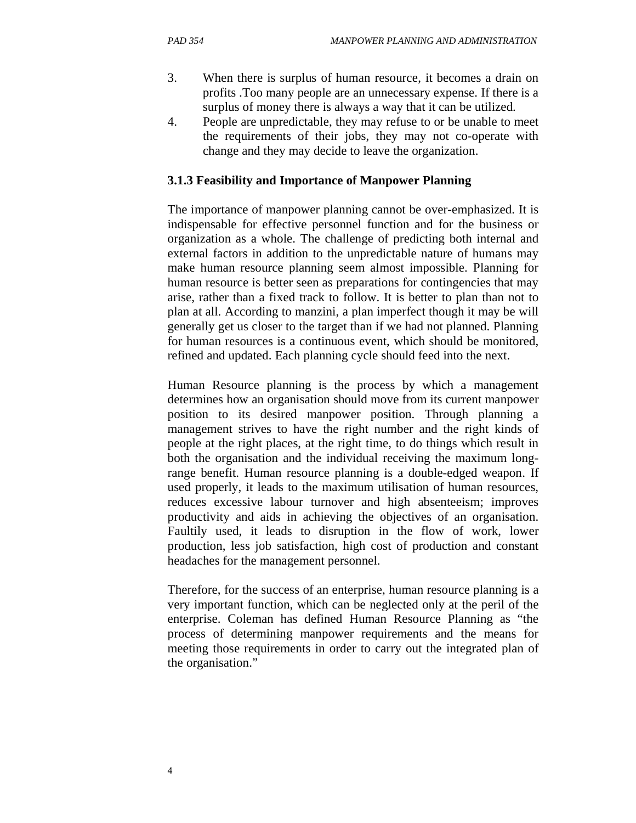- 3. When there is surplus of human resource, it becomes a drain on profits .Too many people are an unnecessary expense. If there is a surplus of money there is always a way that it can be utilized.
- 4. People are unpredictable, they may refuse to or be unable to meet the requirements of their jobs, they may not co-operate with change and they may decide to leave the organization.

#### **3.1.3 Feasibility and Importance of Manpower Planning**

The importance of manpower planning cannot be over-emphasized. It is indispensable for effective personnel function and for the business or organization as a whole. The challenge of predicting both internal and external factors in addition to the unpredictable nature of humans may make human resource planning seem almost impossible. Planning for human resource is better seen as preparations for contingencies that may arise, rather than a fixed track to follow. It is better to plan than not to plan at all. According to manzini, a plan imperfect though it may be will generally get us closer to the target than if we had not planned. Planning for human resources is a continuous event, which should be monitored, refined and updated. Each planning cycle should feed into the next.

Human Resource planning is the process by which a management determines how an organisation should move from its current manpower position to its desired manpower position. Through planning a management strives to have the right number and the right kinds of people at the right places, at the right time, to do things which result in both the organisation and the individual receiving the maximum longrange benefit. Human resource planning is a double-edged weapon. If used properly, it leads to the maximum utilisation of human resources, reduces excessive labour turnover and high absenteeism; improves productivity and aids in achieving the objectives of an organisation. Faultily used, it leads to disruption in the flow of work, lower production, less job satisfaction, high cost of production and constant headaches for the management personnel.

Therefore, for the success of an enterprise, human resource planning is a very important function, which can be neglected only at the peril of the enterprise. Coleman has defined Human Resource Planning as "the process of determining manpower requirements and the means for meeting those requirements in order to carry out the integrated plan of the organisation."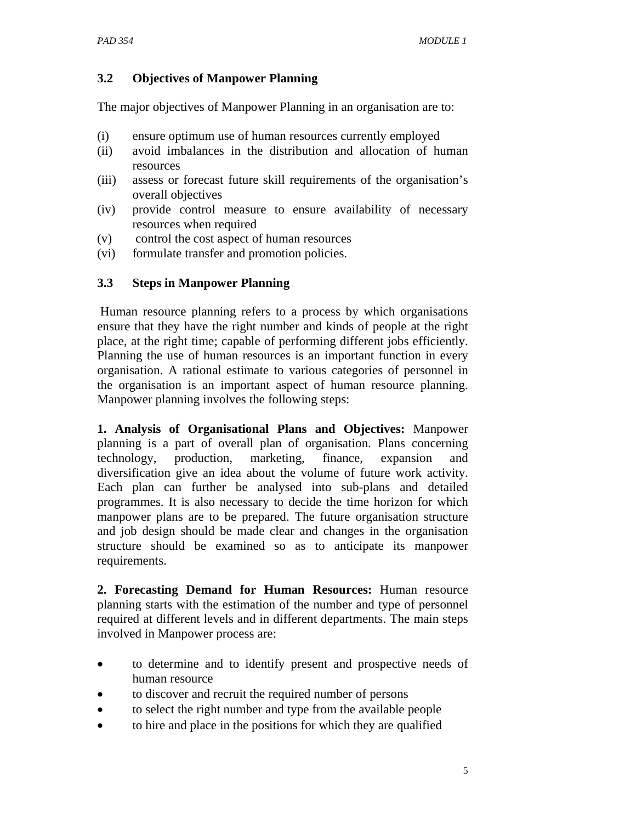# **3.2 Objectives of Manpower Planning**

The major objectives of Manpower Planning in an organisation are to:

- (i) ensure optimum use of human resources currently employed
- (ii) avoid imbalances in the distribution and allocation of human resources
- (iii) assess or forecast future skill requirements of the organisation's overall objectives
- (iv) provide control measure to ensure availability of necessary resources when required
- (v) control the cost aspect of human resources
- (vi) formulate transfer and promotion policies.

### **3.3 Steps in Manpower Planning**

Human resource planning refers to a process by which organisations ensure that they have the right number and kinds of people at the right place, at the right time; capable of performing different jobs efficiently. Planning the use of human resources is an important function in every organisation. A rational estimate to various categories of personnel in the organisation is an important aspect of human resource planning. Manpower planning involves the following steps:

**1. Analysis of Organisational Plans and Objectives:** Manpower planning is a part of overall plan of organisation. Plans concerning technology, production, marketing, finance, expansion and diversification give an idea about the volume of future work activity. Each plan can further be analysed into sub-plans and detailed programmes. It is also necessary to decide the time horizon for which manpower plans are to be prepared. The future organisation structure and job design should be made clear and changes in the organisation structure should be examined so as to anticipate its manpower requirements.

**2. Forecasting Demand for Human Resources:** Human resource planning starts with the estimation of the number and type of personnel required at different levels and in different departments. The main steps involved in Manpower process are:

- to determine and to identify present and prospective needs of human resource
- to discover and recruit the required number of persons
- to select the right number and type from the available people
- to hire and place in the positions for which they are qualified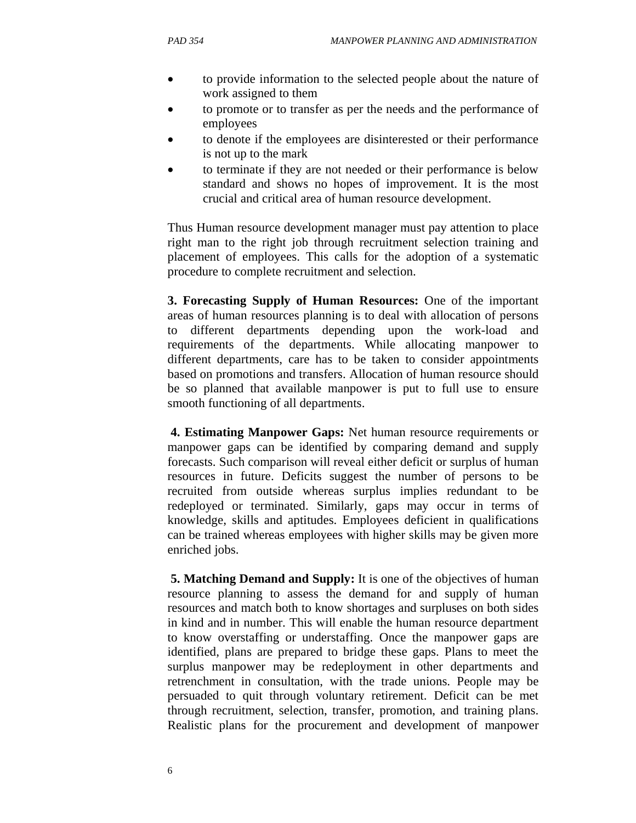- to provide information to the selected people about the nature of work assigned to them
- to promote or to transfer as per the needs and the performance of employees
- to denote if the employees are disinterested or their performance is not up to the mark
- to terminate if they are not needed or their performance is below standard and shows no hopes of improvement. It is the most crucial and critical area of human resource development.

Thus Human resource development manager must pay attention to place right man to the right job through recruitment selection training and placement of employees. This calls for the adoption of a systematic procedure to complete recruitment and selection.

**3. Forecasting Supply of Human Resources:** One of the important areas of human resources planning is to deal with allocation of persons to different departments depending upon the work-load and requirements of the departments. While allocating manpower to different departments, care has to be taken to consider appointments based on promotions and transfers. Allocation of human resource should be so planned that available manpower is put to full use to ensure smooth functioning of all departments.

**4. Estimating Manpower Gaps:** Net human resource requirements or manpower gaps can be identified by comparing demand and supply forecasts. Such comparison will reveal either deficit or surplus of human resources in future. Deficits suggest the number of persons to be recruited from outside whereas surplus implies redundant to be redeployed or terminated. Similarly, gaps may occur in terms of knowledge, skills and aptitudes. Employees deficient in qualifications can be trained whereas employees with higher skills may be given more enriched jobs.

**5. Matching Demand and Supply:** It is one of the objectives of human resource planning to assess the demand for and supply of human resources and match both to know shortages and surpluses on both sides in kind and in number. This will enable the human resource department to know overstaffing or understaffing. Once the manpower gaps are identified, plans are prepared to bridge these gaps. Plans to meet the surplus manpower may be redeployment in other departments and retrenchment in consultation, with the trade unions. People may be persuaded to quit through voluntary retirement. Deficit can be met through recruitment, selection, transfer, promotion, and training plans. Realistic plans for the procurement and development of manpower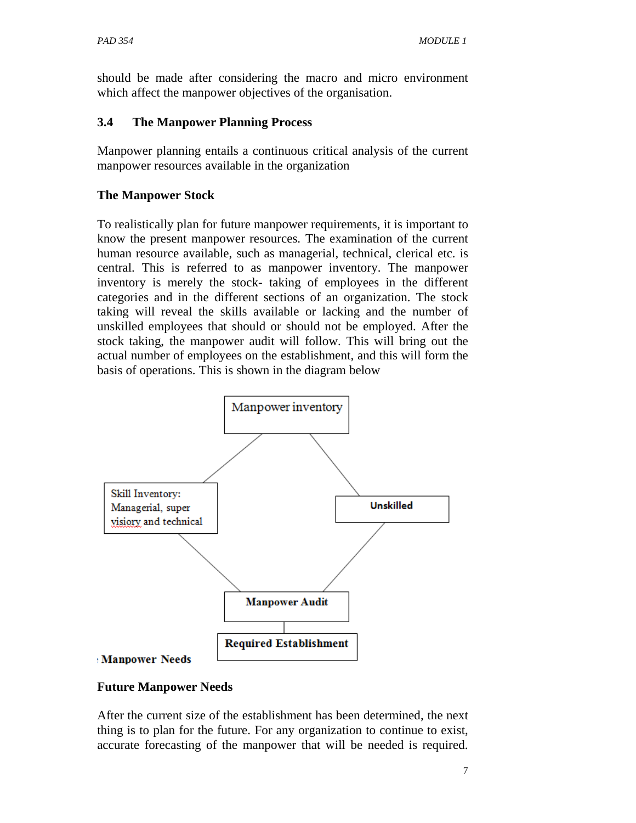should be made after considering the macro and micro environment which affect the manpower objectives of the organisation.

# **3.4 The Manpower Planning Process**

Manpower planning entails a continuous critical analysis of the current manpower resources available in the organization

# **The Manpower Stock**

To realistically plan for future manpower requirements, it is important to know the present manpower resources. The examination of the current human resource available, such as managerial, technical, clerical etc. is central. This is referred to as manpower inventory. The manpower inventory is merely the stock- taking of employees in the different categories and in the different sections of an organization. The stock taking will reveal the skills available or lacking and the number of unskilled employees that should or should not be employed. After the stock taking, the manpower audit will follow. This will bring out the actual number of employees on the establishment, and this will form the basis of operations. This is shown in the diagram below



### **Future Manpower Needs**

After the current size of the establishment has been determined, the next thing is to plan for the future. For any organization to continue to exist, accurate forecasting of the manpower that will be needed is required.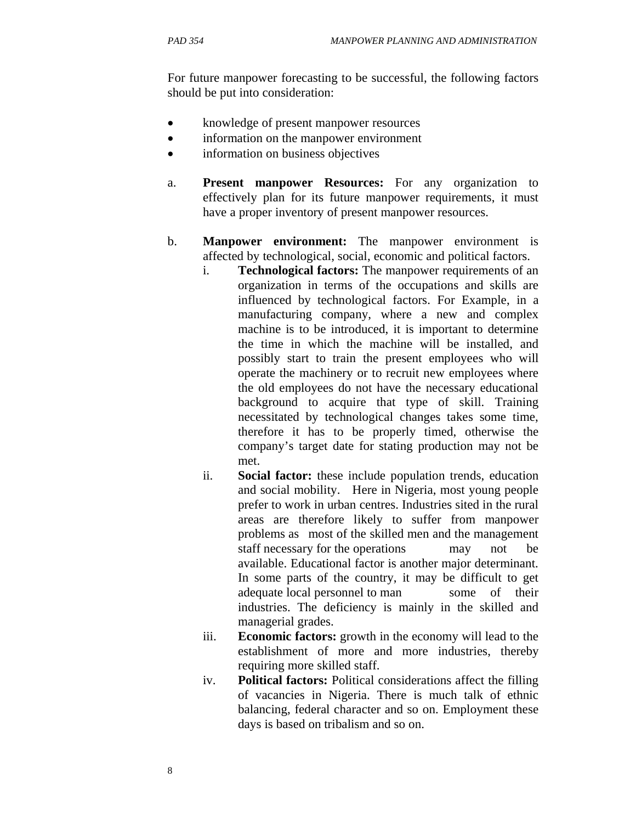For future manpower forecasting to be successful, the following factors should be put into consideration:

- knowledge of present manpower resources
- information on the manpower environment
- information on business objectives
- a. **Present manpower Resources:** For any organization to effectively plan for its future manpower requirements, it must have a proper inventory of present manpower resources.
- b. **Manpower environment:** The manpower environment is affected by technological, social, economic and political factors.
	- i. **Technological factors:** The manpower requirements of an organization in terms of the occupations and skills are influenced by technological factors. For Example, in a manufacturing company, where a new and complex machine is to be introduced, it is important to determine the time in which the machine will be installed, and possibly start to train the present employees who will operate the machinery or to recruit new employees where the old employees do not have the necessary educational background to acquire that type of skill. Training necessitated by technological changes takes some time, therefore it has to be properly timed, otherwise the company's target date for stating production may not be met.
	- ii. **Social factor:** these include population trends, education and social mobility. Here in Nigeria, most young people prefer to work in urban centres. Industries sited in the rural areas are therefore likely to suffer from manpower problems as most of the skilled men and the management staff necessary for the operations may not be available. Educational factor is another major determinant. In some parts of the country, it may be difficult to get adequate local personnel to man some of their industries. The deficiency is mainly in the skilled and managerial grades.
	- iii. **Economic factors:** growth in the economy will lead to the establishment of more and more industries, thereby requiring more skilled staff.
	- iv. **Political factors:** Political considerations affect the filling of vacancies in Nigeria. There is much talk of ethnic balancing, federal character and so on. Employment these days is based on tribalism and so on.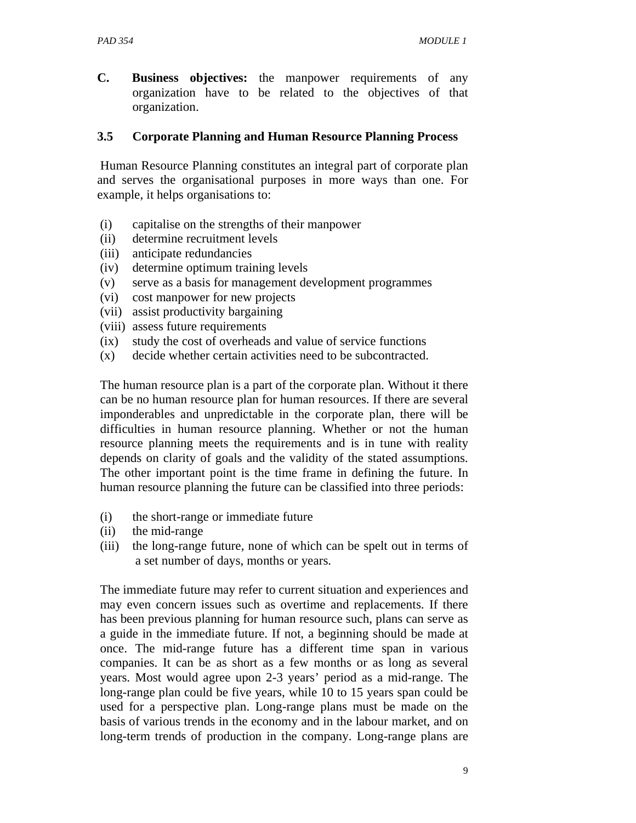**C. Business objectives:** the manpower requirements of any organization have to be related to the objectives of that organization.

#### **3.5 Corporate Planning and Human Resource Planning Process**

Human Resource Planning constitutes an integral part of corporate plan and serves the organisational purposes in more ways than one. For example, it helps organisations to:

- (i) capitalise on the strengths of their manpower
- (ii) determine recruitment levels
- (iii) anticipate redundancies
- (iv) determine optimum training levels
- (v) serve as a basis for management development programmes
- (vi) cost manpower for new projects
- (vii) assist productivity bargaining
- (viii) assess future requirements
- (ix) study the cost of overheads and value of service functions
- (x) decide whether certain activities need to be subcontracted.

The human resource plan is a part of the corporate plan. Without it there can be no human resource plan for human resources. If there are several imponderables and unpredictable in the corporate plan, there will be difficulties in human resource planning. Whether or not the human resource planning meets the requirements and is in tune with reality depends on clarity of goals and the validity of the stated assumptions. The other important point is the time frame in defining the future. In human resource planning the future can be classified into three periods:

- (i) the short-range or immediate future
- (ii) the mid-range
- (iii) the long-range future, none of which can be spelt out in terms of a set number of days, months or years.

The immediate future may refer to current situation and experiences and may even concern issues such as overtime and replacements. If there has been previous planning for human resource such, plans can serve as a guide in the immediate future. If not, a beginning should be made at once. The mid-range future has a different time span in various companies. It can be as short as a few months or as long as several years. Most would agree upon 2-3 years' period as a mid-range. The long-range plan could be five years, while 10 to 15 years span could be used for a perspective plan. Long-range plans must be made on the basis of various trends in the economy and in the labour market, and on long-term trends of production in the company. Long-range plans are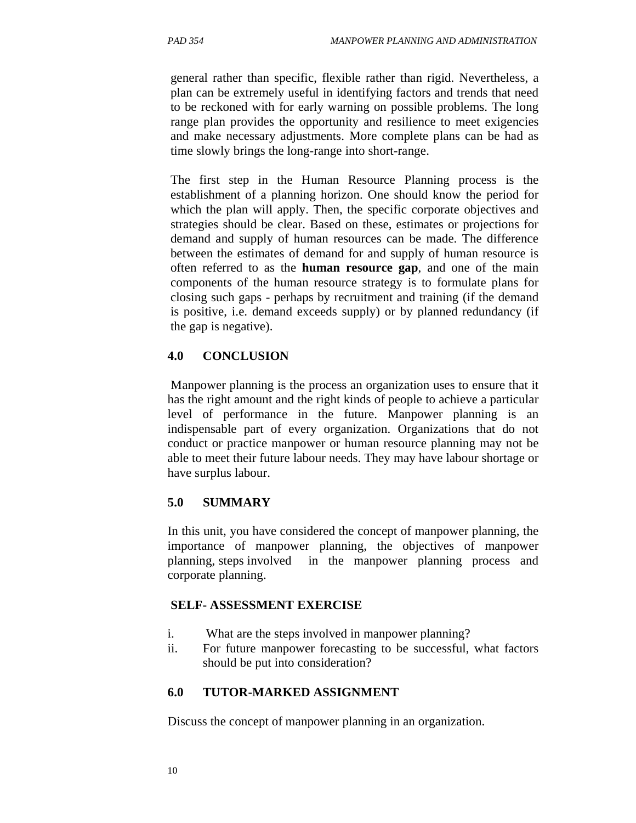general rather than specific, flexible rather than rigid. Nevertheless, a plan can be extremely useful in identifying factors and trends that need to be reckoned with for early warning on possible problems. The long range plan provides the opportunity and resilience to meet exigencies and make necessary adjustments. More complete plans can be had as time slowly brings the long-range into short-range.

The first step in the Human Resource Planning process is the establishment of a planning horizon. One should know the period for which the plan will apply. Then, the specific corporate objectives and strategies should be clear. Based on these, estimates or projections for demand and supply of human resources can be made. The difference between the estimates of demand for and supply of human resource is often referred to as the **human resource gap**, and one of the main components of the human resource strategy is to formulate plans for closing such gaps - perhaps by recruitment and training (if the demand is positive, i.e. demand exceeds supply) or by planned redundancy (if the gap is negative).

### **4.0 CONCLUSION**

 Manpower planning is the process an organization uses to ensure that it has the right amount and the right kinds of people to achieve a particular level of performance in the future. Manpower planning is an indispensable part of every organization. Organizations that do not conduct or practice manpower or human resource planning may not be able to meet their future labour needs. They may have labour shortage or have surplus labour.

### **5.0 SUMMARY**

In this unit, you have considered the concept of manpower planning, the importance of manpower planning, the objectives of manpower planning, steps involved in the manpower planning process and corporate planning.

### **SELF- ASSESSMENT EXERCISE**

- i. What are the steps involved in manpower planning?
- ii. For future manpower forecasting to be successful, what factors should be put into consideration?

### **6.0 TUTOR-MARKED ASSIGNMENT**

Discuss the concept of manpower planning in an organization.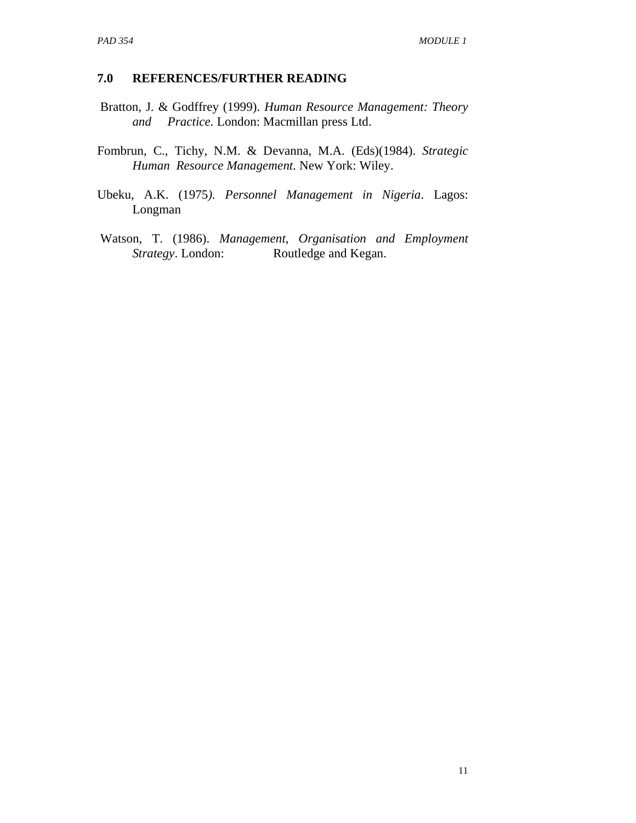#### **7.0 REFERENCES/FURTHER READING**

- Bratton, J. & Godffrey (1999). *Human Resource Management: Theory and Practice.* London: Macmillan press Ltd.
- Fombrun, C., Tichy, N.M. & Devanna, M.A. (Eds)(1984). *Strategic Human Resource Management.* New York: Wiley.
- Ubeku, A.K. (1975*). Personnel Management in Nigeria*. Lagos: Longman
- Watson, T. (1986). *Management, Organisation and Employment Strategy*. London: Routledge and Kegan.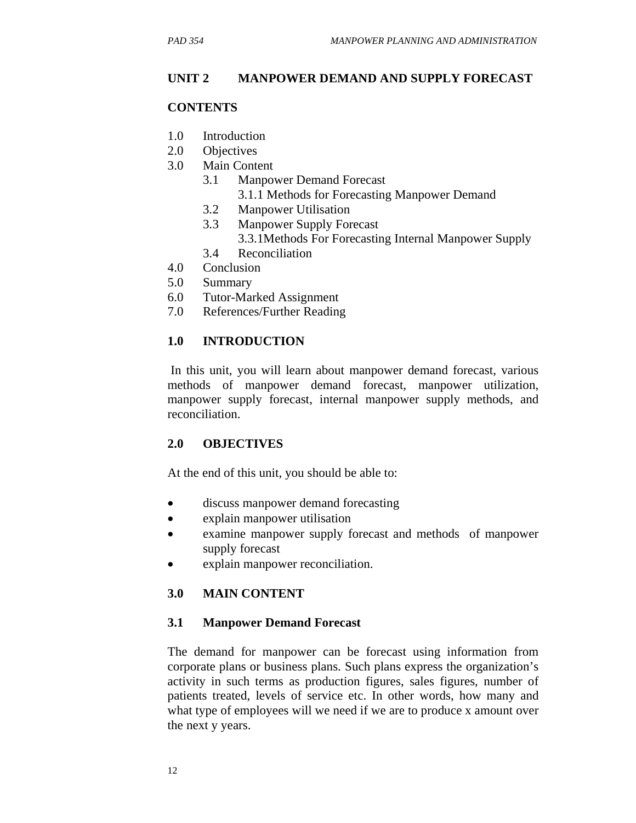#### **UNIT 2 MANPOWER DEMAND AND SUPPLY FORECAST**

#### **CONTENTS**

- 1.0 Introduction
- 2.0Objectives
- 3.0 Main Content
	- 3.1 Manpower Demand Forecast
		- 3.1.1 Methods for Forecasting Manpower Demand
	- 3.2 Manpower Utilisation
	- 3.3 Manpower Supply Forecast
		- 3.3.1Methods For Forecasting Internal Manpower Supply
	- 3.4 Reconciliation
- 4.0 Conclusion
- 5.0 Summary
- 6.0 Tutor-Marked Assignment
- 7.0 References/Further Reading

#### **1.0 INTRODUCTION**

 In this unit, you will learn about manpower demand forecast, various methods of manpower demand forecast, manpower utilization, manpower supply forecast, internal manpower supply methods, and reconciliation.

#### **2.0 OBJECTIVES**

At the end of this unit, you should be able to:

- discuss manpower demand forecasting
- explain manpower utilisation
- examine manpower supply forecast and methods of manpower supply forecast
- explain manpower reconciliation.

### **3.0 MAIN CONTENT**

#### **3.1 Manpower Demand Forecast**

The demand for manpower can be forecast using information from corporate plans or business plans. Such plans express the organization's activity in such terms as production figures, sales figures, number of patients treated, levels of service etc. In other words, how many and what type of employees will we need if we are to produce x amount over the next y years.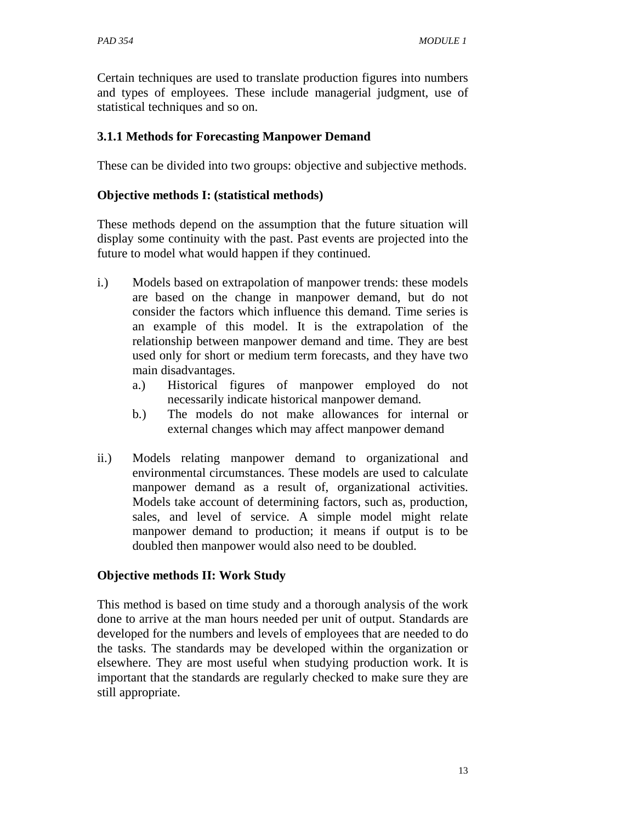Certain techniques are used to translate production figures into numbers and types of employees. These include managerial judgment, use of statistical techniques and so on.

## **3.1.1 Methods for Forecasting Manpower Demand**

These can be divided into two groups: objective and subjective methods.

### **Objective methods I: (statistical methods)**

These methods depend on the assumption that the future situation will display some continuity with the past. Past events are projected into the future to model what would happen if they continued.

- i.) Models based on extrapolation of manpower trends: these models are based on the change in manpower demand, but do not consider the factors which influence this demand. Time series is an example of this model. It is the extrapolation of the relationship between manpower demand and time. They are best used only for short or medium term forecasts, and they have two main disadvantages.
	- a.) Historical figures of manpower employed do not necessarily indicate historical manpower demand.
	- b.) The models do not make allowances for internal or external changes which may affect manpower demand
- ii.) Models relating manpower demand to organizational and environmental circumstances. These models are used to calculate manpower demand as a result of, organizational activities. Models take account of determining factors, such as, production, sales, and level of service. A simple model might relate manpower demand to production; it means if output is to be doubled then manpower would also need to be doubled.

### **Objective methods II: Work Study**

This method is based on time study and a thorough analysis of the work done to arrive at the man hours needed per unit of output. Standards are developed for the numbers and levels of employees that are needed to do the tasks. The standards may be developed within the organization or elsewhere. They are most useful when studying production work. It is important that the standards are regularly checked to make sure they are still appropriate.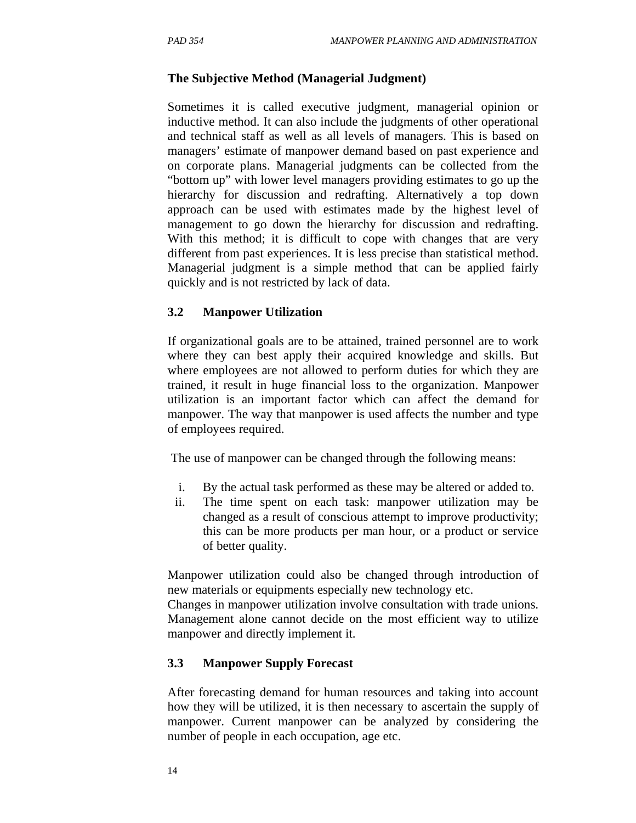#### **The Subjective Method (Managerial Judgment)**

Sometimes it is called executive judgment, managerial opinion or inductive method. It can also include the judgments of other operational and technical staff as well as all levels of managers. This is based on managers' estimate of manpower demand based on past experience and on corporate plans. Managerial judgments can be collected from the "bottom up" with lower level managers providing estimates to go up the hierarchy for discussion and redrafting. Alternatively a top down approach can be used with estimates made by the highest level of management to go down the hierarchy for discussion and redrafting. With this method; it is difficult to cope with changes that are very different from past experiences. It is less precise than statistical method. Managerial judgment is a simple method that can be applied fairly quickly and is not restricted by lack of data.

#### **3.2 Manpower Utilization**

If organizational goals are to be attained, trained personnel are to work where they can best apply their acquired knowledge and skills. But where employees are not allowed to perform duties for which they are trained, it result in huge financial loss to the organization. Manpower utilization is an important factor which can affect the demand for manpower. The way that manpower is used affects the number and type of employees required.

The use of manpower can be changed through the following means:

- i. By the actual task performed as these may be altered or added to.
- ii. The time spent on each task: manpower utilization may be changed as a result of conscious attempt to improve productivity; this can be more products per man hour, or a product or service of better quality.

Manpower utilization could also be changed through introduction of new materials or equipments especially new technology etc.

Changes in manpower utilization involve consultation with trade unions. Management alone cannot decide on the most efficient way to utilize manpower and directly implement it.

#### **3.3 Manpower Supply Forecast**

After forecasting demand for human resources and taking into account how they will be utilized, it is then necessary to ascertain the supply of manpower. Current manpower can be analyzed by considering the number of people in each occupation, age etc.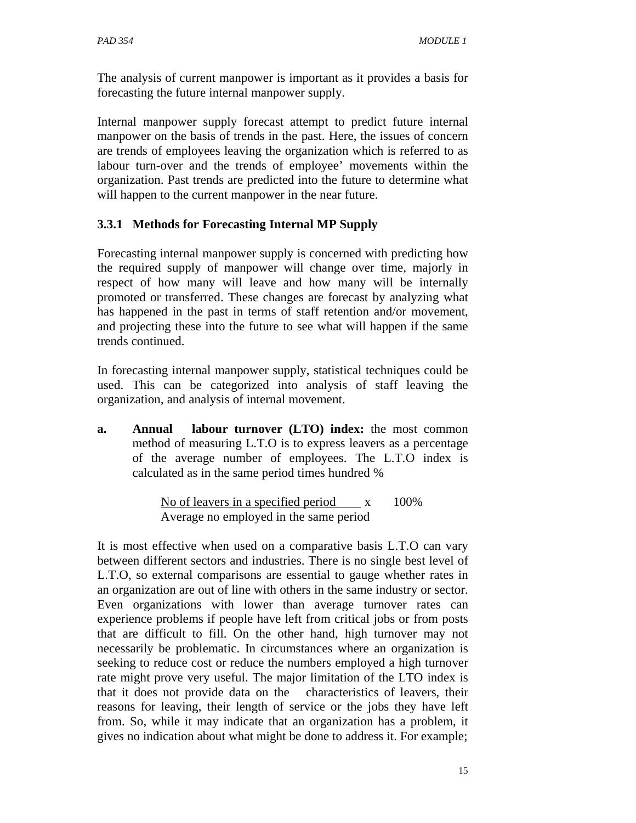The analysis of current manpower is important as it provides a basis for forecasting the future internal manpower supply.

Internal manpower supply forecast attempt to predict future internal manpower on the basis of trends in the past. Here, the issues of concern are trends of employees leaving the organization which is referred to as labour turn-over and the trends of employee' movements within the organization. Past trends are predicted into the future to determine what will happen to the current manpower in the near future.

# **3.3.1 Methods for Forecasting Internal MP Supply**

Forecasting internal manpower supply is concerned with predicting how the required supply of manpower will change over time, majorly in respect of how many will leave and how many will be internally promoted or transferred. These changes are forecast by analyzing what has happened in the past in terms of staff retention and/or movement, and projecting these into the future to see what will happen if the same trends continued.

In forecasting internal manpower supply, statistical techniques could be used. This can be categorized into analysis of staff leaving the organization, and analysis of internal movement.

**a. Annual labour turnover (LTO) index:** the most common method of measuring L.T.O is to express leavers as a percentage of the average number of employees. The L.T.O index is calculated as in the same period times hundred %

> No of leavers in a specified period  $x = 100\%$ Average no employed in the same period

It is most effective when used on a comparative basis L.T.O can vary between different sectors and industries. There is no single best level of L.T.O, so external comparisons are essential to gauge whether rates in an organization are out of line with others in the same industry or sector. Even organizations with lower than average turnover rates can experience problems if people have left from critical jobs or from posts that are difficult to fill. On the other hand, high turnover may not necessarily be problematic. In circumstances where an organization is seeking to reduce cost or reduce the numbers employed a high turnover rate might prove very useful. The major limitation of the LTO index is that it does not provide data on the characteristics of leavers, their reasons for leaving, their length of service or the jobs they have left from. So, while it may indicate that an organization has a problem, it gives no indication about what might be done to address it. For example;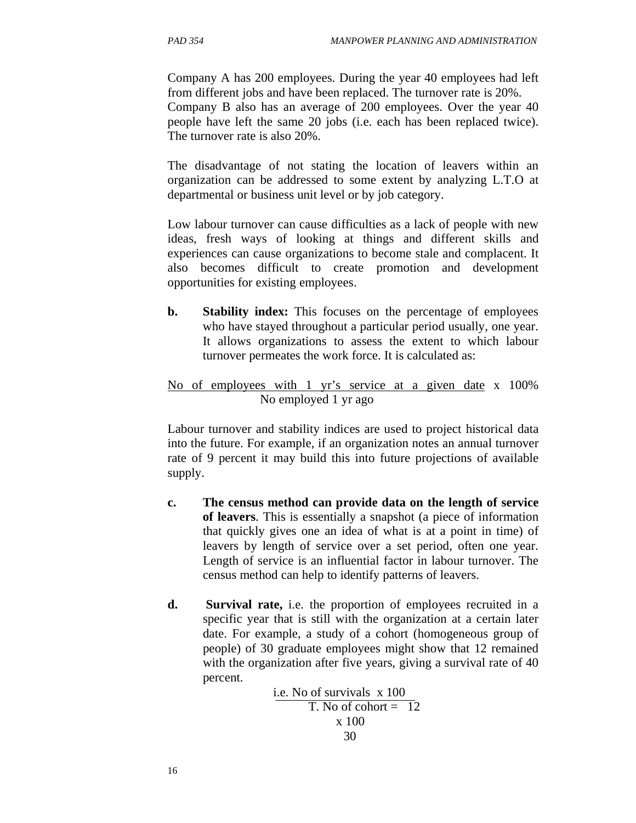Company A has 200 employees. During the year 40 employees had left from different jobs and have been replaced. The turnover rate is 20%. Company B also has an average of 200 employees. Over the year 40 people have left the same 20 jobs (i.e. each has been replaced twice). The turnover rate is also 20%.

The disadvantage of not stating the location of leavers within an organization can be addressed to some extent by analyzing L.T.O at departmental or business unit level or by job category.

Low labour turnover can cause difficulties as a lack of people with new ideas, fresh ways of looking at things and different skills and experiences can cause organizations to become stale and complacent. It also becomes difficult to create promotion and development opportunities for existing employees.

**b. Stability index:** This focuses on the percentage of employees who have stayed throughout a particular period usually, one year. It allows organizations to assess the extent to which labour turnover permeates the work force. It is calculated as:

No of employees with 1 yr's service at a given date x 100% No employed 1 yr ago

Labour turnover and stability indices are used to project historical data into the future. For example, if an organization notes an annual turnover rate of 9 percent it may build this into future projections of available supply.

- **c. The census method can provide data on the length of service of leavers**. This is essentially a snapshot (a piece of information that quickly gives one an idea of what is at a point in time) of leavers by length of service over a set period, often one year. Length of service is an influential factor in labour turnover. The census method can help to identify patterns of leavers.
- **d. Survival rate,** i.e. the proportion of employees recruited in a specific year that is still with the organization at a certain later date. For example, a study of a cohort (homogeneous group of people) of 30 graduate employees might show that 12 remained with the organization after five years, giving a survival rate of 40 percent.

i.e. No of survivals x 100  
T. No of cohort = 
$$
12
$$
  
x 100  
30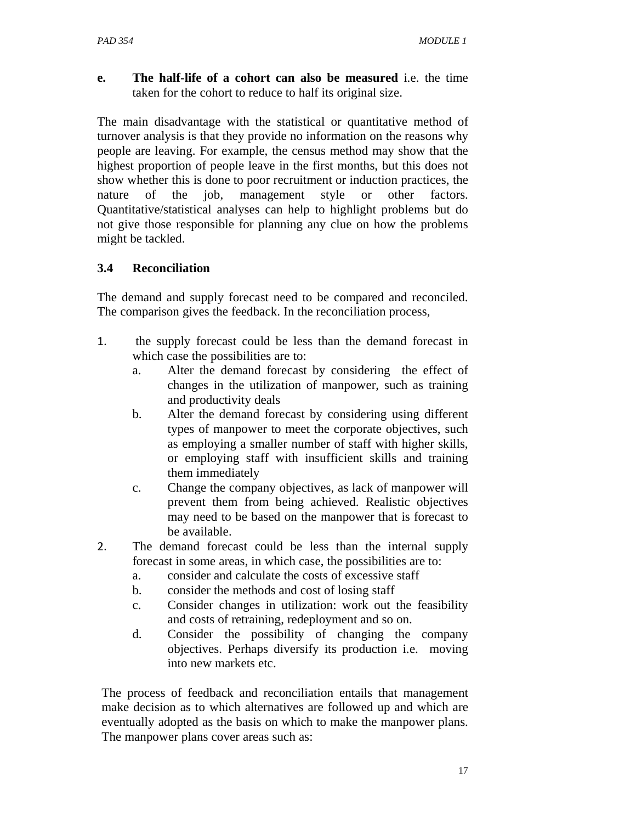**e. The half-life of a cohort can also be measured** i.e. the time taken for the cohort to reduce to half its original size.

The main disadvantage with the statistical or quantitative method of turnover analysis is that they provide no information on the reasons why people are leaving. For example, the census method may show that the highest proportion of people leave in the first months, but this does not show whether this is done to poor recruitment or induction practices, the nature of the job, management style or other factors. Quantitative/statistical analyses can help to highlight problems but do not give those responsible for planning any clue on how the problems might be tackled.

# **3.4 Reconciliation**

The demand and supply forecast need to be compared and reconciled. The comparison gives the feedback. In the reconciliation process,

- 1. the supply forecast could be less than the demand forecast in which case the possibilities are to:
	- a. Alter the demand forecast by considering the effect of changes in the utilization of manpower, such as training and productivity deals
	- b. Alter the demand forecast by considering using different types of manpower to meet the corporate objectives, such as employing a smaller number of staff with higher skills, or employing staff with insufficient skills and training them immediately
	- c. Change the company objectives, as lack of manpower will prevent them from being achieved. Realistic objectives may need to be based on the manpower that is forecast to be available.
- 2. The demand forecast could be less than the internal supply forecast in some areas, in which case, the possibilities are to:
	- a. consider and calculate the costs of excessive staff
	- b. consider the methods and cost of losing staff
	- c. Consider changes in utilization: work out the feasibility and costs of retraining, redeployment and so on.
	- d. Consider the possibility of changing the company objectives. Perhaps diversify its production i.e. moving into new markets etc.

The process of feedback and reconciliation entails that management make decision as to which alternatives are followed up and which are eventually adopted as the basis on which to make the manpower plans. The manpower plans cover areas such as: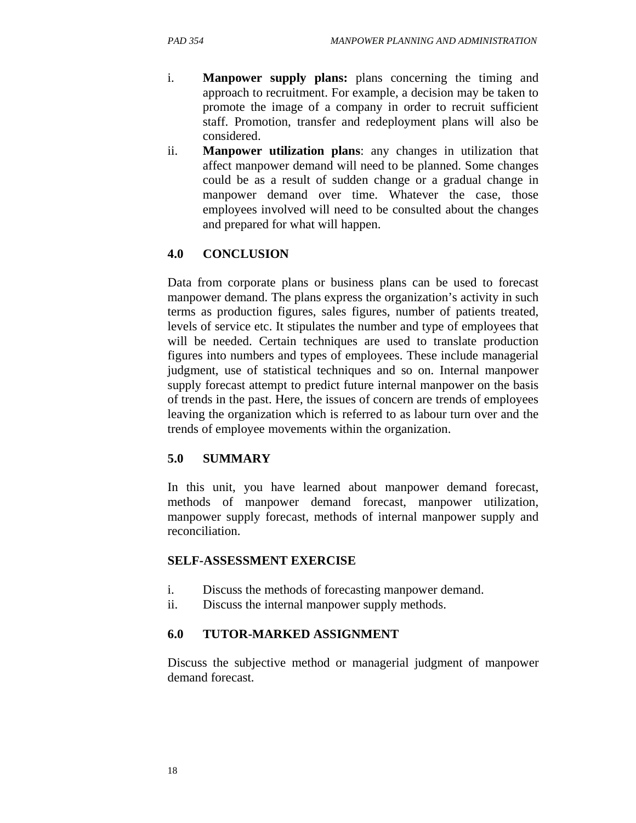- i. **Manpower supply plans:** plans concerning the timing and approach to recruitment. For example, a decision may be taken to promote the image of a company in order to recruit sufficient staff. Promotion, transfer and redeployment plans will also be considered.
- ii. **Manpower utilization plans**: any changes in utilization that affect manpower demand will need to be planned. Some changes could be as a result of sudden change or a gradual change in manpower demand over time. Whatever the case, those employees involved will need to be consulted about the changes and prepared for what will happen.

### **4.0 CONCLUSION**

Data from corporate plans or business plans can be used to forecast manpower demand. The plans express the organization's activity in such terms as production figures, sales figures, number of patients treated, levels of service etc. It stipulates the number and type of employees that will be needed. Certain techniques are used to translate production figures into numbers and types of employees. These include managerial judgment, use of statistical techniques and so on. Internal manpower supply forecast attempt to predict future internal manpower on the basis of trends in the past. Here, the issues of concern are trends of employees leaving the organization which is referred to as labour turn over and the trends of employee movements within the organization.

### **5.0 SUMMARY**

In this unit, you have learned about manpower demand forecast, methods of manpower demand forecast, manpower utilization, manpower supply forecast, methods of internal manpower supply and reconciliation.

#### **SELF-ASSESSMENT EXERCISE**

- i. Discuss the methods of forecasting manpower demand.
- ii. Discuss the internal manpower supply methods.

### **6.0 TUTOR-MARKED ASSIGNMENT**

Discuss the subjective method or managerial judgment of manpower demand forecast.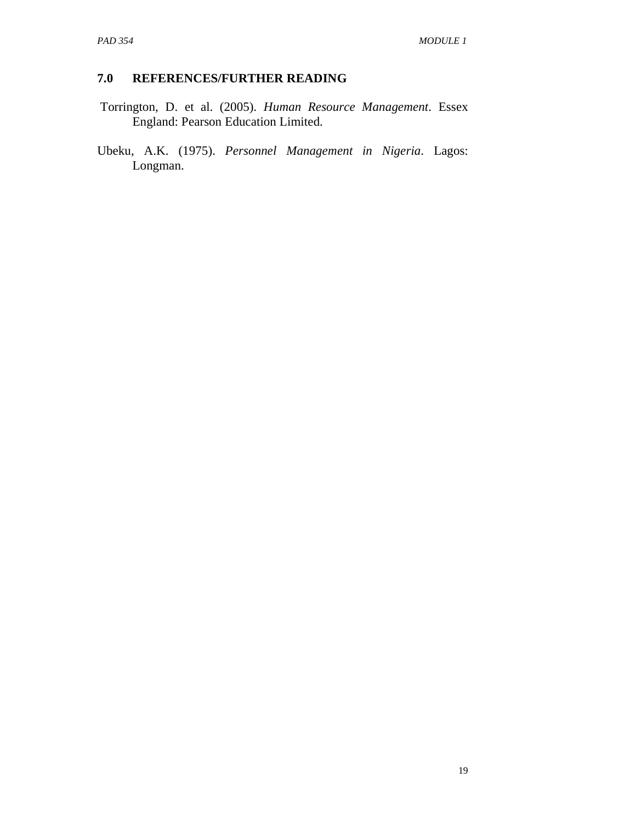## **7.0 REFERENCES/FURTHER READING**

 Torrington, D. et al. (2005). *Human Resource Management*. Essex England: Pearson Education Limited.

Ubeku, A.K. (1975). *Personnel Management in Nigeria*. Lagos: Longman.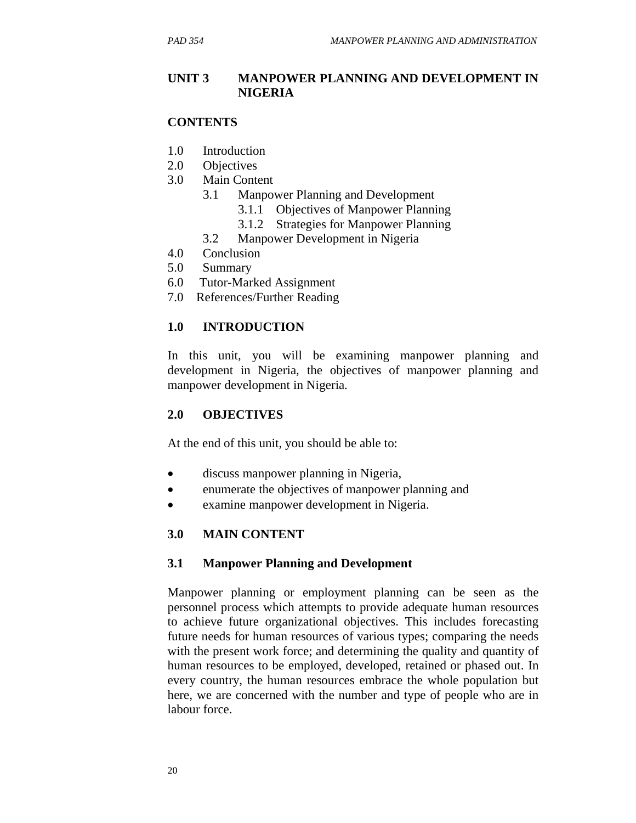#### **UNIT 3 MANPOWER PLANNING AND DEVELOPMENT IN NIGERIA**

#### **CONTENTS**

- 1.0 Introduction
- 2.0 Objectives
- 3.0 Main Content
	- 3.1 Manpower Planning and Development
		- 3.1.1 Objectives of Manpower Planning
		- 3.1.2 Strategies for Manpower Planning
	- 3.2 Manpower Development in Nigeria
- 4.0 Conclusion
- 5.0 Summary
- 6.0 Tutor-Marked Assignment
- 7.0 References/Further Reading

#### **1.0 INTRODUCTION**

In this unit, you will be examining manpower planning and development in Nigeria, the objectives of manpower planning and manpower development in Nigeria.

#### **2.0 OBJECTIVES**

At the end of this unit, you should be able to:

- discuss manpower planning in Nigeria,
- enumerate the objectives of manpower planning and
- examine manpower development in Nigeria.

#### **3.0 MAIN CONTENT**

#### **3.1 Manpower Planning and Development**

Manpower planning or employment planning can be seen as the personnel process which attempts to provide adequate human resources to achieve future organizational objectives. This includes forecasting future needs for human resources of various types; comparing the needs with the present work force; and determining the quality and quantity of human resources to be employed, developed, retained or phased out. In every country, the human resources embrace the whole population but here, we are concerned with the number and type of people who are in labour force.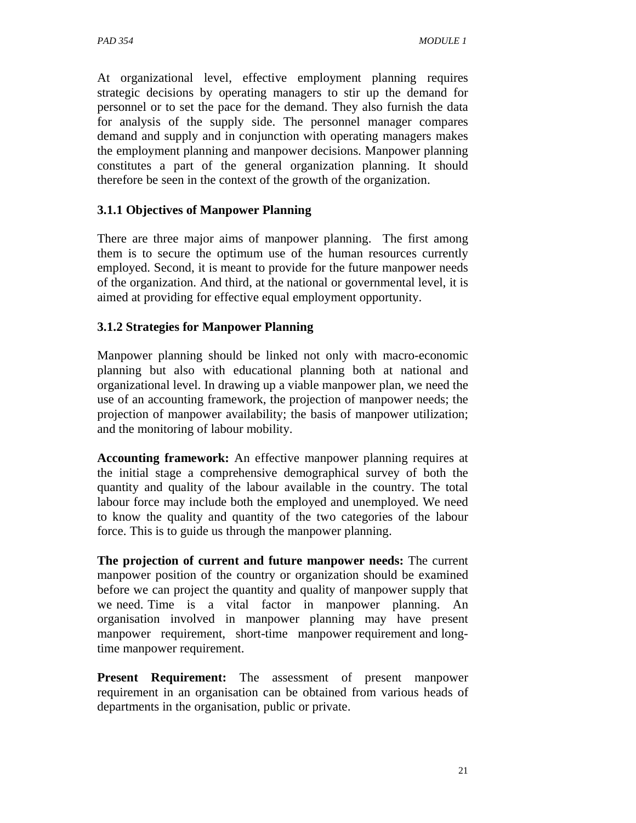At organizational level, effective employment planning requires strategic decisions by operating managers to stir up the demand for personnel or to set the pace for the demand. They also furnish the data for analysis of the supply side. The personnel manager compares demand and supply and in conjunction with operating managers makes the employment planning and manpower decisions. Manpower planning constitutes a part of the general organization planning. It should therefore be seen in the context of the growth of the organization.

## **3.1.1 Objectives of Manpower Planning**

There are three major aims of manpower planning. The first among them is to secure the optimum use of the human resources currently employed. Second, it is meant to provide for the future manpower needs of the organization. And third, at the national or governmental level, it is aimed at providing for effective equal employment opportunity.

### **3.1.2 Strategies for Manpower Planning**

Manpower planning should be linked not only with macro-economic planning but also with educational planning both at national and organizational level. In drawing up a viable manpower plan, we need the use of an accounting framework, the projection of manpower needs; the projection of manpower availability; the basis of manpower utilization; and the monitoring of labour mobility.

**Accounting framework:** An effective manpower planning requires at the initial stage a comprehensive demographical survey of both the quantity and quality of the labour available in the country. The total labour force may include both the employed and unemployed. We need to know the quality and quantity of the two categories of the labour force. This is to guide us through the manpower planning.

**The projection of current and future manpower needs:** The current manpower position of the country or organization should be examined before we can project the quantity and quality of manpower supply that we need. Time is a vital factor in manpower planning. An organisation involved in manpower planning may have present manpower requirement, short-time manpower requirement and longtime manpower requirement.

**Present Requirement:** The assessment of present manpower requirement in an organisation can be obtained from various heads of departments in the organisation, public or private.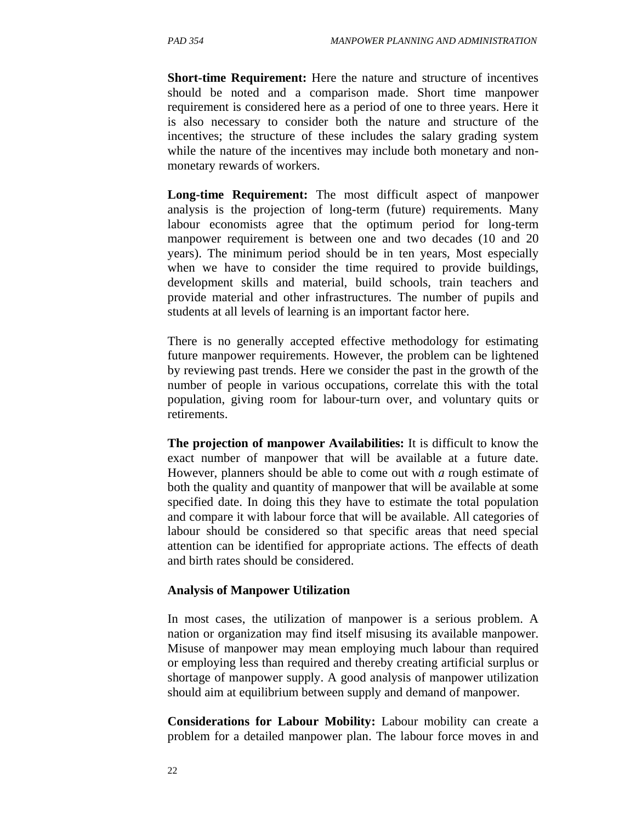**Short-time Requirement:** Here the nature and structure of incentives should be noted and a comparison made. Short time manpower requirement is considered here as a period of one to three years. Here it is also necessary to consider both the nature and structure of the incentives; the structure of these includes the salary grading system while the nature of the incentives may include both monetary and nonmonetary rewards of workers.

**Long-time Requirement:** The most difficult aspect of manpower analysis is the projection of long-term (future) requirements. Many labour economists agree that the optimum period for long-term manpower requirement is between one and two decades (10 and 20) years). The minimum period should be in ten years, Most especially when we have to consider the time required to provide buildings, development skills and material, build schools, train teachers and provide material and other infrastructures. The number of pupils and students at all levels of learning is an important factor here.

There is no generally accepted effective methodology for estimating future manpower requirements. However, the problem can be lightened by reviewing past trends. Here we consider the past in the growth of the number of people in various occupations, correlate this with the total population, giving room for labour-turn over, and voluntary quits or retirements.

**The projection of manpower Availabilities:** It is difficult to know the exact number of manpower that will be available at a future date. However, planners should be able to come out with *a* rough estimate of both the quality and quantity of manpower that will be available at some specified date. In doing this they have to estimate the total population and compare it with labour force that will be available. All categories of labour should be considered so that specific areas that need special attention can be identified for appropriate actions. The effects of death and birth rates should be considered.

#### **Analysis of Manpower Utilization**

In most cases, the utilization of manpower is a serious problem. A nation or organization may find itself misusing its available manpower. Misuse of manpower may mean employing much labour than required or employing less than required and thereby creating artificial surplus or shortage of manpower supply. A good analysis of manpower utilization should aim at equilibrium between supply and demand of manpower.

**Considerations for Labour Mobility:** Labour mobility can create a problem for a detailed manpower plan. The labour force moves in and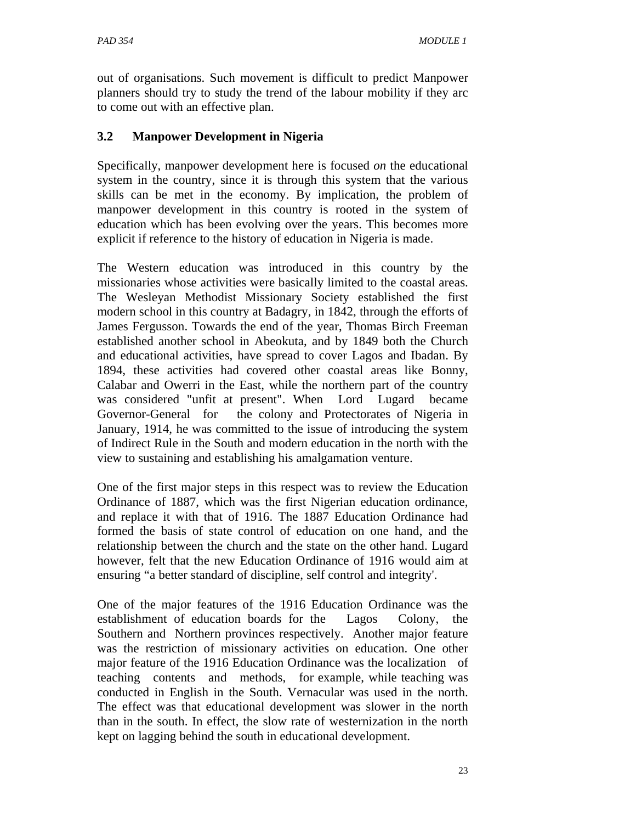out of organisations. Such movement is difficult to predict Manpower planners should try to study the trend of the labour mobility if they arc to come out with an effective plan.

# **3.2 Manpower Development in Nigeria**

Specifically, manpower development here is focused *on* the educational system in the country, since it is through this system that the various skills can be met in the economy. By implication, the problem of manpower development in this country is rooted in the system of education which has been evolving over the years. This becomes more explicit if reference to the history of education in Nigeria is made.

The Western education was introduced in this country by the missionaries whose activities were basically limited to the coastal areas. The Wesleyan Methodist Missionary Society established the first modern school in this country at Badagry, in 1842, through the efforts of James Fergusson. Towards the end of the year, Thomas Birch Freeman established another school in Abeokuta, and by 1849 both the Church and educational activities, have spread to cover Lagos and Ibadan. By 1894, these activities had covered other coastal areas like Bonny, Calabar and Owerri in the East, while the northern part of the country was considered "unfit at present". When Lord Lugard became Governor-General for the colony and Protectorates of Nigeria in January, 1914, he was committed to the issue of introducing the system of Indirect Rule in the South and modern education in the north with the view to sustaining and establishing his amalgamation venture.

One of the first major steps in this respect was to review the Education Ordinance of 1887, which was the first Nigerian education ordinance, and replace it with that of 1916. The 1887 Education Ordinance had formed the basis of state control of education on one hand, and the relationship between the church and the state on the other hand. Lugard however, felt that the new Education Ordinance of 1916 would aim at ensuring "a better standard of discipline, self control and integrity'.

One of the major features of the 1916 Education Ordinance was the establishment of education boards for the Lagos Colony, the Southern and Northern provinces respectively. Another major feature was the restriction of missionary activities on education. One other major feature of the 1916 Education Ordinance was the localization of teaching contents and methods, for example, while teaching was conducted in English in the South. Vernacular was used in the north. The effect was that educational development was slower in the north than in the south. In effect, the slow rate of westernization in the north kept on lagging behind the south in educational development.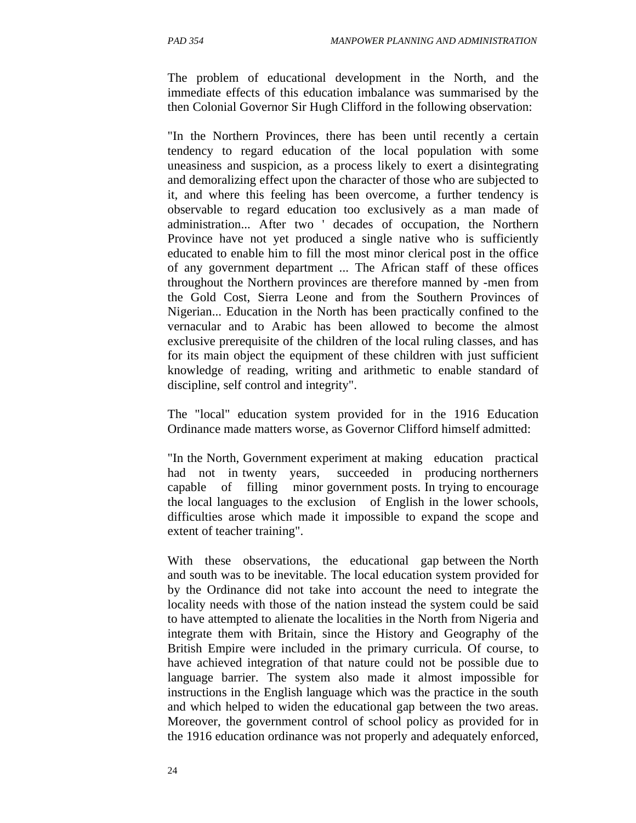The problem of educational development in the North, and the immediate effects of this education imbalance was summarised by the then Colonial Governor Sir Hugh Clifford in the following observation:

"In the Northern Provinces, there has been until recently a certain tendency to regard education of the local population with some uneasiness and suspicion, as a process likely to exert a disintegrating and demoralizing effect upon the character of those who are subjected to it, and where this feeling has been overcome, a further tendency is observable to regard education too exclusively as a man made of administration... After two ' decades of occupation, the Northern Province have not yet produced a single native who is sufficiently educated to enable him to fill the most minor clerical post in the office of any government department ... The African staff of these offices throughout the Northern provinces are therefore manned by -men from the Gold Cost, Sierra Leone and from the Southern Provinces of Nigerian... Education in the North has been practically confined to the vernacular and to Arabic has been allowed to become the almost exclusive prerequisite of the children of the local ruling classes, and has for its main object the equipment of these children with just sufficient knowledge of reading, writing and arithmetic to enable standard of discipline, self control and integrity".

The "local" education system provided for in the 1916 Education Ordinance made matters worse, as Governor Clifford himself admitted:

"In the North, Government experiment at making education practical had not in twenty years, succeeded in producing northerners capable of filling minor government posts. In trying to encourage the local languages to the exclusion of English in the lower schools, difficulties arose which made it impossible to expand the scope and extent of teacher training".

With these observations, the educational gap between the North and south was to be inevitable. The local education system provided for by the Ordinance did not take into account the need to integrate the locality needs with those of the nation instead the system could be said to have attempted to alienate the localities in the North from Nigeria and integrate them with Britain, since the History and Geography of the British Empire were included in the primary curricula. Of course, to have achieved integration of that nature could not be possible due to language barrier. The system also made it almost impossible for instructions in the English language which was the practice in the south and which helped to widen the educational gap between the two areas. Moreover, the government control of school policy as provided for in the 1916 education ordinance was not properly and adequately enforced,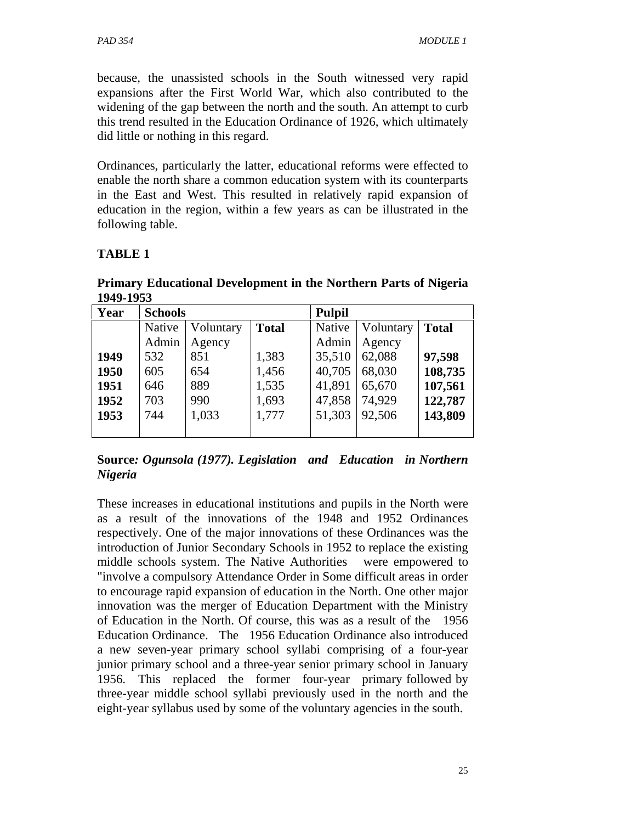because, the unassisted schools in the South witnessed very rapid expansions after the First World War, which also contributed to the widening of the gap between the north and the south. An attempt to curb this trend resulted in the Education Ordinance of 1926, which ultimately did little or nothing in this regard.

Ordinances, particularly the latter, educational reforms were effected to enable the north share a common education system with its counterparts in the East and West. This resulted in relatively rapid expansion of education in the region, within a few years as can be illustrated in the following table.

### **TABLE 1**

**Primary Educational Development in the Northern Parts of Nigeria 1949-1953** 

| Year | <b>Schools</b> |           |              | <b>Pulpil</b> |           |              |
|------|----------------|-----------|--------------|---------------|-----------|--------------|
|      | Native         | Voluntary | <b>Total</b> | Native        | Voluntary | <b>Total</b> |
|      | Admin          | Agency    |              | Admin         | Agency    |              |
| 1949 | 532            | 851       | 1,383        | 35,510        | 62,088    | 97,598       |
| 1950 | 605            | 654       | 1,456        | 40,705        | 68,030    | 108,735      |
| 1951 | 646            | 889       | 1,535        | 41,891        | 65,670    | 107,561      |
| 1952 | 703            | 990       | 1,693        | 47,858        | 74,929    | 122,787      |
| 1953 | 744            | 1,033     | 1,777        | 51,303        | 92,506    | 143,809      |
|      |                |           |              |               |           |              |

### **Source***: Ogunsola (1977). Legislation and Education in Northern Nigeria*

These increases in educational institutions and pupils in the North were as a result of the innovations of the 1948 and 1952 Ordinances respectively. One of the major innovations of these Ordinances was the introduction of Junior Secondary Schools in 1952 to replace the existing middle schools system. The Native Authorities were empowered to "involve a compulsory Attendance Order in Some difficult areas in order to encourage rapid expansion of education in the North. One other major innovation was the merger of Education Department with the Ministry of Education in the North. Of course, this was as a result of the 1956 Education Ordinance. The 1956 Education Ordinance also introduced a new seven-year primary school syllabi comprising of a four-year junior primary school and a three-year senior primary school in January 1956. This replaced the former four-year primary followed by three-year middle school syllabi previously used in the north and the eight-year syllabus used by some of the voluntary agencies in the south.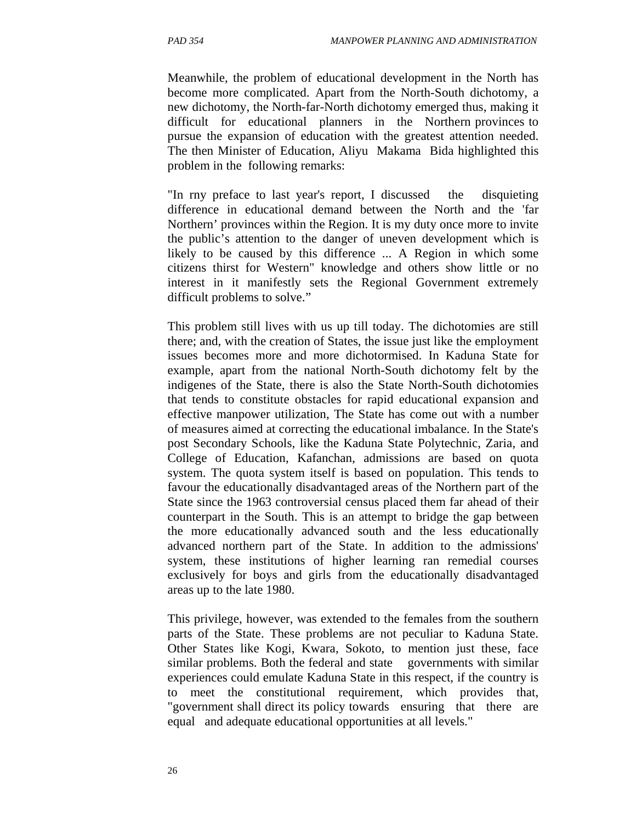Meanwhile, the problem of educational development in the North has become more complicated. Apart from the North-South dichotomy, a new dichotomy, the North-far-North dichotomy emerged thus, making it difficult for educational planners in the Northern provinces to pursue the expansion of education with the greatest attention needed. The then Minister of Education, Aliyu Makama Bida highlighted this problem in the following remarks:

"In rny preface to last year's report, I discussed the disquieting difference in educational demand between the North and the 'far Northern' provinces within the Region. It is my duty once more to invite the public's attention to the danger of uneven development which is likely to be caused by this difference ... A Region in which some citizens thirst for Western" knowledge and others show little or no interest in it manifestly sets the Regional Government extremely difficult problems to solve."

This problem still lives with us up till today. The dichotomies are still there; and, with the creation of States, the issue just like the employment issues becomes more and more dichotormised. In Kaduna State for example, apart from the national North-South dichotomy felt by the indigenes of the State, there is also the State North-South dichotomies that tends to constitute obstacles for rapid educational expansion and effective manpower utilization, The State has come out with a number of measures aimed at correcting the educational imbalance. In the State's post Secondary Schools, like the Kaduna State Polytechnic, Zaria, and College of Education, Kafanchan, admissions are based on quota system. The quota system itself is based on population. This tends to favour the educationally disadvantaged areas of the Northern part of the State since the 1963 controversial census placed them far ahead of their counterpart in the South. This is an attempt to bridge the gap between the more educationally advanced south and the less educationally advanced northern part of the State. In addition to the admissions' system, these institutions of higher learning ran remedial courses exclusively for boys and girls from the educationally disadvantaged areas up to the late 1980.

This privilege, however, was extended to the females from the southern parts of the State. These problems are not peculiar to Kaduna State. Other States like Kogi, Kwara, Sokoto, to mention just these, face similar problems. Both the federal and state governments with similar experiences could emulate Kaduna State in this respect, if the country is to meet the constitutional requirement, which provides that, "government shall direct its policy towards ensuring that there are equal and adequate educational opportunities at all levels."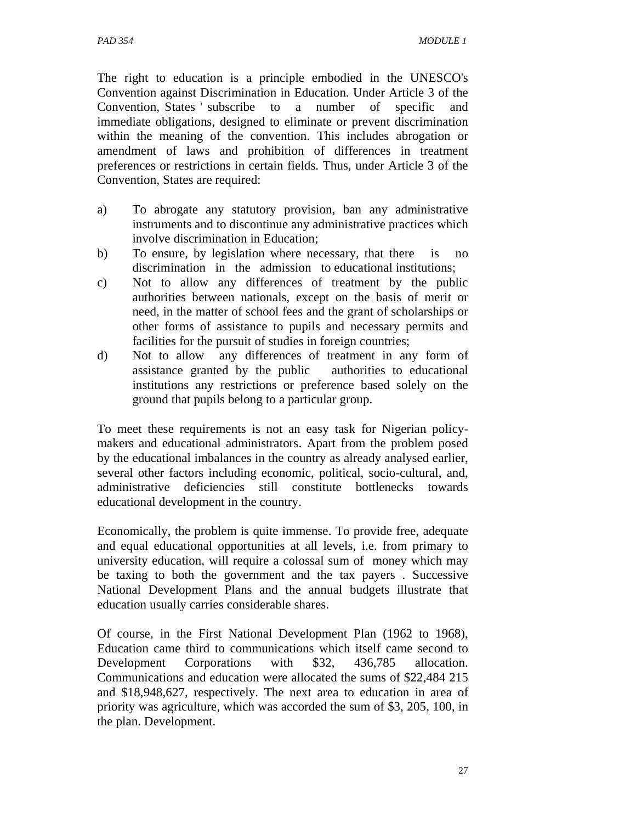The right to education is a principle embodied in the UNESCO's Convention against Discrimination in Education. Under Article 3 of the Convention, States ' subscribe to a number of specific and immediate obligations, designed to eliminate or prevent discrimination within the meaning of the convention. This includes abrogation or amendment of laws and prohibition of differences in treatment preferences or restrictions in certain fields. Thus, under Article 3 of the Convention, States are required:

- a) To abrogate any statutory provision, ban any administrative instruments and to discontinue any administrative practices which involve discrimination in Education;
- b) To ensure, by legislation where necessary, that there is no discrimination in the admission to educational institutions;
- c) Not to allow any differences of treatment by the public authorities between nationals, except on the basis of merit or need, in the matter of school fees and the grant of scholarships or other forms of assistance to pupils and necessary permits and facilities for the pursuit of studies in foreign countries;
- d) Not to allow any differences of treatment in any form of assistance granted by the public authorities to educational institutions any restrictions or preference based solely on the ground that pupils belong to a particular group.

To meet these requirements is not an easy task for Nigerian policymakers and educational administrators. Apart from the problem posed by the educational imbalances in the country as already analysed earlier, several other factors including economic, political, socio-cultural, and, administrative deficiencies still constitute bottlenecks towards educational development in the country.

Economically, the problem is quite immense. To provide free, adequate and equal educational opportunities at all levels, i.e. from primary to university education, will require a colossal sum of money which may be taxing to both the government and the tax payers . Successive National Development Plans and the annual budgets illustrate that education usually carries considerable shares.

Of course, in the First National Development Plan (1962 to 1968), Education came third to communications which itself came second to Development Corporations with \$32, 436,785 allocation. Communications and education were allocated the sums of \$22,484 215 and \$18,948,627, respectively. The next area to education in area of priority was agriculture, which was accorded the sum of \$3, 205, 100, in the plan. Development.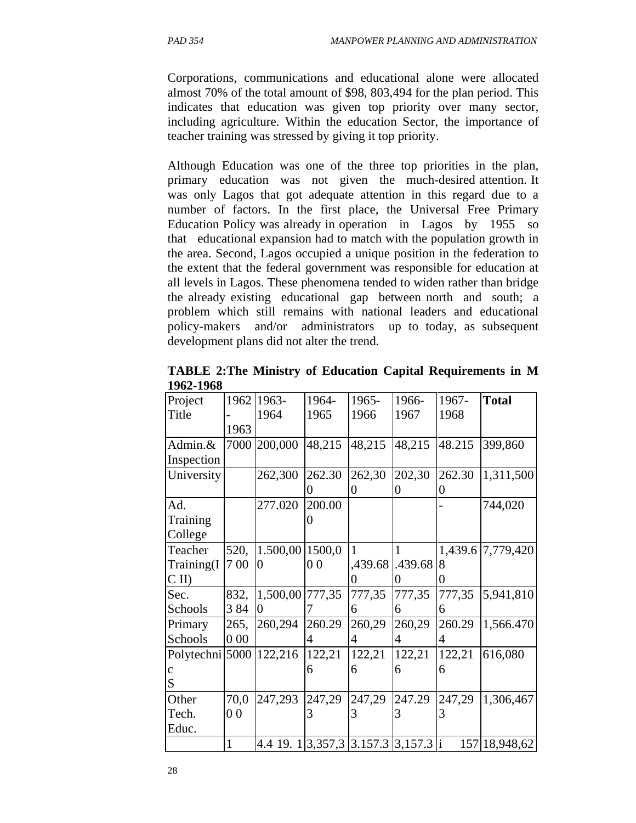Corporations, communications and educational alone were allocated almost 70% of the total amount of \$98, 803,494 for the plan period. This indicates that education was given top priority over many sector, including agriculture. Within the education Sector, the importance of teacher training was stressed by giving it top priority.

Although Education was one of the three top priorities in the plan, primary education was not given the much-desired attention. It was only Lagos that got adequate attention in this regard due to a number of factors. In the first place, the Universal Free Primary Education Policy was already in operation in Lagos by 1955 so that educational expansion had to match with the population growth in the area. Second, Lagos occupied a unique position in the federation to the extent that the federal government was responsible for education at all levels in Lagos. These phenomena tended to widen rather than bridge the already existing educational gap between north and south; a problem which still remains with national leaders and educational policy-makers and/or administrators up to today, as subsequent development plans did not alter the trend.

**TABLE 2:The Ministry of Education Capital Requirements in M 1962-1968** 

| Project         |                | 1962 1963-                          | 1964-          | 1965-            | 1966-    | 1967-  | <b>Total</b>      |
|-----------------|----------------|-------------------------------------|----------------|------------------|----------|--------|-------------------|
| Title           |                | 1964                                | 1965           | 1966             | 1967     | 1968   |                   |
|                 | 1963           |                                     |                |                  |          |        |                   |
| Admin.&         | 7000           | 200,000                             | 48,215         | 48,215           | 48,215   | 48.215 | 399,860           |
| Inspection      |                |                                     |                |                  |          |        |                   |
| University      |                | 262,300                             | 262.30         | 262,30           | 202,30   | 262.30 | 1,311,500         |
|                 |                |                                     | 0              | $\boldsymbol{0}$ | $\Omega$ | 0      |                   |
| Ad.             |                | 277.020                             | 200.00         |                  |          |        | 744,020           |
| Training        |                |                                     |                |                  |          |        |                   |
| College         |                |                                     |                |                  |          |        |                   |
| Teacher         | 520,           | 1.500,00 1500,0                     |                | $\mathbf{1}$     |          |        | 1,439.6 7,779,420 |
| Training(I      | 7 0 0          | $\overline{0}$                      | 0 <sub>0</sub> | ,439.68          | .439.68  | 8      |                   |
| $C$ II)         |                |                                     |                | $\theta$         | $\theta$ | 0      |                   |
| Sec.            | 832,           | 1,500,00                            | 777,35         | 777,35           | 777,35   | 777,35 | 5,941,810         |
| Schools         | 384            | 0                                   |                | 6                | 6        | 6      |                   |
| Primary         | 265,           | 260,294                             | 260.29         | 260,29           | 260,29   | 260.29 | 1,566.470         |
| Schools         | 0 0 0          |                                     | 4              | 4                | 4        | 4      |                   |
| Polytechni 5000 |                | 122,216                             | 122,21         | 122,21           | 122,21   | 122,21 | 616,080           |
| c               |                |                                     | 6              | 6                | 6        | 6      |                   |
| S               |                |                                     |                |                  |          |        |                   |
| Other           | 70,0           | 247,293                             | 247,29         | 247,29           | 247.29   | 247,29 | 1,306,467         |
| Tech.           | 0 <sub>0</sub> |                                     | 3              | 3                | 3        | 3      |                   |
| Educ.           |                |                                     |                |                  |          |        |                   |
|                 | $\mathbf{1}$   | 4.4 19. 1 3,357,3 3.157.3 3,157.3 i |                |                  |          |        | 157 18,948,62     |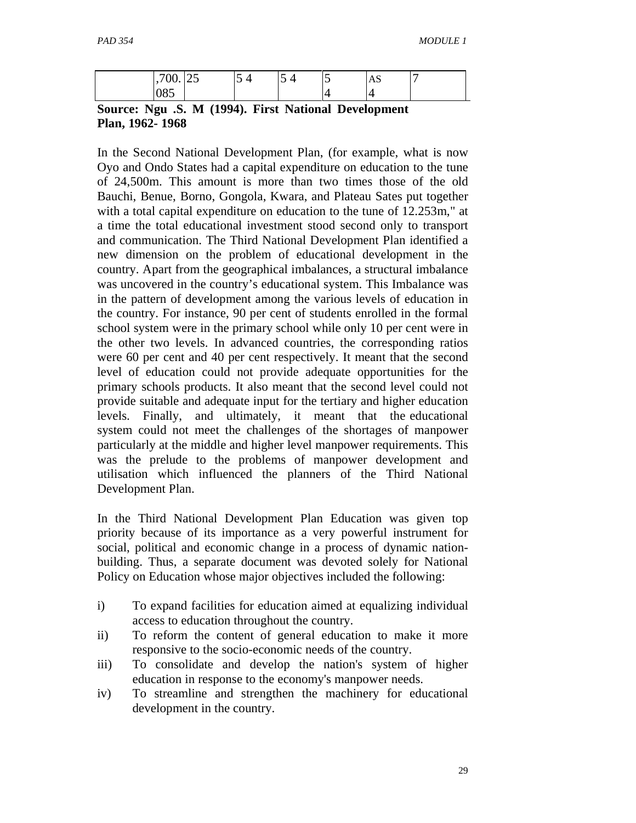| $\sqrt{20}$<br>$\cdot$ $\cdot$<br>vv. | $\overline{a}$<br>ر__ | ັ | ັ | ◡ | -<br>כברי. |  |
|---------------------------------------|-----------------------|---|---|---|------------|--|
| $\sim$ $\sim$<br>uoj                  |                       |   |   |   |            |  |

### **Source: Ngu .S. M (1994). First National Development Plan, 1962- 1968**

In the Second National Development Plan, (for example, what is now Oyo and Ondo States had a capital expenditure on education to the tune of 24,500m. This amount is more than two times those of the old Bauchi, Benue, Borno, Gongola, Kwara, and Plateau Sates put together with a total capital expenditure on education to the tune of 12.253m," at a time the total educational investment stood second only to transport and communication. The Third National Development Plan identified a new dimension on the problem of educational development in the country. Apart from the geographical imbalances, a structural imbalance was uncovered in the country's educational system. This Imbalance was in the pattern of development among the various levels of education in the country. For instance, 90 per cent of students enrolled in the formal school system were in the primary school while only 10 per cent were in the other two levels. In advanced countries, the corresponding ratios were 60 per cent and 40 per cent respectively. It meant that the second level of education could not provide adequate opportunities for the primary schools products. It also meant that the second level could not provide suitable and adequate input for the tertiary and higher education levels. Finally, and ultimately, it meant that the educational system could not meet the challenges of the shortages of manpower particularly at the middle and higher level manpower requirements. This was the prelude to the problems of manpower development and utilisation which influenced the planners of the Third National Development Plan.

In the Third National Development Plan Education was given top priority because of its importance as a very powerful instrument for social, political and economic change in a process of dynamic nationbuilding. Thus, a separate document was devoted solely for National Policy on Education whose major objectives included the following:

- i) To expand facilities for education aimed at equalizing individual access to education throughout the country.
- ii) To reform the content of general education to make it more responsive to the socio-economic needs of the country.
- iii) To consolidate and develop the nation's system of higher education in response to the economy's manpower needs.
- iv) To streamline and strengthen the machinery for educational development in the country.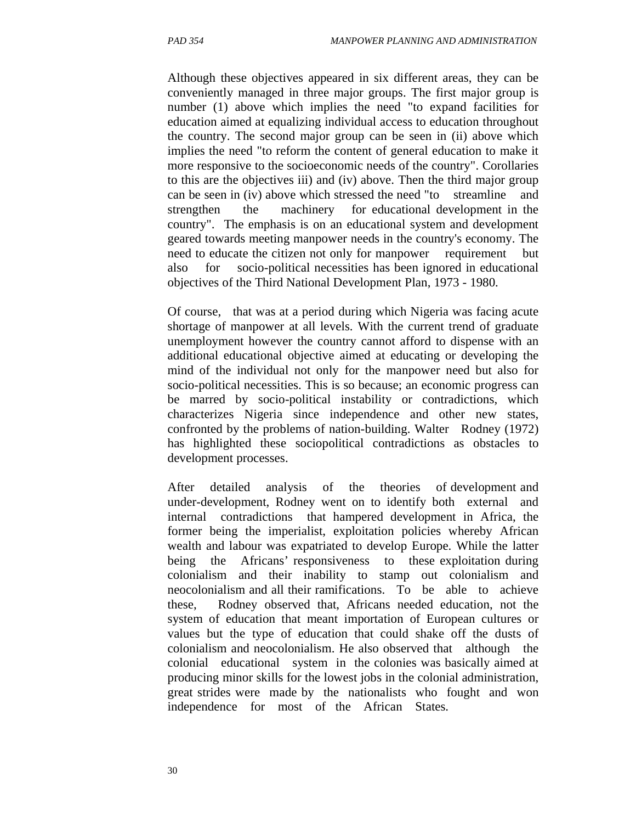Although these objectives appeared in six different areas, they can be conveniently managed in three major groups. The first major group is number (1) above which implies the need "to expand facilities for education aimed at equalizing individual access to education throughout the country. The second major group can be seen in (ii) above which implies the need "to reform the content of general education to make it more responsive to the socioeconomic needs of the country". Corollaries to this are the objectives iii) and (iv) above. Then the third major group can be seen in (iv) above which stressed the need "to streamline and strengthen the machinery for educational development in the country". The emphasis is on an educational system and development geared towards meeting manpower needs in the country's economy. The need to educate the citizen not only for manpower requirement but also for socio-political necessities has been ignored in educational objectives of the Third National Development Plan, 1973 - 1980.

Of course, that was at a period during which Nigeria was facing acute shortage of manpower at all levels. With the current trend of graduate unemployment however the country cannot afford to dispense with an additional educational objective aimed at educating or developing the mind of the individual not only for the manpower need but also for socio-political necessities. This is so because; an economic progress can be marred by socio-political instability or contradictions, which characterizes Nigeria since independence and other new states, confronted by the problems of nation-building. Walter Rodney (1972) has highlighted these sociopolitical contradictions as obstacles to development processes.

After detailed analysis of the theories of development and under-development, Rodney went on to identify both external and internal contradictions that hampered development in Africa, the former being the imperialist, exploitation policies whereby African wealth and labour was expatriated to develop Europe. While the latter being the Africans' responsiveness to these exploitation during colonialism and their inability to stamp out colonialism and neocolonialism and all their ramifications. To be able to achieve these, Rodney observed that, Africans needed education, not the system of education that meant importation of European cultures or values but the type of education that could shake off the dusts of colonialism and neocolonialism. He also observed that although the colonial educational system in the colonies was basically aimed at producing minor skills for the lowest jobs in the colonial administration, great strides were made by the nationalists who fought and won independence for most of the African States.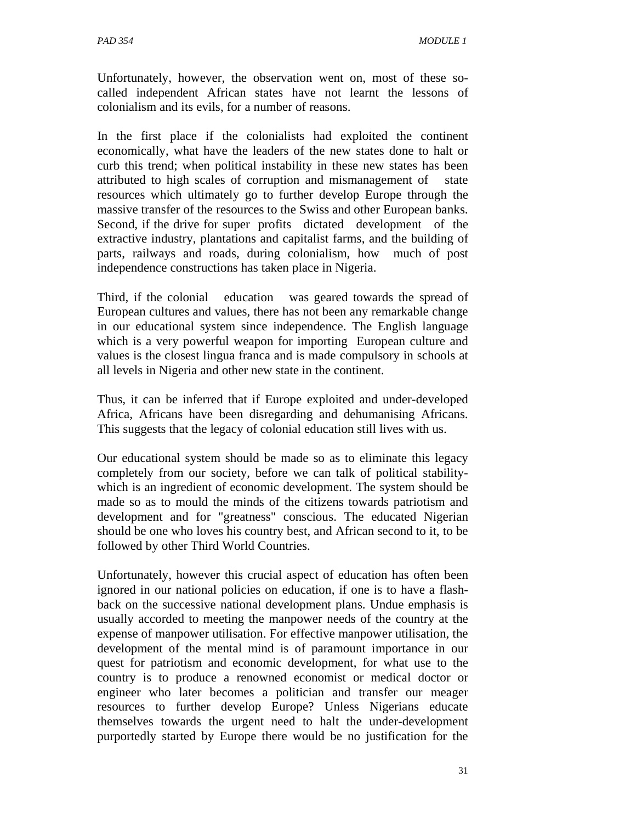Unfortunately, however, the observation went on, most of these socalled independent African states have not learnt the lessons of colonialism and its evils, for a number of reasons.

In the first place if the colonialists had exploited the continent economically, what have the leaders of the new states done to halt or curb this trend; when political instability in these new states has been attributed to high scales of corruption and mismanagement of state resources which ultimately go to further develop Europe through the massive transfer of the resources to the Swiss and other European banks. Second, if the drive for super profits dictated development of the extractive industry, plantations and capitalist farms, and the building of parts, railways and roads, during colonialism, how much of post independence constructions has taken place in Nigeria.

Third, if the colonial education was geared towards the spread of European cultures and values, there has not been any remarkable change in our educational system since independence. The English language which is a very powerful weapon for importing European culture and values is the closest lingua franca and is made compulsory in schools at all levels in Nigeria and other new state in the continent.

Thus, it can be inferred that if Europe exploited and under-developed Africa, Africans have been disregarding and dehumanising Africans. This suggests that the legacy of colonial education still lives with us.

Our educational system should be made so as to eliminate this legacy completely from our society, before we can talk of political stabilitywhich is an ingredient of economic development. The system should be made so as to mould the minds of the citizens towards patriotism and development and for "greatness" conscious. The educated Nigerian should be one who loves his country best, and African second to it, to be followed by other Third World Countries.

Unfortunately, however this crucial aspect of education has often been ignored in our national policies on education, if one is to have a flashback on the successive national development plans. Undue emphasis is usually accorded to meeting the manpower needs of the country at the expense of manpower utilisation. For effective manpower utilisation, the development of the mental mind is of paramount importance in our quest for patriotism and economic development, for what use to the country is to produce a renowned economist or medical doctor or engineer who later becomes a politician and transfer our meager resources to further develop Europe? Unless Nigerians educate themselves towards the urgent need to halt the under-development purportedly started by Europe there would be no justification for the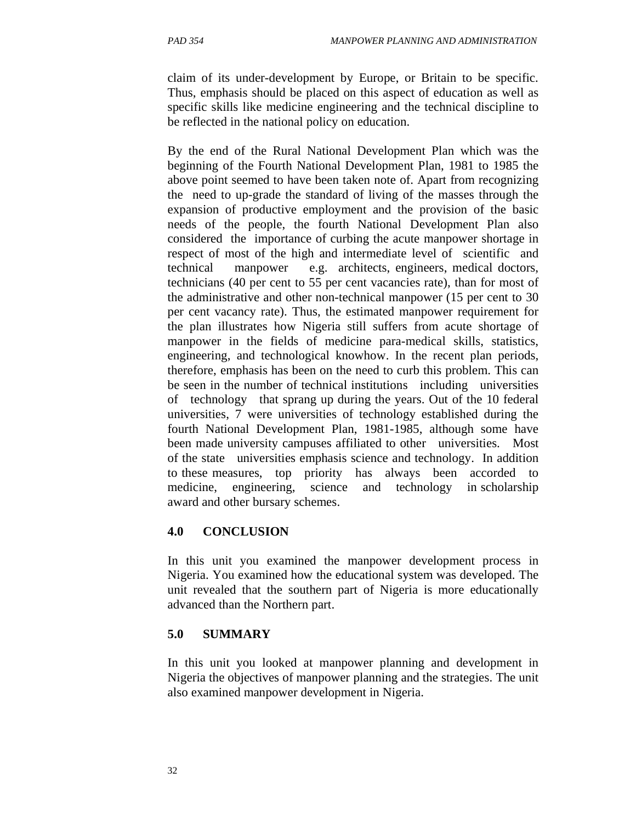claim of its under-development by Europe, or Britain to be specific. Thus, emphasis should be placed on this aspect of education as well as specific skills like medicine engineering and the technical discipline to be reflected in the national policy on education.

By the end of the Rural National Development Plan which was the beginning of the Fourth National Development Plan, 1981 to 1985 the above point seemed to have been taken note of. Apart from recognizing the need to up-grade the standard of living of the masses through the expansion of productive employment and the provision of the basic needs of the people, the fourth National Development Plan also considered the importance of curbing the acute manpower shortage in respect of most of the high and intermediate level of scientific and technical manpower e.g. architects, engineers, medical doctors, technicians (40 per cent to 55 per cent vacancies rate), than for most of the administrative and other non-technical manpower (15 per cent to 30 per cent vacancy rate). Thus, the estimated manpower requirement for the plan illustrates how Nigeria still suffers from acute shortage of manpower in the fields of medicine para-medical skills, statistics, engineering, and technological knowhow. In the recent plan periods, therefore, emphasis has been on the need to curb this problem. This can be seen in the number of technical institutions including universities of technology that sprang up during the years. Out of the 10 federal universities, 7 were universities of technology established during the fourth National Development Plan, 1981-1985, although some have been made university campuses affiliated to other universities. Most of the state universities emphasis science and technology. In addition to these measures, top priority has always been accorded to medicine, engineering, science and technology in scholarship award and other bursary schemes.

## **4.0 CONCLUSION**

In this unit you examined the manpower development process in Nigeria. You examined how the educational system was developed. The unit revealed that the southern part of Nigeria is more educationally advanced than the Northern part.

## **5.0 SUMMARY**

In this unit you looked at manpower planning and development in Nigeria the objectives of manpower planning and the strategies. The unit also examined manpower development in Nigeria.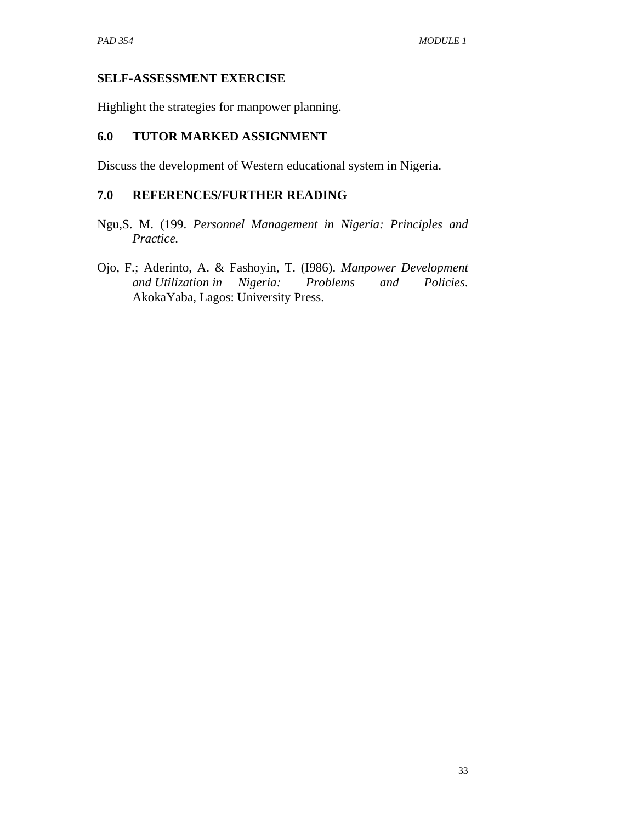#### **SELF-ASSESSMENT EXERCISE**

Highlight the strategies for manpower planning.

#### **6.0 TUTOR MARKED ASSIGNMENT**

Discuss the development of Western educational system in Nigeria.

### **7.0 REFERENCES/FURTHER READING**

- Ngu,S. M. (199. *Personnel Management in Nigeria: Principles and Practice.*
- Ojo, F.; Aderinto, A. & Fashoyin, T. (I986). *Manpower Development and Utilization in Nigeria: Problems and Policies*. AkokaYaba, Lagos: University Press.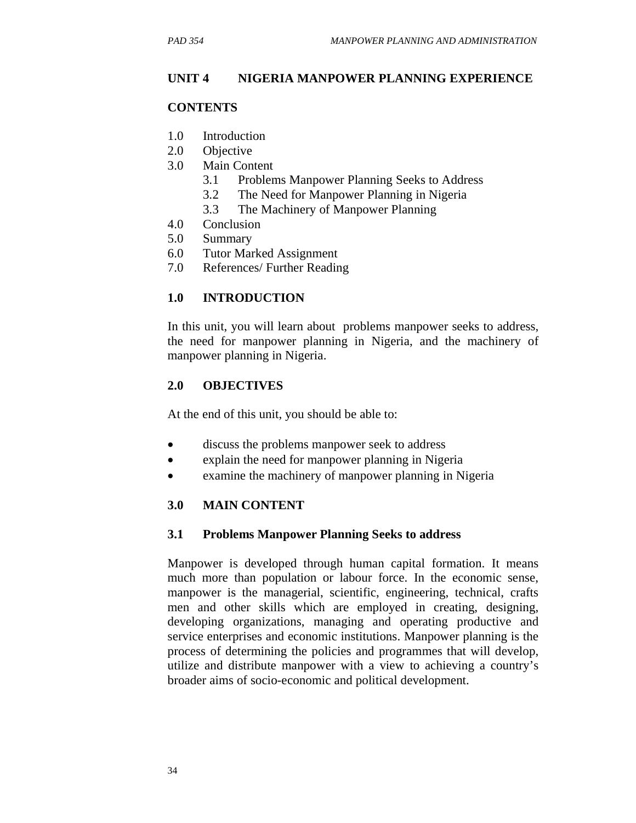### **UNIT 4 NIGERIA MANPOWER PLANNING EXPERIENCE**

#### **CONTENTS**

- 1.0 Introduction
- 2.0 Objective
- 3.0 Main Content
	- 3.1 Problems Manpower Planning Seeks to Address
	- 3.2 The Need for Manpower Planning in Nigeria
	- 3.3 The Machinery of Manpower Planning
- 4.0 Conclusion
- 5.0 Summary
- 6.0 Tutor Marked Assignment
- 7.0 References/ Further Reading

#### **1.0 INTRODUCTION**

In this unit, you will learn about problems manpower seeks to address, the need for manpower planning in Nigeria, and the machinery of manpower planning in Nigeria.

### **2.0 OBJECTIVES**

At the end of this unit, you should be able to:

- discuss the problems manpower seek to address
- explain the need for manpower planning in Nigeria
- examine the machinery of manpower planning in Nigeria

### **3.0 MAIN CONTENT**

### **3.1 Problems Manpower Planning Seeks to address**

Manpower is developed through human capital formation. It means much more than population or labour force. In the economic sense, manpower is the managerial, scientific, engineering, technical, crafts men and other skills which are employed in creating, designing, developing organizations, managing and operating productive and service enterprises and economic institutions. Manpower planning is the process of determining the policies and programmes that will develop, utilize and distribute manpower with a view to achieving a country's broader aims of socio-economic and political development.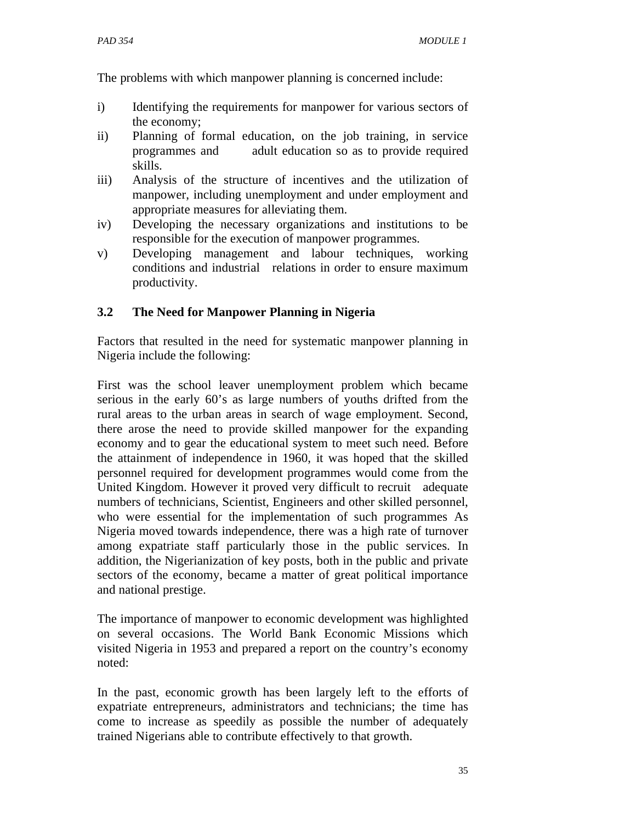The problems with which manpower planning is concerned include:

- i) Identifying the requirements for manpower for various sectors of the economy;
- ii) Planning of formal education, on the job training, in service programmes and adult education so as to provide required skills.
- iii) Analysis of the structure of incentives and the utilization of manpower, including unemployment and under employment and appropriate measures for alleviating them.
- iv) Developing the necessary organizations and institutions to be responsible for the execution of manpower programmes.
- v) Developing management and labour techniques, working conditions and industrial relations in order to ensure maximum productivity.

## **3.2 The Need for Manpower Planning in Nigeria**

Factors that resulted in the need for systematic manpower planning in Nigeria include the following:

First was the school leaver unemployment problem which became serious in the early 60's as large numbers of youths drifted from the rural areas to the urban areas in search of wage employment. Second, there arose the need to provide skilled manpower for the expanding economy and to gear the educational system to meet such need. Before the attainment of independence in 1960, it was hoped that the skilled personnel required for development programmes would come from the United Kingdom. However it proved very difficult to recruit adequate numbers of technicians, Scientist, Engineers and other skilled personnel, who were essential for the implementation of such programmes As Nigeria moved towards independence, there was a high rate of turnover among expatriate staff particularly those in the public services. In addition, the Nigerianization of key posts, both in the public and private sectors of the economy, became a matter of great political importance and national prestige.

The importance of manpower to economic development was highlighted on several occasions. The World Bank Economic Missions which visited Nigeria in 1953 and prepared a report on the country's economy noted:

In the past, economic growth has been largely left to the efforts of expatriate entrepreneurs, administrators and technicians; the time has come to increase as speedily as possible the number of adequately trained Nigerians able to contribute effectively to that growth.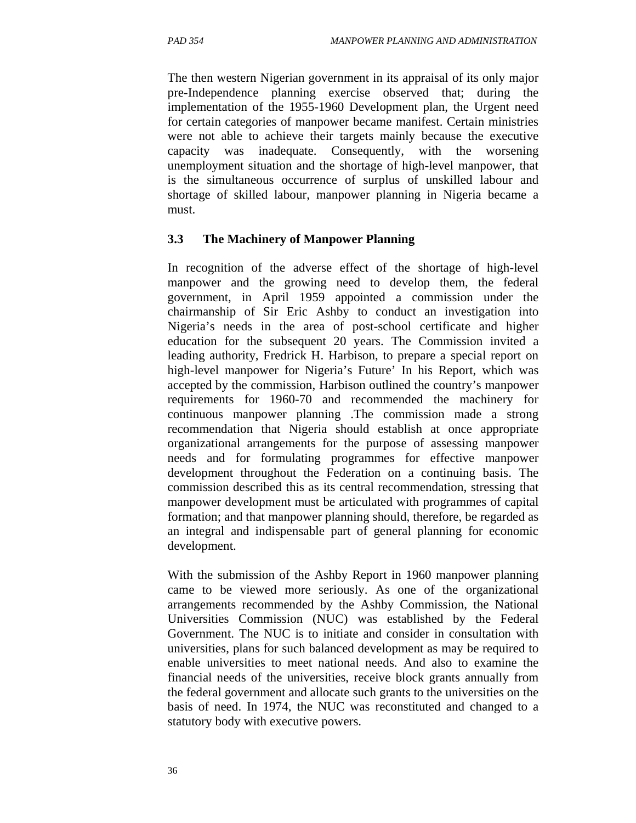The then western Nigerian government in its appraisal of its only major pre-Independence planning exercise observed that; during the implementation of the 1955-1960 Development plan, the Urgent need for certain categories of manpower became manifest. Certain ministries were not able to achieve their targets mainly because the executive capacity was inadequate. Consequently, with the worsening unemployment situation and the shortage of high-level manpower, that is the simultaneous occurrence of surplus of unskilled labour and shortage of skilled labour, manpower planning in Nigeria became a must.

### **3.3 The Machinery of Manpower Planning**

In recognition of the adverse effect of the shortage of high-level manpower and the growing need to develop them, the federal government, in April 1959 appointed a commission under the chairmanship of Sir Eric Ashby to conduct an investigation into Nigeria's needs in the area of post-school certificate and higher education for the subsequent 20 years. The Commission invited a leading authority, Fredrick H. Harbison, to prepare a special report on high-level manpower for Nigeria's Future' In his Report, which was accepted by the commission, Harbison outlined the country's manpower requirements for 1960-70 and recommended the machinery for continuous manpower planning .The commission made a strong recommendation that Nigeria should establish at once appropriate organizational arrangements for the purpose of assessing manpower needs and for formulating programmes for effective manpower development throughout the Federation on a continuing basis. The commission described this as its central recommendation, stressing that manpower development must be articulated with programmes of capital formation; and that manpower planning should, therefore, be regarded as an integral and indispensable part of general planning for economic development.

With the submission of the Ashby Report in 1960 manpower planning came to be viewed more seriously. As one of the organizational arrangements recommended by the Ashby Commission, the National Universities Commission (NUC) was established by the Federal Government. The NUC is to initiate and consider in consultation with universities, plans for such balanced development as may be required to enable universities to meet national needs. And also to examine the financial needs of the universities, receive block grants annually from the federal government and allocate such grants to the universities on the basis of need. In 1974, the NUC was reconstituted and changed to a statutory body with executive powers.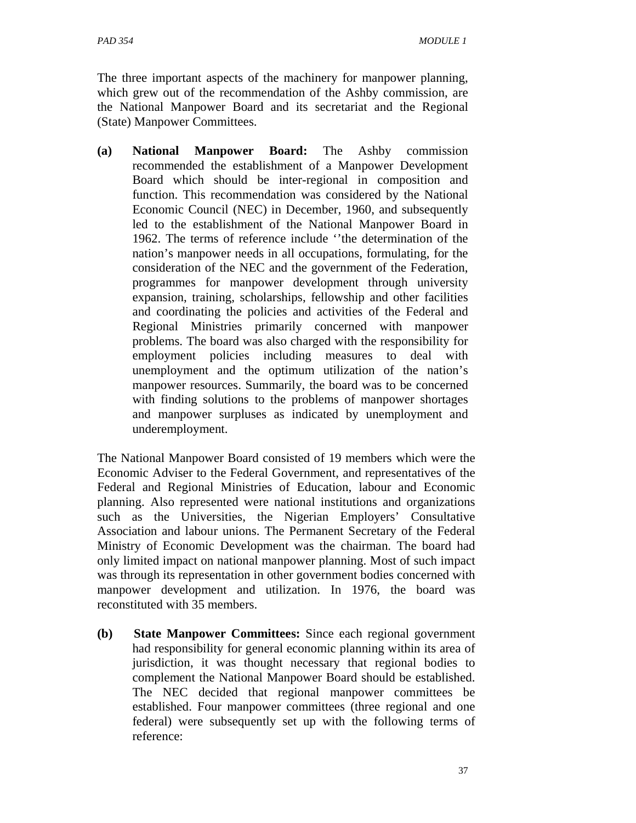The three important aspects of the machinery for manpower planning, which grew out of the recommendation of the Ashby commission, are the National Manpower Board and its secretariat and the Regional (State) Manpower Committees.

**(a) National Manpower Board:** The Ashby commission recommended the establishment of a Manpower Development Board which should be inter-regional in composition and function. This recommendation was considered by the National Economic Council (NEC) in December, 1960, and subsequently led to the establishment of the National Manpower Board in 1962. The terms of reference include ''the determination of the nation's manpower needs in all occupations, formulating, for the consideration of the NEC and the government of the Federation, programmes for manpower development through university expansion, training, scholarships, fellowship and other facilities and coordinating the policies and activities of the Federal and Regional Ministries primarily concerned with manpower problems. The board was also charged with the responsibility for employment policies including measures to deal with unemployment and the optimum utilization of the nation's manpower resources. Summarily, the board was to be concerned with finding solutions to the problems of manpower shortages and manpower surpluses as indicated by unemployment and underemployment.

The National Manpower Board consisted of 19 members which were the Economic Adviser to the Federal Government, and representatives of the Federal and Regional Ministries of Education, labour and Economic planning. Also represented were national institutions and organizations such as the Universities, the Nigerian Employers' Consultative Association and labour unions. The Permanent Secretary of the Federal Ministry of Economic Development was the chairman. The board had only limited impact on national manpower planning. Most of such impact was through its representation in other government bodies concerned with manpower development and utilization. In 1976, the board was reconstituted with 35 members.

**(b) State Manpower Committees:** Since each regional government had responsibility for general economic planning within its area of jurisdiction, it was thought necessary that regional bodies to complement the National Manpower Board should be established. The NEC decided that regional manpower committees be established. Four manpower committees (three regional and one federal) were subsequently set up with the following terms of reference: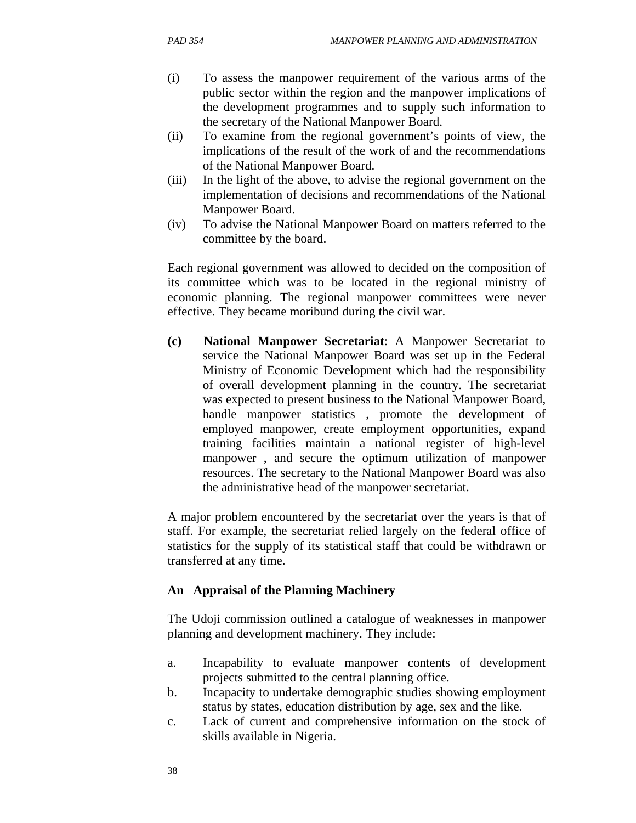- (i) To assess the manpower requirement of the various arms of the public sector within the region and the manpower implications of the development programmes and to supply such information to the secretary of the National Manpower Board.
- (ii) To examine from the regional government's points of view, the implications of the result of the work of and the recommendations of the National Manpower Board.
- (iii) In the light of the above, to advise the regional government on the implementation of decisions and recommendations of the National Manpower Board.
- (iv) To advise the National Manpower Board on matters referred to the committee by the board.

Each regional government was allowed to decided on the composition of its committee which was to be located in the regional ministry of economic planning. The regional manpower committees were never effective. They became moribund during the civil war.

**(c) National Manpower Secretariat**: A Manpower Secretariat to service the National Manpower Board was set up in the Federal Ministry of Economic Development which had the responsibility of overall development planning in the country. The secretariat was expected to present business to the National Manpower Board, handle manpower statistics , promote the development of employed manpower, create employment opportunities, expand training facilities maintain a national register of high-level manpower , and secure the optimum utilization of manpower resources. The secretary to the National Manpower Board was also the administrative head of the manpower secretariat.

A major problem encountered by the secretariat over the years is that of staff. For example, the secretariat relied largely on the federal office of statistics for the supply of its statistical staff that could be withdrawn or transferred at any time.

#### **An Appraisal of the Planning Machinery**

The Udoji commission outlined a catalogue of weaknesses in manpower planning and development machinery. They include:

- a. Incapability to evaluate manpower contents of development projects submitted to the central planning office.
- b. Incapacity to undertake demographic studies showing employment status by states, education distribution by age, sex and the like.
- c. Lack of current and comprehensive information on the stock of skills available in Nigeria.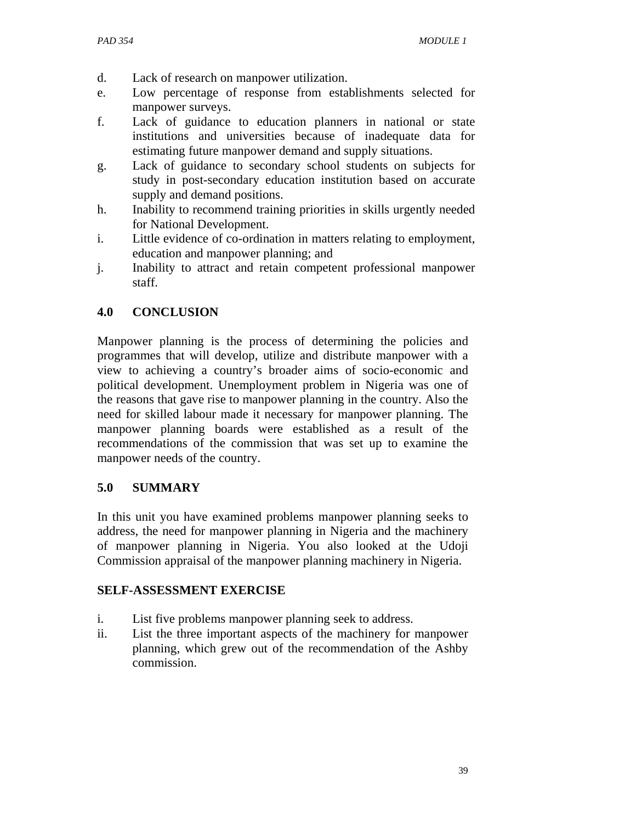- d. Lack of research on manpower utilization.
- e. Low percentage of response from establishments selected for manpower surveys.
- f. Lack of guidance to education planners in national or state institutions and universities because of inadequate data for estimating future manpower demand and supply situations.
- g. Lack of guidance to secondary school students on subjects for study in post-secondary education institution based on accurate supply and demand positions.
- h. Inability to recommend training priorities in skills urgently needed for National Development.
- i. Little evidence of co-ordination in matters relating to employment, education and manpower planning; and
- j. Inability to attract and retain competent professional manpower staff.

# **4.0 CONCLUSION**

Manpower planning is the process of determining the policies and programmes that will develop, utilize and distribute manpower with a view to achieving a country's broader aims of socio-economic and political development. Unemployment problem in Nigeria was one of the reasons that gave rise to manpower planning in the country. Also the need for skilled labour made it necessary for manpower planning. The manpower planning boards were established as a result of the recommendations of the commission that was set up to examine the manpower needs of the country.

## **5.0 SUMMARY**

In this unit you have examined problems manpower planning seeks to address, the need for manpower planning in Nigeria and the machinery of manpower planning in Nigeria. You also looked at the Udoji Commission appraisal of the manpower planning machinery in Nigeria.

## **SELF-ASSESSMENT EXERCISE**

- i. List five problems manpower planning seek to address.
- ii. List the three important aspects of the machinery for manpower planning, which grew out of the recommendation of the Ashby commission.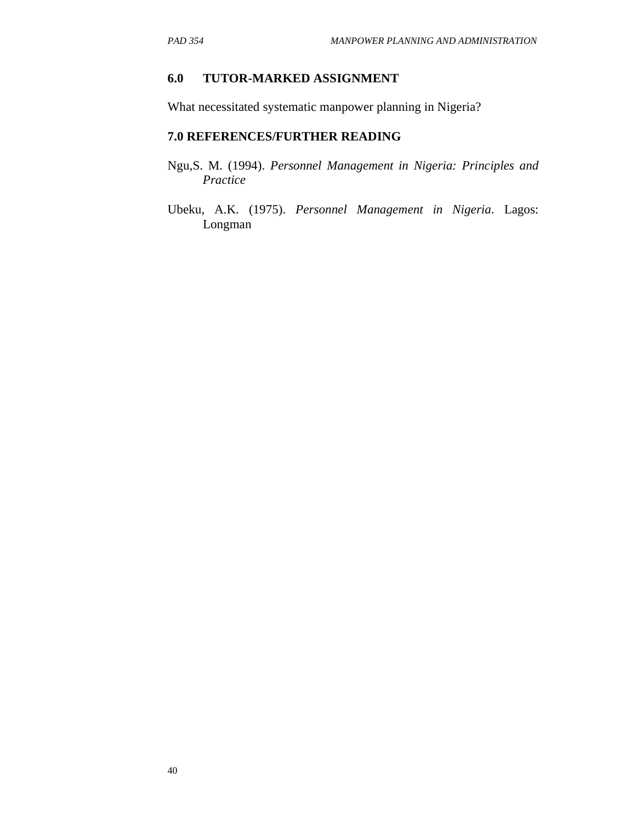#### **6.0 TUTOR-MARKED ASSIGNMENT**

What necessitated systematic manpower planning in Nigeria?

### **7.0 REFERENCES/FURTHER READING**

- Ngu,S. M. (1994). *Personnel Management in Nigeria: Principles and Practice*
- Ubeku, A.K. (1975). *Personnel Management in Nigeria*. Lagos: Longman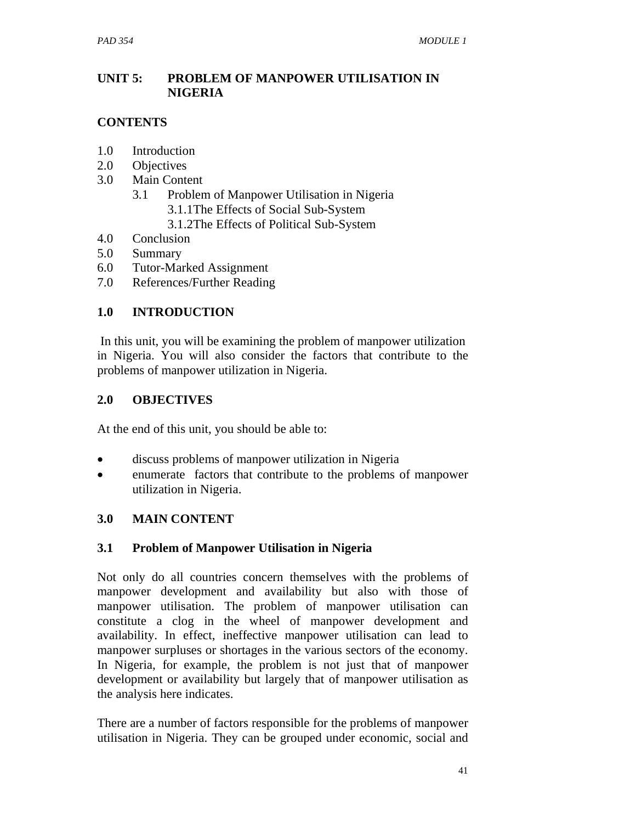## **UNIT 5: PROBLEM OF MANPOWER UTILISATION IN NIGERIA**

## **CONTENTS**

- 1.0 Introduction
- 2.0 Objectives
- 3.0 Main Content
	- 3.1 Problem of Manpower Utilisation in Nigeria
		- 3.1.1The Effects of Social Sub-System
		- 3.1.2The Effects of Political Sub-System
- 4.0 Conclusion
- 5.0 Summary
- 6.0 Tutor-Marked Assignment
- 7.0 References/Further Reading

# **1.0 INTRODUCTION**

 In this unit, you will be examining the problem of manpower utilization in Nigeria. You will also consider the factors that contribute to the problems of manpower utilization in Nigeria.

# **2.0 OBJECTIVES**

At the end of this unit, you should be able to:

- discuss problems of manpower utilization in Nigeria
- enumerate factors that contribute to the problems of manpower utilization in Nigeria.

## **3.0 MAIN CONTENT**

## **3.1 Problem of Manpower Utilisation in Nigeria**

Not only do all countries concern themselves with the problems of manpower development and availability but also with those of manpower utilisation. The problem of manpower utilisation can constitute a clog in the wheel of manpower development and availability. In effect, ineffective manpower utilisation can lead to manpower surpluses or shortages in the various sectors of the economy. In Nigeria, for example, the problem is not just that of manpower development or availability but largely that of manpower utilisation as the analysis here indicates.

There are a number of factors responsible for the problems of manpower utilisation in Nigeria. They can be grouped under economic, social and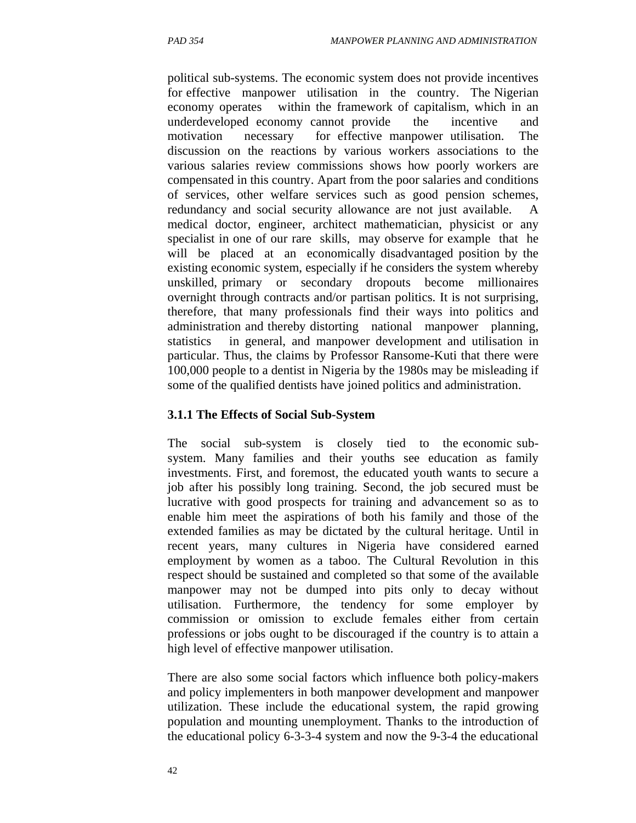political sub-systems. The economic system does not provide incentives for effective manpower utilisation in the country. The Nigerian economy operates within the framework of capitalism, which in an underdeveloped economy cannot provide the incentive and motivation necessary for effective manpower utilisation. The discussion on the reactions by various workers associations to the various salaries review commissions shows how poorly workers are compensated in this country. Apart from the poor salaries and conditions of services, other welfare services such as good pension schemes, redundancy and social security allowance are not just available. A medical doctor, engineer, architect mathematician, physicist or any specialist in one of our rare skills, may observe for example that he will be placed at an economically disadvantaged position by the existing economic system, especially if he considers the system whereby unskilled, primary or secondary dropouts become millionaires overnight through contracts and/or partisan politics. It is not surprising, therefore, that many professionals find their ways into politics and administration and thereby distorting national manpower planning, statistics in general, and manpower development and utilisation in particular. Thus, the claims by Professor Ransome-Kuti that there were 100,000 people to a dentist in Nigeria by the 1980s may be misleading if some of the qualified dentists have joined politics and administration.

### **3.1.1 The Effects of Social Sub-System**

The social sub-system is closely tied to the economic subsystem. Many families and their youths see education as family investments. First, and foremost, the educated youth wants to secure a job after his possibly long training. Second, the job secured must be lucrative with good prospects for training and advancement so as to enable him meet the aspirations of both his family and those of the extended families as may be dictated by the cultural heritage. Until in recent years, many cultures in Nigeria have considered earned employment by women as a taboo. The Cultural Revolution in this respect should be sustained and completed so that some of the available manpower may not be dumped into pits only to decay without utilisation. Furthermore, the tendency for some employer by commission or omission to exclude females either from certain professions or jobs ought to be discouraged if the country is to attain a high level of effective manpower utilisation.

There are also some social factors which influence both policy-makers and policy implementers in both manpower development and manpower utilization. These include the educational system, the rapid growing population and mounting unemployment. Thanks to the introduction of the educational policy 6-3-3-4 system and now the 9-3-4 the educational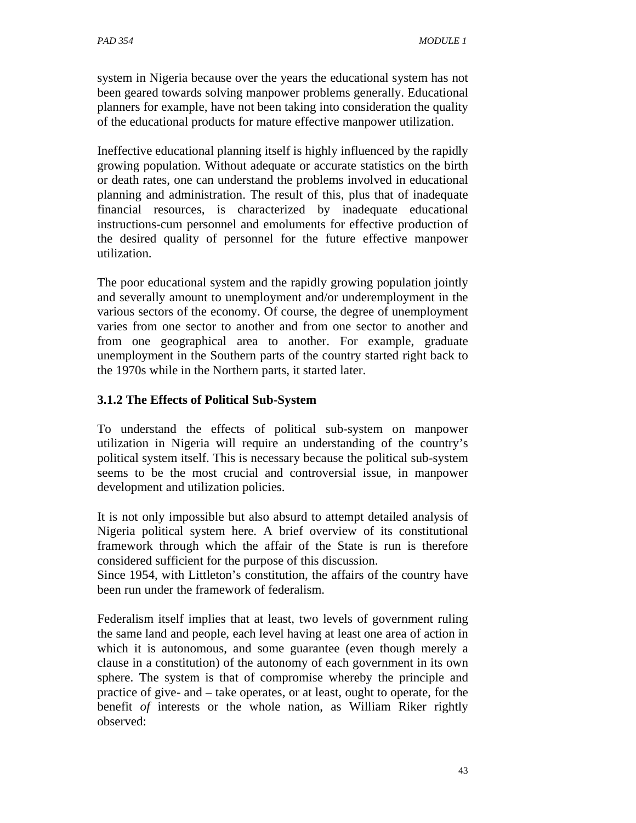system in Nigeria because over the years the educational system has not been geared towards solving manpower problems generally. Educational planners for example, have not been taking into consideration the quality of the educational products for mature effective manpower utilization.

Ineffective educational planning itself is highly influenced by the rapidly growing population. Without adequate or accurate statistics on the birth or death rates, one can understand the problems involved in educational planning and administration. The result of this, plus that of inadequate financial resources, is characterized by inadequate educational instructions-cum personnel and emoluments for effective production of the desired quality of personnel for the future effective manpower utilization.

The poor educational system and the rapidly growing population jointly and severally amount to unemployment and/or underemployment in the various sectors of the economy. Of course, the degree of unemployment varies from one sector to another and from one sector to another and from one geographical area to another. For example, graduate unemployment in the Southern parts of the country started right back to the 1970s while in the Northern parts, it started later.

# **3.1.2 The Effects of Political Sub-System**

To understand the effects of political sub-system on manpower utilization in Nigeria will require an understanding of the country's political system itself. This is necessary because the political sub-system seems to be the most crucial and controversial issue, in manpower development and utilization policies.

It is not only impossible but also absurd to attempt detailed analysis of Nigeria political system here. A brief overview of its constitutional framework through which the affair of the State is run is therefore considered sufficient for the purpose of this discussion.

Since 1954, with Littleton's constitution, the affairs of the country have been run under the framework of federalism.

Federalism itself implies that at least, two levels of government ruling the same land and people, each level having at least one area of action in which it is autonomous, and some guarantee (even though merely a clause in a constitution) of the autonomy of each government in its own sphere. The system is that of compromise whereby the principle and practice of give- and – take operates, or at least, ought to operate, for the benefit *of* interests or the whole nation, as William Riker rightly observed: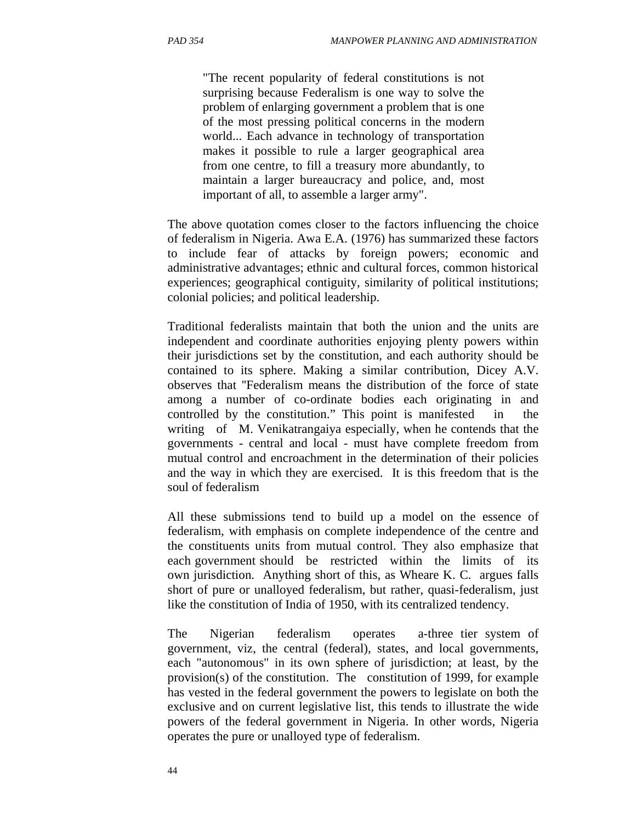"The recent popularity of federal constitutions is not surprising because Federalism is one way to solve the problem of enlarging government a problem that is one of the most pressing political concerns in the modern world... Each advance in technology of transportation makes it possible to rule a larger geographical area from one centre, to fill a treasury more abundantly, to maintain a larger bureaucracy and police, and, most important of all, to assemble a larger army".

The above quotation comes closer to the factors influencing the choice of federalism in Nigeria. Awa E.A. (1976) has summarized these factors to include fear of attacks by foreign powers; economic and administrative advantages; ethnic and cultural forces, common historical experiences; geographical contiguity, similarity of political institutions; colonial policies; and political leadership.

Traditional federalists maintain that both the union and the units are independent and coordinate authorities enjoying plenty powers within their jurisdictions set by the constitution, and each authority should be contained to its sphere. Making a similar contribution, Dicey A.V. observes that ''Federalism means the distribution of the force of state among a number of co-ordinate bodies each originating in and controlled by the constitution." This point is manifested in the writing of M. Venikatrangaiya especially, when he contends that the governments - central and local - must have complete freedom from mutual control and encroachment in the determination of their policies and the way in which they are exercised. It is this freedom that is the soul of federalism

All these submissions tend to build up a model on the essence of federalism, with emphasis on complete independence of the centre and the constituents units from mutual control. They also emphasize that each government should be restricted within the limits of its own jurisdiction. Anything short of this, as Wheare K. C. argues falls short of pure or unalloyed federalism, but rather, quasi-federalism, just like the constitution of India of 1950, with its centralized tendency.

The Nigerian federalism operates a-three tier system of government, viz, the central (federal), states, and local governments, each "autonomous" in its own sphere of jurisdiction; at least, by the provision(s) of the constitution. The constitution of 1999, for example has vested in the federal government the powers to legislate on both the exclusive and on current legislative list, this tends to illustrate the wide powers of the federal government in Nigeria. In other words, Nigeria operates the pure or unalloyed type of federalism.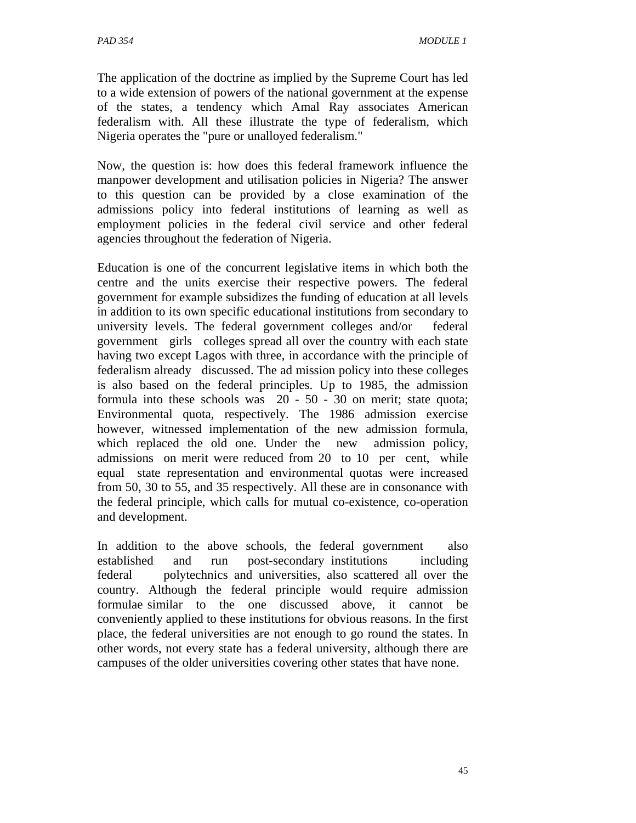The application of the doctrine as implied by the Supreme Court has led to a wide extension of powers of the national government at the expense of the states, a tendency which Amal Ray associates American federalism with. All these illustrate the type of federalism, which Nigeria operates the "pure or unalloyed federalism."

Now, the question is: how does this federal framework influence the manpower development and utilisation policies in Nigeria? The answer to this question can be provided by a close examination of the admissions policy into federal institutions of learning as well as employment policies in the federal civil service and other federal agencies throughout the federation of Nigeria.

Education is one of the concurrent legislative items in which both the centre and the units exercise their respective powers. The federal government for example subsidizes the funding of education at all levels in addition to its own specific educational institutions from secondary to university levels. The federal government colleges and/or federal government girls colleges spread all over the country with each state having two except Lagos with three, in accordance with the principle of federalism already discussed. The ad mission policy into these colleges is also based on the federal principles. Up to 1985, the admission formula into these schools was 20 - 50 - 30 on merit; state quota; Environmental quota, respectively. The 1986 admission exercise however, witnessed implementation of the new admission formula, which replaced the old one. Under the new admission policy, admissions on merit were reduced from 20 to 10 per cent, while equal state representation and environmental quotas were increased from 50, 30 to 55, and 35 respectively. All these are in consonance with the federal principle, which calls for mutual co-existence, co-operation and development.

In addition to the above schools, the federal government also established and run post-secondary institutions including federal polytechnics and universities, also scattered all over the country. Although the federal principle would require admission formulae similar to the one discussed above, it cannot be conveniently applied to these institutions for obvious reasons. In the first place, the federal universities are not enough to go round the states. In other words, not every state has a federal university, although there are campuses of the older universities covering other states that have none.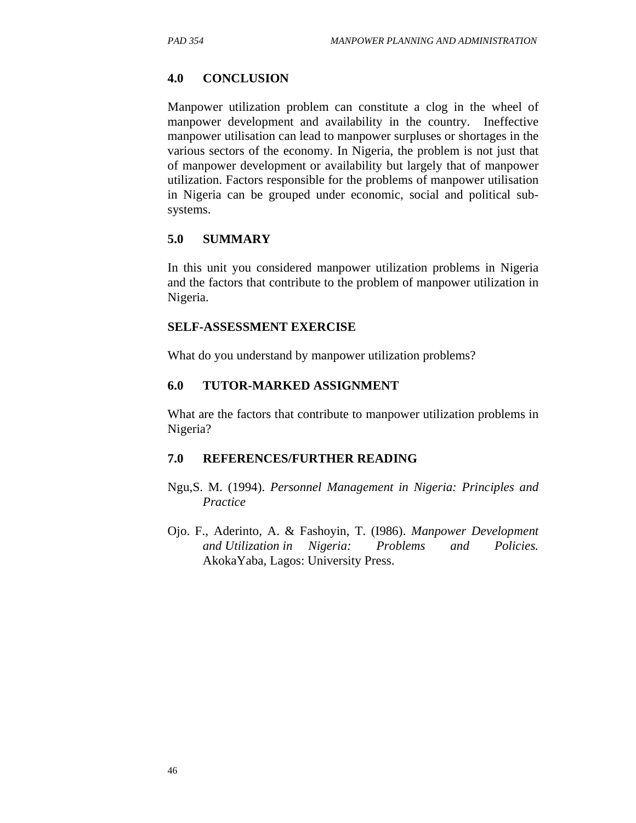#### **4.0 CONCLUSION**

Manpower utilization problem can constitute a clog in the wheel of manpower development and availability in the country. Ineffective manpower utilisation can lead to manpower surpluses or shortages in the various sectors of the economy. In Nigeria, the problem is not just that of manpower development or availability but largely that of manpower utilization. Factors responsible for the problems of manpower utilisation in Nigeria can be grouped under economic, social and political subsystems.

#### **5.0 SUMMARY**

In this unit you considered manpower utilization problems in Nigeria and the factors that contribute to the problem of manpower utilization in Nigeria.

#### **SELF-ASSESSMENT EXERCISE**

What do you understand by manpower utilization problems?

#### **6.0 TUTOR-MARKED ASSIGNMENT**

What are the factors that contribute to manpower utilization problems in Nigeria?

#### **7.0 REFERENCES/FURTHER READING**

- Ngu,S. M. (1994). *Personnel Management in Nigeria: Principles and Practice*
- Ojo. F., Aderinto, A. & Fashoyin, T. (I986). *Manpower Development and Utilization in Nigeria: Problems and Policies.* AkokaYaba, Lagos: University Press.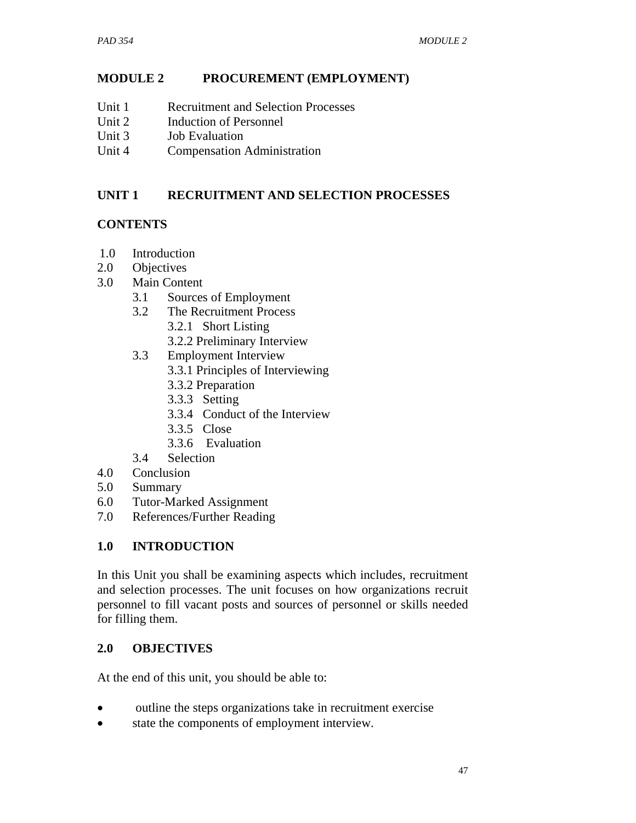## **MODULE 2 PROCUREMENT (EMPLOYMENT)**

- Unit 1 Recruitment and Selection Processes
- Unit 2 Induction of Personnel
- Unit 3 Job Evaluation
- Unit 4 Compensation Administration

## **UNIT 1 RECRUITMENT AND SELECTION PROCESSES**

### **CONTENTS**

- 1.0 Introduction
- 2.0 Objectives
- 3.0 Main Content
	- 3.1 Sources of Employment
	- 3.2 The Recruitment Process
		- 3.2.1 Short Listing
		- 3.2.2 Preliminary Interview
	- 3.3 Employment Interview
		- 3.3.1 Principles of Interviewing
		- 3.3.2 Preparation
		- 3.3.3 Setting
		- 3.3.4 Conduct of the Interview
		- 3.3.5 Close
		- 3.3.6 Evaluation
	- 3.4 Selection
- 4.0 Conclusion
- 5.0 Summary
- 6.0 Tutor-Marked Assignment
- 7.0 References/Further Reading

## **1.0 INTRODUCTION**

In this Unit you shall be examining aspects which includes, recruitment and selection processes. The unit focuses on how organizations recruit personnel to fill vacant posts and sources of personnel or skills needed for filling them.

## **2.0 OBJECTIVES**

At the end of this unit, you should be able to:

- outline the steps organizations take in recruitment exercise
- state the components of employment interview.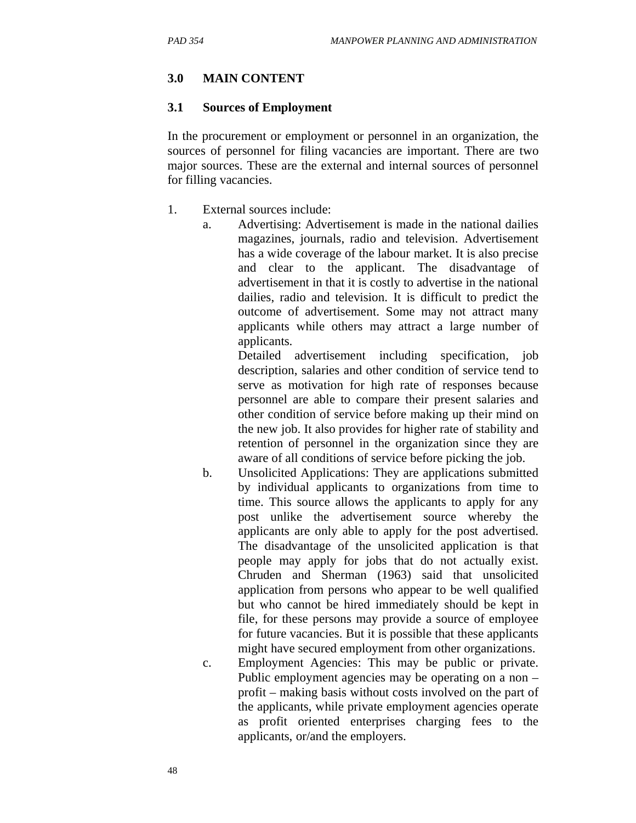#### **3.0 MAIN CONTENT**

#### **3.1 Sources of Employment**

In the procurement or employment or personnel in an organization, the sources of personnel for filing vacancies are important. There are two major sources. These are the external and internal sources of personnel for filling vacancies.

- 1. External sources include:
	- a. Advertising: Advertisement is made in the national dailies magazines, journals, radio and television. Advertisement has a wide coverage of the labour market. It is also precise and clear to the applicant. The disadvantage of advertisement in that it is costly to advertise in the national dailies, radio and television. It is difficult to predict the outcome of advertisement. Some may not attract many applicants while others may attract a large number of applicants.

Detailed advertisement including specification, job description, salaries and other condition of service tend to serve as motivation for high rate of responses because personnel are able to compare their present salaries and other condition of service before making up their mind on the new job. It also provides for higher rate of stability and retention of personnel in the organization since they are aware of all conditions of service before picking the job.

- b. Unsolicited Applications: They are applications submitted by individual applicants to organizations from time to time. This source allows the applicants to apply for any post unlike the advertisement source whereby the applicants are only able to apply for the post advertised. The disadvantage of the unsolicited application is that people may apply for jobs that do not actually exist. Chruden and Sherman (1963) said that unsolicited application from persons who appear to be well qualified but who cannot be hired immediately should be kept in file, for these persons may provide a source of employee for future vacancies. But it is possible that these applicants might have secured employment from other organizations.
- 

c. Employment Agencies: This may be public or private. Public employment agencies may be operating on a non – profit – making basis without costs involved on the part of the applicants, while private employment agencies operate as profit oriented enterprises charging fees to the applicants, or/and the employers.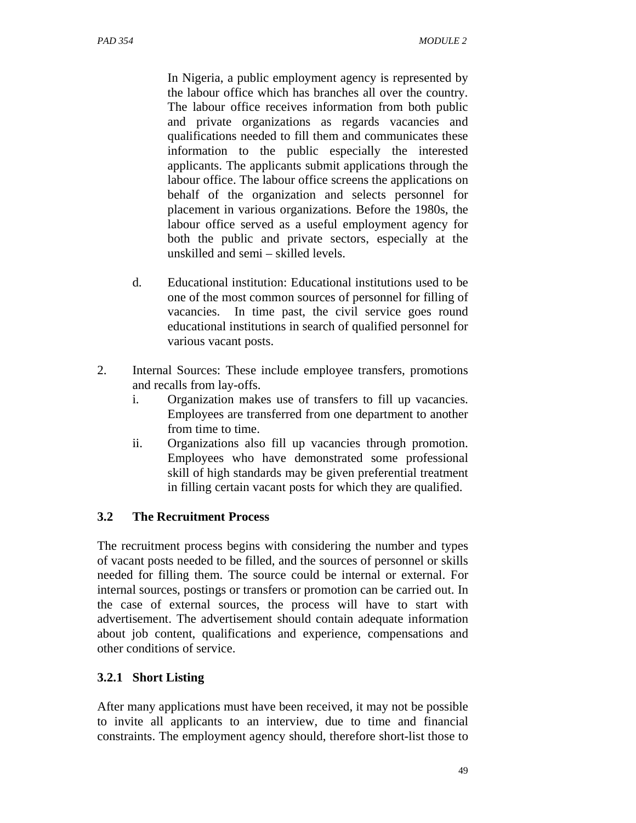In Nigeria, a public employment agency is represented by the labour office which has branches all over the country. The labour office receives information from both public and private organizations as regards vacancies and qualifications needed to fill them and communicates these information to the public especially the interested applicants. The applicants submit applications through the labour office. The labour office screens the applications on behalf of the organization and selects personnel for placement in various organizations. Before the 1980s, the labour office served as a useful employment agency for both the public and private sectors, especially at the unskilled and semi – skilled levels.

- d. Educational institution: Educational institutions used to be one of the most common sources of personnel for filling of vacancies. In time past, the civil service goes round educational institutions in search of qualified personnel for various vacant posts.
- 2. Internal Sources: These include employee transfers, promotions and recalls from lay-offs.
	- i. Organization makes use of transfers to fill up vacancies. Employees are transferred from one department to another from time to time.
	- ii. Organizations also fill up vacancies through promotion. Employees who have demonstrated some professional skill of high standards may be given preferential treatment in filling certain vacant posts for which they are qualified.

# **3.2 The Recruitment Process**

The recruitment process begins with considering the number and types of vacant posts needed to be filled, and the sources of personnel or skills needed for filling them. The source could be internal or external. For internal sources, postings or transfers or promotion can be carried out. In the case of external sources, the process will have to start with advertisement. The advertisement should contain adequate information about job content, qualifications and experience, compensations and other conditions of service.

# **3.2.1 Short Listing**

After many applications must have been received, it may not be possible to invite all applicants to an interview, due to time and financial constraints. The employment agency should, therefore short-list those to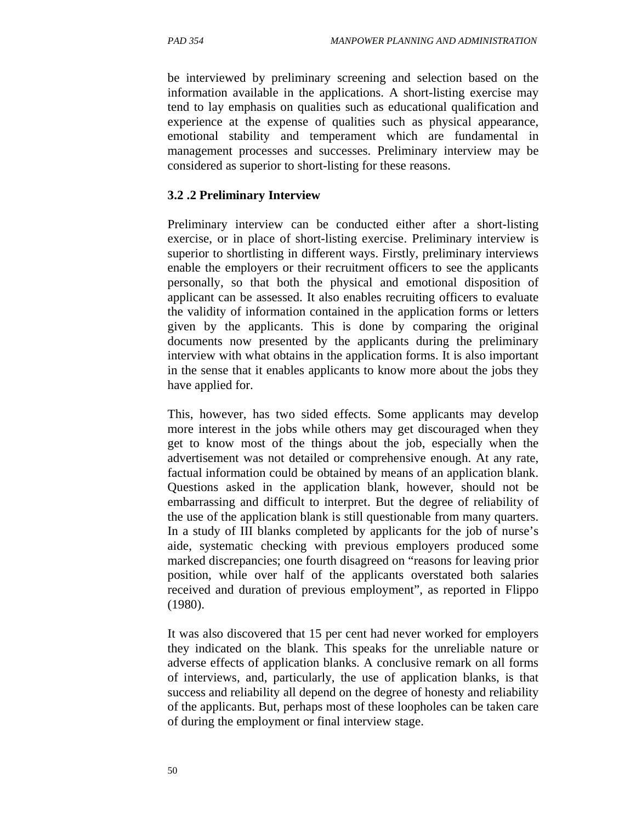be interviewed by preliminary screening and selection based on the information available in the applications. A short-listing exercise may tend to lay emphasis on qualities such as educational qualification and experience at the expense of qualities such as physical appearance, emotional stability and temperament which are fundamental in management processes and successes. Preliminary interview may be considered as superior to short-listing for these reasons.

## **3.2 .2 Preliminary Interview**

Preliminary interview can be conducted either after a short-listing exercise, or in place of short-listing exercise. Preliminary interview is superior to shortlisting in different ways. Firstly, preliminary interviews enable the employers or their recruitment officers to see the applicants personally, so that both the physical and emotional disposition of applicant can be assessed. It also enables recruiting officers to evaluate the validity of information contained in the application forms or letters given by the applicants. This is done by comparing the original documents now presented by the applicants during the preliminary interview with what obtains in the application forms. It is also important in the sense that it enables applicants to know more about the jobs they have applied for.

This, however, has two sided effects. Some applicants may develop more interest in the jobs while others may get discouraged when they get to know most of the things about the job, especially when the advertisement was not detailed or comprehensive enough. At any rate, factual information could be obtained by means of an application blank. Questions asked in the application blank, however, should not be embarrassing and difficult to interpret. But the degree of reliability of the use of the application blank is still questionable from many quarters. In a study of III blanks completed by applicants for the job of nurse's aide, systematic checking with previous employers produced some marked discrepancies; one fourth disagreed on "reasons for leaving prior position, while over half of the applicants overstated both salaries received and duration of previous employment", as reported in Flippo (1980).

It was also discovered that 15 per cent had never worked for employers they indicated on the blank. This speaks for the unreliable nature or adverse effects of application blanks. A conclusive remark on all forms of interviews, and, particularly, the use of application blanks, is that success and reliability all depend on the degree of honesty and reliability of the applicants. But, perhaps most of these loopholes can be taken care of during the employment or final interview stage.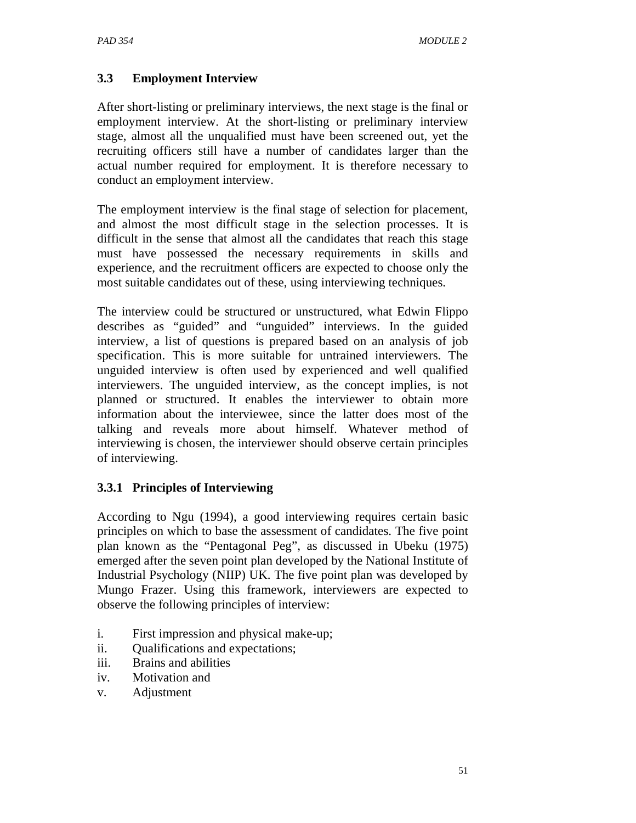## **3.3 Employment Interview**

After short-listing or preliminary interviews, the next stage is the final or employment interview. At the short-listing or preliminary interview stage, almost all the unqualified must have been screened out, yet the recruiting officers still have a number of candidates larger than the actual number required for employment. It is therefore necessary to conduct an employment interview.

The employment interview is the final stage of selection for placement, and almost the most difficult stage in the selection processes. It is difficult in the sense that almost all the candidates that reach this stage must have possessed the necessary requirements in skills and experience, and the recruitment officers are expected to choose only the most suitable candidates out of these, using interviewing techniques.

The interview could be structured or unstructured, what Edwin Flippo describes as "guided" and "unguided" interviews. In the guided interview, a list of questions is prepared based on an analysis of job specification. This is more suitable for untrained interviewers. The unguided interview is often used by experienced and well qualified interviewers. The unguided interview, as the concept implies, is not planned or structured. It enables the interviewer to obtain more information about the interviewee, since the latter does most of the talking and reveals more about himself. Whatever method of interviewing is chosen, the interviewer should observe certain principles of interviewing.

## **3.3.1 Principles of Interviewing**

According to Ngu (1994), a good interviewing requires certain basic principles on which to base the assessment of candidates. The five point plan known as the "Pentagonal Peg", as discussed in Ubeku (1975) emerged after the seven point plan developed by the National Institute of Industrial Psychology (NIIP) UK. The five point plan was developed by Mungo Frazer. Using this framework, interviewers are expected to observe the following principles of interview:

- i. First impression and physical make-up;
- ii. Qualifications and expectations;
- iii. Brains and abilities
- iv. Motivation and
- v. Adjustment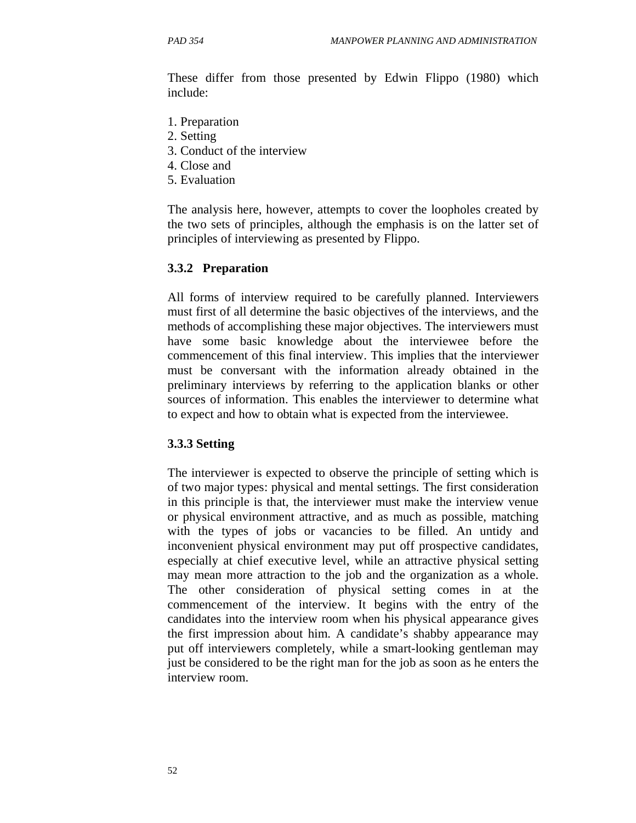These differ from those presented by Edwin Flippo (1980) which include:

- 1. Preparation
- 2. Setting
- 3. Conduct of the interview
- 4. Close and
- 5. Evaluation

The analysis here, however, attempts to cover the loopholes created by the two sets of principles, although the emphasis is on the latter set of principles of interviewing as presented by Flippo.

#### **3.3.2 Preparation**

All forms of interview required to be carefully planned. Interviewers must first of all determine the basic objectives of the interviews, and the methods of accomplishing these major objectives. The interviewers must have some basic knowledge about the interviewee before the commencement of this final interview. This implies that the interviewer must be conversant with the information already obtained in the preliminary interviews by referring to the application blanks or other sources of information. This enables the interviewer to determine what to expect and how to obtain what is expected from the interviewee.

#### **3.3.3 Setting**

The interviewer is expected to observe the principle of setting which is of two major types: physical and mental settings. The first consideration in this principle is that, the interviewer must make the interview venue or physical environment attractive, and as much as possible, matching with the types of jobs or vacancies to be filled. An untidy and inconvenient physical environment may put off prospective candidates, especially at chief executive level, while an attractive physical setting may mean more attraction to the job and the organization as a whole. The other consideration of physical setting comes in at the commencement of the interview. It begins with the entry of the candidates into the interview room when his physical appearance gives the first impression about him. A candidate's shabby appearance may put off interviewers completely, while a smart-looking gentleman may just be considered to be the right man for the job as soon as he enters the interview room.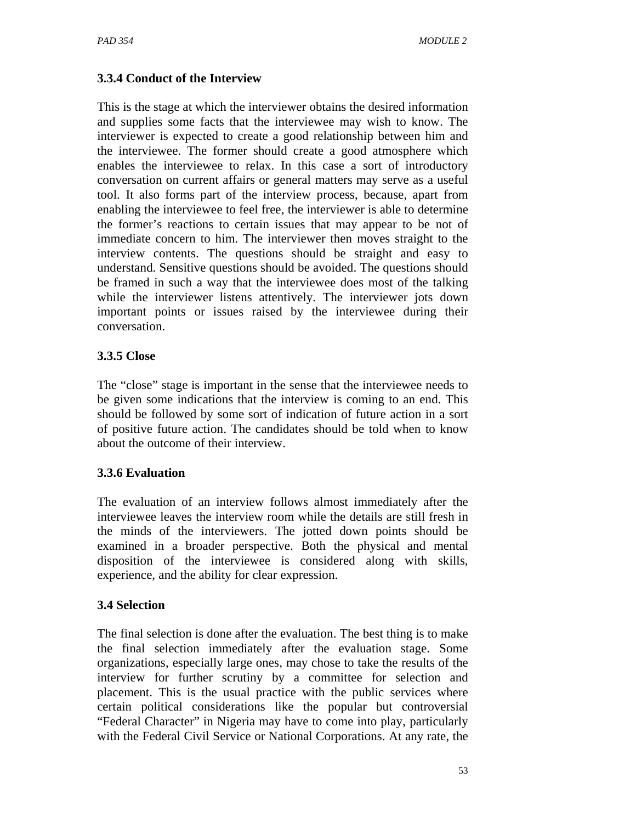# **3.3.4 Conduct of the Interview**

This is the stage at which the interviewer obtains the desired information and supplies some facts that the interviewee may wish to know. The interviewer is expected to create a good relationship between him and the interviewee. The former should create a good atmosphere which enables the interviewee to relax. In this case a sort of introductory conversation on current affairs or general matters may serve as a useful tool. It also forms part of the interview process, because, apart from enabling the interviewee to feel free, the interviewer is able to determine the former's reactions to certain issues that may appear to be not of immediate concern to him. The interviewer then moves straight to the interview contents. The questions should be straight and easy to understand. Sensitive questions should be avoided. The questions should be framed in such a way that the interviewee does most of the talking while the interviewer listens attentively. The interviewer jots down important points or issues raised by the interviewee during their conversation.

# **3.3.5 Close**

The "close" stage is important in the sense that the interviewee needs to be given some indications that the interview is coming to an end. This should be followed by some sort of indication of future action in a sort of positive future action. The candidates should be told when to know about the outcome of their interview.

## **3.3.6 Evaluation**

The evaluation of an interview follows almost immediately after the interviewee leaves the interview room while the details are still fresh in the minds of the interviewers. The jotted down points should be examined in a broader perspective. Both the physical and mental disposition of the interviewee is considered along with skills, experience, and the ability for clear expression.

## **3.4 Selection**

The final selection is done after the evaluation. The best thing is to make the final selection immediately after the evaluation stage. Some organizations, especially large ones, may chose to take the results of the interview for further scrutiny by a committee for selection and placement. This is the usual practice with the public services where certain political considerations like the popular but controversial "Federal Character" in Nigeria may have to come into play, particularly with the Federal Civil Service or National Corporations. At any rate, the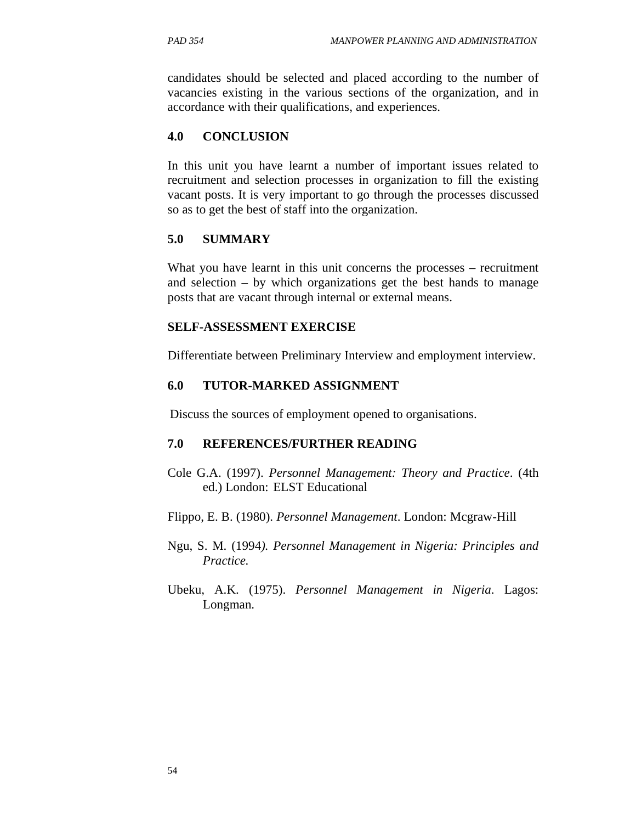candidates should be selected and placed according to the number of vacancies existing in the various sections of the organization, and in accordance with their qualifications, and experiences.

#### **4.0 CONCLUSION**

In this unit you have learnt a number of important issues related to recruitment and selection processes in organization to fill the existing vacant posts. It is very important to go through the processes discussed so as to get the best of staff into the organization.

#### **5.0 SUMMARY**

What you have learnt in this unit concerns the processes – recruitment and selection – by which organizations get the best hands to manage posts that are vacant through internal or external means.

#### **SELF-ASSESSMENT EXERCISE**

Differentiate between Preliminary Interview and employment interview.

### **6.0 TUTOR-MARKED ASSIGNMENT**

Discuss the sources of employment opened to organisations.

#### **7.0 REFERENCES/FURTHER READING**

- Cole G.A. (1997). *Personnel Management: Theory and Practice*. (4th ed.) London: ELST Educational
- Flippo, E. B. (1980). *Personnel Management*. London: Mcgraw-Hill
- Ngu, S. M. (1994*). Personnel Management in Nigeria: Principles and Practice.*
- Ubeku, A.K. (1975). *Personnel Management in Nigeria*. Lagos: Longman.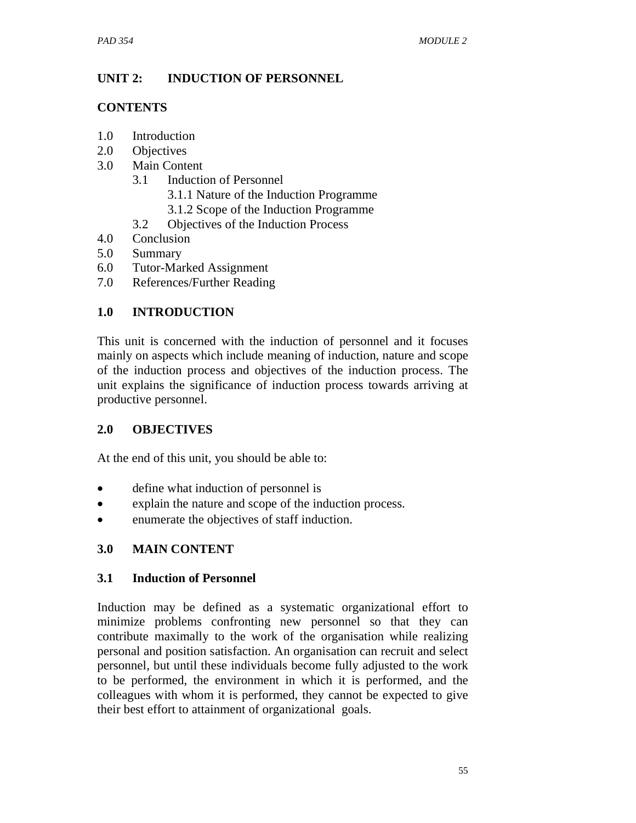## **UNIT 2: INDUCTION OF PERSONNEL**

## **CONTENTS**

- 1.0 Introduction
- 2.0 Objectives
- 3.0 Main Content
	- 3.1 Induction of Personnel
		- 3.1.1 Nature of the Induction Programme
		- 3.1.2 Scope of the Induction Programme
	- 3.2 Objectives of the Induction Process
- 4.0 Conclusion
- 5.0 Summary
- 6.0 Tutor-Marked Assignment
- 7.0 References/Further Reading

# **1.0 INTRODUCTION**

This unit is concerned with the induction of personnel and it focuses mainly on aspects which include meaning of induction, nature and scope of the induction process and objectives of the induction process. The unit explains the significance of induction process towards arriving at productive personnel.

# **2.0 OBJECTIVES**

At the end of this unit, you should be able to:

- define what induction of personnel is
- explain the nature and scope of the induction process.
- enumerate the objectives of staff induction.

# **3.0 MAIN CONTENT**

## **3.1 Induction of Personnel**

Induction may be defined as a systematic organizational effort to minimize problems confronting new personnel so that they can contribute maximally to the work of the organisation while realizing personal and position satisfaction. An organisation can recruit and select personnel, but until these individuals become fully adjusted to the work to be performed, the environment in which it is performed, and the colleagues with whom it is performed, they cannot be expected to give their best effort to attainment of organizational goals.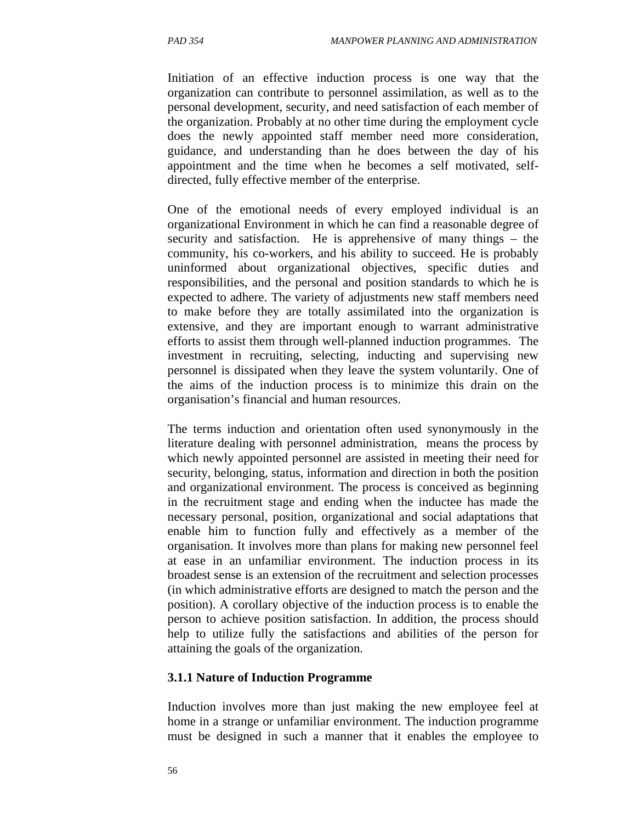Initiation of an effective induction process is one way that the organization can contribute to personnel assimilation, as well as to the personal development, security, and need satisfaction of each member of the organization. Probably at no other time during the employment cycle does the newly appointed staff member need more consideration, guidance, and understanding than he does between the day of his appointment and the time when he becomes a self motivated, selfdirected, fully effective member of the enterprise.

One of the emotional needs of every employed individual is an organizational Environment in which he can find a reasonable degree of security and satisfaction. He is apprehensive of many things – the community, his co-workers, and his ability to succeed. He is probably uninformed about organizational objectives, specific duties and responsibilities, and the personal and position standards to which he is expected to adhere. The variety of adjustments new staff members need to make before they are totally assimilated into the organization is extensive, and they are important enough to warrant administrative efforts to assist them through well-planned induction programmes. The investment in recruiting, selecting, inducting and supervising new personnel is dissipated when they leave the system voluntarily. One of the aims of the induction process is to minimize this drain on the organisation's financial and human resources.

The terms induction and orientation often used synonymously in the literature dealing with personnel administration, means the process by which newly appointed personnel are assisted in meeting their need for security, belonging, status, information and direction in both the position and organizational environment. The process is conceived as beginning in the recruitment stage and ending when the inductee has made the necessary personal, position, organizational and social adaptations that enable him to function fully and effectively as a member of the organisation. It involves more than plans for making new personnel feel at ease in an unfamiliar environment. The induction process in its broadest sense is an extension of the recruitment and selection processes (in which administrative efforts are designed to match the person and the position). A corollary objective of the induction process is to enable the person to achieve position satisfaction. In addition, the process should help to utilize fully the satisfactions and abilities of the person for attaining the goals of the organization.

#### **3.1.1 Nature of Induction Programme**

Induction involves more than just making the new employee feel at home in a strange or unfamiliar environment. The induction programme must be designed in such a manner that it enables the employee to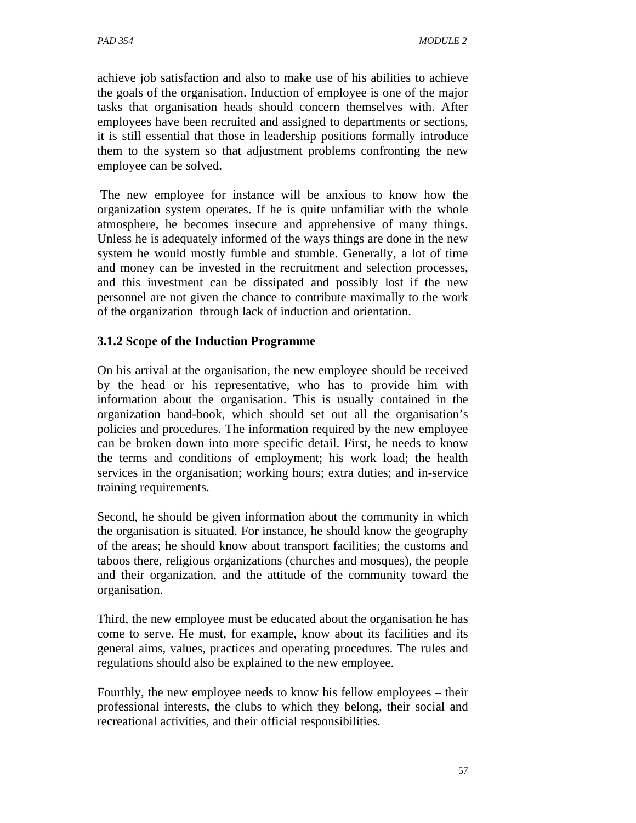achieve job satisfaction and also to make use of his abilities to achieve the goals of the organisation. Induction of employee is one of the major tasks that organisation heads should concern themselves with. After employees have been recruited and assigned to departments or sections, it is still essential that those in leadership positions formally introduce them to the system so that adjustment problems confronting the new employee can be solved.

 The new employee for instance will be anxious to know how the organization system operates. If he is quite unfamiliar with the whole atmosphere, he becomes insecure and apprehensive of many things. Unless he is adequately informed of the ways things are done in the new system he would mostly fumble and stumble. Generally, a lot of time and money can be invested in the recruitment and selection processes, and this investment can be dissipated and possibly lost if the new personnel are not given the chance to contribute maximally to the work of the organization through lack of induction and orientation.

### **3.1.2 Scope of the Induction Programme**

On his arrival at the organisation, the new employee should be received by the head or his representative, who has to provide him with information about the organisation. This is usually contained in the organization hand-book, which should set out all the organisation's policies and procedures. The information required by the new employee can be broken down into more specific detail. First, he needs to know the terms and conditions of employment; his work load; the health services in the organisation; working hours; extra duties; and in-service training requirements.

Second, he should be given information about the community in which the organisation is situated. For instance, he should know the geography of the areas; he should know about transport facilities; the customs and taboos there, religious organizations (churches and mosques), the people and their organization, and the attitude of the community toward the organisation.

Third, the new employee must be educated about the organisation he has come to serve. He must, for example, know about its facilities and its general aims, values, practices and operating procedures. The rules and regulations should also be explained to the new employee.

Fourthly, the new employee needs to know his fellow employees – their professional interests, the clubs to which they belong, their social and recreational activities, and their official responsibilities.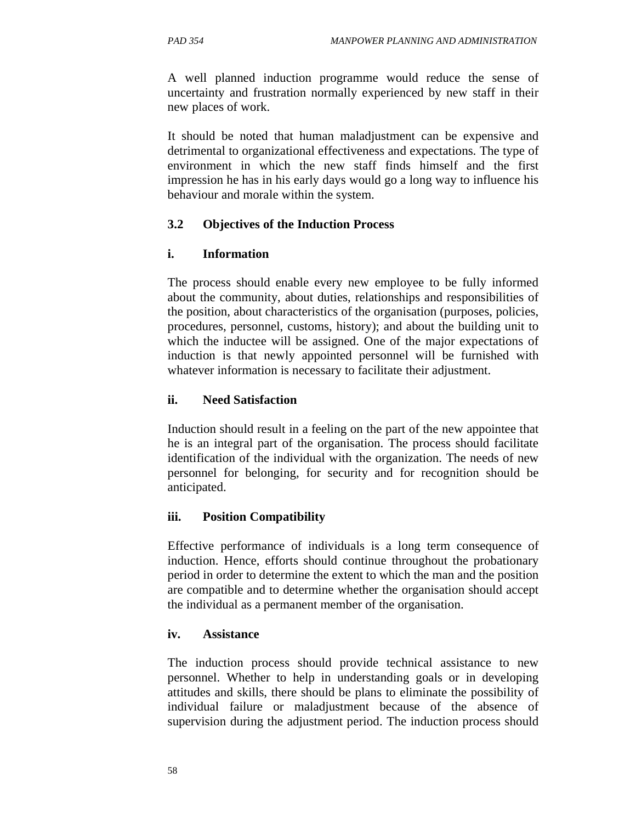A well planned induction programme would reduce the sense of uncertainty and frustration normally experienced by new staff in their new places of work.

It should be noted that human maladjustment can be expensive and detrimental to organizational effectiveness and expectations. The type of environment in which the new staff finds himself and the first impression he has in his early days would go a long way to influence his behaviour and morale within the system.

# **3.2 Objectives of the Induction Process**

# **i. Information**

The process should enable every new employee to be fully informed about the community, about duties, relationships and responsibilities of the position, about characteristics of the organisation (purposes, policies, procedures, personnel, customs, history); and about the building unit to which the inductee will be assigned. One of the major expectations of induction is that newly appointed personnel will be furnished with whatever information is necessary to facilitate their adjustment.

# **ii. Need Satisfaction**

Induction should result in a feeling on the part of the new appointee that he is an integral part of the organisation. The process should facilitate identification of the individual with the organization. The needs of new personnel for belonging, for security and for recognition should be anticipated.

## **iii. Position Compatibility**

Effective performance of individuals is a long term consequence of induction. Hence, efforts should continue throughout the probationary period in order to determine the extent to which the man and the position are compatible and to determine whether the organisation should accept the individual as a permanent member of the organisation.

## **iv. Assistance**

The induction process should provide technical assistance to new personnel. Whether to help in understanding goals or in developing attitudes and skills, there should be plans to eliminate the possibility of individual failure or maladjustment because of the absence of supervision during the adjustment period. The induction process should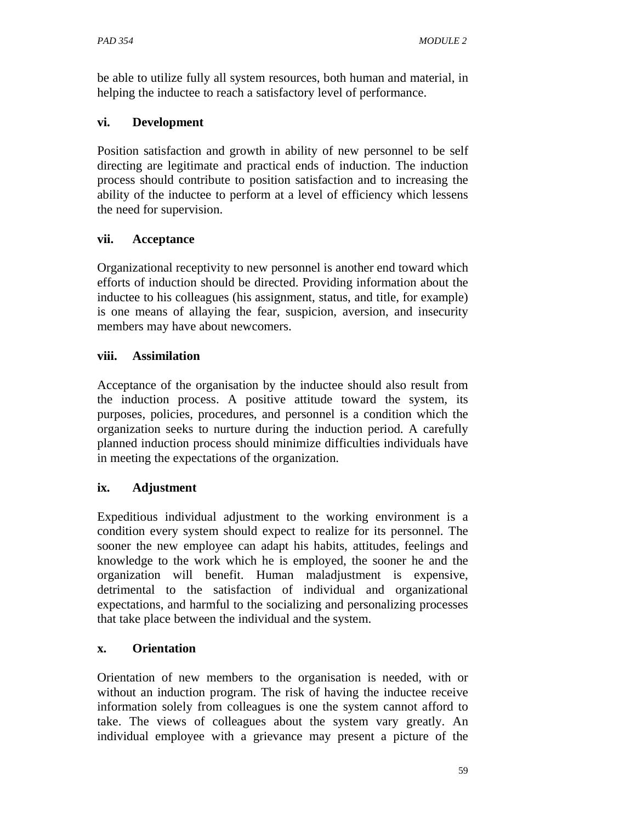be able to utilize fully all system resources, both human and material, in helping the inductee to reach a satisfactory level of performance.

## **vi. Development**

Position satisfaction and growth in ability of new personnel to be self directing are legitimate and practical ends of induction. The induction process should contribute to position satisfaction and to increasing the ability of the inductee to perform at a level of efficiency which lessens the need for supervision.

# **vii. Acceptance**

Organizational receptivity to new personnel is another end toward which efforts of induction should be directed. Providing information about the inductee to his colleagues (his assignment, status, and title, for example) is one means of allaying the fear, suspicion, aversion, and insecurity members may have about newcomers.

# **viii. Assimilation**

Acceptance of the organisation by the inductee should also result from the induction process. A positive attitude toward the system, its purposes, policies, procedures, and personnel is a condition which the organization seeks to nurture during the induction period. A carefully planned induction process should minimize difficulties individuals have in meeting the expectations of the organization.

## **ix. Adjustment**

Expeditious individual adjustment to the working environment is a condition every system should expect to realize for its personnel. The sooner the new employee can adapt his habits, attitudes, feelings and knowledge to the work which he is employed, the sooner he and the organization will benefit. Human maladjustment is expensive, detrimental to the satisfaction of individual and organizational expectations, and harmful to the socializing and personalizing processes that take place between the individual and the system.

## **x. Orientation**

Orientation of new members to the organisation is needed, with or without an induction program. The risk of having the inductee receive information solely from colleagues is one the system cannot afford to take. The views of colleagues about the system vary greatly. An individual employee with a grievance may present a picture of the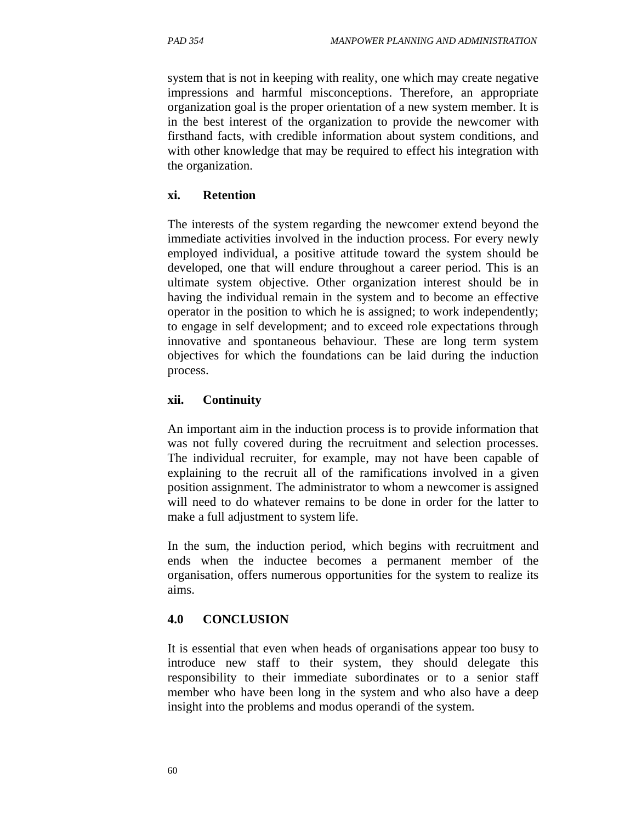system that is not in keeping with reality, one which may create negative impressions and harmful misconceptions. Therefore, an appropriate organization goal is the proper orientation of a new system member. It is in the best interest of the organization to provide the newcomer with firsthand facts, with credible information about system conditions, and with other knowledge that may be required to effect his integration with the organization.

### **xi. Retention**

The interests of the system regarding the newcomer extend beyond the immediate activities involved in the induction process. For every newly employed individual, a positive attitude toward the system should be developed, one that will endure throughout a career period. This is an ultimate system objective. Other organization interest should be in having the individual remain in the system and to become an effective operator in the position to which he is assigned; to work independently; to engage in self development; and to exceed role expectations through innovative and spontaneous behaviour. These are long term system objectives for which the foundations can be laid during the induction process.

#### **xii. Continuity**

An important aim in the induction process is to provide information that was not fully covered during the recruitment and selection processes. The individual recruiter, for example, may not have been capable of explaining to the recruit all of the ramifications involved in a given position assignment. The administrator to whom a newcomer is assigned will need to do whatever remains to be done in order for the latter to make a full adjustment to system life.

In the sum, the induction period, which begins with recruitment and ends when the inductee becomes a permanent member of the organisation, offers numerous opportunities for the system to realize its aims.

### **4.0 CONCLUSION**

It is essential that even when heads of organisations appear too busy to introduce new staff to their system, they should delegate this responsibility to their immediate subordinates or to a senior staff member who have been long in the system and who also have a deep insight into the problems and modus operandi of the system.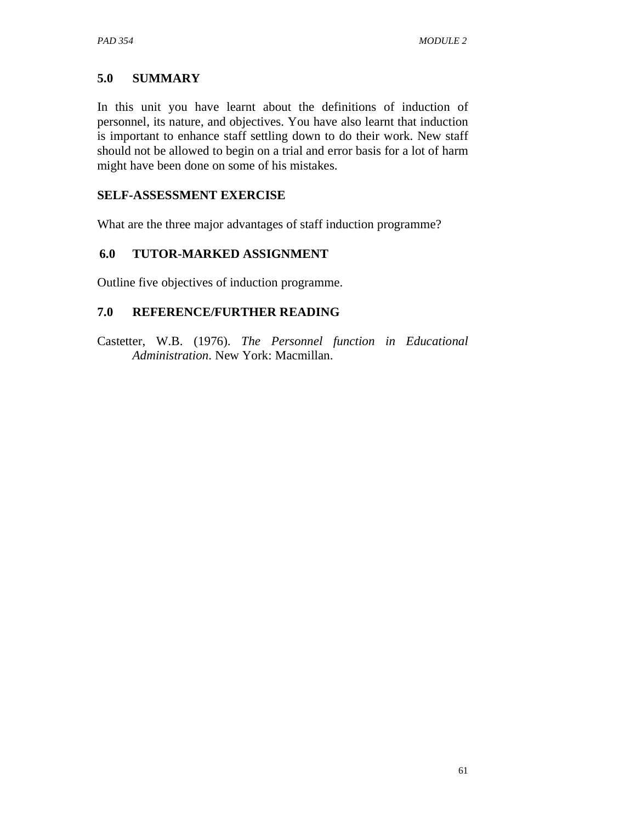### **5.0 SUMMARY**

In this unit you have learnt about the definitions of induction of personnel, its nature, and objectives. You have also learnt that induction is important to enhance staff settling down to do their work. New staff should not be allowed to begin on a trial and error basis for a lot of harm might have been done on some of his mistakes.

#### **SELF-ASSESSMENT EXERCISE**

What are the three major advantages of staff induction programme?

### **6.0 TUTOR-MARKED ASSIGNMENT**

Outline five objectives of induction programme.

### **7.0 REFERENCE/FURTHER READING**

Castetter, W.B. (1976). *The Personnel function in Educational Administration*. New York: Macmillan.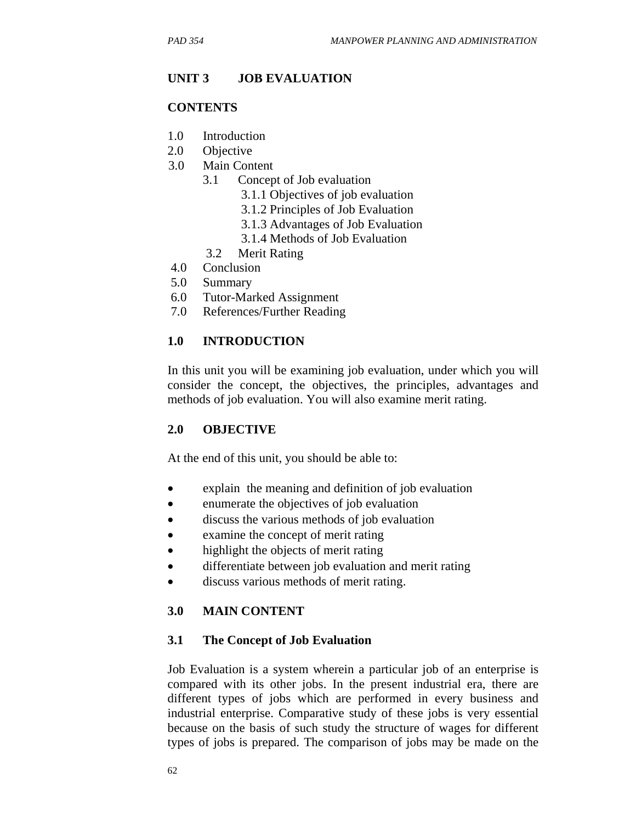### **UNIT 3 JOB EVALUATION**

#### **CONTENTS**

- 1.0 Introduction
- 2.0 Objective
- 3.0 Main Content
	- 3.1 Concept of Job evaluation
		- 3.1.1 Objectives of job evaluation
		- 3.1.2 Principles of Job Evaluation
		- 3.1.3 Advantages of Job Evaluation
		- 3.1.4 Methods of Job Evaluation
		- 3.2 Merit Rating
- 4.0 Conclusion
- 5.0 Summary
- 6.0 Tutor-Marked Assignment
- 7.0 References/Further Reading

#### **1.0 INTRODUCTION**

In this unit you will be examining job evaluation, under which you will consider the concept, the objectives, the principles, advantages and methods of job evaluation. You will also examine merit rating.

#### **2.0 OBJECTIVE**

At the end of this unit, you should be able to:

- explain the meaning and definition of job evaluation
- enumerate the objectives of job evaluation
- discuss the various methods of job evaluation
- examine the concept of merit rating
- highlight the objects of merit rating
- differentiate between job evaluation and merit rating
- discuss various methods of merit rating.

#### **3.0 MAIN CONTENT**

#### **3.1 The Concept of Job Evaluation**

Job Evaluation is a system wherein a particular job of an enterprise is compared with its other jobs. In the present industrial era, there are different types of jobs which are performed in every business and industrial enterprise. Comparative study of these jobs is very essential because on the basis of such study the structure of wages for different types of jobs is prepared. The comparison of jobs may be made on the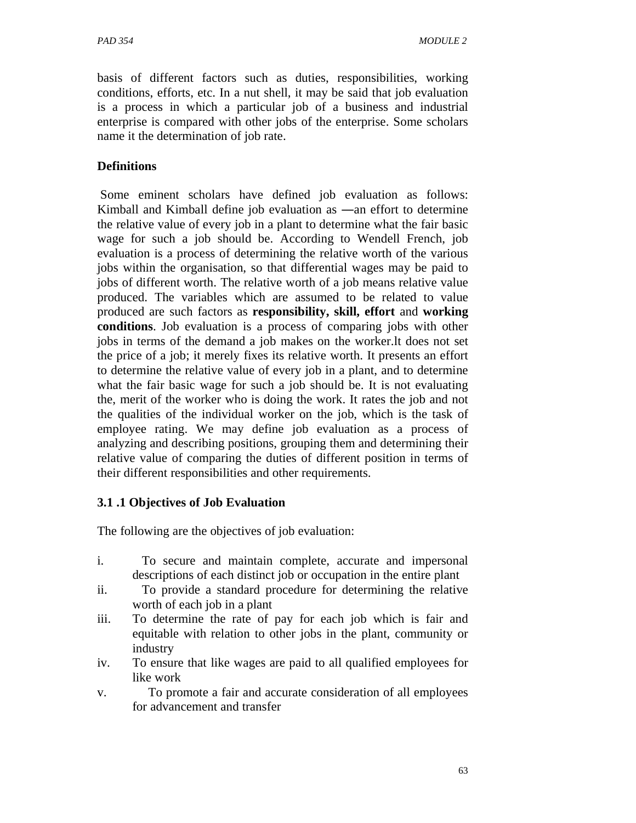basis of different factors such as duties, responsibilities, working conditions, efforts, etc. In a nut shell, it may be said that job evaluation is a process in which a particular job of a business and industrial enterprise is compared with other jobs of the enterprise. Some scholars name it the determination of job rate.

# **Definitions**

Some eminent scholars have defined job evaluation as follows: Kimball and Kimball define job evaluation as ―an effort to determine the relative value of every job in a plant to determine what the fair basic wage for such a job should be. According to Wendell French, job evaluation is a process of determining the relative worth of the various jobs within the organisation, so that differential wages may be paid to jobs of different worth. The relative worth of a job means relative value produced. The variables which are assumed to be related to value produced are such factors as **responsibility, skill, effort** and **working conditions**. Job evaluation is a process of comparing jobs with other jobs in terms of the demand a job makes on the worker.lt does not set the price of a job; it merely fixes its relative worth. It presents an effort to determine the relative value of every job in a plant, and to determine what the fair basic wage for such a job should be. It is not evaluating the, merit of the worker who is doing the work. It rates the job and not the qualities of the individual worker on the job, which is the task of employee rating. We may define job evaluation as a process of analyzing and describing positions, grouping them and determining their relative value of comparing the duties of different position in terms of their different responsibilities and other requirements.

# **3.1 .1 Objectives of Job Evaluation**

The following are the objectives of job evaluation:

- i. To secure and maintain complete, accurate and impersonal descriptions of each distinct job or occupation in the entire plant
- ii. To provide a standard procedure for determining the relative worth of each job in a plant
- iii. To determine the rate of pay for each job which is fair and equitable with relation to other jobs in the plant, community or industry
- iv. To ensure that like wages are paid to all qualified employees for like work
- v. To promote a fair and accurate consideration of all employees for advancement and transfer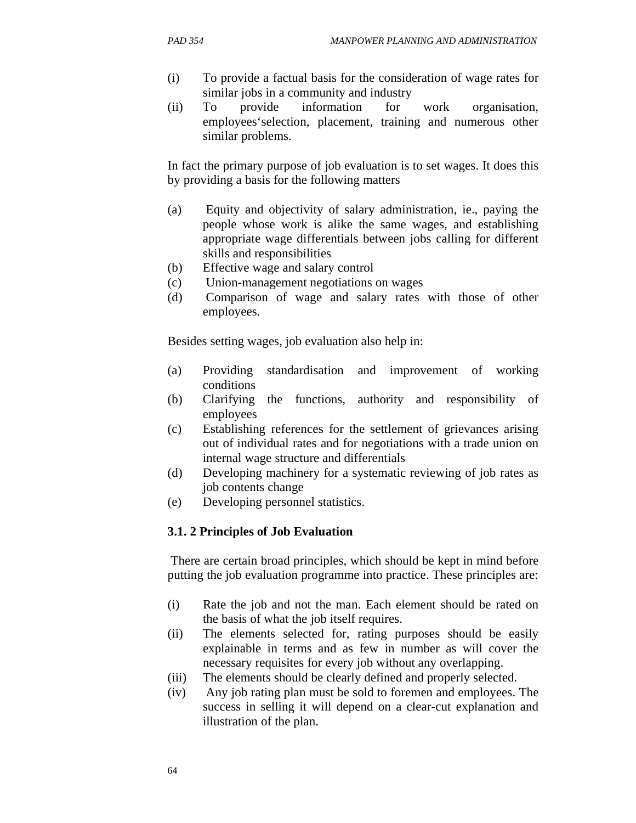- (i) To provide a factual basis for the consideration of wage rates for similar jobs in a community and industry
- (ii) To provide information for work organisation, employees'selection, placement, training and numerous other similar problems.

In fact the primary purpose of job evaluation is to set wages. It does this by providing a basis for the following matters

- (a) Equity and objectivity of salary administration, ie., paying the people whose work is alike the same wages, and establishing appropriate wage differentials between jobs calling for different skills and responsibilities
- (b) Effective wage and salary control
- (c) Union-management negotiations on wages
- (d) Comparison of wage and salary rates with those of other employees.

Besides setting wages, job evaluation also help in:

- (a) Providing standardisation and improvement of working conditions
- (b) Clarifying the functions, authority and responsibility of employees
- (c) Establishing references for the settlement of grievances arising out of individual rates and for negotiations with a trade union on internal wage structure and differentials
- (d) Developing machinery for a systematic reviewing of job rates as job contents change
- (e) Developing personnel statistics.

## **3.1. 2 Principles of Job Evaluation**

There are certain broad principles, which should be kept in mind before putting the job evaluation programme into practice. These principles are:

- (i) Rate the job and not the man. Each element should be rated on the basis of what the job itself requires.
- (ii) The elements selected for, rating purposes should be easily explainable in terms and as few in number as will cover the necessary requisites for every job without any overlapping.
- (iii) The elements should be clearly defined and properly selected.
- (iv) Any job rating plan must be sold to foremen and employees. The success in selling it will depend on a clear-cut explanation and illustration of the plan.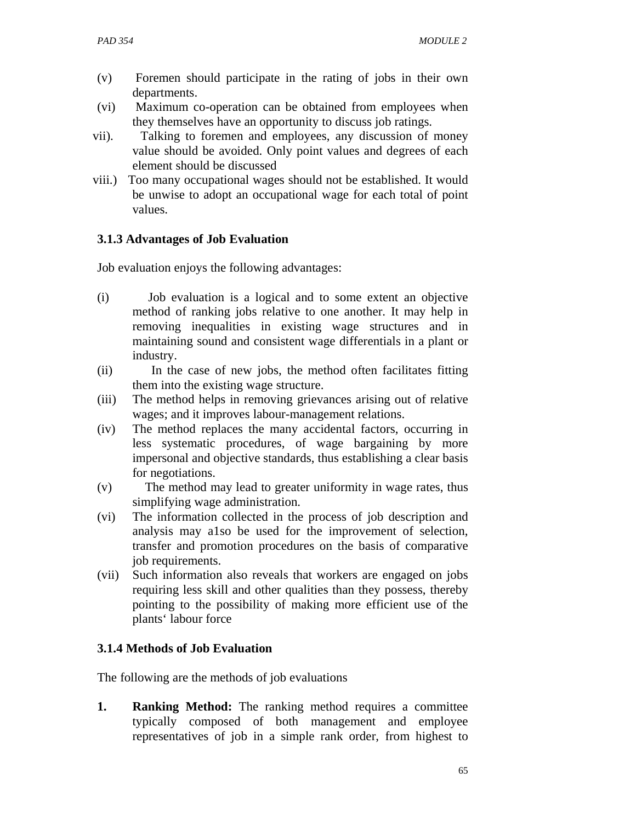- (v) Foremen should participate in the rating of jobs in their own departments.
- (vi) Maximum co-operation can be obtained from employees when they themselves have an opportunity to discuss job ratings.
- vii). Talking to foremen and employees, any discussion of money value should be avoided. Only point values and degrees of each element should be discussed
- viii.) Too many occupational wages should not be established. It would be unwise to adopt an occupational wage for each total of point values.

#### **3.1.3 Advantages of Job Evaluation**

Job evaluation enjoys the following advantages:

- (i) Job evaluation is a logical and to some extent an objective method of ranking jobs relative to one another. It may help in removing inequalities in existing wage structures and in maintaining sound and consistent wage differentials in a plant or industry.
- (ii) In the case of new jobs, the method often facilitates fitting them into the existing wage structure.
- (iii) The method helps in removing grievances arising out of relative wages; and it improves labour-management relations.
- (iv) The method replaces the many accidental factors, occurring in less systematic procedures, of wage bargaining by more impersonal and objective standards, thus establishing a clear basis for negotiations.
- (v) The method may lead to greater uniformity in wage rates, thus simplifying wage administration.
- (vi) The information collected in the process of job description and analysis may a1so be used for the improvement of selection, transfer and promotion procedures on the basis of comparative job requirements.
- (vii) Such information also reveals that workers are engaged on jobs requiring less skill and other qualities than they possess, thereby pointing to the possibility of making more efficient use of the plants' labour force

### **3.1.4 Methods of Job Evaluation**

The following are the methods of job evaluations

**1. Ranking Method:** The ranking method requires a committee typically composed of both management and employee representatives of job in a simple rank order, from highest to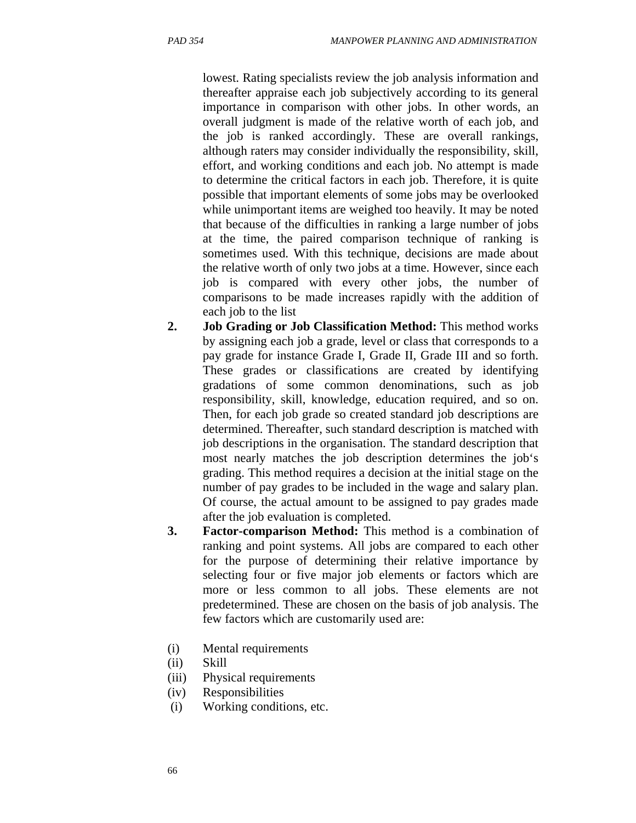lowest. Rating specialists review the job analysis information and thereafter appraise each job subjectively according to its general importance in comparison with other jobs. In other words, an overall judgment is made of the relative worth of each job, and the job is ranked accordingly. These are overall rankings, although raters may consider individually the responsibility, skill, effort, and working conditions and each job. No attempt is made to determine the critical factors in each job. Therefore, it is quite possible that important elements of some jobs may be overlooked while unimportant items are weighed too heavily. It may be noted that because of the difficulties in ranking a large number of jobs at the time, the paired comparison technique of ranking is sometimes used. With this technique, decisions are made about the relative worth of only two jobs at a time. However, since each job is compared with every other jobs, the number of comparisons to be made increases rapidly with the addition of each job to the list

- **2. Job Grading or Job Classification Method:** This method works by assigning each job a grade, level or class that corresponds to a pay grade for instance Grade I, Grade II, Grade III and so forth. These grades or classifications are created by identifying gradations of some common denominations, such as job responsibility, skill, knowledge, education required, and so on. Then, for each job grade so created standard job descriptions are determined. Thereafter, such standard description is matched with job descriptions in the organisation. The standard description that most nearly matches the job description determines the job's grading. This method requires a decision at the initial stage on the number of pay grades to be included in the wage and salary plan. Of course, the actual amount to be assigned to pay grades made after the job evaluation is completed.
- **3. Factor-comparison Method:** This method is a combination of ranking and point systems. All jobs are compared to each other for the purpose of determining their relative importance by selecting four or five major job elements or factors which are more or less common to all jobs. These elements are not predetermined. These are chosen on the basis of job analysis. The few factors which are customarily used are:
- (i) Mental requirements
- (ii) Skill
- (iii) Physical requirements
- (iv) Responsibilities
- (i) Working conditions, etc.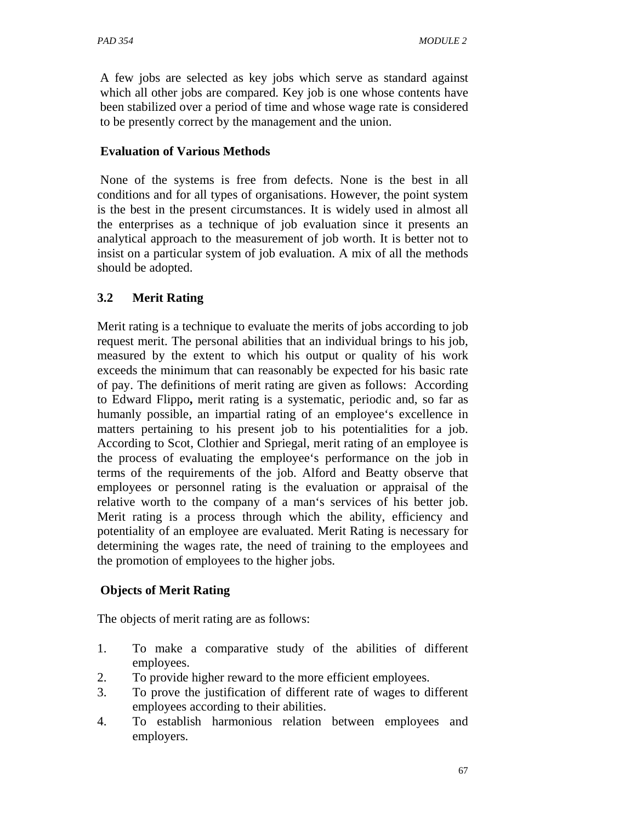A few jobs are selected as key jobs which serve as standard against which all other jobs are compared. Key job is one whose contents have been stabilized over a period of time and whose wage rate is considered to be presently correct by the management and the union.

### **Evaluation of Various Methods**

None of the systems is free from defects. None is the best in all conditions and for all types of organisations. However, the point system is the best in the present circumstances. It is widely used in almost all the enterprises as a technique of job evaluation since it presents an analytical approach to the measurement of job worth. It is better not to insist on a particular system of job evaluation. A mix of all the methods should be adopted.

## **3.2 Merit Rating**

Merit rating is a technique to evaluate the merits of jobs according to job request merit. The personal abilities that an individual brings to his job, measured by the extent to which his output or quality of his work exceeds the minimum that can reasonably be expected for his basic rate of pay. The definitions of merit rating are given as follows: According to Edward Flippo**,** merit rating is a systematic, periodic and, so far as humanly possible, an impartial rating of an employee's excellence in matters pertaining to his present job to his potentialities for a job. According to Scot, Clothier and Spriegal, merit rating of an employee is the process of evaluating the employee's performance on the job in terms of the requirements of the job. Alford and Beatty observe that employees or personnel rating is the evaluation or appraisal of the relative worth to the company of a man's services of his better job. Merit rating is a process through which the ability, efficiency and potentiality of an employee are evaluated. Merit Rating is necessary for determining the wages rate, the need of training to the employees and the promotion of employees to the higher jobs.

### **Objects of Merit Rating**

The objects of merit rating are as follows:

- 1. To make a comparative study of the abilities of different employees.
- 2. To provide higher reward to the more efficient employees.
- 3. To prove the justification of different rate of wages to different employees according to their abilities.
- 4. To establish harmonious relation between employees and employers.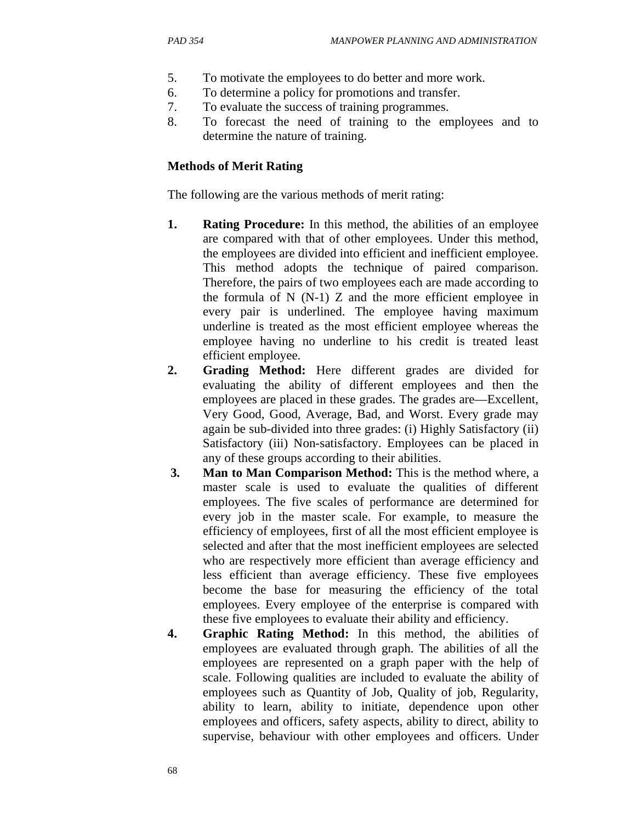- 5. To motivate the employees to do better and more work.
- 6. To determine a policy for promotions and transfer.
- 7. To evaluate the success of training programmes.
- 8. To forecast the need of training to the employees and to determine the nature of training.

#### **Methods of Merit Rating**

The following are the various methods of merit rating:

- **1. Rating Procedure:** In this method, the abilities of an employee are compared with that of other employees. Under this method, the employees are divided into efficient and inefficient employee. This method adopts the technique of paired comparison. Therefore, the pairs of two employees each are made according to the formula of  $N(N-1)$  Z and the more efficient employee in every pair is underlined. The employee having maximum underline is treated as the most efficient employee whereas the employee having no underline to his credit is treated least efficient employee.
- **2. Grading Method:** Here different grades are divided for evaluating the ability of different employees and then the employees are placed in these grades. The grades are—Excellent, Very Good, Good, Average, Bad, and Worst. Every grade may again be sub-divided into three grades: (i) Highly Satisfactory (ii) Satisfactory (iii) Non-satisfactory. Employees can be placed in any of these groups according to their abilities.
- **3. Man to Man Comparison Method:** This is the method where, a master scale is used to evaluate the qualities of different employees. The five scales of performance are determined for every job in the master scale. For example, to measure the efficiency of employees, first of all the most efficient employee is selected and after that the most inefficient employees are selected who are respectively more efficient than average efficiency and less efficient than average efficiency. These five employees become the base for measuring the efficiency of the total employees. Every employee of the enterprise is compared with these five employees to evaluate their ability and efficiency.
- **4. Graphic Rating Method:** In this method, the abilities of employees are evaluated through graph. The abilities of all the employees are represented on a graph paper with the help of scale. Following qualities are included to evaluate the ability of employees such as Quantity of Job, Quality of job, Regularity, ability to learn, ability to initiate, dependence upon other employees and officers, safety aspects, ability to direct, ability to supervise, behaviour with other employees and officers. Under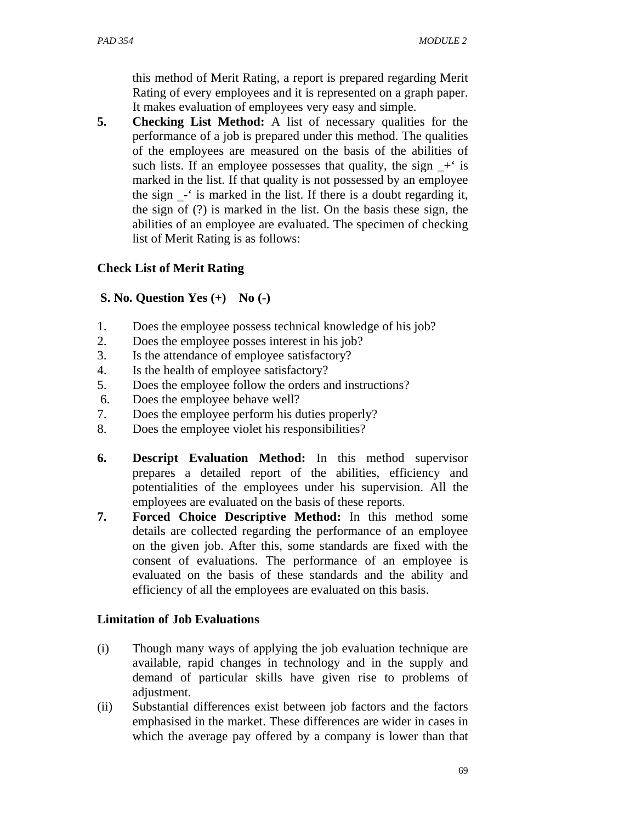this method of Merit Rating, a report is prepared regarding Merit Rating of every employees and it is represented on a graph paper. It makes evaluation of employees very easy and simple.

**5. Checking List Method:** A list of necessary qualities for the performance of a job is prepared under this method. The qualities of the employees are measured on the basis of the abilities of such lists. If an employee possesses that quality, the sign  $+$  is marked in the list. If that quality is not possessed by an employee the sign  $-$  is marked in the list. If there is a doubt regarding it, the sign of (?) is marked in the list. On the basis these sign, the abilities of an employee are evaluated. The specimen of checking list of Merit Rating is as follows:

### **Check List of Merit Rating**

### **S. No. Question Yes (+) No (-)**

- 1. Does the employee possess technical knowledge of his job?
- 2. Does the employee posses interest in his job?
- 3. Is the attendance of employee satisfactory?
- 4. Is the health of employee satisfactory?
- 5. Does the employee follow the orders and instructions?
- 6. Does the employee behave well?
- 7. Does the employee perform his duties properly?
- 8. Does the employee violet his responsibilities?
- **6. Descript Evaluation Method:** In this method supervisor prepares a detailed report of the abilities, efficiency and potentialities of the employees under his supervision. All the employees are evaluated on the basis of these reports.
- **7. Forced Choice Descriptive Method:** In this method some details are collected regarding the performance of an employee on the given job. After this, some standards are fixed with the consent of evaluations. The performance of an employee is evaluated on the basis of these standards and the ability and efficiency of all the employees are evaluated on this basis.

### **Limitation of Job Evaluations**

- (i) Though many ways of applying the job evaluation technique are available, rapid changes in technology and in the supply and demand of particular skills have given rise to problems of adjustment.
- (ii) Substantial differences exist between job factors and the factors emphasised in the market. These differences are wider in cases in which the average pay offered by a company is lower than that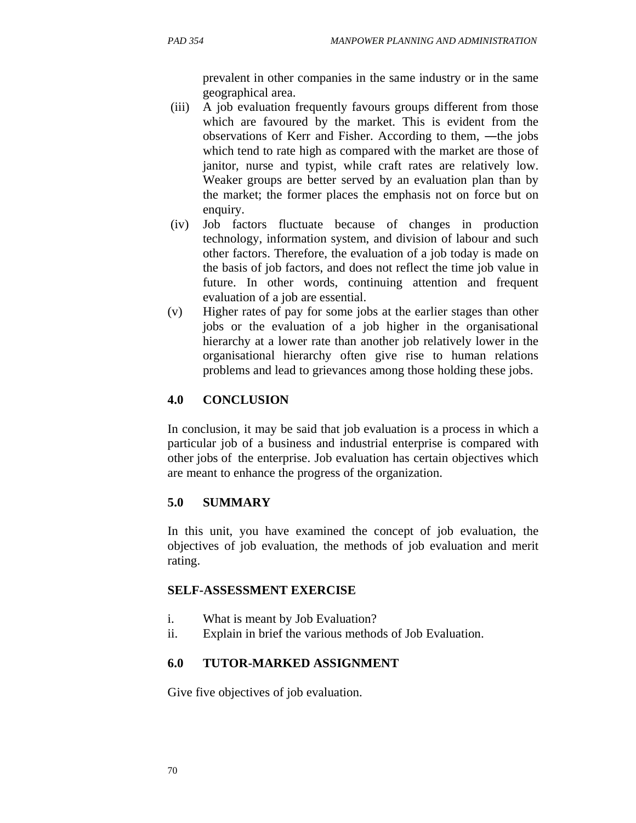prevalent in other companies in the same industry or in the same geographical area.

- (iii) A job evaluation frequently favours groups different from those which are favoured by the market. This is evident from the observations of Kerr and Fisher. According to them, ―the jobs which tend to rate high as compared with the market are those of janitor, nurse and typist, while craft rates are relatively low. Weaker groups are better served by an evaluation plan than by the market; the former places the emphasis not on force but on enquiry.
- (iv) Job factors fluctuate because of changes in production technology, information system, and division of labour and such other factors. Therefore, the evaluation of a job today is made on the basis of job factors, and does not reflect the time job value in future. In other words, continuing attention and frequent evaluation of a job are essential.
- (v) Higher rates of pay for some jobs at the earlier stages than other jobs or the evaluation of a job higher in the organisational hierarchy at a lower rate than another job relatively lower in the organisational hierarchy often give rise to human relations problems and lead to grievances among those holding these jobs.

## **4.0 CONCLUSION**

In conclusion, it may be said that job evaluation is a process in which a particular job of a business and industrial enterprise is compared with other jobs of the enterprise. Job evaluation has certain objectives which are meant to enhance the progress of the organization.

### **5.0 SUMMARY**

In this unit, you have examined the concept of job evaluation, the objectives of job evaluation, the methods of job evaluation and merit rating.

### **SELF-ASSESSMENT EXERCISE**

- i. What is meant by Job Evaluation?
- ii. Explain in brief the various methods of Job Evaluation.

### **6.0 TUTOR-MARKED ASSIGNMENT**

Give five objectives of job evaluation.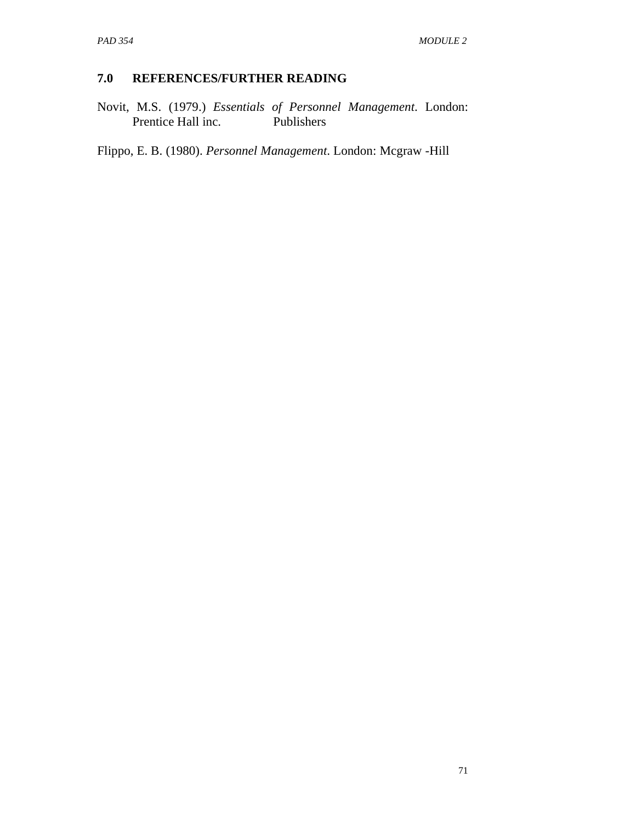### **7.0 REFERENCES/FURTHER READING**

Novit, M.S. (1979.) *Essentials of Personnel Management*. London: Prentice Hall inc. Publishers

Flippo, E. B. (1980). *Personnel Management*. London: Mcgraw -Hill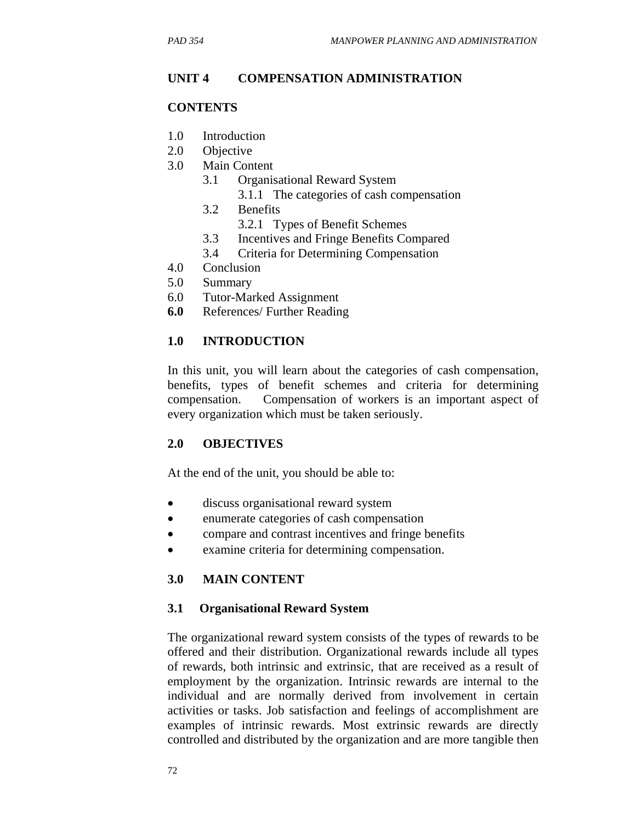#### **UNIT 4 COMPENSATION ADMINISTRATION**

#### **CONTENTS**

- 1.0 Introduction
- 2.0 Objective
- 3.0 Main Content
	- 3.1 Organisational Reward System
		- 3.1.1 The categories of cash compensation
	- 3.2 Benefits
		- 3.2.1 Types of Benefit Schemes
	- 3.3 Incentives and Fringe Benefits Compared
	- 3.4 Criteria for Determining Compensation
- 4.0 Conclusion
- 5.0 Summary
- 6.0 Tutor-Marked Assignment
- **6.0** References/ Further Reading

#### **1.0 INTRODUCTION**

In this unit, you will learn about the categories of cash compensation, benefits, types of benefit schemes and criteria for determining compensation. Compensation of workers is an important aspect of every organization which must be taken seriously.

#### **2.0 OBJECTIVES**

At the end of the unit, you should be able to:

- discuss organisational reward system
- enumerate categories of cash compensation
- compare and contrast incentives and fringe benefits
- examine criteria for determining compensation.

#### **3.0 MAIN CONTENT**

#### **3.1 Organisational Reward System**

The organizational reward system consists of the types of rewards to be offered and their distribution. Organizational rewards include all types of rewards, both intrinsic and extrinsic, that are received as a result of employment by the organization. Intrinsic rewards are internal to the individual and are normally derived from involvement in certain activities or tasks. Job satisfaction and feelings of accomplishment are examples of intrinsic rewards. Most extrinsic rewards are directly controlled and distributed by the organization and are more tangible then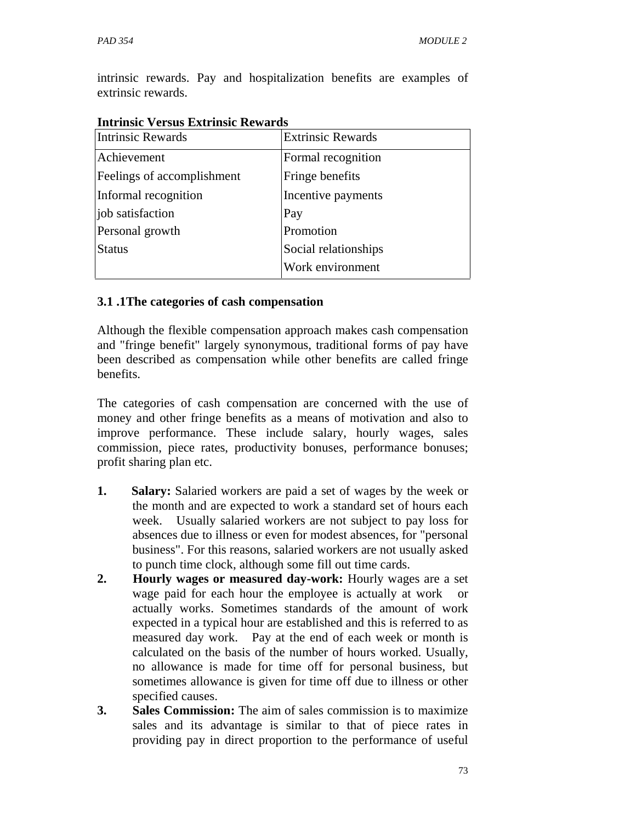intrinsic rewards. Pay and hospitalization benefits are examples of extrinsic rewards.

| Intrinsic Rewards          | <b>Extrinsic Rewards</b> |
|----------------------------|--------------------------|
| Achievement                | Formal recognition       |
| Feelings of accomplishment | Fringe benefits          |
| Informal recognition       | Incentive payments       |
| job satisfaction           | Pay                      |
| Personal growth            | Promotion                |
| <b>Status</b>              | Social relationships     |
|                            | Work environment         |

### **Intrinsic Versus Extrinsic Rewards**

### **3.1 .1The categories of cash compensation**

Although the flexible compensation approach makes cash compensation and "fringe benefit" largely synonymous, traditional forms of pay have been described as compensation while other benefits are called fringe benefits.

The categories of cash compensation are concerned with the use of money and other fringe benefits as a means of motivation and also to improve performance. These include salary, hourly wages, sales commission, piece rates, productivity bonuses, performance bonuses; profit sharing plan etc.

- **1. Salary:** Salaried workers are paid a set of wages by the week or the month and are expected to work a standard set of hours each week. Usually salaried workers are not subject to pay loss for absences due to illness or even for modest absences, for "personal business". For this reasons, salaried workers are not usually asked to punch time clock, although some fill out time cards.
- **2. Hourly wages or measured day-work:** Hourly wages are a set wage paid for each hour the employee is actually at work or actually works. Sometimes standards of the amount of work expected in a typical hour are established and this is referred to as measured day work. Pay at the end of each week or month is calculated on the basis of the number of hours worked. Usually, no allowance is made for time off for personal business, but sometimes allowance is given for time off due to illness or other specified causes.
- **3. Sales Commission:** The aim of sales commission is to maximize sales and its advantage is similar to that of piece rates in providing pay in direct proportion to the performance of useful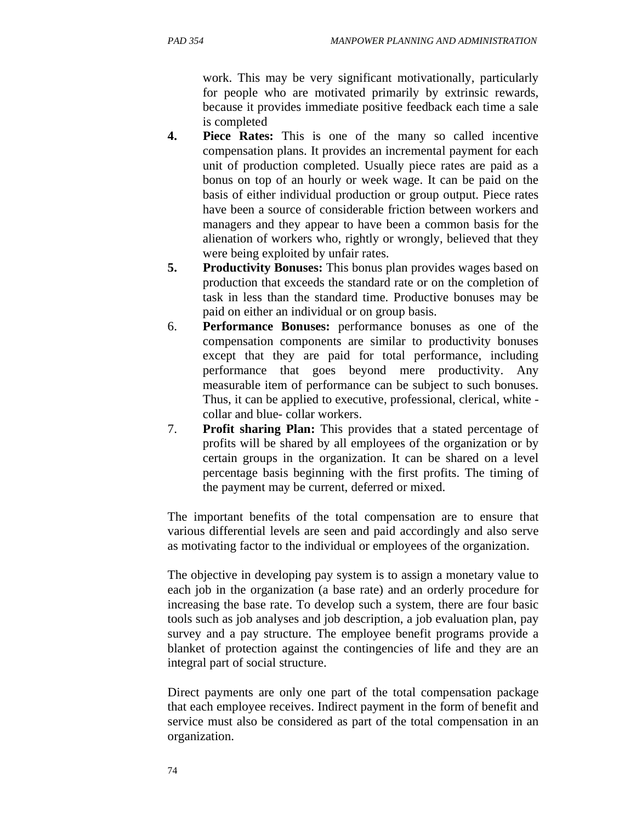work. This may be very significant motivationally, particularly for people who are motivated primarily by extrinsic rewards, because it provides immediate positive feedback each time a sale is completed

- **4. Piece Rates:** This is one of the many so called incentive compensation plans. It provides an incremental payment for each unit of production completed. Usually piece rates are paid as a bonus on top of an hourly or week wage. It can be paid on the basis of either individual production or group output. Piece rates have been a source of considerable friction between workers and managers and they appear to have been a common basis for the alienation of workers who, rightly or wrongly, believed that they were being exploited by unfair rates.
- **5. Productivity Bonuses:** This bonus plan provides wages based on production that exceeds the standard rate or on the completion of task in less than the standard time. Productive bonuses may be paid on either an individual or on group basis.
- 6. **Performance Bonuses:** performance bonuses as one of the compensation components are similar to productivity bonuses except that they are paid for total performance, including performance that goes beyond mere productivity. Any measurable item of performance can be subject to such bonuses. Thus, it can be applied to executive, professional, clerical, white collar and blue- collar workers.
- 7. **Profit sharing Plan:** This provides that a stated percentage of profits will be shared by all employees of the organization or by certain groups in the organization. It can be shared on a level percentage basis beginning with the first profits. The timing of the payment may be current, deferred or mixed.

The important benefits of the total compensation are to ensure that various differential levels are seen and paid accordingly and also serve as motivating factor to the individual or employees of the organization.

The objective in developing pay system is to assign a monetary value to each job in the organization (a base rate) and an orderly procedure for increasing the base rate. To develop such a system, there are four basic tools such as job analyses and job description, a job evaluation plan, pay survey and a pay structure. The employee benefit programs provide a blanket of protection against the contingencies of life and they are an integral part of social structure.

Direct payments are only one part of the total compensation package that each employee receives. Indirect payment in the form of benefit and service must also be considered as part of the total compensation in an organization.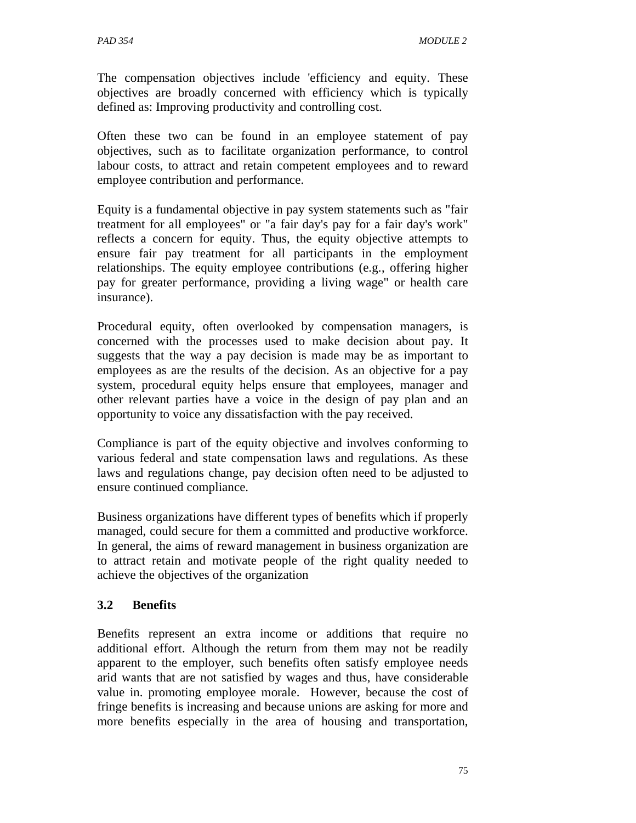The compensation objectives include 'efficiency and equity. These objectives are broadly concerned with efficiency which is typically defined as: Improving productivity and controlling cost.

Often these two can be found in an employee statement of pay objectives, such as to facilitate organization performance, to control labour costs, to attract and retain competent employees and to reward employee contribution and performance.

Equity is a fundamental objective in pay system statements such as "fair treatment for all employees" or "a fair day's pay for a fair day's work" reflects a concern for equity. Thus, the equity objective attempts to ensure fair pay treatment for all participants in the employment relationships. The equity employee contributions (e.g., offering higher pay for greater performance, providing a living wage" or health care insurance).

Procedural equity, often overlooked by compensation managers, is concerned with the processes used to make decision about pay. It suggests that the way a pay decision is made may be as important to employees as are the results of the decision. As an objective for a pay system, procedural equity helps ensure that employees, manager and other relevant parties have a voice in the design of pay plan and an opportunity to voice any dissatisfaction with the pay received.

Compliance is part of the equity objective and involves conforming to various federal and state compensation laws and regulations. As these laws and regulations change, pay decision often need to be adjusted to ensure continued compliance.

Business organizations have different types of benefits which if properly managed, could secure for them a committed and productive workforce. In general, the aims of reward management in business organization are to attract retain and motivate people of the right quality needed to achieve the objectives of the organization

## **3.2 Benefits**

Benefits represent an extra income or additions that require no additional effort. Although the return from them may not be readily apparent to the employer, such benefits often satisfy employee needs arid wants that are not satisfied by wages and thus, have considerable value in. promoting employee morale. However, because the cost of fringe benefits is increasing and because unions are asking for more and more benefits especially in the area of housing and transportation,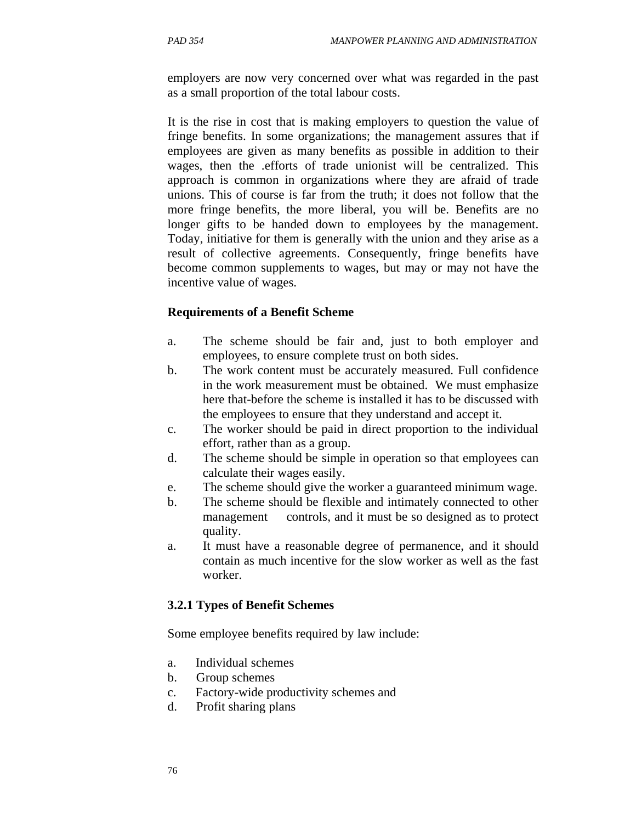employers are now very concerned over what was regarded in the past as a small proportion of the total labour costs.

It is the rise in cost that is making employers to question the value of fringe benefits. In some organizations; the management assures that if employees are given as many benefits as possible in addition to their wages, then the .efforts of trade unionist will be centralized. This approach is common in organizations where they are afraid of trade unions. This of course is far from the truth; it does not follow that the more fringe benefits, the more liberal, you will be. Benefits are no longer gifts to be handed down to employees by the management. Today, initiative for them is generally with the union and they arise as a result of collective agreements. Consequently, fringe benefits have become common supplements to wages, but may or may not have the incentive value of wages.

### **Requirements of a Benefit Scheme**

- a. The scheme should be fair and, just to both employer and employees, to ensure complete trust on both sides.
- b. The work content must be accurately measured. Full confidence in the work measurement must be obtained. We must emphasize here that-before the scheme is installed it has to be discussed with the employees to ensure that they understand and accept it.
- c. The worker should be paid in direct proportion to the individual effort, rather than as a group.
- d. The scheme should be simple in operation so that employees can calculate their wages easily.
- e. The scheme should give the worker a guaranteed minimum wage.
- b. The scheme should be flexible and intimately connected to other management controls, and it must be so designed as to protect quality.
- a. It must have a reasonable degree of permanence, and it should contain as much incentive for the slow worker as well as the fast worker.

### **3.2.1 Types of Benefit Schemes**

Some employee benefits required by law include:

- a. Individual schemes
- b. Group schemes
- c. Factory-wide productivity schemes and
- d. Profit sharing plans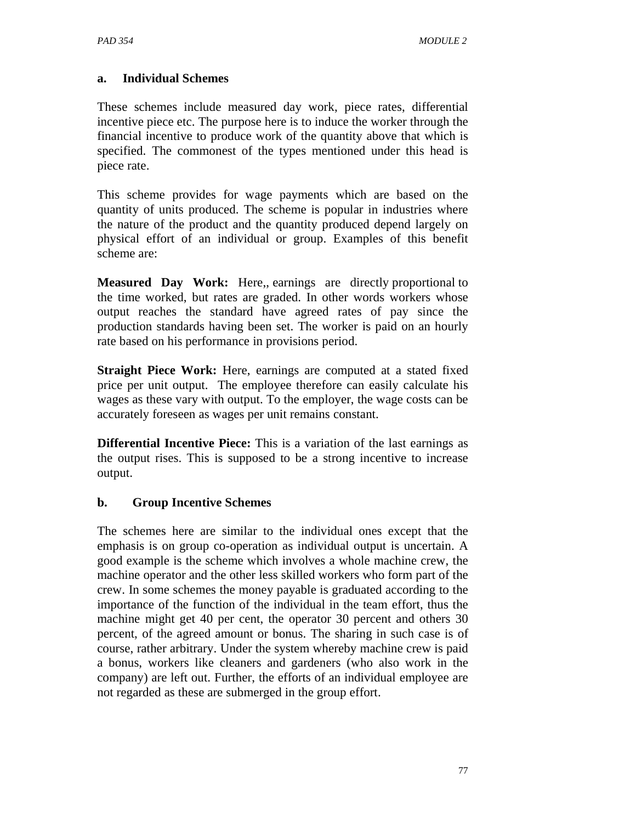### **a. Individual Schemes**

These schemes include measured day work, piece rates, differential incentive piece etc. The purpose here is to induce the worker through the financial incentive to produce work of the quantity above that which is specified. The commonest of the types mentioned under this head is piece rate.

This scheme provides for wage payments which are based on the quantity of units produced. The scheme is popular in industries where the nature of the product and the quantity produced depend largely on physical effort of an individual or group. Examples of this benefit scheme are:

**Measured Day Work:** Here,, earnings are directly proportional to the time worked, but rates are graded. In other words workers whose output reaches the standard have agreed rates of pay since the production standards having been set. The worker is paid on an hourly rate based on his performance in provisions period.

**Straight Piece Work:** Here, earnings are computed at a stated fixed price per unit output. The employee therefore can easily calculate his wages as these vary with output. To the employer, the wage costs can be accurately foreseen as wages per unit remains constant.

**Differential Incentive Piece:** This is a variation of the last earnings as the output rises. This is supposed to be a strong incentive to increase output.

### **b. Group Incentive Schemes**

The schemes here are similar to the individual ones except that the emphasis is on group co-operation as individual output is uncertain. A good example is the scheme which involves a whole machine crew, the machine operator and the other less skilled workers who form part of the crew. In some schemes the money payable is graduated according to the importance of the function of the individual in the team effort, thus the machine might get 40 per cent, the operator 30 percent and others 30 percent, of the agreed amount or bonus. The sharing in such case is of course, rather arbitrary. Under the system whereby machine crew is paid a bonus, workers like cleaners and gardeners (who also work in the company) are left out. Further, the efforts of an individual employee are not regarded as these are submerged in the group effort.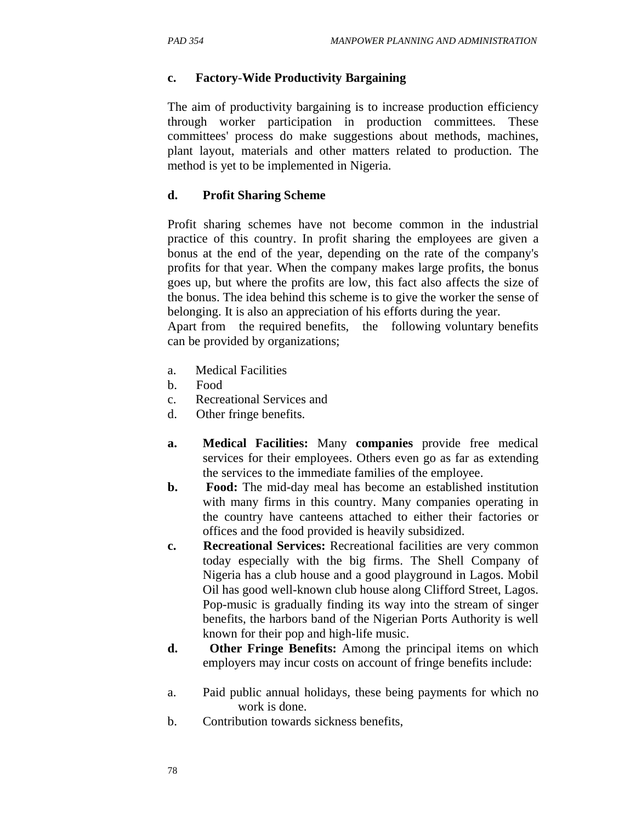### **c. Factory**-**Wide Productivity Bargaining**

The aim of productivity bargaining is to increase production efficiency through worker participation in production committees. These committees' process do make suggestions about methods, machines, plant layout, materials and other matters related to production. The method is yet to be implemented in Nigeria.

### **d. Profit Sharing Scheme**

Profit sharing schemes have not become common in the industrial practice of this country. In profit sharing the employees are given a bonus at the end of the year, depending on the rate of the company's profits for that year. When the company makes large profits, the bonus goes up, but where the profits are low, this fact also affects the size of the bonus. The idea behind this scheme is to give the worker the sense of belonging. It is also an appreciation of his efforts during the year.

Apart from the required benefits, the following voluntary benefits can be provided by organizations;

- a. Medical Facilities
- b. Food
- c. Recreational Services and
- d. Other fringe benefits.
- **a. Medical Facilities:** Many **companies** provide free medical services for their employees. Others even go as far as extending the services to the immediate families of the employee.
- **b. Food:** The mid-day meal has become an established institution with many firms in this country. Many companies operating in the country have canteens attached to either their factories or offices and the food provided is heavily subsidized.
- **c. Recreational Services:** Recreational facilities are very common today especially with the big firms. The Shell Company of Nigeria has a club house and a good playground in Lagos. Mobil Oil has good well-known club house along Clifford Street, Lagos. Pop-music is gradually finding its way into the stream of singer benefits, the harbors band of the Nigerian Ports Authority is well known for their pop and high-life music.
- **d. Other Fringe Benefits:** Among the principal items on which employers may incur costs on account of fringe benefits include:
- a. Paid public annual holidays, these being payments for which no work is done.
- b. Contribution towards sickness benefits,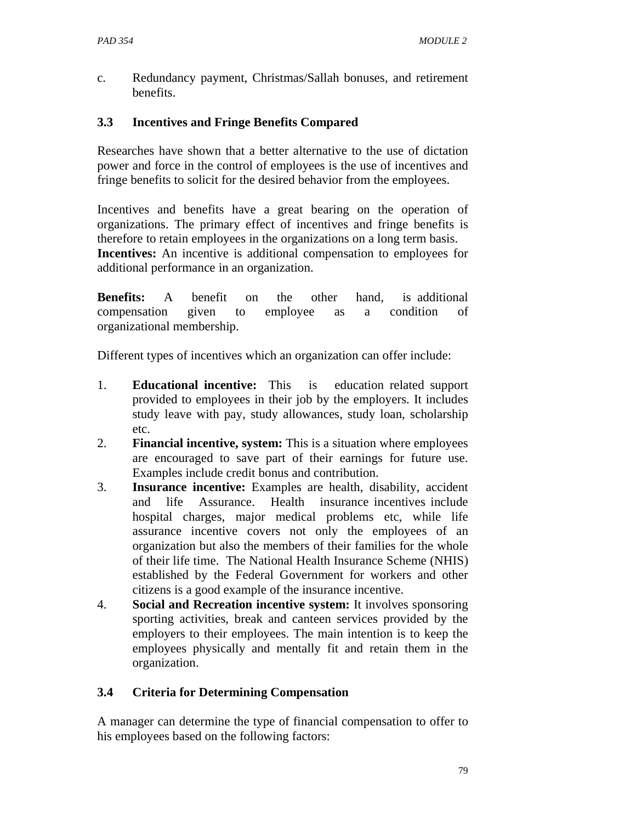c. Redundancy payment, Christmas/Sallah bonuses, and retirement benefits.

### **3.3 Incentives and Fringe Benefits Compared**

Researches have shown that a better alternative to the use of dictation power and force in the control of employees is the use of incentives and fringe benefits to solicit for the desired behavior from the employees.

Incentives and benefits have a great bearing on the operation of organizations. The primary effect of incentives and fringe benefits is therefore to retain employees in the organizations on a long term basis. **Incentives:** An incentive is additional compensation to employees for additional performance in an organization.

**Benefits:** A benefit on the other hand, is additional compensation given to employee as a condition of organizational membership.

Different types of incentives which an organization can offer include:

- 1. **Educational incentive:**This is education related support provided to employees in their job by the employers. It includes study leave with pay, study allowances, study loan, scholarship etc.
- 2. **Financial incentive, system:** This is a situation where employees are encouraged to save part of their earnings for future use. Examples include credit bonus and contribution.
- 3. **Insurance incentive:** Examples are health, disability, accident and life Assurance. Health insurance incentives include hospital charges, major medical problems etc, while life assurance incentive covers not only the employees of an organization but also the members of their families for the whole of their life time. The National Health Insurance Scheme (NHIS) established by the Federal Government for workers and other citizens is a good example of the insurance incentive.
- 4. **Social and Recreation incentive system:** It involves sponsoring sporting activities, break and canteen services provided by the employers to their employees. The main intention is to keep the employees physically and mentally fit and retain them in the organization.

### **3.4 Criteria for Determining Compensation**

A manager can determine the type of financial compensation to offer to his employees based on the following factors: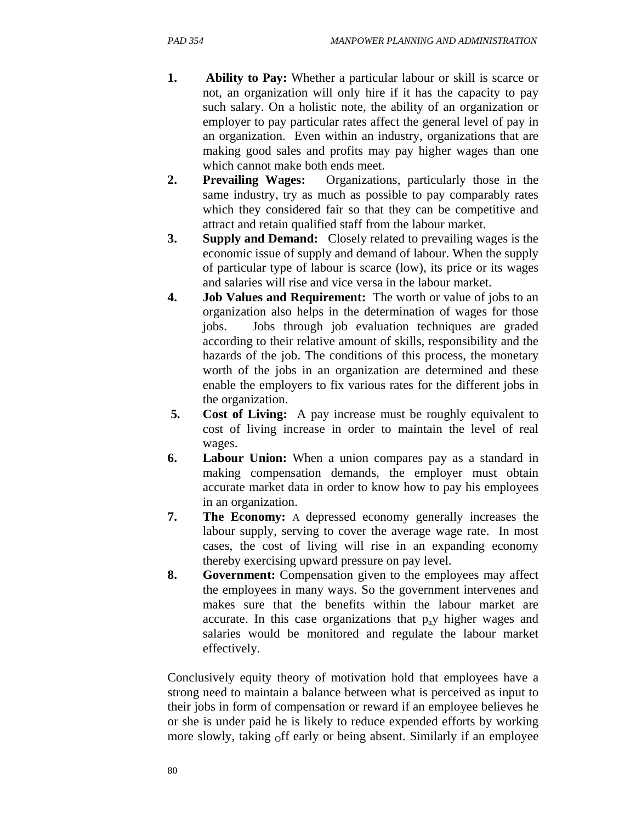- **1. Ability to Pay:** Whether a particular labour or skill is scarce or not, an organization will only hire if it has the capacity to pay such salary. On a holistic note, the ability of an organization or employer to pay particular rates affect the general level of pay in an organization. Even within an industry, organizations that are making good sales and profits may pay higher wages than one which cannot make both ends meet.
- **2. Prevailing Wages:** Organizations, particularly those in the same industry, try as much as possible to pay comparably rates which they considered fair so that they can be competitive and attract and retain qualified staff from the labour market.
- **3. Supply and Demand:** Closely related to prevailing wages is the economic issue of supply and demand of labour. When the supply of particular type of labour is scarce (low), its price or its wages and salaries will rise and vice versa in the labour market.
- **4. Job Values and Requirement:** The worth or value of jobs to an organization also helps in the determination of wages for those jobs. Jobs through job evaluation techniques are graded according to their relative amount of skills, responsibility and the hazards of the job. The conditions of this process, the monetary worth of the jobs in an organization are determined and these enable the employers to fix various rates for the different jobs in the organization.
- **5. Cost of Living:** A pay increase must be roughly equivalent to cost of living increase in order to maintain the level of real wages.
- **6. Labour Union:** When a union compares pay as a standard in making compensation demands, the employer must obtain accurate market data in order to know how to pay his employees in an organization.
- **7. The Economy:** A depressed economy generally increases the labour supply, serving to cover the average wage rate. In most cases, the cost of living will rise in an expanding economy thereby exercising upward pressure on pay level.
- **8.** Government: Compensation given to the employees may affect the employees in many ways. So the government intervenes and makes sure that the benefits within the labour market are accurate. In this case organizations that  $p_a$ y higher wages and salaries would be monitored and regulate the labour market effectively.

Conclusively equity theory of motivation hold that employees have a strong need to maintain a balance between what is perceived as input to their jobs in form of compensation or reward if an employee believes he or she is under paid he is likely to reduce expended efforts by working more slowly, taking off early or being absent. Similarly if an employee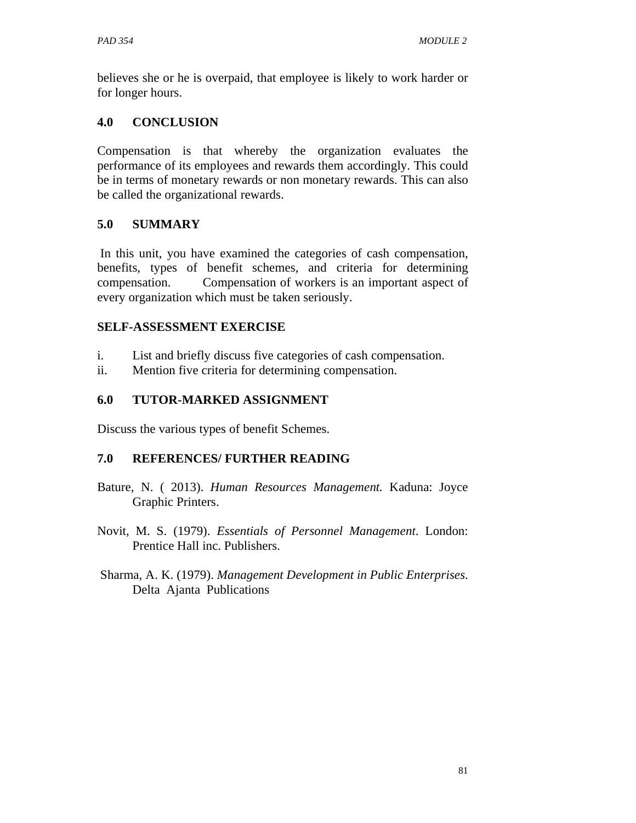believes she or he is overpaid, that employee is likely to work harder or for longer hours.

# **4.0 CONCLUSION**

Compensation is that whereby the organization evaluates the performance of its employees and rewards them accordingly. This could be in terms of monetary rewards or non monetary rewards. This can also be called the organizational rewards.

# **5.0 SUMMARY**

 In this unit, you have examined the categories of cash compensation, benefits, types of benefit schemes, and criteria for determining compensation. Compensation of workers is an important aspect of every organization which must be taken seriously.

# **SELF-ASSESSMENT EXERCISE**

- i. List and briefly discuss five categories of cash compensation.
- ii. Mention five criteria for determining compensation.

# **6.0 TUTOR-MARKED ASSIGNMENT**

Discuss the various types of benefit Schemes.

## **7.0 REFERENCES/ FURTHER READING**

- Bature, N. ( 2013). *Human Resources Management.* Kaduna: Joyce Graphic Printers.
- Novit, M. S. (1979). *Essentials of Personnel Management*. London: Prentice Hall inc. Publishers.
- Sharma, A. K. (1979). *Management Development in Public Enterprises*. Delta Ajanta Publications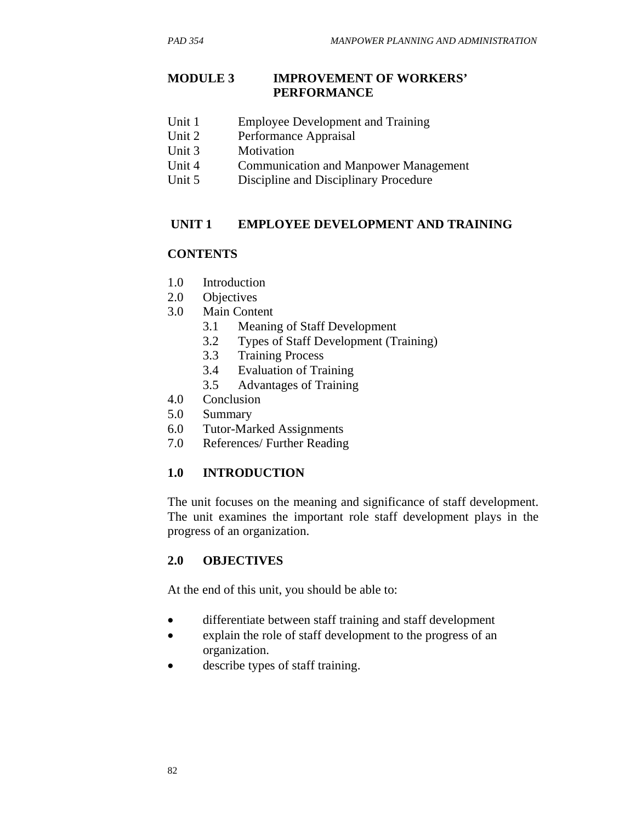#### **MODULE 3 IMPROVEMENT OF WORKERS' PERFORMANCE**

- Unit 1 Employee Development and Training
- Unit 2 Performance Appraisal
- Unit 3 Motivation
- Unit 4 Communication and Manpower Management
- Unit 5 Discipline and Disciplinary Procedure

#### **UNIT 1 EMPLOYEE DEVELOPMENT AND TRAINING**

#### **CONTENTS**

- 1.0 Introduction
- 2.0 Objectives
- 3.0 Main Content
	- 3.1 Meaning of Staff Development
	- 3.2 Types of Staff Development (Training)
	- 3.3 Training Process
	- 3.4 Evaluation of Training
	- 3.5 Advantages of Training
- 4.0 Conclusion
- 5.0 Summary
- 6.0 Tutor-Marked Assignments
- 7.0 References/ Further Reading

### **1.0 INTRODUCTION**

The unit focuses on the meaning and significance of staff development. The unit examines the important role staff development plays in the progress of an organization.

### **2.0 OBJECTIVES**

At the end of this unit, you should be able to:

- differentiate between staff training and staff development
- explain the role of staff development to the progress of an organization.
- describe types of staff training.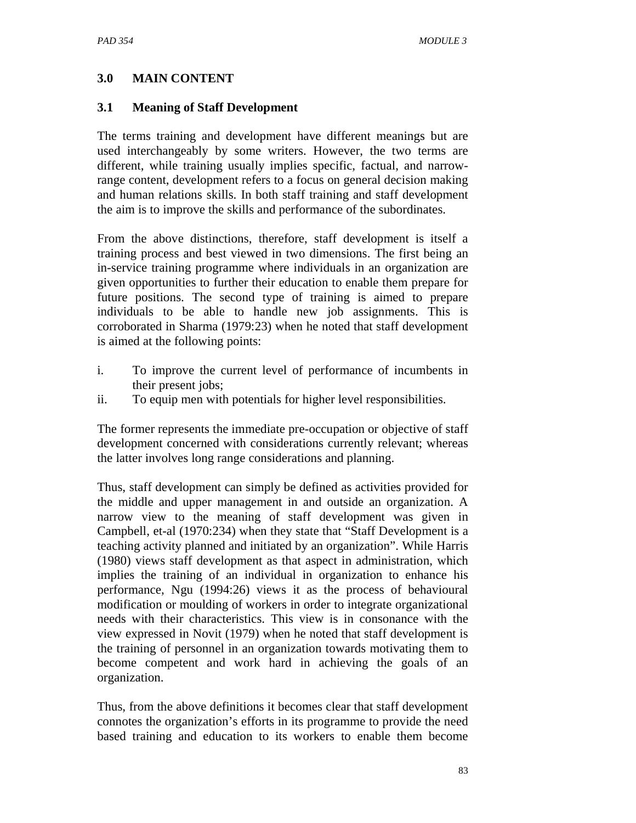#### **3.0 MAIN CONTENT**

#### **3.1 Meaning of Staff Development**

The terms training and development have different meanings but are used interchangeably by some writers. However, the two terms are different, while training usually implies specific, factual, and narrowrange content, development refers to a focus on general decision making and human relations skills. In both staff training and staff development the aim is to improve the skills and performance of the subordinates.

From the above distinctions, therefore, staff development is itself a training process and best viewed in two dimensions. The first being an in-service training programme where individuals in an organization are given opportunities to further their education to enable them prepare for future positions. The second type of training is aimed to prepare individuals to be able to handle new job assignments. This is corroborated in Sharma (1979:23) when he noted that staff development is aimed at the following points:

- i. To improve the current level of performance of incumbents in their present jobs;
- ii. To equip men with potentials for higher level responsibilities.

The former represents the immediate pre-occupation or objective of staff development concerned with considerations currently relevant; whereas the latter involves long range considerations and planning.

Thus, staff development can simply be defined as activities provided for the middle and upper management in and outside an organization. A narrow view to the meaning of staff development was given in Campbell, et-al (1970:234) when they state that "Staff Development is a teaching activity planned and initiated by an organization". While Harris (1980) views staff development as that aspect in administration, which implies the training of an individual in organization to enhance his performance, Ngu (1994:26) views it as the process of behavioural modification or moulding of workers in order to integrate organizational needs with their characteristics. This view is in consonance with the view expressed in Novit (1979) when he noted that staff development is the training of personnel in an organization towards motivating them to become competent and work hard in achieving the goals of an organization.

Thus, from the above definitions it becomes clear that staff development connotes the organization's efforts in its programme to provide the need based training and education to its workers to enable them become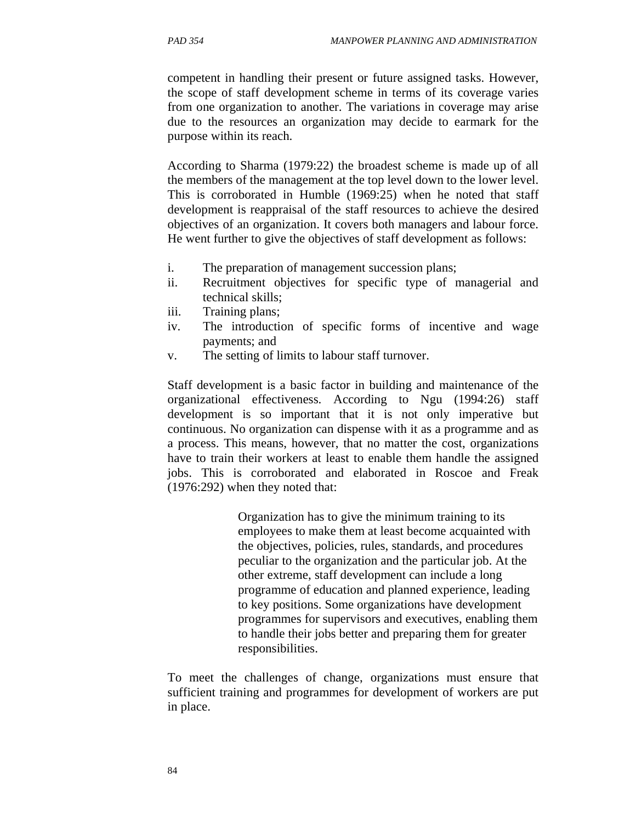competent in handling their present or future assigned tasks. However, the scope of staff development scheme in terms of its coverage varies from one organization to another. The variations in coverage may arise due to the resources an organization may decide to earmark for the purpose within its reach.

According to Sharma (1979:22) the broadest scheme is made up of all the members of the management at the top level down to the lower level. This is corroborated in Humble (1969:25) when he noted that staff development is reappraisal of the staff resources to achieve the desired objectives of an organization. It covers both managers and labour force. He went further to give the objectives of staff development as follows:

- i. The preparation of management succession plans;
- ii. Recruitment objectives for specific type of managerial and technical skills;
- iii. Training plans;
- iv. The introduction of specific forms of incentive and wage payments; and
- v. The setting of limits to labour staff turnover.

Staff development is a basic factor in building and maintenance of the organizational effectiveness. According to Ngu (1994:26) staff development is so important that it is not only imperative but continuous. No organization can dispense with it as a programme and as a process. This means, however, that no matter the cost, organizations have to train their workers at least to enable them handle the assigned jobs. This is corroborated and elaborated in Roscoe and Freak (1976:292) when they noted that:

> Organization has to give the minimum training to its employees to make them at least become acquainted with the objectives, policies, rules, standards, and procedures peculiar to the organization and the particular job. At the other extreme, staff development can include a long programme of education and planned experience, leading to key positions. Some organizations have development programmes for supervisors and executives, enabling them to handle their jobs better and preparing them for greater responsibilities.

To meet the challenges of change, organizations must ensure that sufficient training and programmes for development of workers are put in place.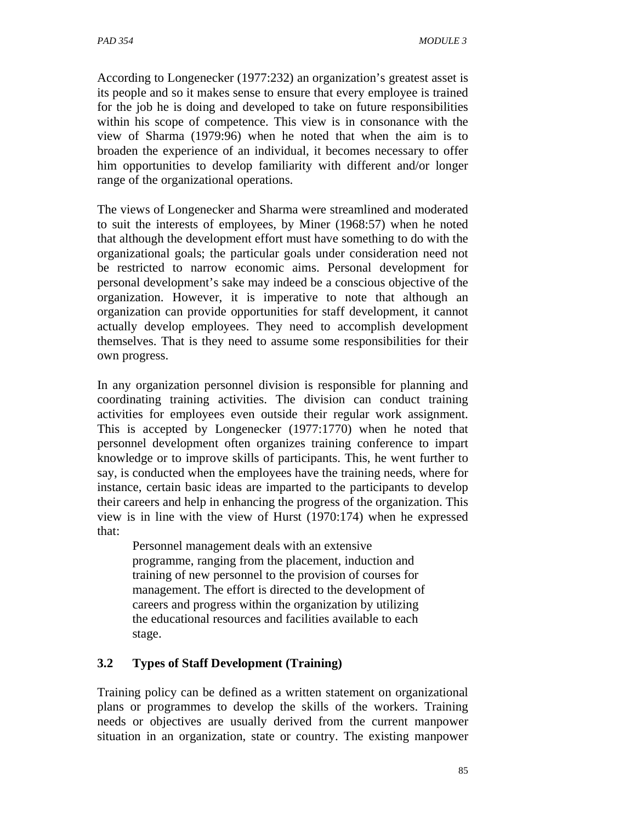According to Longenecker (1977:232) an organization's greatest asset is its people and so it makes sense to ensure that every employee is trained for the job he is doing and developed to take on future responsibilities within his scope of competence. This view is in consonance with the view of Sharma (1979:96) when he noted that when the aim is to broaden the experience of an individual, it becomes necessary to offer him opportunities to develop familiarity with different and/or longer range of the organizational operations.

The views of Longenecker and Sharma were streamlined and moderated to suit the interests of employees, by Miner (1968:57) when he noted that although the development effort must have something to do with the organizational goals; the particular goals under consideration need not be restricted to narrow economic aims. Personal development for personal development's sake may indeed be a conscious objective of the organization. However, it is imperative to note that although an organization can provide opportunities for staff development, it cannot actually develop employees. They need to accomplish development themselves. That is they need to assume some responsibilities for their own progress.

In any organization personnel division is responsible for planning and coordinating training activities. The division can conduct training activities for employees even outside their regular work assignment. This is accepted by Longenecker (1977:1770) when he noted that personnel development often organizes training conference to impart knowledge or to improve skills of participants. This, he went further to say, is conducted when the employees have the training needs, where for instance, certain basic ideas are imparted to the participants to develop their careers and help in enhancing the progress of the organization. This view is in line with the view of Hurst (1970:174) when he expressed that:

 Personnel management deals with an extensive programme, ranging from the placement, induction and training of new personnel to the provision of courses for management. The effort is directed to the development of careers and progress within the organization by utilizing the educational resources and facilities available to each stage.

## **3.2 Types of Staff Development (Training)**

Training policy can be defined as a written statement on organizational plans or programmes to develop the skills of the workers. Training needs or objectives are usually derived from the current manpower situation in an organization, state or country. The existing manpower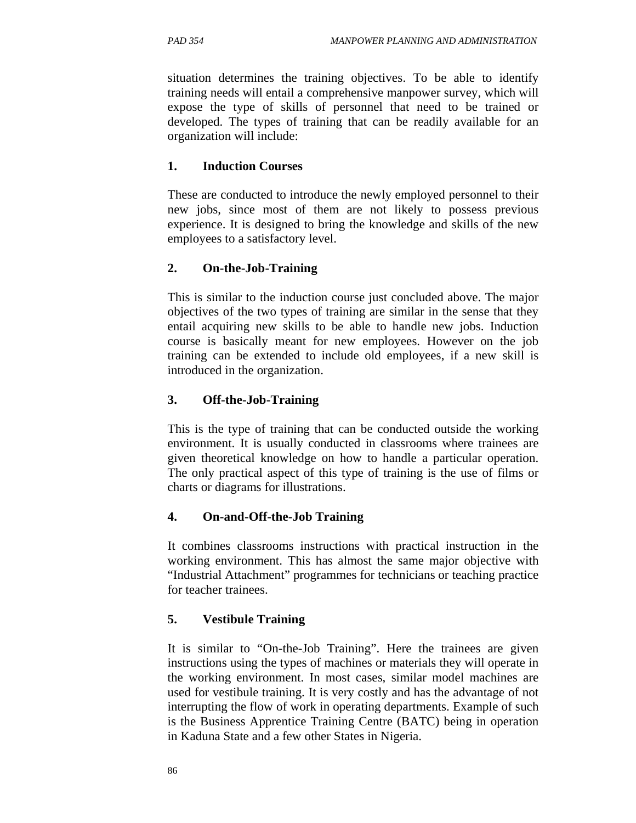situation determines the training objectives. To be able to identify training needs will entail a comprehensive manpower survey, which will expose the type of skills of personnel that need to be trained or developed. The types of training that can be readily available for an organization will include:

### **1. Induction Courses**

These are conducted to introduce the newly employed personnel to their new jobs, since most of them are not likely to possess previous experience. It is designed to bring the knowledge and skills of the new employees to a satisfactory level.

## **2. On-the-Job-Training**

This is similar to the induction course just concluded above. The major objectives of the two types of training are similar in the sense that they entail acquiring new skills to be able to handle new jobs. Induction course is basically meant for new employees. However on the job training can be extended to include old employees, if a new skill is introduced in the organization.

## **3. Off-the-Job-Training**

This is the type of training that can be conducted outside the working environment. It is usually conducted in classrooms where trainees are given theoretical knowledge on how to handle a particular operation. The only practical aspect of this type of training is the use of films or charts or diagrams for illustrations.

### **4. On-and-Off-the-Job Training**

It combines classrooms instructions with practical instruction in the working environment. This has almost the same major objective with "Industrial Attachment" programmes for technicians or teaching practice for teacher trainees.

### **5. Vestibule Training**

It is similar to "On-the-Job Training". Here the trainees are given instructions using the types of machines or materials they will operate in the working environment. In most cases, similar model machines are used for vestibule training. It is very costly and has the advantage of not interrupting the flow of work in operating departments. Example of such is the Business Apprentice Training Centre (BATC) being in operation in Kaduna State and a few other States in Nigeria.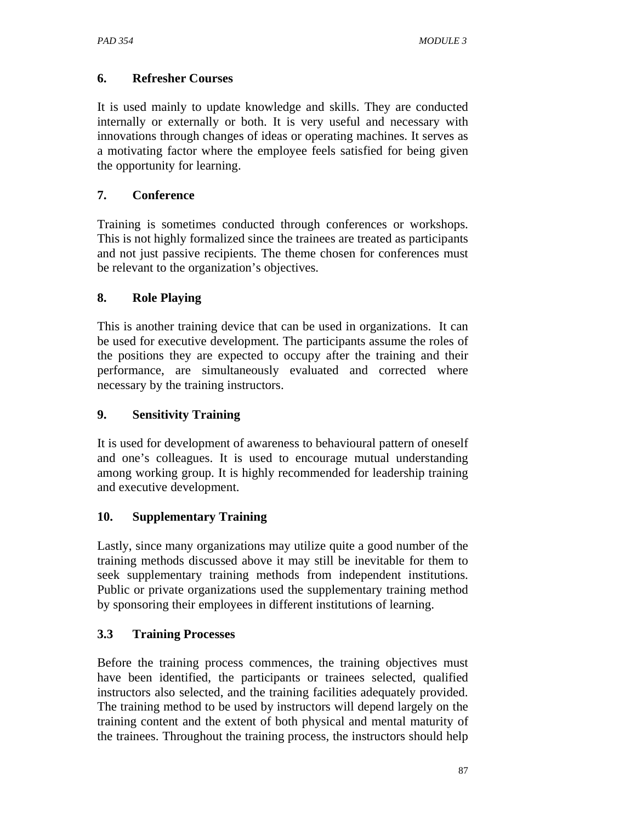### **6. Refresher Courses**

It is used mainly to update knowledge and skills. They are conducted internally or externally or both. It is very useful and necessary with innovations through changes of ideas or operating machines. It serves as a motivating factor where the employee feels satisfied for being given the opportunity for learning.

### **7. Conference**

Training is sometimes conducted through conferences or workshops. This is not highly formalized since the trainees are treated as participants and not just passive recipients. The theme chosen for conferences must be relevant to the organization's objectives.

### **8. Role Playing**

This is another training device that can be used in organizations. It can be used for executive development. The participants assume the roles of the positions they are expected to occupy after the training and their performance, are simultaneously evaluated and corrected where necessary by the training instructors.

### **9. Sensitivity Training**

It is used for development of awareness to behavioural pattern of oneself and one's colleagues. It is used to encourage mutual understanding among working group. It is highly recommended for leadership training and executive development.

## **10. Supplementary Training**

Lastly, since many organizations may utilize quite a good number of the training methods discussed above it may still be inevitable for them to seek supplementary training methods from independent institutions. Public or private organizations used the supplementary training method by sponsoring their employees in different institutions of learning.

### **3.3 Training Processes**

Before the training process commences, the training objectives must have been identified, the participants or trainees selected, qualified instructors also selected, and the training facilities adequately provided. The training method to be used by instructors will depend largely on the training content and the extent of both physical and mental maturity of the trainees. Throughout the training process, the instructors should help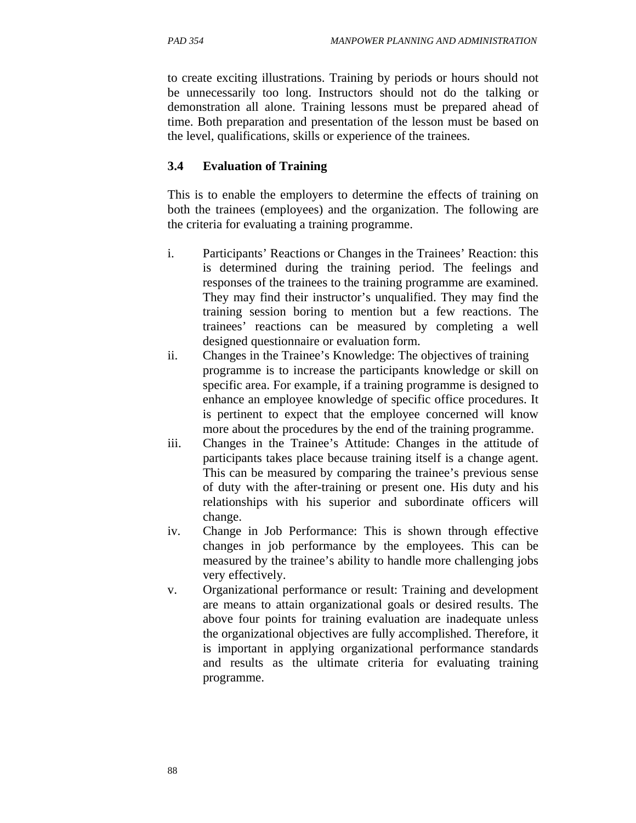to create exciting illustrations. Training by periods or hours should not be unnecessarily too long. Instructors should not do the talking or demonstration all alone. Training lessons must be prepared ahead of time. Both preparation and presentation of the lesson must be based on the level, qualifications, skills or experience of the trainees.

### **3.4 Evaluation of Training**

This is to enable the employers to determine the effects of training on both the trainees (employees) and the organization. The following are the criteria for evaluating a training programme.

- i. Participants' Reactions or Changes in the Trainees' Reaction: this is determined during the training period. The feelings and responses of the trainees to the training programme are examined. They may find their instructor's unqualified. They may find the training session boring to mention but a few reactions. The trainees' reactions can be measured by completing a well designed questionnaire or evaluation form.
- ii. Changes in the Trainee's Knowledge: The objectives of training programme is to increase the participants knowledge or skill on specific area. For example, if a training programme is designed to enhance an employee knowledge of specific office procedures. It is pertinent to expect that the employee concerned will know more about the procedures by the end of the training programme.
- iii. Changes in the Trainee's Attitude: Changes in the attitude of participants takes place because training itself is a change agent. This can be measured by comparing the trainee's previous sense of duty with the after-training or present one. His duty and his relationships with his superior and subordinate officers will change.
- iv. Change in Job Performance: This is shown through effective changes in job performance by the employees. This can be measured by the trainee's ability to handle more challenging jobs very effectively.
- v. Organizational performance or result: Training and development are means to attain organizational goals or desired results. The above four points for training evaluation are inadequate unless the organizational objectives are fully accomplished. Therefore, it is important in applying organizational performance standards and results as the ultimate criteria for evaluating training programme.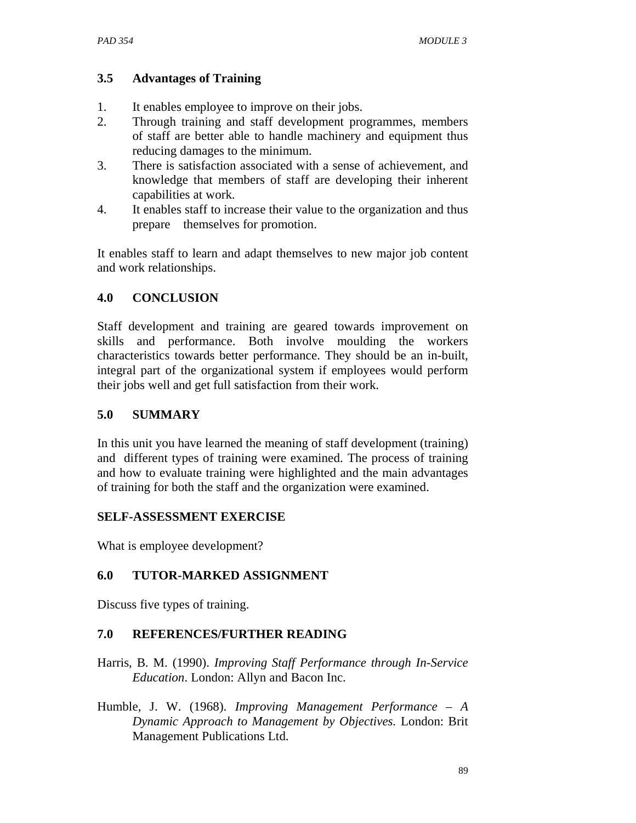### **3.5 Advantages of Training**

- 1. It enables employee to improve on their jobs.
- 2. Through training and staff development programmes, members of staff are better able to handle machinery and equipment thus reducing damages to the minimum.
- 3. There is satisfaction associated with a sense of achievement, and knowledge that members of staff are developing their inherent capabilities at work.
- 4. It enables staff to increase their value to the organization and thus prepare themselves for promotion.

It enables staff to learn and adapt themselves to new major job content and work relationships.

### **4.0 CONCLUSION**

Staff development and training are geared towards improvement on skills and performance. Both involve moulding the workers characteristics towards better performance. They should be an in-built, integral part of the organizational system if employees would perform their jobs well and get full satisfaction from their work.

### **5.0 SUMMARY**

In this unit you have learned the meaning of staff development (training) and different types of training were examined. The process of training and how to evaluate training were highlighted and the main advantages of training for both the staff and the organization were examined.

### **SELF-ASSESSMENT EXERCISE**

What is employee development?

### **6.0 TUTOR-MARKED ASSIGNMENT**

Discuss five types of training.

### **7.0 REFERENCES/FURTHER READING**

- Harris, B. M. (1990). *Improving Staff Performance through In-Service Education*. London: Allyn and Bacon Inc.
- Humble, J. W. (1968). *Improving Management Performance A Dynamic Approach to Management by Objectives.* London: Brit Management Publications Ltd.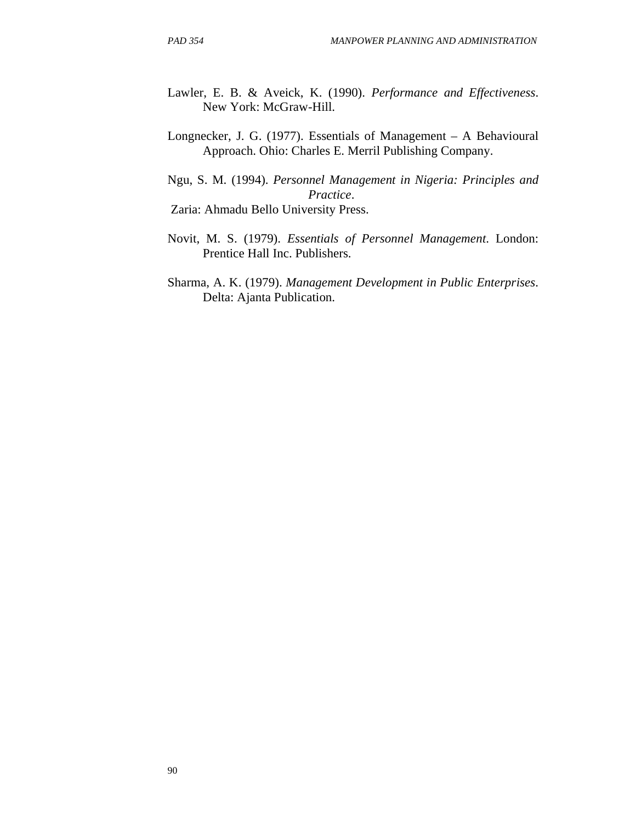- Lawler, E. B. & Aveick, K. (1990). *Performance and Effectiveness*. New York: McGraw-Hill.
- Longnecker, J. G. (1977). Essentials of Management A Behavioural Approach. Ohio: Charles E. Merril Publishing Company.

Ngu, S. M. (1994). *Personnel Management in Nigeria: Principles and Practice*. Zaria: Ahmadu Bello University Press.

- Novit, M. S. (1979). *Essentials of Personnel Management*. London: Prentice Hall Inc. Publishers.
- Sharma, A. K. (1979). *Management Development in Public Enterprises*. Delta: Ajanta Publication.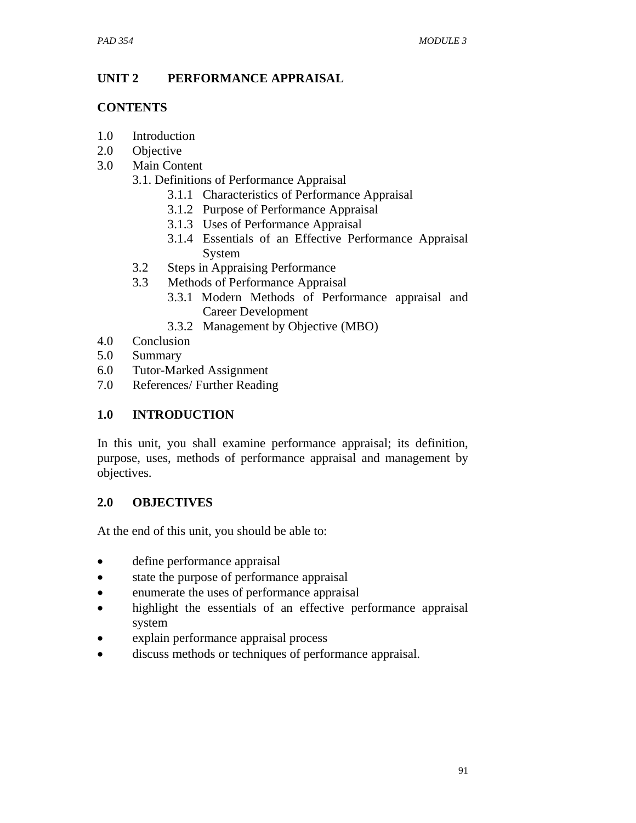## **UNIT 2 PERFORMANCE APPRAISAL**

### **CONTENTS**

- 1.0 Introduction
- 2.0 Objective
- 3.0 Main Content
	- 3.1. Definitions of Performance Appraisal
		- 3.1.1 Characteristics of Performance Appraisal
		- 3.1.2 Purpose of Performance Appraisal
		- 3.1.3 Uses of Performance Appraisal
		- 3.1.4 Essentials of an Effective Performance Appraisal System
	- 3.2 Steps in Appraising Performance
	- 3.3 Methods of Performance Appraisal
		- 3.3.1 Modern Methods of Performance appraisal and Career Development
		- 3.3.2 Management by Objective (MBO)
- 4.0 Conclusion
- 5.0 Summary
- 6.0 Tutor-Marked Assignment
- 7.0 References/ Further Reading

# **1.0 INTRODUCTION**

In this unit, you shall examine performance appraisal; its definition, purpose, uses, methods of performance appraisal and management by objectives.

# **2.0 OBJECTIVES**

At the end of this unit, you should be able to:

- define performance appraisal
- state the purpose of performance appraisal
- enumerate the uses of performance appraisal
- highlight the essentials of an effective performance appraisal system
- explain performance appraisal process
- discuss methods or techniques of performance appraisal.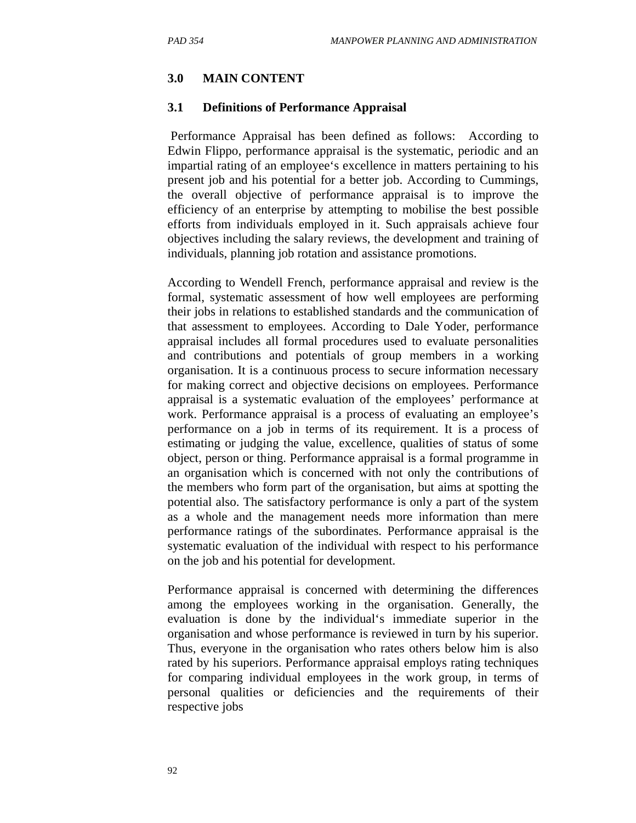#### **3.0 MAIN CONTENT**

#### **3.1 Definitions of Performance Appraisal**

Performance Appraisal has been defined as follows: According to Edwin Flippo, performance appraisal is the systematic, periodic and an impartial rating of an employee's excellence in matters pertaining to his present job and his potential for a better job. According to Cummings, the overall objective of performance appraisal is to improve the efficiency of an enterprise by attempting to mobilise the best possible efforts from individuals employed in it. Such appraisals achieve four objectives including the salary reviews, the development and training of individuals, planning job rotation and assistance promotions.

According to Wendell French, performance appraisal and review is the formal, systematic assessment of how well employees are performing their jobs in relations to established standards and the communication of that assessment to employees. According to Dale Yoder, performance appraisal includes all formal procedures used to evaluate personalities and contributions and potentials of group members in a working organisation. It is a continuous process to secure information necessary for making correct and objective decisions on employees. Performance appraisal is a systematic evaluation of the employees' performance at work. Performance appraisal is a process of evaluating an employee's performance on a job in terms of its requirement. It is a process of estimating or judging the value, excellence, qualities of status of some object, person or thing. Performance appraisal is a formal programme in an organisation which is concerned with not only the contributions of the members who form part of the organisation, but aims at spotting the potential also. The satisfactory performance is only a part of the system as a whole and the management needs more information than mere performance ratings of the subordinates. Performance appraisal is the systematic evaluation of the individual with respect to his performance on the job and his potential for development.

Performance appraisal is concerned with determining the differences among the employees working in the organisation. Generally, the evaluation is done by the individual's immediate superior in the organisation and whose performance is reviewed in turn by his superior. Thus, everyone in the organisation who rates others below him is also rated by his superiors. Performance appraisal employs rating techniques for comparing individual employees in the work group, in terms of personal qualities or deficiencies and the requirements of their respective jobs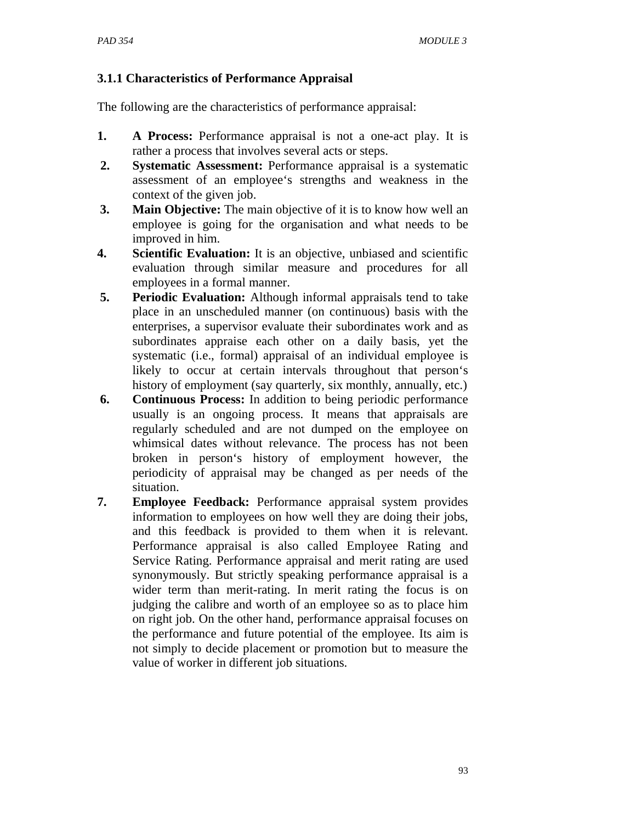### **3.1.1 Characteristics of Performance Appraisal**

The following are the characteristics of performance appraisal:

- **1. A Process:** Performance appraisal is not a one-act play. It is rather a process that involves several acts or steps.
- **2. Systematic Assessment:** Performance appraisal is a systematic assessment of an employee's strengths and weakness in the context of the given job.
- **3.** Main Objective: The main objective of it is to know how well an employee is going for the organisation and what needs to be improved in him.
- **4. Scientific Evaluation:** It is an objective, unbiased and scientific evaluation through similar measure and procedures for all employees in a formal manner.
- **5. Periodic Evaluation:** Although informal appraisals tend to take place in an unscheduled manner (on continuous) basis with the enterprises, a supervisor evaluate their subordinates work and as subordinates appraise each other on a daily basis, yet the systematic (i.e., formal) appraisal of an individual employee is likely to occur at certain intervals throughout that person's history of employment (say quarterly, six monthly, annually, etc.)
- **6. Continuous Process:** In addition to being periodic performance usually is an ongoing process. It means that appraisals are regularly scheduled and are not dumped on the employee on whimsical dates without relevance. The process has not been broken in person's history of employment however, the periodicity of appraisal may be changed as per needs of the situation.
- **7. Employee Feedback:** Performance appraisal system provides information to employees on how well they are doing their jobs, and this feedback is provided to them when it is relevant. Performance appraisal is also called Employee Rating and Service Rating. Performance appraisal and merit rating are used synonymously. But strictly speaking performance appraisal is a wider term than merit-rating. In merit rating the focus is on judging the calibre and worth of an employee so as to place him on right job. On the other hand, performance appraisal focuses on the performance and future potential of the employee. Its aim is not simply to decide placement or promotion but to measure the value of worker in different job situations.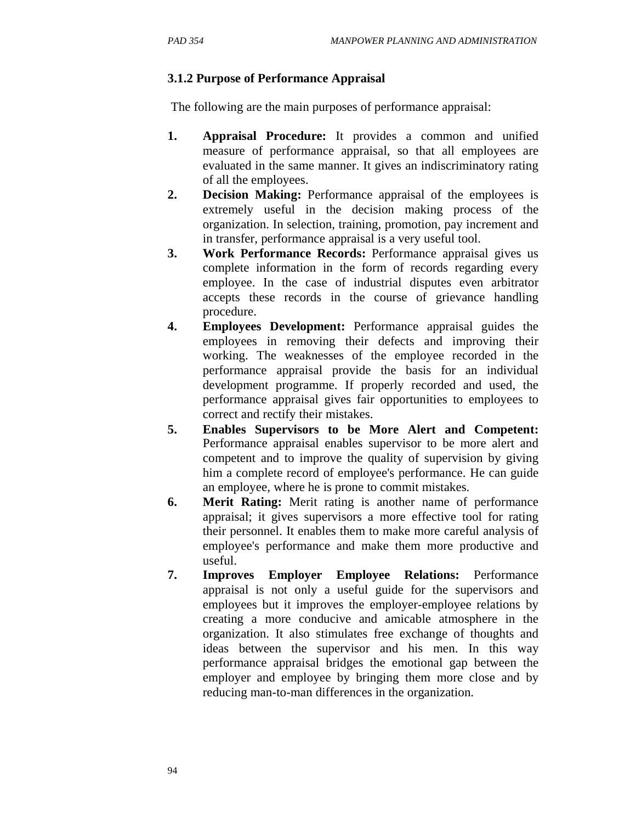### **3.1.2 Purpose of Performance Appraisal**

The following are the main purposes of performance appraisal:

- **1. Appraisal Procedure:** It provides a common and unified measure of performance appraisal, so that all employees are evaluated in the same manner. It gives an indiscriminatory rating of all the employees.
- 2. **Decision Making:** Performance appraisal of the employees is extremely useful in the decision making process of the organization. In selection, training, promotion, pay increment and in transfer, performance appraisal is a very useful tool.
- **3.** Work Performance Records: Performance appraisal gives us complete information in the form of records regarding every employee. In the case of industrial disputes even arbitrator accepts these records in the course of grievance handling procedure.
- **4. Employees Development:** Performance appraisal guides the employees in removing their defects and improving their working. The weaknesses of the employee recorded in the performance appraisal provide the basis for an individual development programme. If properly recorded and used, the performance appraisal gives fair opportunities to employees to correct and rectify their mistakes.
- **5. Enables Supervisors to be More Alert and Competent:**  Performance appraisal enables supervisor to be more alert and competent and to improve the quality of supervision by giving him a complete record of employee's performance. He can guide an employee, where he is prone to commit mistakes.
- **6. Merit Rating:** Merit rating is another name of performance appraisal; it gives supervisors a more effective tool for rating their personnel. It enables them to make more careful analysis of employee's performance and make them more productive and useful.
- **7. Improves Employer Employee Relations:** Performance appraisal is not only a useful guide for the supervisors and employees but it improves the employer-employee relations by creating a more conducive and amicable atmosphere in the organization. It also stimulates free exchange of thoughts and ideas between the supervisor and his men. In this way performance appraisal bridges the emotional gap between the employer and employee by bringing them more close and by reducing man-to-man differences in the organization.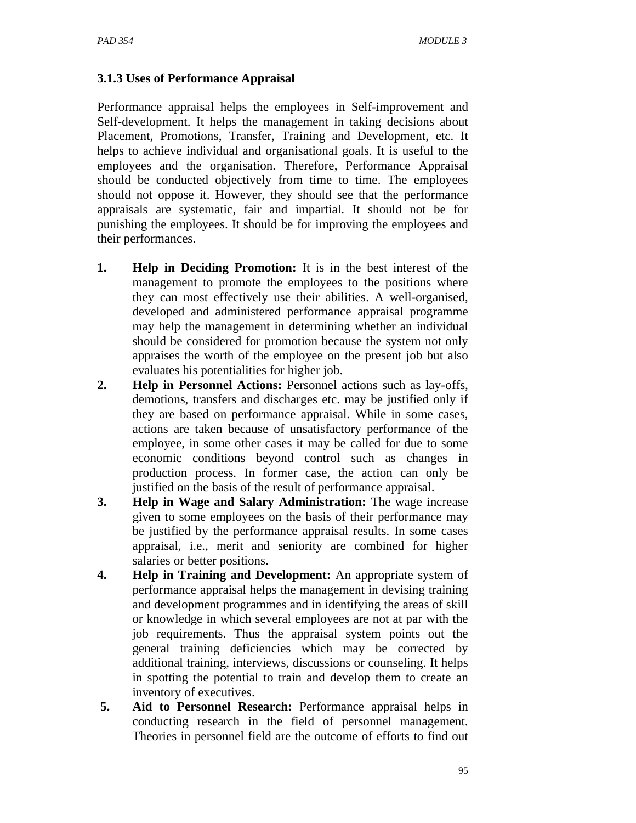### **3.1.3 Uses of Performance Appraisal**

Performance appraisal helps the employees in Self-improvement and Self-development. It helps the management in taking decisions about Placement, Promotions, Transfer, Training and Development, etc. It helps to achieve individual and organisational goals. It is useful to the employees and the organisation. Therefore, Performance Appraisal should be conducted objectively from time to time. The employees should not oppose it. However, they should see that the performance appraisals are systematic, fair and impartial. It should not be for punishing the employees. It should be for improving the employees and their performances.

- **1. Help in Deciding Promotion:** It is in the best interest of the management to promote the employees to the positions where they can most effectively use their abilities. A well-organised, developed and administered performance appraisal programme may help the management in determining whether an individual should be considered for promotion because the system not only appraises the worth of the employee on the present job but also evaluates his potentialities for higher job.
- **2. Help in Personnel Actions:** Personnel actions such as lay-offs, demotions, transfers and discharges etc. may be justified only if they are based on performance appraisal. While in some cases, actions are taken because of unsatisfactory performance of the employee, in some other cases it may be called for due to some economic conditions beyond control such as changes in production process. In former case, the action can only be justified on the basis of the result of performance appraisal.
- **3. Help in Wage and Salary Administration:** The wage increase given to some employees on the basis of their performance may be justified by the performance appraisal results. In some cases appraisal, i.e., merit and seniority are combined for higher salaries or better positions.
- **4. Help in Training and Development:** An appropriate system of performance appraisal helps the management in devising training and development programmes and in identifying the areas of skill or knowledge in which several employees are not at par with the job requirements. Thus the appraisal system points out the general training deficiencies which may be corrected by additional training, interviews, discussions or counseling. It helps in spotting the potential to train and develop them to create an inventory of executives.
- **5. Aid to Personnel Research:** Performance appraisal helps in conducting research in the field of personnel management. Theories in personnel field are the outcome of efforts to find out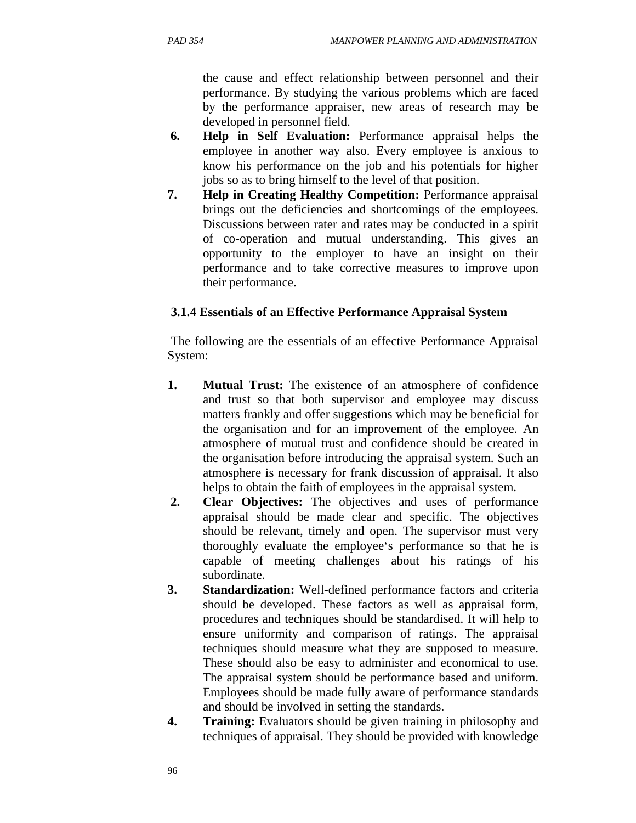the cause and effect relationship between personnel and their performance. By studying the various problems which are faced by the performance appraiser, new areas of research may be developed in personnel field.

- **6. Help in Self Evaluation:** Performance appraisal helps the employee in another way also. Every employee is anxious to know his performance on the job and his potentials for higher jobs so as to bring himself to the level of that position.
- **7. Help in Creating Healthy Competition:** Performance appraisal brings out the deficiencies and shortcomings of the employees. Discussions between rater and rates may be conducted in a spirit of co-operation and mutual understanding. This gives an opportunity to the employer to have an insight on their performance and to take corrective measures to improve upon their performance.

## **3.1.4 Essentials of an Effective Performance Appraisal System**

The following are the essentials of an effective Performance Appraisal System:

- **1. Mutual Trust:** The existence of an atmosphere of confidence and trust so that both supervisor and employee may discuss matters frankly and offer suggestions which may be beneficial for the organisation and for an improvement of the employee. An atmosphere of mutual trust and confidence should be created in the organisation before introducing the appraisal system. Such an atmosphere is necessary for frank discussion of appraisal. It also helps to obtain the faith of employees in the appraisal system.
- **2. Clear Objectives:** The objectives and uses of performance appraisal should be made clear and specific. The objectives should be relevant, timely and open. The supervisor must very thoroughly evaluate the employee's performance so that he is capable of meeting challenges about his ratings of his subordinate.
- **3. Standardization:** Well-defined performance factors and criteria should be developed. These factors as well as appraisal form, procedures and techniques should be standardised. It will help to ensure uniformity and comparison of ratings. The appraisal techniques should measure what they are supposed to measure. These should also be easy to administer and economical to use. The appraisal system should be performance based and uniform. Employees should be made fully aware of performance standards and should be involved in setting the standards.
- **4.** Training: Evaluators should be given training in philosophy and techniques of appraisal. They should be provided with knowledge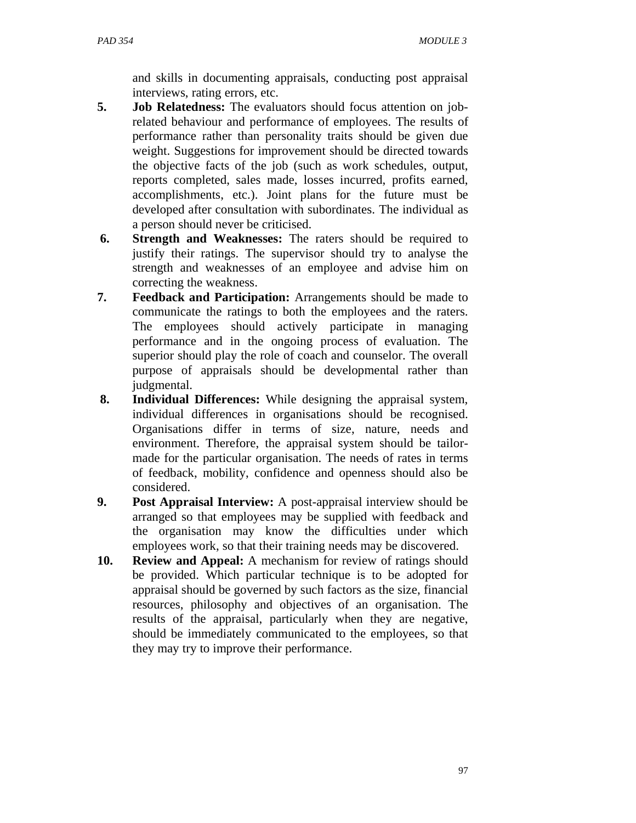and skills in documenting appraisals, conducting post appraisal interviews, rating errors, etc.

- **5. Job Relatedness:** The evaluators should focus attention on jobrelated behaviour and performance of employees. The results of performance rather than personality traits should be given due weight. Suggestions for improvement should be directed towards the objective facts of the job (such as work schedules, output, reports completed, sales made, losses incurred, profits earned, accomplishments, etc.). Joint plans for the future must be developed after consultation with subordinates. The individual as a person should never be criticised.
- **6. Strength and Weaknesses:** The raters should be required to justify their ratings. The supervisor should try to analyse the strength and weaknesses of an employee and advise him on correcting the weakness.
- **7. Feedback and Participation:** Arrangements should be made to communicate the ratings to both the employees and the raters. The employees should actively participate in managing performance and in the ongoing process of evaluation. The superior should play the role of coach and counselor. The overall purpose of appraisals should be developmental rather than judgmental.
- **8. Individual Differences:** While designing the appraisal system, individual differences in organisations should be recognised. Organisations differ in terms of size, nature, needs and environment. Therefore, the appraisal system should be tailormade for the particular organisation. The needs of rates in terms of feedback, mobility, confidence and openness should also be considered.
- **9. Post Appraisal Interview:** A post-appraisal interview should be arranged so that employees may be supplied with feedback and the organisation may know the difficulties under which employees work, so that their training needs may be discovered.
- **10. Review and Appeal:** A mechanism for review of ratings should be provided. Which particular technique is to be adopted for appraisal should be governed by such factors as the size, financial resources, philosophy and objectives of an organisation. The results of the appraisal, particularly when they are negative, should be immediately communicated to the employees, so that they may try to improve their performance.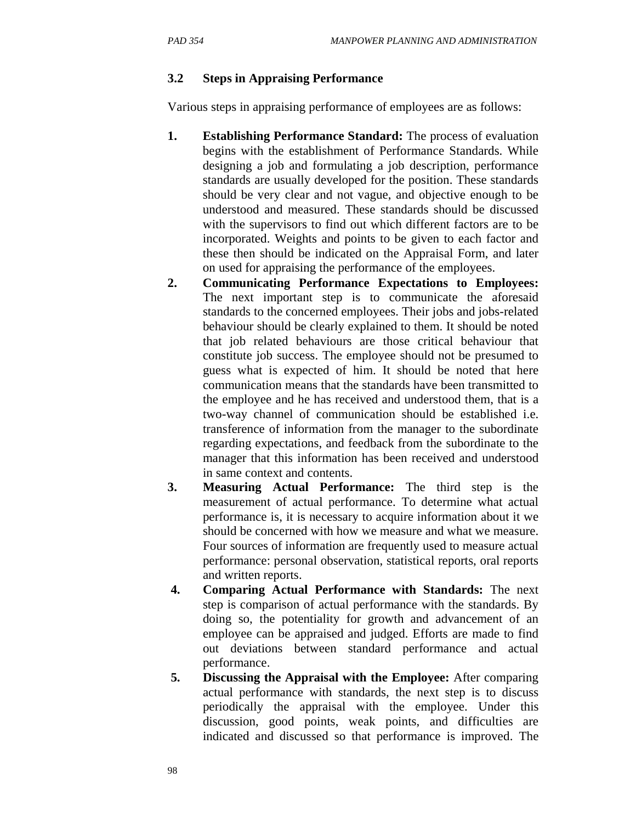#### **3.2 Steps in Appraising Performance**

Various steps in appraising performance of employees are as follows:

- **1. Establishing Performance Standard:** The process of evaluation begins with the establishment of Performance Standards. While designing a job and formulating a job description, performance standards are usually developed for the position. These standards should be very clear and not vague, and objective enough to be understood and measured. These standards should be discussed with the supervisors to find out which different factors are to be incorporated. Weights and points to be given to each factor and these then should be indicated on the Appraisal Form, and later on used for appraising the performance of the employees.
- **2. Communicating Performance Expectations to Employees:**  The next important step is to communicate the aforesaid standards to the concerned employees. Their jobs and jobs-related behaviour should be clearly explained to them. It should be noted that job related behaviours are those critical behaviour that constitute job success. The employee should not be presumed to guess what is expected of him. It should be noted that here communication means that the standards have been transmitted to the employee and he has received and understood them, that is a two-way channel of communication should be established i.e. transference of information from the manager to the subordinate regarding expectations, and feedback from the subordinate to the manager that this information has been received and understood in same context and contents.
- **3. Measuring Actual Performance:** The third step is the measurement of actual performance. To determine what actual performance is, it is necessary to acquire information about it we should be concerned with how we measure and what we measure. Four sources of information are frequently used to measure actual performance: personal observation, statistical reports, oral reports and written reports.
- **4. Comparing Actual Performance with Standards:** The next step is comparison of actual performance with the standards. By doing so, the potentiality for growth and advancement of an employee can be appraised and judged. Efforts are made to find out deviations between standard performance and actual performance.
- **5. Discussing the Appraisal with the Employee:** After comparing actual performance with standards, the next step is to discuss periodically the appraisal with the employee. Under this discussion, good points, weak points, and difficulties are indicated and discussed so that performance is improved. The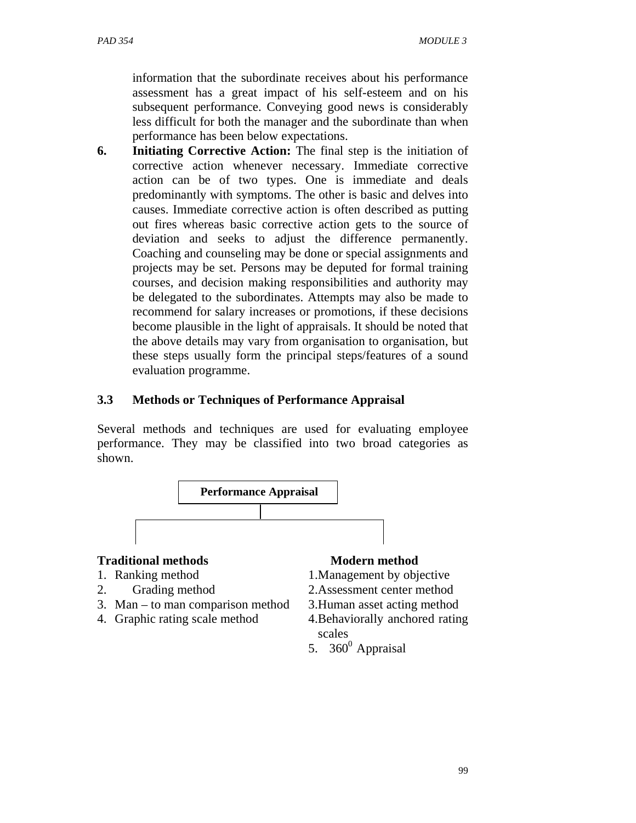information that the subordinate receives about his performance assessment has a great impact of his self-esteem and on his subsequent performance. Conveying good news is considerably less difficult for both the manager and the subordinate than when performance has been below expectations.

**6. Initiating Corrective Action:** The final step is the initiation of corrective action whenever necessary. Immediate corrective action can be of two types. One is immediate and deals predominantly with symptoms. The other is basic and delves into causes. Immediate corrective action is often described as putting out fires whereas basic corrective action gets to the source of deviation and seeks to adjust the difference permanently. Coaching and counseling may be done or special assignments and projects may be set. Persons may be deputed for formal training courses, and decision making responsibilities and authority may be delegated to the subordinates. Attempts may also be made to recommend for salary increases or promotions, if these decisions become plausible in the light of appraisals. It should be noted that the above details may vary from organisation to organisation, but these steps usually form the principal steps/features of a sound evaluation programme.

## **3.3 Methods or Techniques of Performance Appraisal**

Several methods and techniques are used for evaluating employee performance. They may be classified into two broad categories as shown.

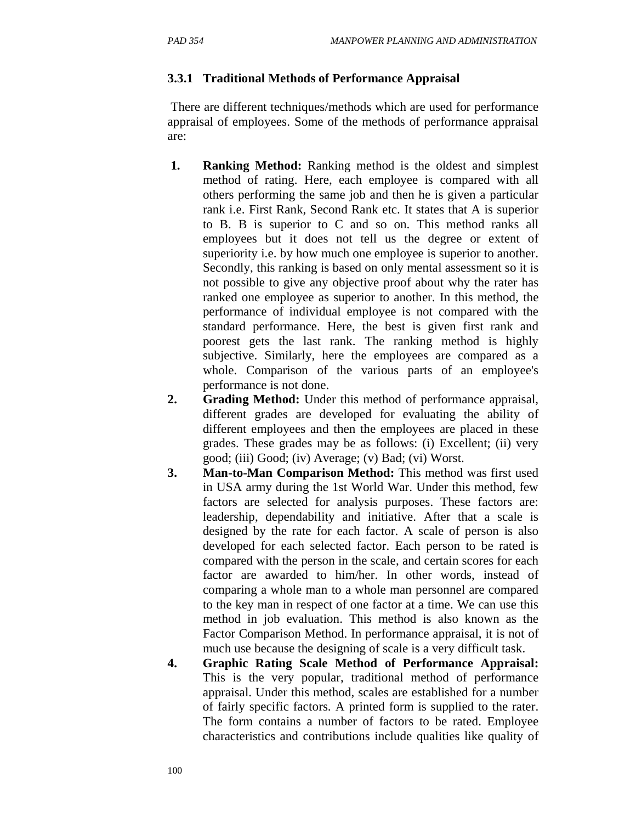### **3.3.1 Traditional Methods of Performance Appraisal**

There are different techniques/methods which are used for performance appraisal of employees. Some of the methods of performance appraisal are:

- 1. **Ranking Method:** Ranking method is the oldest and simplest method of rating. Here, each employee is compared with all others performing the same job and then he is given a particular rank i.e. First Rank, Second Rank etc. It states that A is superior to B. B is superior to C and so on. This method ranks all employees but it does not tell us the degree or extent of superiority i.e. by how much one employee is superior to another. Secondly, this ranking is based on only mental assessment so it is not possible to give any objective proof about why the rater has ranked one employee as superior to another. In this method, the performance of individual employee is not compared with the standard performance. Here, the best is given first rank and poorest gets the last rank. The ranking method is highly subjective. Similarly, here the employees are compared as a whole. Comparison of the various parts of an employee's performance is not done.
- **2. Grading Method:** Under this method of performance appraisal, different grades are developed for evaluating the ability of different employees and then the employees are placed in these grades. These grades may be as follows: (i) Excellent; (ii) very good; (iii) Good; (iv) Average; (v) Bad; (vi) Worst.
- **3. Man-to-Man Comparison Method:** This method was first used in USA army during the 1st World War. Under this method, few factors are selected for analysis purposes. These factors are: leadership, dependability and initiative. After that a scale is designed by the rate for each factor. A scale of person is also developed for each selected factor. Each person to be rated is compared with the person in the scale, and certain scores for each factor are awarded to him/her. In other words, instead of comparing a whole man to a whole man personnel are compared to the key man in respect of one factor at a time. We can use this method in job evaluation. This method is also known as the Factor Comparison Method. In performance appraisal, it is not of much use because the designing of scale is a very difficult task.
- **4. Graphic Rating Scale Method of Performance Appraisal:**  This is the very popular, traditional method of performance appraisal. Under this method, scales are established for a number of fairly specific factors. A printed form is supplied to the rater. The form contains a number of factors to be rated. Employee characteristics and contributions include qualities like quality of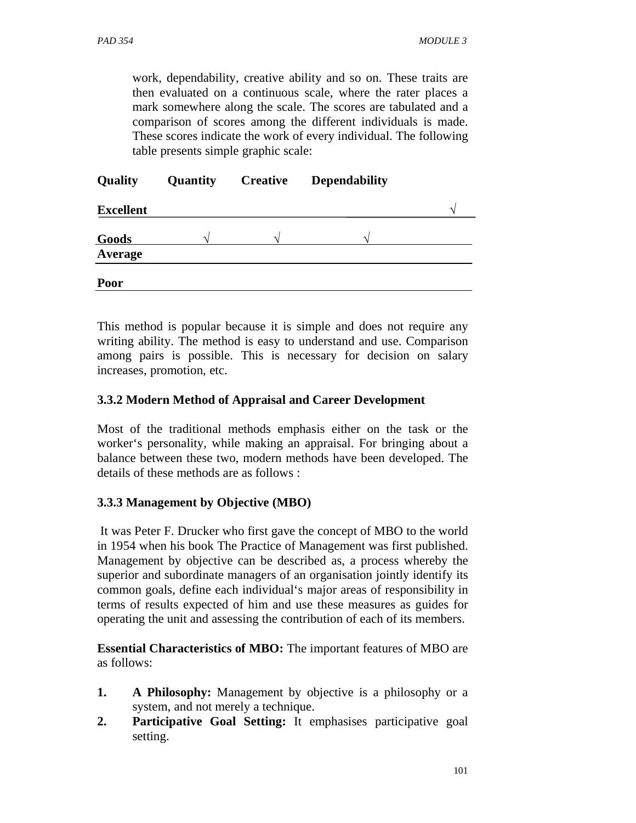work, dependability, creative ability and so on. These traits are then evaluated on a continuous scale, where the rater places a mark somewhere along the scale. The scores are tabulated and a comparison of scores among the different individuals is made. These scores indicate the work of every individual. The following table presents simple graphic scale:

**Quality Quantity Creative Dependability** 

| <b>Excellent</b> |  |  |
|------------------|--|--|
| Goods            |  |  |
| <b>Average</b>   |  |  |
| Poor             |  |  |

This method is popular because it is simple and does not require any writing ability. The method is easy to understand and use. Comparison among pairs is possible. This is necessary for decision on salary increases, promotion, etc.

## **3.3.2 Modern Method of Appraisal and Career Development**

Most of the traditional methods emphasis either on the task or the worker's personality, while making an appraisal. For bringing about a balance between these two, modern methods have been developed. The details of these methods are as follows :

# **3.3.3 Management by Objective (MBO)**

 It was Peter F. Drucker who first gave the concept of MBO to the world in 1954 when his book The Practice of Management was first published. Management by objective can be described as, a process whereby the superior and subordinate managers of an organisation jointly identify its common goals, define each individual's major areas of responsibility in terms of results expected of him and use these measures as guides for operating the unit and assessing the contribution of each of its members.

**Essential Characteristics of MBO:** The important features of MBO are as follows:

- **1. A Philosophy:** Management by objective is a philosophy or a system, and not merely a technique.
- **2. Participative Goal Setting:** It emphasises participative goal setting.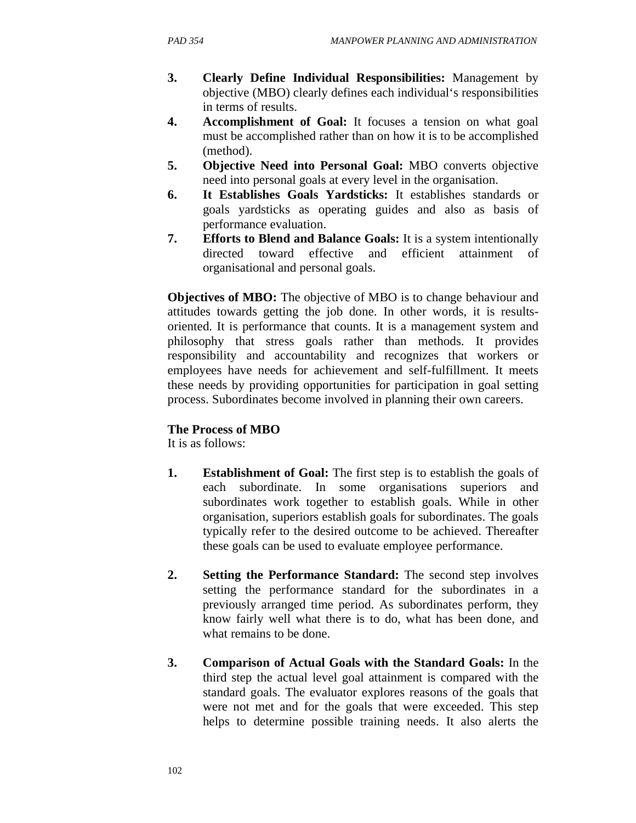- **3. Clearly Define Individual Responsibilities:** Management by objective (MBO) clearly defines each individual's responsibilities in terms of results.
- **4. Accomplishment of Goal:** It focuses a tension on what goal must be accomplished rather than on how it is to be accomplished (method).
- **5. Objective Need into Personal Goal:** MBO converts objective need into personal goals at every level in the organisation.
- **6. It Establishes Goals Yardsticks:** It establishes standards or goals yardsticks as operating guides and also as basis of performance evaluation.
- **7. Efforts to Blend and Balance Goals:** It is a system intentionally directed toward effective and efficient attainment of organisational and personal goals.

**Objectives of MBO:** The objective of MBO is to change behaviour and attitudes towards getting the job done. In other words, it is resultsoriented. It is performance that counts. It is a management system and philosophy that stress goals rather than methods. It provides responsibility and accountability and recognizes that workers or employees have needs for achievement and self-fulfillment. It meets these needs by providing opportunities for participation in goal setting process. Subordinates become involved in planning their own careers.

## **The Process of MBO**

It is as follows:

- **1.** Establishment of Goal: The first step is to establish the goals of each subordinate. In some organisations superiors and subordinates work together to establish goals. While in other organisation, superiors establish goals for subordinates. The goals typically refer to the desired outcome to be achieved. Thereafter these goals can be used to evaluate employee performance.
- **2. Setting the Performance Standard:** The second step involves setting the performance standard for the subordinates in a previously arranged time period. As subordinates perform, they know fairly well what there is to do, what has been done, and what remains to be done.
- **3. Comparison of Actual Goals with the Standard Goals:** In the third step the actual level goal attainment is compared with the standard goals. The evaluator explores reasons of the goals that were not met and for the goals that were exceeded. This step helps to determine possible training needs. It also alerts the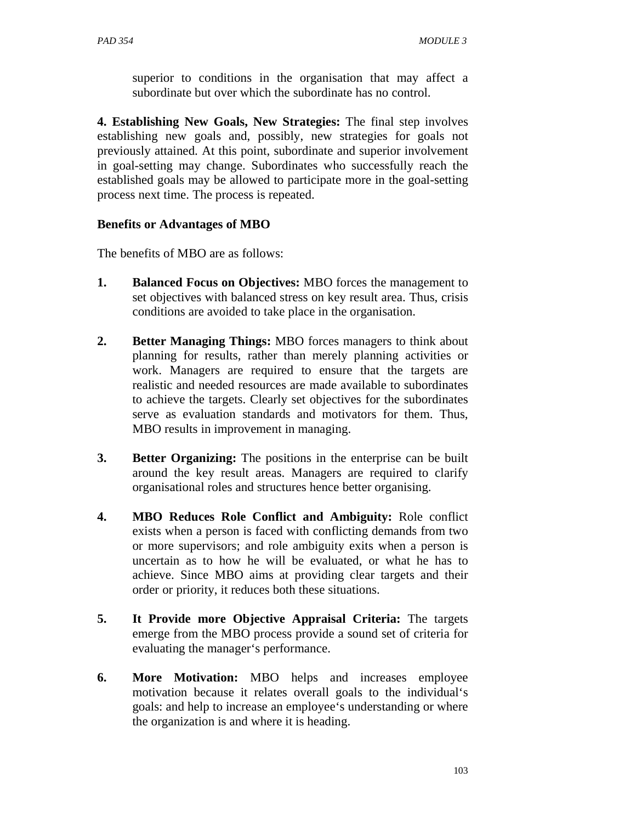superior to conditions in the organisation that may affect a subordinate but over which the subordinate has no control.

**4. Establishing New Goals, New Strategies:** The final step involves establishing new goals and, possibly, new strategies for goals not previously attained. At this point, subordinate and superior involvement in goal-setting may change. Subordinates who successfully reach the established goals may be allowed to participate more in the goal-setting process next time. The process is repeated.

## **Benefits or Advantages of MBO**

The benefits of MBO are as follows:

- **1. Balanced Focus on Objectives:** MBO forces the management to set objectives with balanced stress on key result area. Thus, crisis conditions are avoided to take place in the organisation.
- **2. Better Managing Things:** MBO forces managers to think about planning for results, rather than merely planning activities or work. Managers are required to ensure that the targets are realistic and needed resources are made available to subordinates to achieve the targets. Clearly set objectives for the subordinates serve as evaluation standards and motivators for them. Thus, MBO results in improvement in managing.
- **3. Better Organizing:** The positions in the enterprise can be built around the key result areas. Managers are required to clarify organisational roles and structures hence better organising.
- **4. MBO Reduces Role Conflict and Ambiguity:** Role conflict exists when a person is faced with conflicting demands from two or more supervisors; and role ambiguity exits when a person is uncertain as to how he will be evaluated, or what he has to achieve. Since MBO aims at providing clear targets and their order or priority, it reduces both these situations.
- **5. It Provide more Objective Appraisal Criteria:** The targets emerge from the MBO process provide a sound set of criteria for evaluating the manager's performance.
- **6. More Motivation:** MBO helps and increases employee motivation because it relates overall goals to the individual's goals: and help to increase an employee's understanding or where the organization is and where it is heading.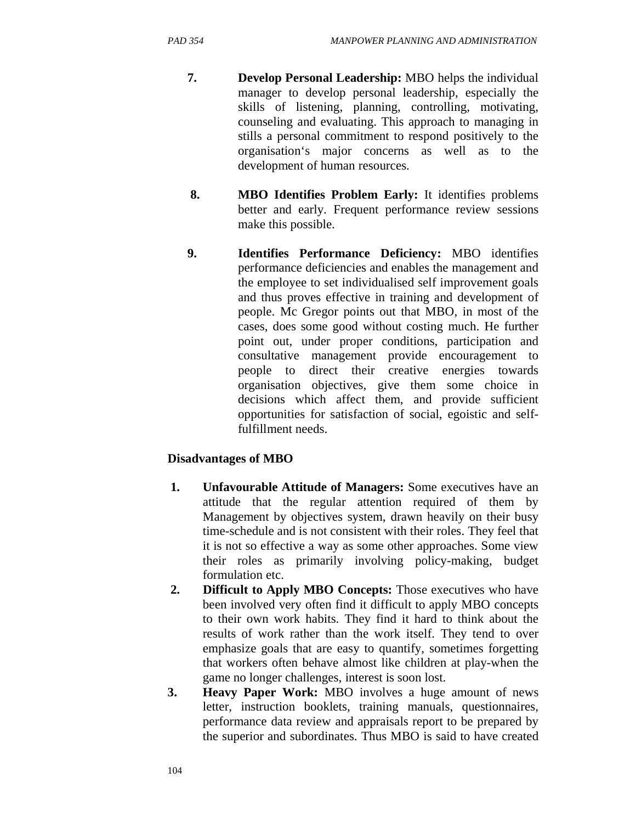- **7. Develop Personal Leadership:** MBO helps the individual manager to develop personal leadership, especially the skills of listening, planning, controlling, motivating, counseling and evaluating. This approach to managing in stills a personal commitment to respond positively to the organisation's major concerns as well as to the development of human resources.
- **8. MBO Identifies Problem Early:** It identifies problems better and early. Frequent performance review sessions make this possible.
- **9. Identifies Performance Deficiency:** MBO identifies performance deficiencies and enables the management and the employee to set individualised self improvement goals and thus proves effective in training and development of people. Mc Gregor points out that MBO, in most of the cases, does some good without costing much. He further point out, under proper conditions, participation and consultative management provide encouragement to people to direct their creative energies towards organisation objectives, give them some choice in decisions which affect them, and provide sufficient opportunities for satisfaction of social, egoistic and selffulfillment needs.

## **Disadvantages of MBO**

- **1. Unfavourable Attitude of Managers:** Some executives have an attitude that the regular attention required of them by Management by objectives system, drawn heavily on their busy time-schedule and is not consistent with their roles. They feel that it is not so effective a way as some other approaches. Some view their roles as primarily involving policy-making, budget formulation etc.
- **2. Difficult to Apply MBO Concepts:** Those executives who have been involved very often find it difficult to apply MBO concepts to their own work habits. They find it hard to think about the results of work rather than the work itself. They tend to over emphasize goals that are easy to quantify, sometimes forgetting that workers often behave almost like children at play-when the game no longer challenges, interest is soon lost.
- **3. Heavy Paper Work:** MBO involves a huge amount of news letter, instruction booklets, training manuals, questionnaires, performance data review and appraisals report to be prepared by the superior and subordinates. Thus MBO is said to have created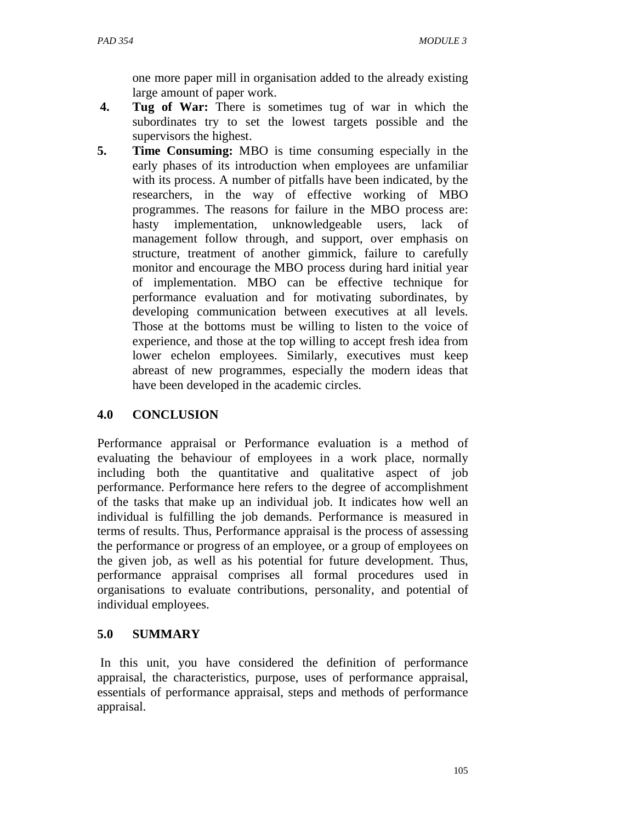one more paper mill in organisation added to the already existing large amount of paper work.

- **4. Tug of War:** There is sometimes tug of war in which the subordinates try to set the lowest targets possible and the supervisors the highest.
- **5. Time Consuming:** MBO is time consuming especially in the early phases of its introduction when employees are unfamiliar with its process. A number of pitfalls have been indicated, by the researchers, in the way of effective working of MBO programmes. The reasons for failure in the MBO process are: hasty implementation, unknowledgeable users, lack of management follow through, and support, over emphasis on structure, treatment of another gimmick, failure to carefully monitor and encourage the MBO process during hard initial year of implementation. MBO can be effective technique for performance evaluation and for motivating subordinates, by developing communication between executives at all levels. Those at the bottoms must be willing to listen to the voice of experience, and those at the top willing to accept fresh idea from lower echelon employees. Similarly, executives must keep abreast of new programmes, especially the modern ideas that have been developed in the academic circles.

# **4.0 CONCLUSION**

Performance appraisal or Performance evaluation is a method of evaluating the behaviour of employees in a work place, normally including both the quantitative and qualitative aspect of job performance. Performance here refers to the degree of accomplishment of the tasks that make up an individual job. It indicates how well an individual is fulfilling the job demands. Performance is measured in terms of results. Thus, Performance appraisal is the process of assessing the performance or progress of an employee, or a group of employees on the given job, as well as his potential for future development. Thus, performance appraisal comprises all formal procedures used in organisations to evaluate contributions, personality, and potential of individual employees.

# **5.0 SUMMARY**

In this unit, you have considered the definition of performance appraisal, the characteristics, purpose, uses of performance appraisal, essentials of performance appraisal, steps and methods of performance appraisal.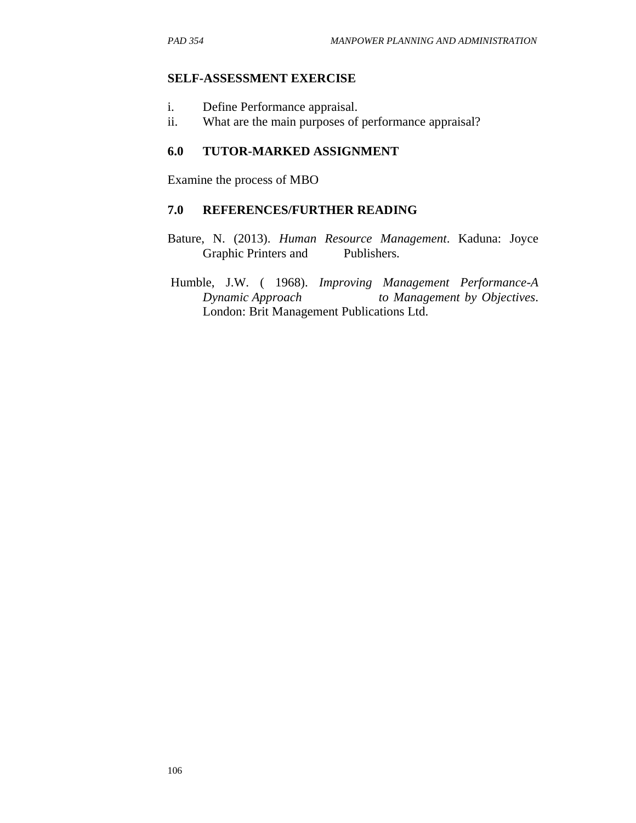#### **SELF-ASSESSMENT EXERCISE**

- i. Define Performance appraisal.
- ii. What are the main purposes of performance appraisal?

## **6.0 TUTOR-MARKED ASSIGNMENT**

Examine the process of MBO

#### **7.0 REFERENCES/FURTHER READING**

- Bature, N. (2013). *Human Resource Management*. Kaduna: Joyce Graphic Printers and Publishers.
- Humble, J.W. ( 1968). *Improving Management Performance-A Dynamic Approach to Management by Objectives*. London: Brit Management Publications Ltd.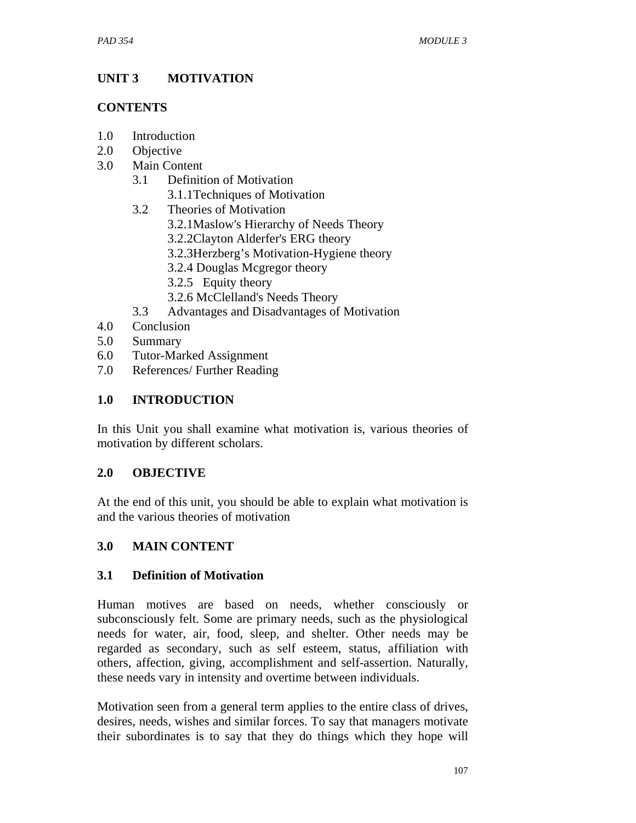# **UNIT 3 MOTIVATION**

## **CONTENTS**

- 1.0 Introduction
- 2.0 Objective
- 3.0 Main Content
	- 3.1 Definition of Motivation
		- 3.1.1Techniques of Motivation
	- 3.2 Theories of Motivation
		- 3.2.1Maslow's Hierarchy of Needs Theory
		- 3.2.2Clayton Alderfer's ERG theory
		- 3.2.3Herzberg's Motivation-Hygiene theory
		- 3.2.4 Douglas Mcgregor theory
		- 3.2.5 Equity theory
		- 3.2.6 McClelland's Needs Theory
	- 3.3 Advantages and Disadvantages of Motivation
- 4.0 Conclusion
- 5.0 Summary
- 6.0 Tutor-Marked Assignment
- 7.0 References/ Further Reading

# **1.0 INTRODUCTION**

In this Unit you shall examine what motivation is, various theories of motivation by different scholars.

# **2.0 OBJECTIVE**

At the end of this unit, you should be able to explain what motivation is and the various theories of motivation

# **3.0 MAIN CONTENT**

# **3.1 Definition of Motivation**

Human motives are based on needs, whether consciously or subconsciously felt. Some are primary needs, such as the physiological needs for water, air, food, sleep, and shelter. Other needs may be regarded as secondary, such as self esteem, status, affiliation with others, affection, giving, accomplishment and self-assertion. Naturally, these needs vary in intensity and overtime between individuals.

Motivation seen from a general term applies to the entire class of drives, desires, needs, wishes and similar forces. To say that managers motivate their subordinates is to say that they do things which they hope will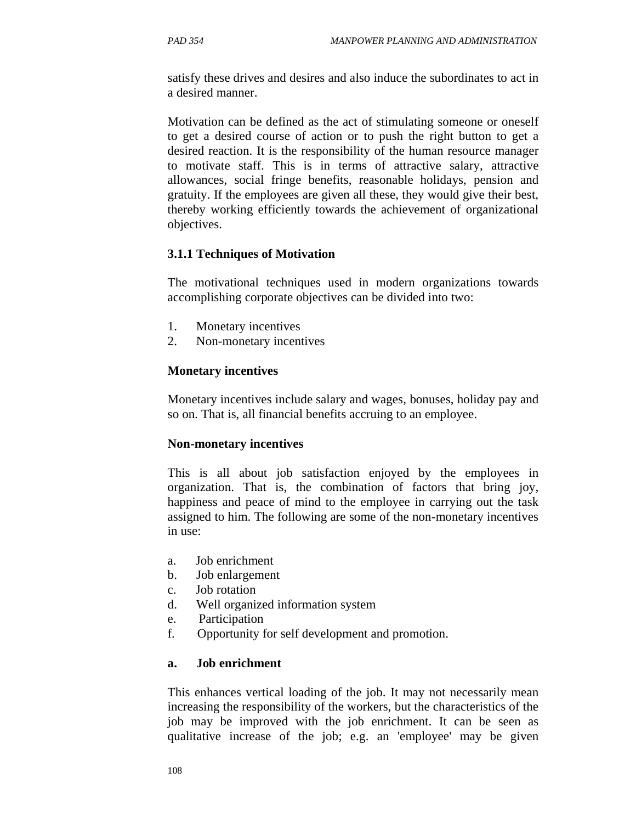satisfy these drives and desires and also induce the subordinates to act in a desired manner.

Motivation can be defined as the act of stimulating someone or oneself to get a desired course of action or to push the right button to get a desired reaction. It is the responsibility of the human resource manager to motivate staff. This is in terms of attractive salary, attractive allowances, social fringe benefits, reasonable holidays, pension and gratuity. If the employees are given all these, they would give their best, thereby working efficiently towards the achievement of organizational objectives.

## **3.1.1 Techniques of Motivation**

The motivational techniques used in modern organizations towards accomplishing corporate objectives can be divided into two:

- 1. Monetary incentives
- 2. Non-monetary incentives

## **Monetary incentives**

Monetary incentives include salary and wages, bonuses, holiday pay and so on. That is, all financial benefits accruing to an employee.

#### **Non-monetary incentives**

This is all about job satisfaction enjoyed by the employees in organization. That is, the combination of factors that bring joy, happiness and peace of mind to the employee in carrying out the task assigned to him. The following are some of the non-monetary incentives in use:

- a. Job enrichment
- b. Job enlargement
- c. Job rotation
- d. Well organized information system
- e. Participation
- f. Opportunity for self development and promotion.

## **a. Job enrichment**

This enhances vertical loading of the job. It may not necessarily mean increasing the responsibility of the workers, but the characteristics of the job may be improved with the job enrichment. It can be seen as qualitative increase of the job; e.g. an 'employee' may be given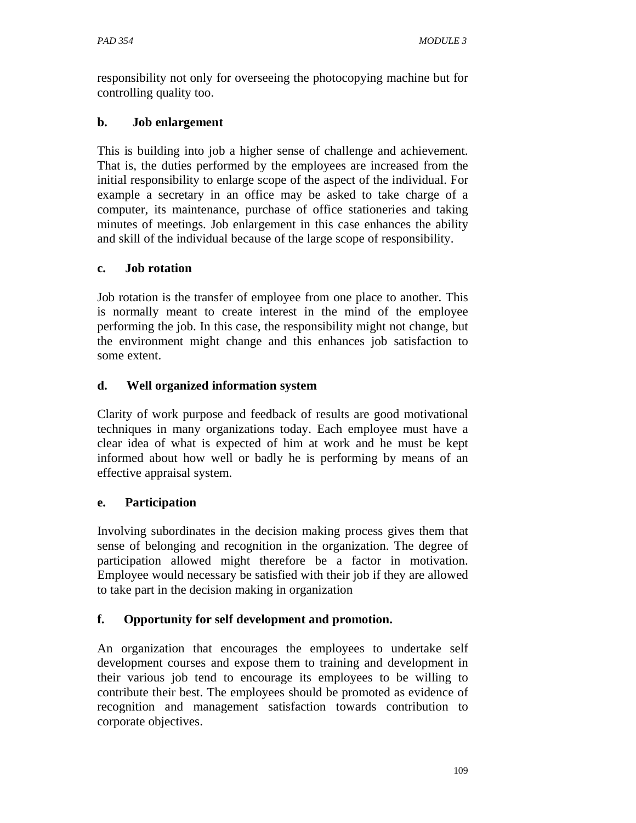responsibility not only for overseeing the photocopying machine but for controlling quality too.

## **b. Job enlargement**

This is building into job a higher sense of challenge and achievement. That is, the duties performed by the employees are increased from the initial responsibility to enlarge scope of the aspect of the individual. For example a secretary in an office may be asked to take charge of a computer, its maintenance, purchase of office stationeries and taking minutes of meetings. Job enlargement in this case enhances the ability and skill of the individual because of the large scope of responsibility.

## **c. Job rotation**

Job rotation is the transfer of employee from one place to another. This is normally meant to create interest in the mind of the employee performing the job. In this case, the responsibility might not change, but the environment might change and this enhances job satisfaction to some extent.

# **d. Well organized information system**

Clarity of work purpose and feedback of results are good motivational techniques in many organizations today. Each employee must have a clear idea of what is expected of him at work and he must be kept informed about how well or badly he is performing by means of an effective appraisal system.

# **e. Participation**

Involving subordinates in the decision making process gives them that sense of belonging and recognition in the organization. The degree of participation allowed might therefore be a factor in motivation. Employee would necessary be satisfied with their job if they are allowed to take part in the decision making in organization

# **f. Opportunity for self development and promotion.**

An organization that encourages the employees to undertake self development courses and expose them to training and development in their various job tend to encourage its employees to be willing to contribute their best. The employees should be promoted as evidence of recognition and management satisfaction towards contribution to corporate objectives.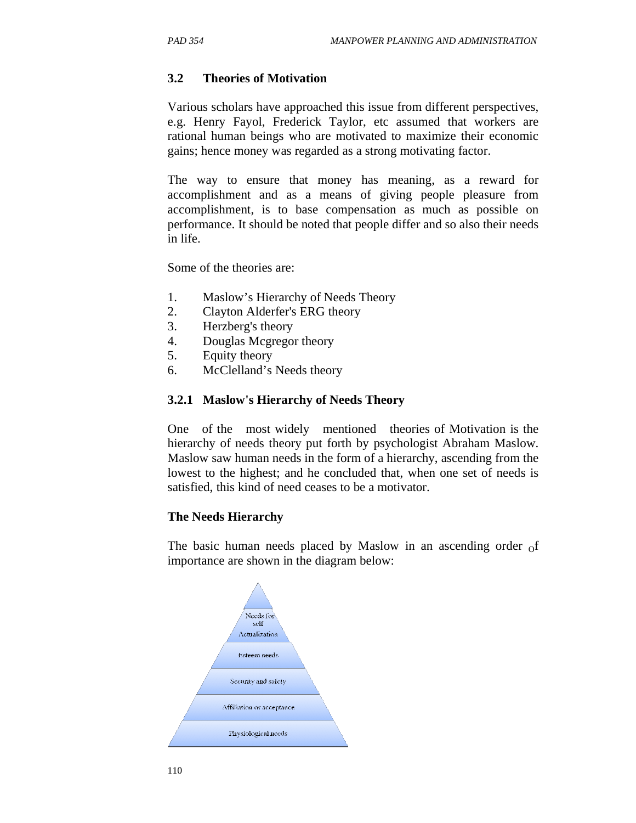#### **3.2 Theories of Motivation**

Various scholars have approached this issue from different perspectives, e.g. Henry Fayol, Frederick Taylor, etc assumed that workers are rational human beings who are motivated to maximize their economic gains; hence money was regarded as a strong motivating factor.

The way to ensure that money has meaning, as a reward for accomplishment and as a means of giving people pleasure from accomplishment, is to base compensation as much as possible on performance. It should be noted that people differ and so also their needs in life.

Some of the theories are:

- 1. Maslow's Hierarchy of Needs Theory
- 2. Clayton Alderfer's ERG theory
- 3. Herzberg's theory
- 4. Douglas Mcgregor theory
- 5. Equity theory
- 6. McClelland's Needs theory

#### **3.2.1 Maslow's Hierarchy of Needs Theory**

One of the most widely mentioned theories of Motivation is the hierarchy of needs theory put forth by psychologist Abraham Maslow. Maslow saw human needs in the form of a hierarchy, ascending from the lowest to the highest; and he concluded that, when one set of needs is satisfied, this kind of need ceases to be a motivator.

#### **The Needs Hierarchy**

The basic human needs placed by Maslow in an ascending order  $_0$ f importance are shown in the diagram below:

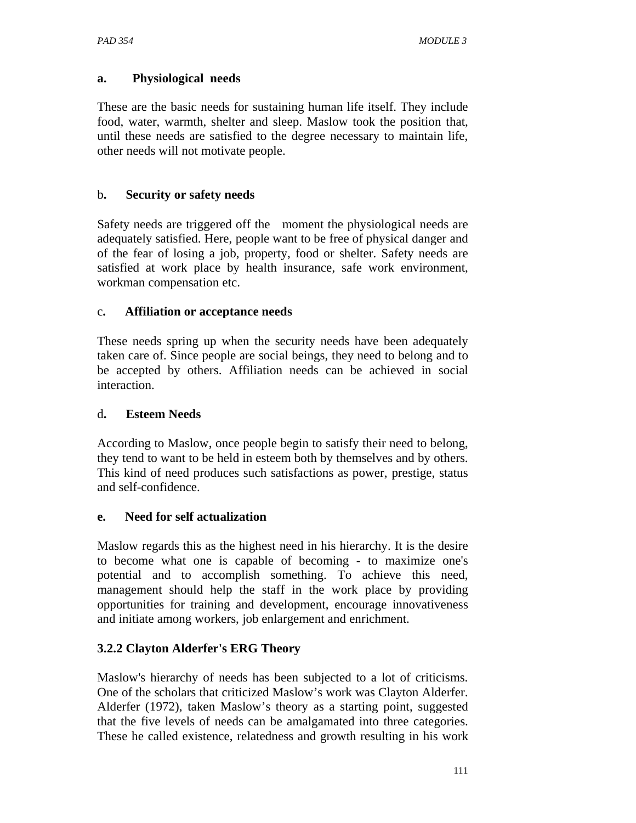## **a. Physiological needs**

These are the basic needs for sustaining human life itself. They include food, water, warmth, shelter and sleep. Maslow took the position that, until these needs are satisfied to the degree necessary to maintain life, other needs will not motivate people.

## b**. Security or safety needs**

Safety needs are triggered off the moment the physiological needs are adequately satisfied. Here, people want to be free of physical danger and of the fear of losing a job, property, food or shelter. Safety needs are satisfied at work place by health insurance, safe work environment, workman compensation etc.

# c**. Affiliation or acceptance needs**

These needs spring up when the security needs have been adequately taken care of. Since people are social beings, they need to belong and to be accepted by others. Affiliation needs can be achieved in social interaction.

## d**. Esteem Needs**

According to Maslow, once people begin to satisfy their need to belong, they tend to want to be held in esteem both by themselves and by others. This kind of need produces such satisfactions as power, prestige, status and self-confidence.

# **e. Need for self actualization**

Maslow regards this as the highest need in his hierarchy. It is the desire to become what one is capable of becoming - to maximize one's potential and to accomplish something. To achieve this need, management should help the staff in the work place by providing opportunities for training and development, encourage innovativeness and initiate among workers, job enlargement and enrichment.

# **3.2.2 Clayton Alderfer's ERG Theory**

Maslow's hierarchy of needs has been subjected to a lot of criticisms. One of the scholars that criticized Maslow's work was Clayton Alderfer. Alderfer (1972), taken Maslow's theory as a starting point, suggested that the five levels of needs can be amalgamated into three categories. These he called existence, relatedness and growth resulting in his work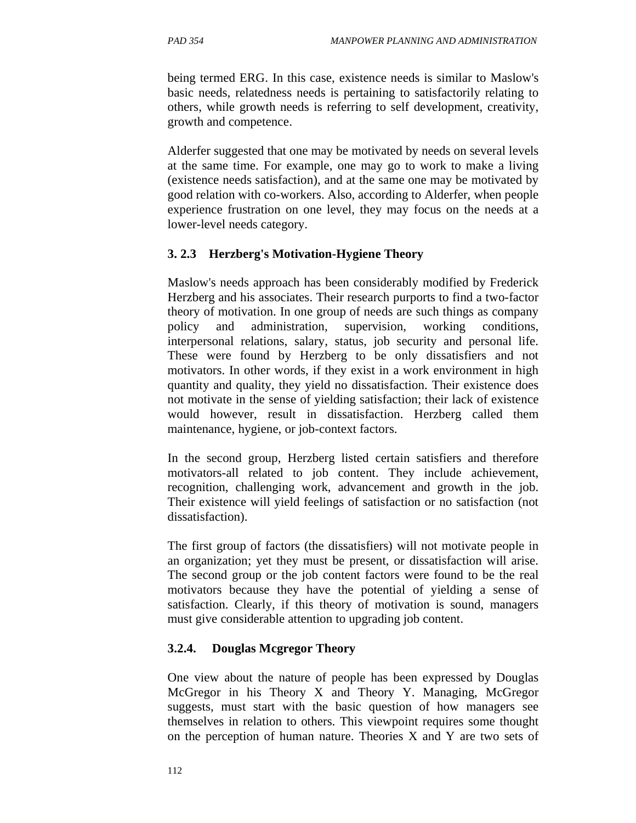being termed ERG. In this case, existence needs is similar to Maslow's basic needs, relatedness needs is pertaining to satisfactorily relating to others, while growth needs is referring to self development, creativity, growth and competence.

Alderfer suggested that one may be motivated by needs on several levels at the same time. For example, one may go to work to make a living (existence needs satisfaction), and at the same one may be motivated by good relation with co-workers. Also, according to Alderfer, when people experience frustration on one level, they may focus on the needs at a lower-level needs category.

## **3. 2.3 Herzberg's Motivation-Hygiene Theory**

Maslow's needs approach has been considerably modified by Frederick Herzberg and his associates. Their research purports to find a two-factor theory of motivation. In one group of needs are such things as company policy and administration, supervision, working conditions, interpersonal relations, salary, status, job security and personal life. These were found by Herzberg to be only dissatisfiers and not motivators. In other words, if they exist in a work environment in high quantity and quality, they yield no dissatisfaction. Their existence does not motivate in the sense of yielding satisfaction; their lack of existence would however, result in dissatisfaction. Herzberg called them maintenance, hygiene, or job-context factors.

In the second group, Herzberg listed certain satisfiers and therefore motivators-all related to job content. They include achievement, recognition, challenging work, advancement and growth in the job. Their existence will yield feelings of satisfaction or no satisfaction (not dissatisfaction).

The first group of factors (the dissatisfiers) will not motivate people in an organization; yet they must be present, or dissatisfaction will arise. The second group or the job content factors were found to be the real motivators because they have the potential of yielding a sense of satisfaction. Clearly, if this theory of motivation is sound, managers must give considerable attention to upgrading job content.

# **3.2.4. Douglas Mcgregor Theory**

One view about the nature of people has been expressed by Douglas McGregor in his Theory X and Theory Y. Managing, McGregor suggests, must start with the basic question of how managers see themselves in relation to others. This viewpoint requires some thought on the perception of human nature. Theories X and Y are two sets of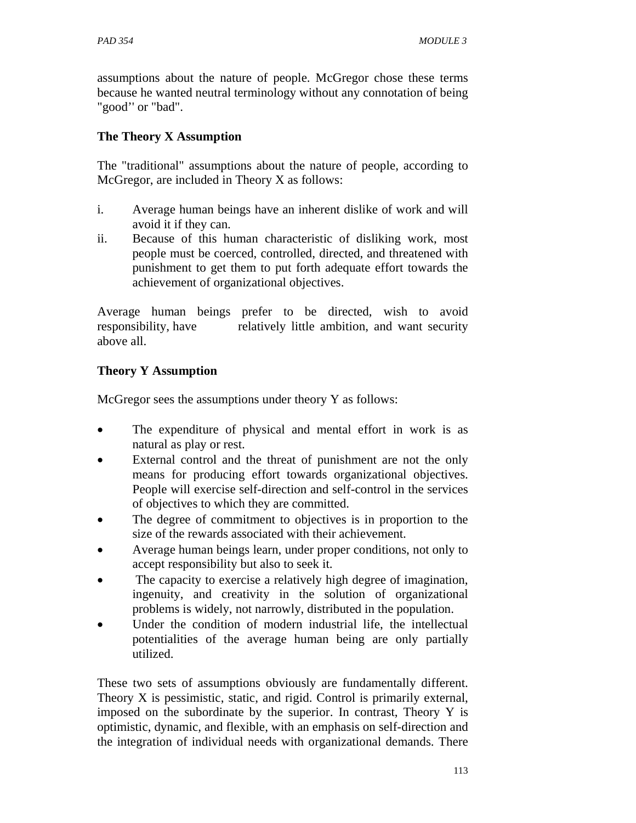assumptions about the nature of people. McGregor chose these terms because he wanted neutral terminology without any connotation of being "good'' or "bad".

## **The Theory X Assumption**

The "traditional" assumptions about the nature of people, according to McGregor, are included in Theory X as follows:

- i. Average human beings have an inherent dislike of work and will avoid it if they can.
- ii. Because of this human characteristic of disliking work, most people must be coerced, controlled, directed, and threatened with punishment to get them to put forth adequate effort towards the achievement of organizational objectives.

Average human beings prefer to be directed, wish to avoid responsibility, have relatively little ambition, and want security above all.

# **Theory Y Assumption**

McGregor sees the assumptions under theory Y as follows:

- The expenditure of physical and mental effort in work is as natural as play or rest.
- External control and the threat of punishment are not the only means for producing effort towards organizational objectives. People will exercise self-direction and self-control in the services of objectives to which they are committed.
- The degree of commitment to objectives is in proportion to the size of the rewards associated with their achievement.
- Average human beings learn, under proper conditions, not only to accept responsibility but also to seek it.
- The capacity to exercise a relatively high degree of imagination, ingenuity, and creativity in the solution of organizational problems is widely, not narrowly, distributed in the population.
- Under the condition of modern industrial life, the intellectual potentialities of the average human being are only partially utilized.

These two sets of assumptions obviously are fundamentally different. Theory X is pessimistic, static, and rigid. Control is primarily external, imposed on the subordinate by the superior. In contrast, Theory Y is optimistic, dynamic, and flexible, with an emphasis on self-direction and the integration of individual needs with organizational demands. There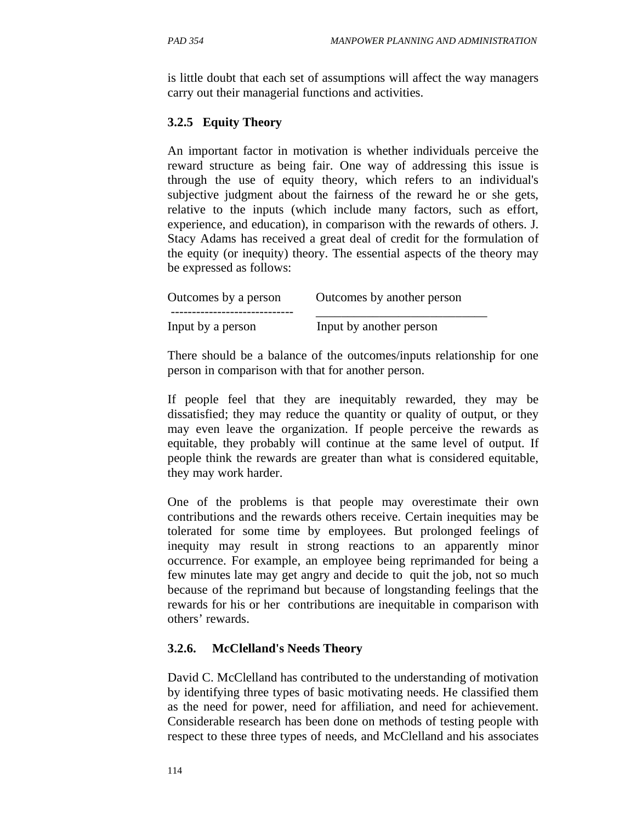is little doubt that each set of assumptions will affect the way managers carry out their managerial functions and activities.

#### **3.2.5 Equity Theory**

An important factor in motivation is whether individuals perceive the reward structure as being fair. One way of addressing this issue is through the use of equity theory, which refers to an individual's subjective judgment about the fairness of the reward he or she gets, relative to the inputs (which include many factors, such as effort, experience, and education), in comparison with the rewards of others. J. Stacy Adams has received a great deal of credit for the formulation of the equity (or inequity) theory. The essential aspects of the theory may be expressed as follows:

| Outcomes by a person | Outcomes by another person |  |  |
|----------------------|----------------------------|--|--|
|                      |                            |  |  |
| Input by a person    | Input by another person    |  |  |

There should be a balance of the outcomes/inputs relationship for one person in comparison with that for another person.

If people feel that they are inequitably rewarded, they may be dissatisfied; they may reduce the quantity or quality of output, or they may even leave the organization. If people perceive the rewards as equitable, they probably will continue at the same level of output. If people think the rewards are greater than what is considered equitable, they may work harder.

One of the problems is that people may overestimate their own contributions and the rewards others receive. Certain inequities may be tolerated for some time by employees. But prolonged feelings of inequity may result in strong reactions to an apparently minor occurrence. For example, an employee being reprimanded for being a few minutes late may get angry and decide to quit the job, not so much because of the reprimand but because of longstanding feelings that the rewards for his or her contributions are inequitable in comparison with others' rewards.

## **3.2.6. McClelland's Needs Theory**

David C. McClelland has contributed to the understanding of motivation by identifying three types of basic motivating needs. He classified them as the need for power, need for affiliation, and need for achievement. Considerable research has been done on methods of testing people with respect to these three types of needs, and McClelland and his associates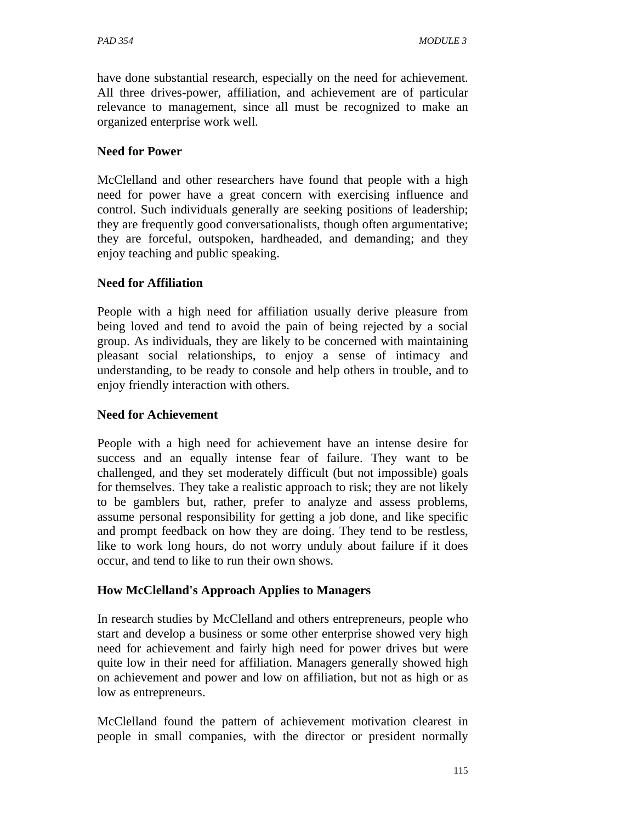have done substantial research, especially on the need for achievement. All three drives-power, affiliation, and achievement are of particular relevance to management, since all must be recognized to make an organized enterprise work well.

## **Need for Power**

McClelland and other researchers have found that people with a high need for power have a great concern with exercising influence and control. Such individuals generally are seeking positions of leadership; they are frequently good conversationalists, though often argumentative; they are forceful, outspoken, hardheaded, and demanding; and they enjoy teaching and public speaking.

## **Need for Affiliation**

People with a high need for affiliation usually derive pleasure from being loved and tend to avoid the pain of being rejected by a social group. As individuals, they are likely to be concerned with maintaining pleasant social relationships, to enjoy a sense of intimacy and understanding, to be ready to console and help others in trouble, and to enjoy friendly interaction with others.

## **Need for Achievement**

People with a high need for achievement have an intense desire for success and an equally intense fear of failure. They want to be challenged, and they set moderately difficult (but not impossible) goals for themselves. They take a realistic approach to risk; they are not likely to be gamblers but, rather, prefer to analyze and assess problems, assume personal responsibility for getting a job done, and like specific and prompt feedback on how they are doing. They tend to be restless, like to work long hours, do not worry unduly about failure if it does occur, and tend to like to run their own shows.

## **How McClelland's Approach Applies to Managers**

In research studies by McClelland and others entrepreneurs, people who start and develop a business or some other enterprise showed very high need for achievement and fairly high need for power drives but were quite low in their need for affiliation. Managers generally showed high on achievement and power and low on affiliation, but not as high or as low as entrepreneurs.

McClelland found the pattern of achievement motivation clearest in people in small companies, with the director or president normally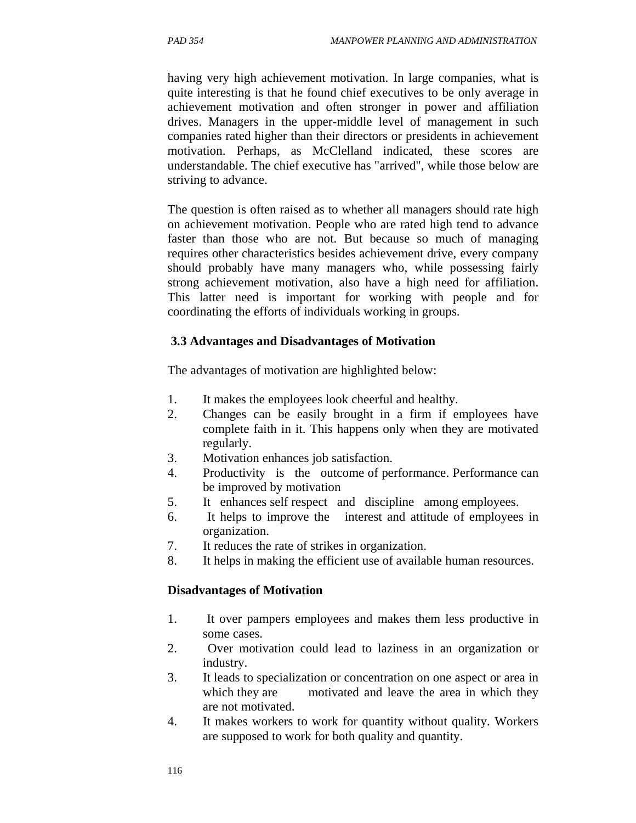having very high achievement motivation. In large companies, what is quite interesting is that he found chief executives to be only average in achievement motivation and often stronger in power and affiliation drives. Managers in the upper-middle level of management in such companies rated higher than their directors or presidents in achievement motivation. Perhaps, as McClelland indicated, these scores are understandable. The chief executive has "arrived", while those below are striving to advance.

The question is often raised as to whether all managers should rate high on achievement motivation. People who are rated high tend to advance faster than those who are not. But because so much of managing requires other characteristics besides achievement drive, every company should probably have many managers who, while possessing fairly strong achievement motivation, also have a high need for affiliation. This latter need is important for working with people and for coordinating the efforts of individuals working in groups.

## **3.3 Advantages and Disadvantages of Motivation**

The advantages of motivation are highlighted below:

- 1. It makes the employees look cheerful and healthy.
- 2. Changes can be easily brought in a firm if employees have complete faith in it. This happens only when they are motivated regularly.
- 3. Motivation enhances job satisfaction.
- 4. Productivity is the outcome of performance. Performance can be improved by motivation
- 5. It enhances self respect and discipline among employees.
- 6. It helps to improve the interest and attitude of employees in organization.
- 7. It reduces the rate of strikes in organization.
- 8. It helps in making the efficient use of available human resources.

#### **Disadvantages of Motivation**

- 1. It over pampers employees and makes them less productive in some cases.
- 2. Over motivation could lead to laziness in an organization or industry.
- 3. It leads to specialization or concentration on one aspect or area in which they are motivated and leave the area in which they are not motivated.
- 4. It makes workers to work for quantity without quality. Workers are supposed to work for both quality and quantity.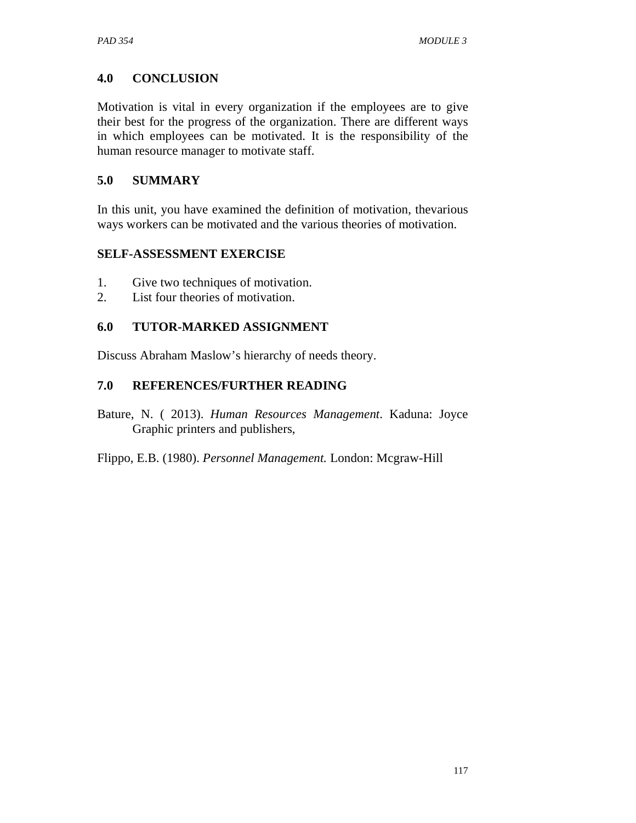## **4.0 CONCLUSION**

Motivation is vital in every organization if the employees are to give their best for the progress of the organization. There are different ways in which employees can be motivated. It is the responsibility of the human resource manager to motivate staff.

## **5.0 SUMMARY**

In this unit, you have examined the definition of motivation, thevarious ways workers can be motivated and the various theories of motivation.

## **SELF-ASSESSMENT EXERCISE**

- 1. Give two techniques of motivation.
- 2. List four theories of motivation.

#### **6.0 TUTOR-MARKED ASSIGNMENT**

Discuss Abraham Maslow's hierarchy of needs theory.

## **7.0 REFERENCES/FURTHER READING**

Bature, N. ( 2013). *Human Resources Management*. Kaduna: Joyce Graphic printers and publishers,

Flippo, E.B. (1980). *Personnel Management.* London: Mcgraw-Hill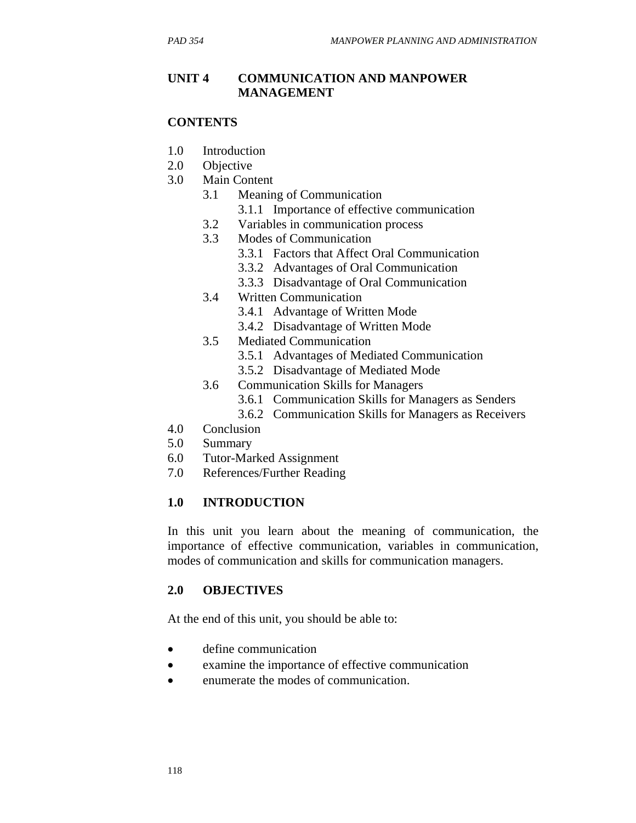#### **UNIT 4 COMMUNICATION AND MANPOWER MANAGEMENT**

#### **CONTENTS**

- 1.0 Introduction
- 2.0 Objective
- 3.0 Main Content
	- 3.1 Meaning of Communication
		- 3.1.1 Importance of effective communication
	- 3.2 Variables in communication process
	- 3.3 Modes of Communication
		- 3.3.1 Factors that Affect Oral Communication
		- 3.3.2 Advantages of Oral Communication
		- 3.3.3 Disadvantage of Oral Communication
	- 3.4 Written Communication
		- 3.4.1 Advantage of Written Mode
		- 3.4.2 Disadvantage of Written Mode
	- 3.5 Mediated Communication
		- 3.5.1 Advantages of Mediated Communication
		- 3.5.2 Disadvantage of Mediated Mode
	- 3.6 Communication Skills for Managers
		- 3.6.1 Communication Skills for Managers as Senders
		- 3.6.2 Communication Skills for Managers as Receivers
- 4.0 Conclusion
- 5.0 Summary
- 6.0 Tutor-Marked Assignment
- 7.0 References/Further Reading

#### **1.0 INTRODUCTION**

In this unit you learn about the meaning of communication, the importance of effective communication, variables in communication, modes of communication and skills for communication managers.

## **2.0 OBJECTIVES**

At the end of this unit, you should be able to:

- define communication
- examine the importance of effective communication
- enumerate the modes of communication.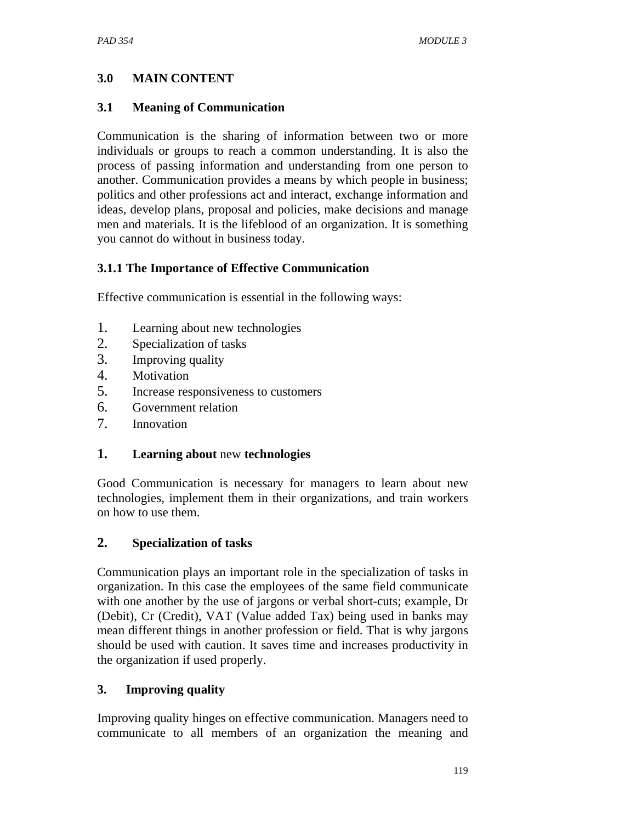## **3.0 MAIN CONTENT**

#### **3.1 Meaning of Communication**

Communication is the sharing of information between two or more individuals or groups to reach a common understanding. It is also the process of passing information and understanding from one person to another. Communication provides a means by which people in business; politics and other professions act and interact, exchange information and ideas, develop plans, proposal and policies, make decisions and manage men and materials. It is the lifeblood of an organization. It is something you cannot do without in business today.

## **3.1.1 The Importance of Effective Communication**

Effective communication is essential in the following ways:

- 1. Learning about new technologies
- 2. Specialization of tasks
- 3. Improving quality
- 4. Motivation
- 5. Increase responsiveness to customers
- 6. Government relation
- 7. Innovation

## **1. Learning about** new **technologies**

Good Communication is necessary for managers to learn about new technologies, implement them in their organizations, and train workers on how to use them.

## **2. Specialization of tasks**

Communication plays an important role in the specialization of tasks in organization. In this case the employees of the same field communicate with one another by the use of jargons or verbal short-cuts; example, Dr (Debit), Cr (Credit), VAT (Value added Tax) being used in banks may mean different things in another profession or field. That is why jargons should be used with caution. It saves time and increases productivity in the organization if used properly.

## **3. Improving quality**

Improving quality hinges on effective communication. Managers need to communicate to all members of an organization the meaning and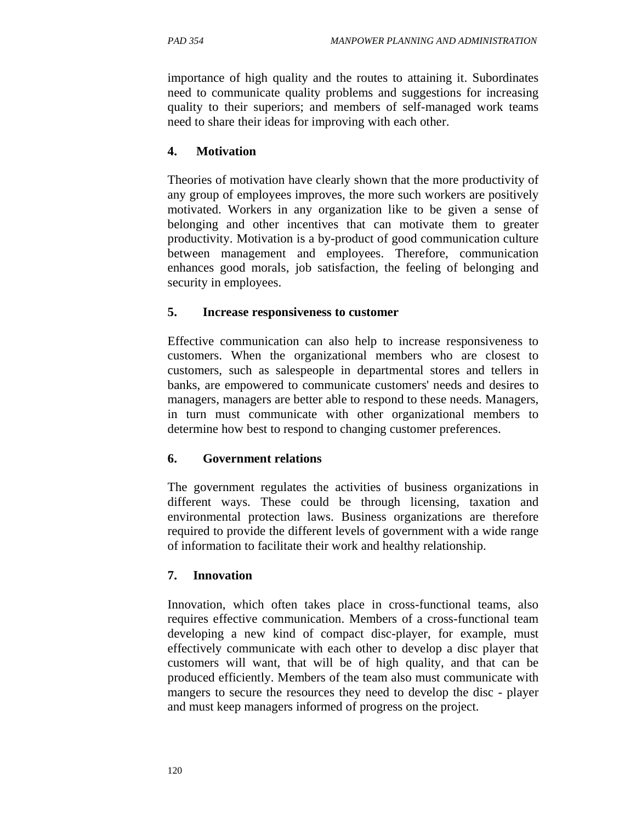importance of high quality and the routes to attaining it. Subordinates need to communicate quality problems and suggestions for increasing quality to their superiors; and members of self-managed work teams need to share their ideas for improving with each other.

## **4. Motivation**

Theories of motivation have clearly shown that the more productivity of any group of employees improves, the more such workers are positively motivated. Workers in any organization like to be given a sense of belonging and other incentives that can motivate them to greater productivity. Motivation is a by-product of good communication culture between management and employees. Therefore, communication enhances good morals, job satisfaction, the feeling of belonging and security in employees.

## **5. Increase responsiveness to customer**

Effective communication can also help to increase responsiveness to customers. When the organizational members who are closest to customers, such as salespeople in departmental stores and tellers in banks, are empowered to communicate customers' needs and desires to managers, managers are better able to respond to these needs. Managers, in turn must communicate with other organizational members to determine how best to respond to changing customer preferences.

## **6. Government relations**

The government regulates the activities of business organizations in different ways. These could be through licensing, taxation and environmental protection laws. Business organizations are therefore required to provide the different levels of government with a wide range of information to facilitate their work and healthy relationship.

# **7. Innovation**

Innovation, which often takes place in cross-functional teams, also requires effective communication. Members of a cross-functional team developing a new kind of compact disc-player, for example, must effectively communicate with each other to develop a disc player that customers will want, that will be of high quality, and that can be produced efficiently. Members of the team also must communicate with mangers to secure the resources they need to develop the disc - player and must keep managers informed of progress on the project.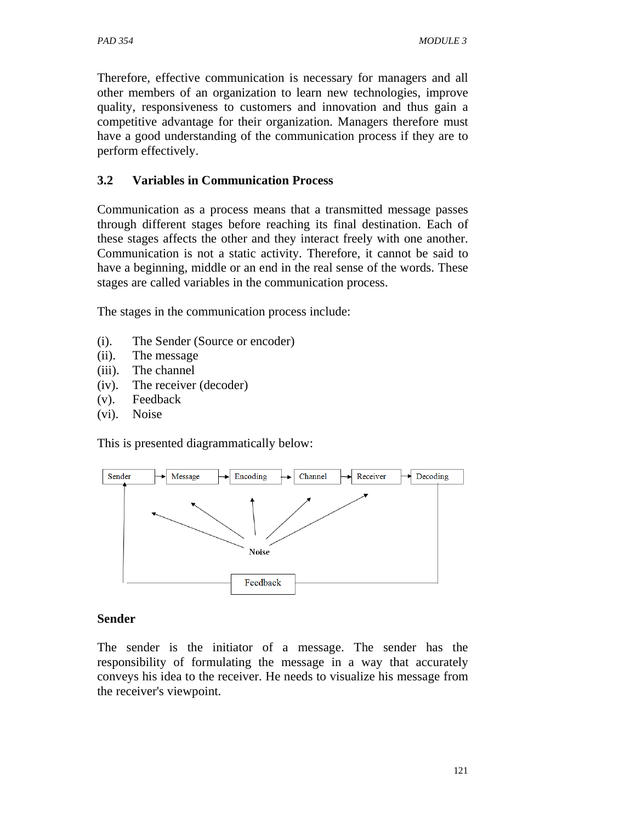Therefore, effective communication is necessary for managers and all other members of an organization to learn new technologies, improve quality, responsiveness to customers and innovation and thus gain a competitive advantage for their organization. Managers therefore must have a good understanding of the communication process if they are to perform effectively.

# **3.2 Variables in Communication Process**

Communication as a process means that a transmitted message passes through different stages before reaching its final destination. Each of these stages affects the other and they interact freely with one another. Communication is not a static activity. Therefore, it cannot be said to have a beginning, middle or an end in the real sense of the words. These stages are called variables in the communication process.

The stages in the communication process include:

- (i). The Sender (Source or encoder)
- (ii). The message
- (iii). The channel
- (iv). The receiver (decoder)
- (v). Feedback
- (vi). Noise

This is presented diagrammatically below:



## **Sender**

The sender is the initiator of a message. The sender has the responsibility of formulating the message in a way that accurately conveys his idea to the receiver. He needs to visualize his message from the receiver's viewpoint.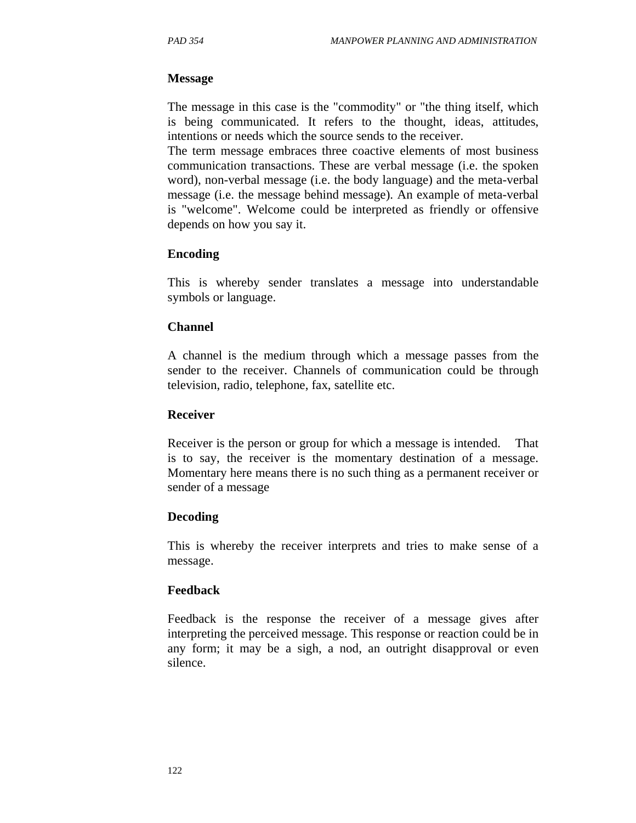#### **Message**

The message in this case is the "commodity" or "the thing itself, which is being communicated. It refers to the thought, ideas, attitudes, intentions or needs which the source sends to the receiver.

The term message embraces three coactive elements of most business communication transactions. These are verbal message (i.e. the spoken word), non-verbal message (i.e. the body language) and the meta-verbal message (i.e. the message behind message). An example of meta-verbal is "welcome". Welcome could be interpreted as friendly or offensive depends on how you say it.

#### **Encoding**

This is whereby sender translates a message into understandable symbols or language.

#### **Channel**

A channel is the medium through which a message passes from the sender to the receiver. Channels of communication could be through television, radio, telephone, fax, satellite etc.

#### **Receiver**

Receiver is the person or group for which a message is intended. That is to say, the receiver is the momentary destination of a message. Momentary here means there is no such thing as a permanent receiver or sender of a message

#### **Decoding**

This is whereby the receiver interprets and tries to make sense of a message.

#### **Feedback**

Feedback is the response the receiver of a message gives after interpreting the perceived message. This response or reaction could be in any form; it may be a sigh, a nod, an outright disapproval or even silence.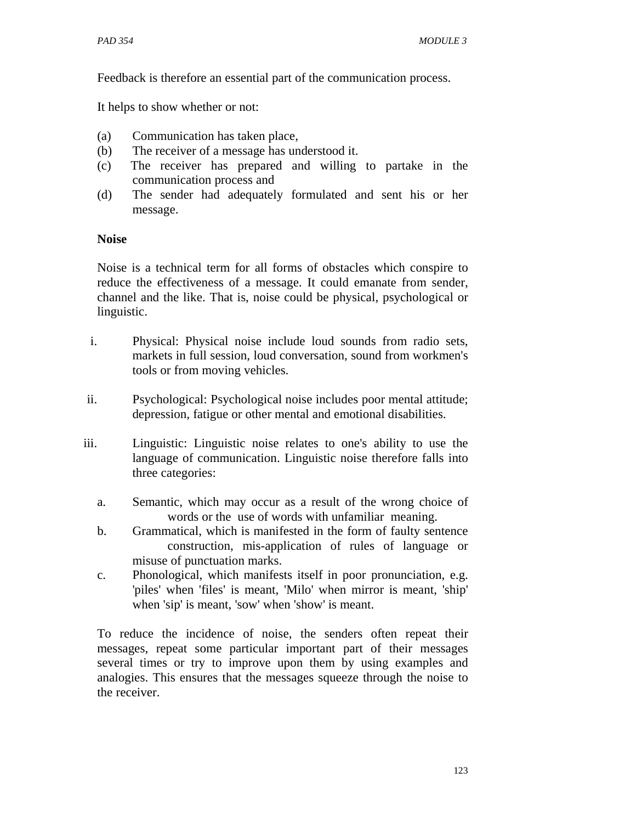Feedback is therefore an essential part of the communication process.

It helps to show whether or not:

- (a) Communication has taken place,
- (b) The receiver of a message has understood it.
- (c) The receiver has prepared and willing to partake in the communication process and
- (d) The sender had adequately formulated and sent his or her message.

#### **Noise**

Noise is a technical term for all forms of obstacles which conspire to reduce the effectiveness of a message. It could emanate from sender, channel and the like. That is, noise could be physical, psychological or linguistic.

- i. Physical: Physical noise include loud sounds from radio sets, markets in full session, loud conversation, sound from workmen's tools or from moving vehicles.
- ii. Psychological: Psychological noise includes poor mental attitude; depression, fatigue or other mental and emotional disabilities.
- iii. Linguistic: Linguistic noise relates to one's ability to use the language of communication. Linguistic noise therefore falls into three categories:
	- a. Semantic, which may occur as a result of the wrong choice of words or the use of words with unfamiliar meaning.
	- b. Grammatical, which is manifested in the form of faulty sentence construction, mis-application of rules of language or misuse of punctuation marks.
	- c. Phonological, which manifests itself in poor pronunciation, e.g. 'piles' when 'files' is meant, 'Milo' when mirror is meant, 'ship' when 'sip' is meant, 'sow' when 'show' is meant.

To reduce the incidence of noise, the senders often repeat their messages, repeat some particular important part of their messages several times or try to improve upon them by using examples and analogies. This ensures that the messages squeeze through the noise to the receiver.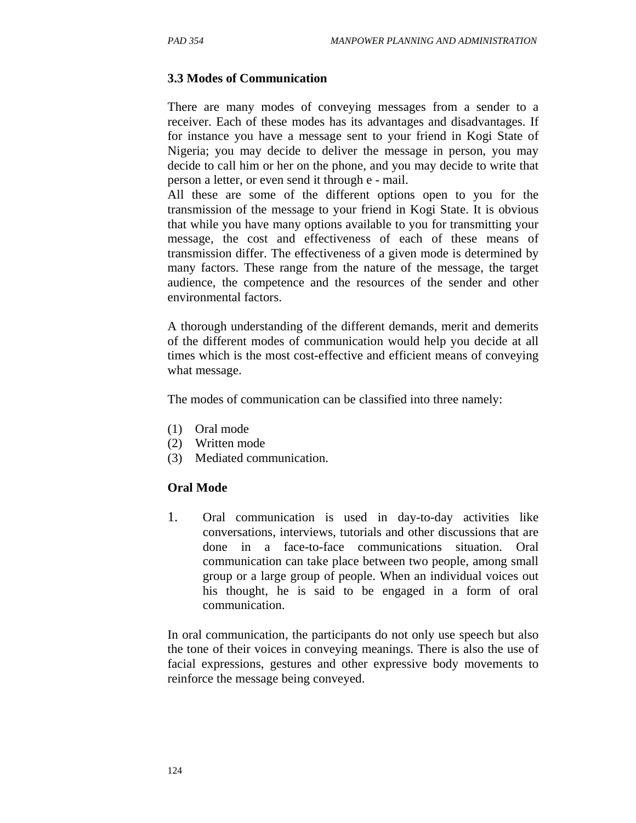#### **3.3 Modes of Communication**

There are many modes of conveying messages from a sender to a receiver. Each of these modes has its advantages and disadvantages. If for instance you have a message sent to your friend in Kogi State of Nigeria; you may decide to deliver the message in person, you may decide to call him or her on the phone, and you may decide to write that person a letter, or even send it through e - mail.

All these are some of the different options open to you for the transmission of the message to your friend in Kogi State. It is obvious that while you have many options available to you for transmitting your message, the cost and effectiveness of each of these means of transmission differ. The effectiveness of a given mode is determined by many factors. These range from the nature of the message, the target audience, the competence and the resources of the sender and other environmental factors.

A thorough understanding of the different demands, merit and demerits of the different modes of communication would help you decide at all times which is the most cost-effective and efficient means of conveying what message.

The modes of communication can be classified into three namely:

- (1) Oral mode
- (2) Written mode
- (3) Mediated communication.

#### **Oral Mode**

1. Oral communication is used in day-to-day activities like conversations, interviews, tutorials and other discussions that are done in a face-to-face communications situation. Oral communication can take place between two people, among small group or a large group of people. When an individual voices out his thought, he is said to be engaged in a form of oral communication.

In oral communication, the participants do not only use speech but also the tone of their voices in conveying meanings. There is also the use of facial expressions, gestures and other expressive body movements to reinforce the message being conveyed.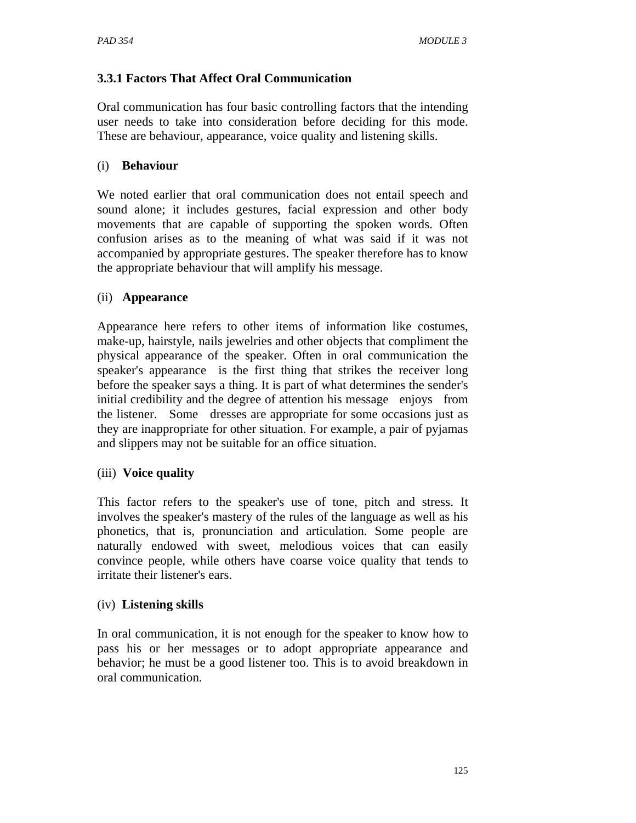# **3.3.1 Factors That Affect Oral Communication**

Oral communication has four basic controlling factors that the intending user needs to take into consideration before deciding for this mode. These are behaviour, appearance, voice quality and listening skills.

## (i) **Behaviour**

We noted earlier that oral communication does not entail speech and sound alone; it includes gestures, facial expression and other body movements that are capable of supporting the spoken words. Often confusion arises as to the meaning of what was said if it was not accompanied by appropriate gestures. The speaker therefore has to know the appropriate behaviour that will amplify his message.

## (ii) **Appearance**

Appearance here refers to other items of information like costumes, make-up, hairstyle, nails jewelries and other objects that compliment the physical appearance of the speaker. Often in oral communication the speaker's appearance is the first thing that strikes the receiver long before the speaker says a thing. It is part of what determines the sender's initial credibility and the degree of attention his message enjoys from the listener. Some dresses are appropriate for some occasions just as they are inappropriate for other situation. For example, a pair of pyjamas and slippers may not be suitable for an office situation.

## (iii) **Voice quality**

This factor refers to the speaker's use of tone, pitch and stress. It involves the speaker's mastery of the rules of the language as well as his phonetics, that is, pronunciation and articulation. Some people are naturally endowed with sweet, melodious voices that can easily convince people, while others have coarse voice quality that tends to irritate their listener's ears.

## (iv) **Listening skills**

In oral communication, it is not enough for the speaker to know how to pass his or her messages or to adopt appropriate appearance and behavior; he must be a good listener too. This is to avoid breakdown in oral communication.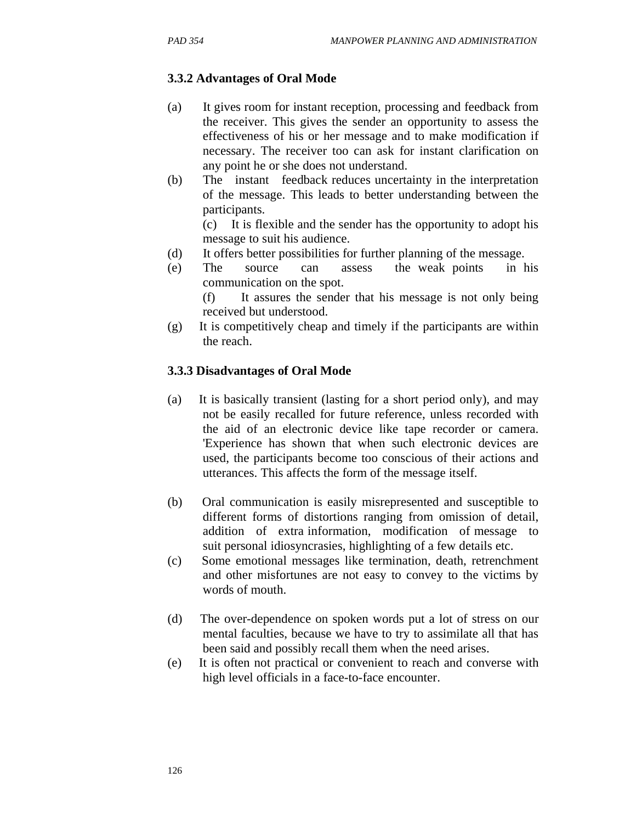# **3.3.2 Advantages of Oral Mode**

- (a) It gives room for instant reception, processing and feedback from the receiver. This gives the sender an opportunity to assess the effectiveness of his or her message and to make modification if necessary. The receiver too can ask for instant clarification on any point he or she does not understand.
- (b) The instant feedback reduces uncertainty in the interpretation of the message. This leads to better understanding between the participants.

(c) It is flexible and the sender has the opportunity to adopt his message to suit his audience.

- (d) It offers better possibilities for further planning of the message.
- (e) The source can assess the weak points in his communication on the spot.

(f) It assures the sender that his message is not only being received but understood.

(g) It is competitively cheap and timely if the participants are within the reach.

## **3.3.3 Disadvantages of Oral Mode**

- (a) It is basically transient (lasting for a short period only), and may not be easily recalled for future reference, unless recorded with the aid of an electronic device like tape recorder or camera. 'Experience has shown that when such electronic devices are used, the participants become too conscious of their actions and utterances. This affects the form of the message itself.
- (b) Oral communication is easily misrepresented and susceptible to different forms of distortions ranging from omission of detail, addition of extra information, modification of message to suit personal idiosyncrasies, highlighting of a few details etc.
- (c) Some emotional messages like termination, death, retrenchment and other misfortunes are not easy to convey to the victims by words of mouth.
- (d) The over-dependence on spoken words put a lot of stress on our mental faculties, because we have to try to assimilate all that has been said and possibly recall them when the need arises.
- (e) It is often not practical or convenient to reach and converse with high level officials in a face-to-face encounter.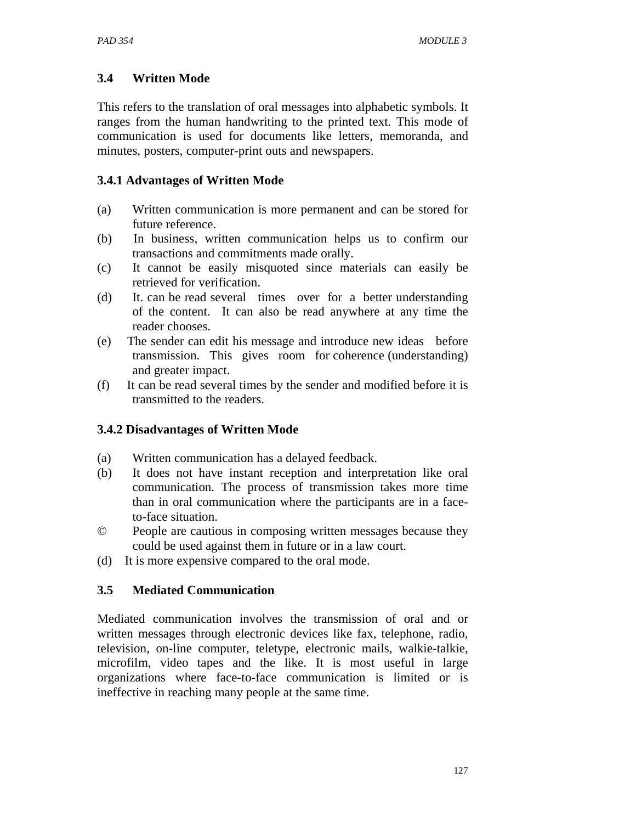# **3.4 Written Mode**

This refers to the translation of oral messages into alphabetic symbols. It ranges from the human handwriting to the printed text. This mode of communication is used for documents like letters, memoranda, and minutes, posters, computer-print outs and newspapers.

## **3.4.1 Advantages of Written Mode**

- (a) Written communication is more permanent and can be stored for future reference.
- (b) In business, written communication helps us to confirm our transactions and commitments made orally.
- (c) It cannot be easily misquoted since materials can easily be retrieved for verification.
- (d) It. can be read several times over for a better understanding of the content. It can also be read anywhere at any time the reader chooses.
- (e) The sender can edit his message and introduce new ideas before transmission. This gives room for coherence (understanding) and greater impact.
- (f) It can be read several times by the sender and modified before it is transmitted to the readers.

# **3.4.2 Disadvantages of Written Mode**

- (a) Written communication has a delayed feedback.
- (b) It does not have instant reception and interpretation like oral communication. The process of transmission takes more time than in oral communication where the participants are in a faceto-face situation.
- © People are cautious in composing written messages because they could be used against them in future or in a law court.
- (d) It is more expensive compared to the oral mode.

# **3.5 Mediated Communication**

Mediated communication involves the transmission of oral and or written messages through electronic devices like fax, telephone, radio, television, on-line computer, teletype, electronic mails, walkie-talkie, microfilm, video tapes and the like. It is most useful in large organizations where face-to-face communication is limited or is ineffective in reaching many people at the same time.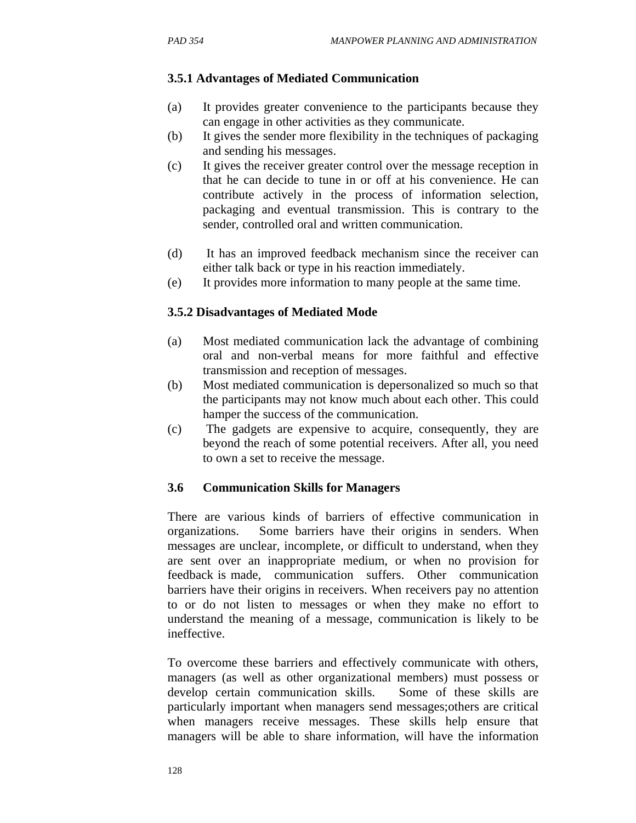#### **3.5.1 Advantages of Mediated Communication**

- (a) It provides greater convenience to the participants because they can engage in other activities as they communicate.
- (b) It gives the sender more flexibility in the techniques of packaging and sending his messages.
- (c) It gives the receiver greater control over the message reception in that he can decide to tune in or off at his convenience. He can contribute actively in the process of information selection, packaging and eventual transmission. This is contrary to the sender, controlled oral and written communication.
- (d) It has an improved feedback mechanism since the receiver can either talk back or type in his reaction immediately.
- (e) It provides more information to many people at the same time.

#### **3.5.2 Disadvantages of Mediated Mode**

- (a) Most mediated communication lack the advantage of combining oral and non-verbal means for more faithful and effective transmission and reception of messages.
- (b) Most mediated communication is depersonalized so much so that the participants may not know much about each other. This could hamper the success of the communication.
- (c) The gadgets are expensive to acquire, consequently, they are beyond the reach of some potential receivers. After all, you need to own a set to receive the message.

#### **3.6 Communication Skills for Managers**

There are various kinds of barriers of effective communication in organizations. Some barriers have their origins in senders. When messages are unclear, incomplete, or difficult to understand, when they are sent over an inappropriate medium, or when no provision for feedback is made, communication suffers. Other communication barriers have their origins in receivers. When receivers pay no attention to or do not listen to messages or when they make no effort to understand the meaning of a message, communication is likely to be ineffective.

To overcome these barriers and effectively communicate with others, managers (as well as other organizational members) must possess or develop certain communication skills. Some of these skills are particularly important when managers send messages;others are critical when managers receive messages. These skills help ensure that managers will be able to share information, will have the information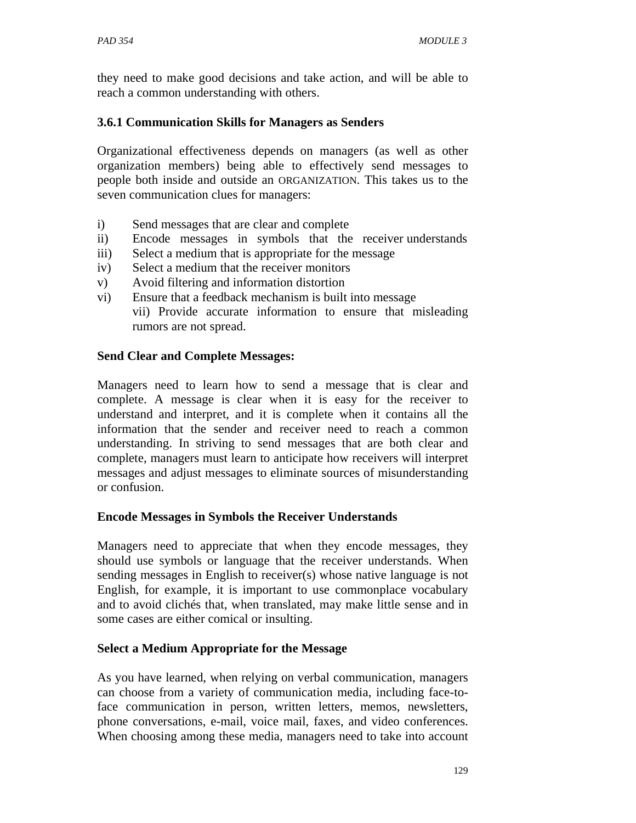they need to make good decisions and take action, and will be able to reach a common understanding with others.

## **3.6.1 Communication Skills for Managers as Senders**

Organizational effectiveness depends on managers (as well as other organization members) being able to effectively send messages to people both inside and outside an ORGANIZATION. This takes us to the seven communication clues for managers:

- i) Send messages that are clear and complete
- ii) Encode messages in symbols that the receiver understands
- iii) Select a medium that is appropriate for the message
- iv) Select a medium that the receiver monitors
- v) Avoid filtering and information distortion
- vi) Ensure that a feedback mechanism is built into message vii) Provide accurate information to ensure that misleading rumors are not spread.

## **Send Clear and Complete Messages:**

Managers need to learn how to send a message that is clear and complete. A message is clear when it is easy for the receiver to understand and interpret, and it is complete when it contains all the information that the sender and receiver need to reach a common understanding. In striving to send messages that are both clear and complete, managers must learn to anticipate how receivers will interpret messages and adjust messages to eliminate sources of misunderstanding or confusion.

## **Encode Messages in Symbols the Receiver Understands**

Managers need to appreciate that when they encode messages, they should use symbols or language that the receiver understands. When sending messages in English to receiver(s) whose native language is not English, for example, it is important to use commonplace vocabulary and to avoid clichés that, when translated, may make little sense and in some cases are either comical or insulting.

# **Select a Medium Appropriate for the Message**

As you have learned, when relying on verbal communication, managers can choose from a variety of communication media, including face-toface communication in person, written letters, memos, newsletters, phone conversations, e-mail, voice mail, faxes, and video conferences. When choosing among these media, managers need to take into account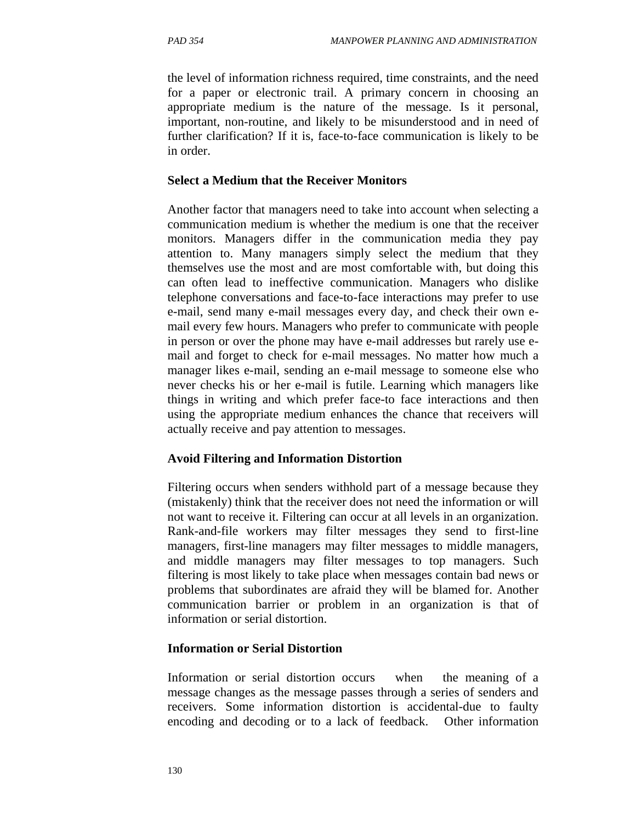the level of information richness required, time constraints, and the need for a paper or electronic trail. A primary concern in choosing an appropriate medium is the nature of the message. Is it personal, important, non-routine, and likely to be misunderstood and in need of further clarification? If it is, face-to-face communication is likely to be in order.

#### **Select a Medium that the Receiver Monitors**

Another factor that managers need to take into account when selecting a communication medium is whether the medium is one that the receiver monitors. Managers differ in the communication media they pay attention to. Many managers simply select the medium that they themselves use the most and are most comfortable with, but doing this can often lead to ineffective communication. Managers who dislike telephone conversations and face-to-face interactions may prefer to use e-mail, send many e-mail messages every day, and check their own email every few hours. Managers who prefer to communicate with people in person or over the phone may have e-mail addresses but rarely use email and forget to check for e-mail messages. No matter how much a manager likes e-mail, sending an e-mail message to someone else who never checks his or her e-mail is futile. Learning which managers like things in writing and which prefer face-to face interactions and then using the appropriate medium enhances the chance that receivers will actually receive and pay attention to messages.

#### **Avoid Filtering and Information Distortion**

Filtering occurs when senders withhold part of a message because they (mistakenly) think that the receiver does not need the information or will not want to receive it. Filtering can occur at all levels in an organization. Rank-and-file workers may filter messages they send to first-line managers, first-line managers may filter messages to middle managers, and middle managers may filter messages to top managers. Such filtering is most likely to take place when messages contain bad news or problems that subordinates are afraid they will be blamed for. Another communication barrier or problem in an organization is that of information or serial distortion.

#### **Information or Serial Distortion**

Information or serial distortion occurs when the meaning of a message changes as the message passes through a series of senders and receivers. Some information distortion is accidental-due to faulty encoding and decoding or to a lack of feedback. Other information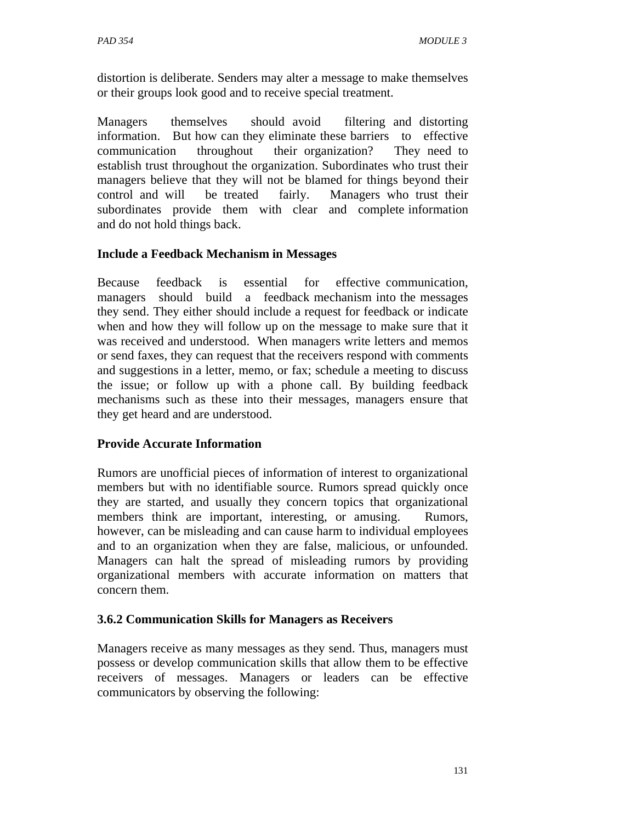distortion is deliberate. Senders may alter a message to make themselves or their groups look good and to receive special treatment.

Managers themselves should avoid filtering and distorting information. But how can they eliminate these barriers to effective communication throughout their organization? They need to establish trust throughout the organization. Subordinates who trust their managers believe that they will not be blamed for things beyond their control and will be treated fairly. Managers who trust their subordinates provide them with clear and complete information and do not hold things back.

## **Include a Feedback Mechanism in Messages**

Because feedback is essential for effective communication, managers should build a feedback mechanism into the messages they send. They either should include a request for feedback or indicate when and how they will follow up on the message to make sure that it was received and understood. When managers write letters and memos or send faxes, they can request that the receivers respond with comments and suggestions in a letter, memo, or fax; schedule a meeting to discuss the issue; or follow up with a phone call. By building feedback mechanisms such as these into their messages, managers ensure that they get heard and are understood.

## **Provide Accurate Information**

Rumors are unofficial pieces of information of interest to organizational members but with no identifiable source. Rumors spread quickly once they are started, and usually they concern topics that organizational members think are important, interesting, or amusing. Rumors, however, can be misleading and can cause harm to individual employees and to an organization when they are false, malicious, or unfounded. Managers can halt the spread of misleading rumors by providing organizational members with accurate information on matters that concern them.

## **3.6.2 Communication Skills for Managers as Receivers**

Managers receive as many messages as they send. Thus, managers must possess or develop communication skills that allow them to be effective receivers of messages. Managers or leaders can be effective communicators by observing the following: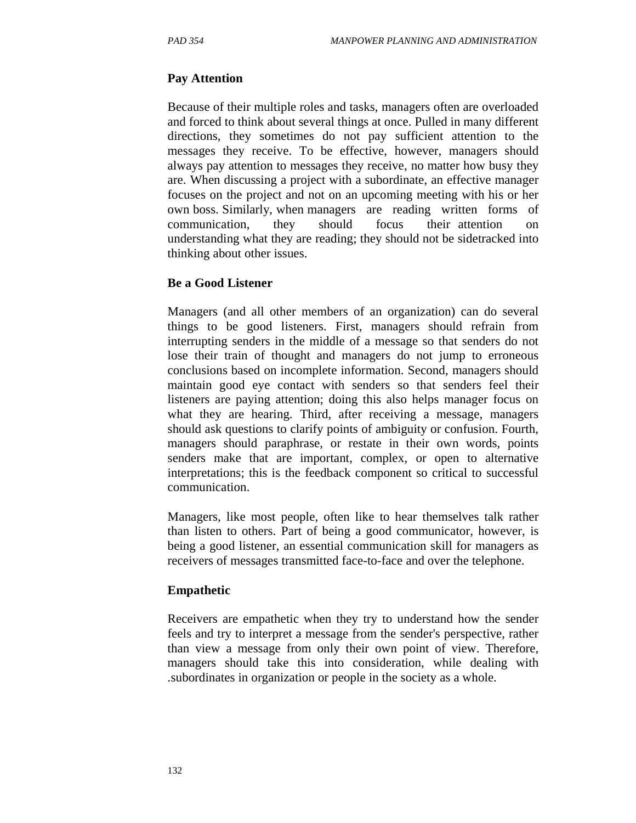#### **Pay Attention**

Because of their multiple roles and tasks, managers often are overloaded and forced to think about several things at once. Pulled in many different directions, they sometimes do not pay sufficient attention to the messages they receive. To be effective, however, managers should always pay attention to messages they receive, no matter how busy they are. When discussing a project with a subordinate, an effective manager focuses on the project and not on an upcoming meeting with his or her own boss. Similarly, when managers are reading written forms of communication, they should focus their attention on understanding what they are reading; they should not be sidetracked into thinking about other issues.

#### **Be a Good Listener**

Managers (and all other members of an organization) can do several things to be good listeners. First, managers should refrain from interrupting senders in the middle of a message so that senders do not lose their train of thought and managers do not jump to erroneous conclusions based on incomplete information. Second, managers should maintain good eye contact with senders so that senders feel their listeners are paying attention; doing this also helps manager focus on what they are hearing. Third, after receiving a message, managers should ask questions to clarify points of ambiguity or confusion. Fourth, managers should paraphrase, or restate in their own words, points senders make that are important, complex, or open to alternative interpretations; this is the feedback component so critical to successful communication.

Managers, like most people, often like to hear themselves talk rather than listen to others. Part of being a good communicator, however, is being a good listener, an essential communication skill for managers as receivers of messages transmitted face-to-face and over the telephone.

#### **Empathetic**

Receivers are empathetic when they try to understand how the sender feels and try to interpret a message from the sender's perspective, rather than view a message from only their own point of view. Therefore, managers should take this into consideration, while dealing with .subordinates in organization or people in the society as a whole.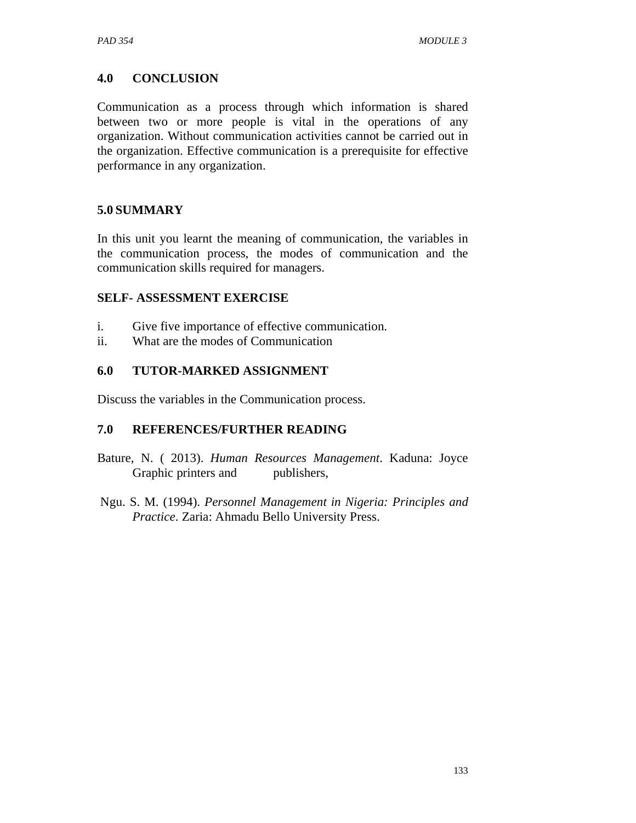## **4.0 CONCLUSION**

Communication as a process through which information is shared between two or more people is vital in the operations of any organization. Without communication activities cannot be carried out in the organization. Effective communication is a prerequisite for effective performance in any organization.

#### **5.0 SUMMARY**

In this unit you learnt the meaning of communication, the variables in the communication process, the modes of communication and the communication skills required for managers.

#### **SELF- ASSESSMENT EXERCISE**

- i. Give five importance of effective communication.
- ii. What are the modes of Communication

## **6.0 TUTOR-MARKED ASSIGNMENT**

Discuss the variables in the Communication process.

## **7.0 REFERENCES/FURTHER READING**

- Bature, N. ( 2013). *Human Resources Management*. Kaduna: Joyce Graphic printers and publishers,
- Ngu. S. M. (1994). *Personnel Management in Nigeria: Principles and Practice*. Zaria: Ahmadu Bello University Press.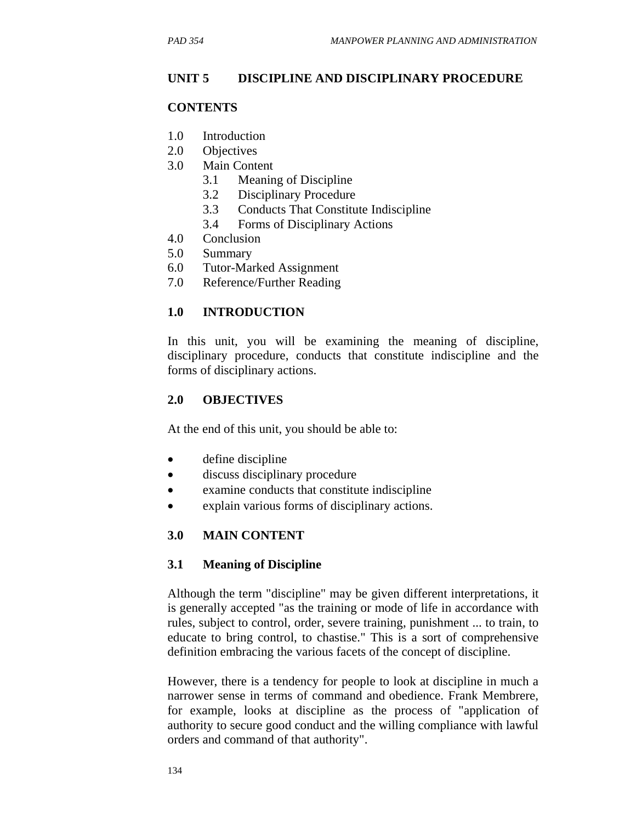#### **UNIT 5 DISCIPLINE AND DISCIPLINARY PROCEDURE**

#### **CONTENTS**

- 1.0 Introduction
- 2.0 Objectives
- 3.0 Main Content
	- 3.1 Meaning of Discipline
	- 3.2 Disciplinary Procedure
	- 3.3 Conducts That Constitute Indiscipline
	- 3.4 Forms of Disciplinary Actions
- 4.0 Conclusion
- 5.0 Summary
- 6.0 Tutor-Marked Assignment
- 7.0 Reference/Further Reading

#### **1.0 INTRODUCTION**

In this unit, you will be examining the meaning of discipline, disciplinary procedure, conducts that constitute indiscipline and the forms of disciplinary actions.

#### **2.0 OBJECTIVES**

At the end of this unit, you should be able to:

- define discipline
- discuss disciplinary procedure
- examine conducts that constitute indiscipline
- explain various forms of disciplinary actions.

#### **3.0 MAIN CONTENT**

#### **3.1 Meaning of Discipline**

Although the term "discipline" may be given different interpretations, it is generally accepted "as the training or mode of life in accordance with rules, subject to control, order, severe training, punishment ... to train, to educate to bring control, to chastise." This is a sort of comprehensive definition embracing the various facets of the concept of discipline.

However, there is a tendency for people to look at discipline in much a narrower sense in terms of command and obedience. Frank Membrere, for example, looks at discipline as the process of "application of authority to secure good conduct and the willing compliance with lawful orders and command of that authority".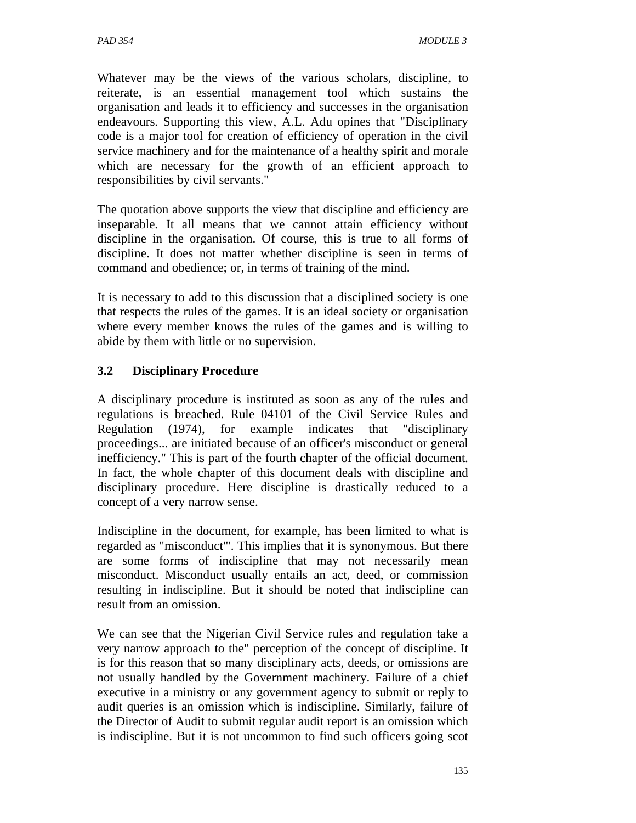Whatever may be the views of the various scholars, discipline, to reiterate, is an essential management tool which sustains the organisation and leads it to efficiency and successes in the organisation endeavours. Supporting this view, A.L. Adu opines that "Disciplinary code is a major tool for creation of efficiency of operation in the civil service machinery and for the maintenance of a healthy spirit and morale which are necessary for the growth of an efficient approach to responsibilities by civil servants."

The quotation above supports the view that discipline and efficiency are inseparable. It all means that we cannot attain efficiency without discipline in the organisation. Of course, this is true to all forms of discipline. It does not matter whether discipline is seen in terms of command and obedience; or, in terms of training of the mind.

It is necessary to add to this discussion that a disciplined society is one that respects the rules of the games. It is an ideal society or organisation where every member knows the rules of the games and is willing to abide by them with little or no supervision.

# **3.2 Disciplinary Procedure**

A disciplinary procedure is instituted as soon as any of the rules and regulations is breached. Rule 04101 of the Civil Service Rules and Regulation (1974), for example indicates that "disciplinary proceedings... are initiated because of an officer's misconduct or general inefficiency." This is part of the fourth chapter of the official document. In fact, the whole chapter of this document deals with discipline and disciplinary procedure. Here discipline is drastically reduced to a concept of a very narrow sense.

Indiscipline in the document, for example, has been limited to what is regarded as "misconduct"'. This implies that it is synonymous. But there are some forms of indiscipline that may not necessarily mean misconduct. Misconduct usually entails an act, deed, or commission resulting in indiscipline. But it should be noted that indiscipline can result from an omission.

We can see that the Nigerian Civil Service rules and regulation take a very narrow approach to the" perception of the concept of discipline. It is for this reason that so many disciplinary acts, deeds, or omissions are not usually handled by the Government machinery. Failure of a chief executive in a ministry or any government agency to submit or reply to audit queries is an omission which is indiscipline. Similarly, failure of the Director of Audit to submit regular audit report is an omission which is indiscipline. But it is not uncommon to find such officers going scot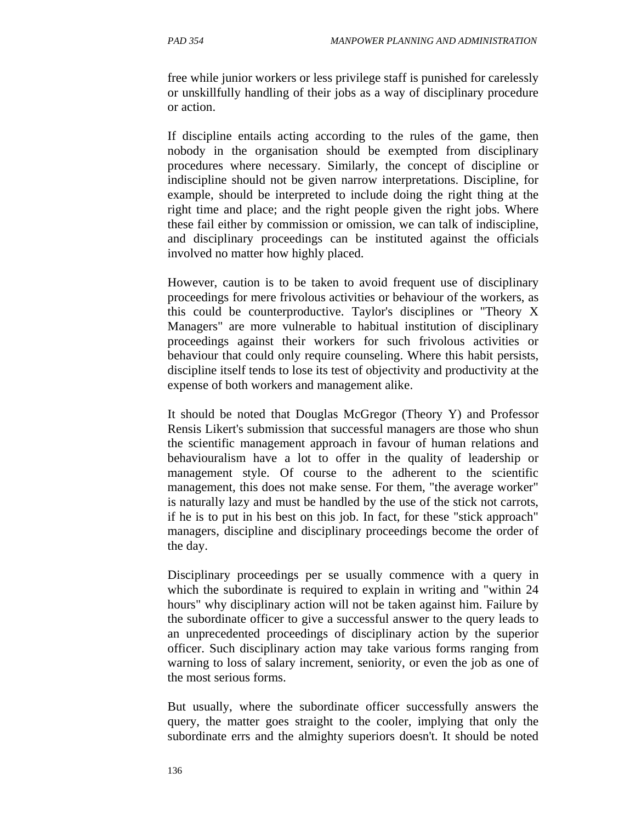free while junior workers or less privilege staff is punished for carelessly or unskillfully handling of their jobs as a way of disciplinary procedure or action.

If discipline entails acting according to the rules of the game, then nobody in the organisation should be exempted from disciplinary procedures where necessary. Similarly, the concept of discipline or indiscipline should not be given narrow interpretations. Discipline, for example, should be interpreted to include doing the right thing at the right time and place; and the right people given the right jobs. Where these fail either by commission or omission, we can talk of indiscipline, and disciplinary proceedings can be instituted against the officials involved no matter how highly placed.

However, caution is to be taken to avoid frequent use of disciplinary proceedings for mere frivolous activities or behaviour of the workers, as this could be counterproductive. Taylor's disciplines or "Theory X Managers" are more vulnerable to habitual institution of disciplinary proceedings against their workers for such frivolous activities or behaviour that could only require counseling. Where this habit persists, discipline itself tends to lose its test of objectivity and productivity at the expense of both workers and management alike.

It should be noted that Douglas McGregor (Theory Y) and Professor Rensis Likert's submission that successful managers are those who shun the scientific management approach in favour of human relations and behaviouralism have a lot to offer in the quality of leadership or management style. Of course to the adherent to the scientific management, this does not make sense. For them, "the average worker" is naturally lazy and must be handled by the use of the stick not carrots, if he is to put in his best on this job. In fact, for these "stick approach" managers, discipline and disciplinary proceedings become the order of the day.

Disciplinary proceedings per se usually commence with a query in which the subordinate is required to explain in writing and "within 24 hours" why disciplinary action will not be taken against him. Failure by the subordinate officer to give a successful answer to the query leads to an unprecedented proceedings of disciplinary action by the superior officer. Such disciplinary action may take various forms ranging from warning to loss of salary increment, seniority, or even the job as one of the most serious forms.

But usually, where the subordinate officer successfully answers the query, the matter goes straight to the cooler, implying that only the subordinate errs and the almighty superiors doesn't. It should be noted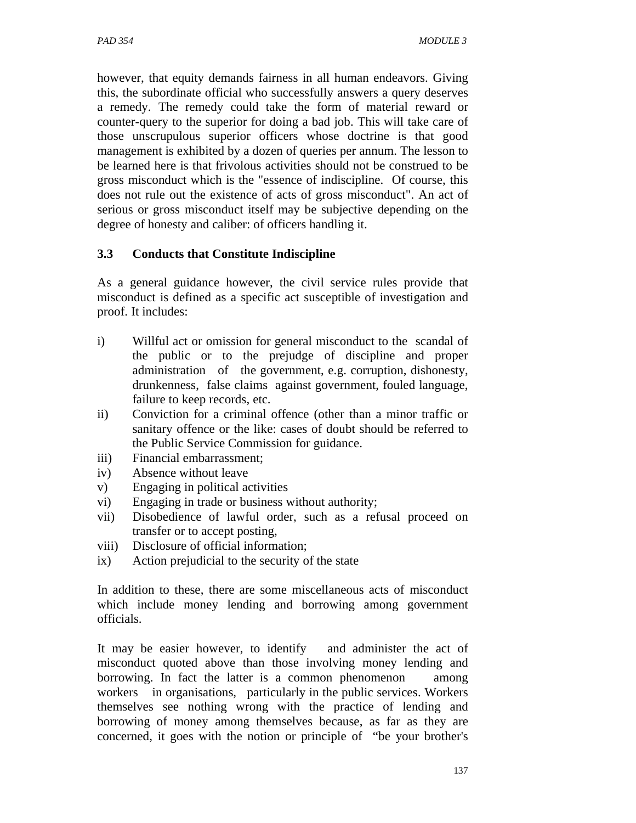however, that equity demands fairness in all human endeavors. Giving this, the subordinate official who successfully answers a query deserves a remedy. The remedy could take the form of material reward or counter-query to the superior for doing a bad job. This will take care of those unscrupulous superior officers whose doctrine is that good management is exhibited by a dozen of queries per annum. The lesson to be learned here is that frivolous activities should not be construed to be gross misconduct which is the "essence of indiscipline. Of course, this does not rule out the existence of acts of gross misconduct". An act of serious or gross misconduct itself may be subjective depending on the degree of honesty and caliber: of officers handling it.

# **3.3 Conducts that Constitute Indiscipline**

As a general guidance however, the civil service rules provide that misconduct is defined as a specific act susceptible of investigation and proof. It includes:

- i) Willful act or omission for general misconduct to the scandal of the public or to the prejudge of discipline and proper administration of the government, e.g. corruption, dishonesty, drunkenness, false claims against government, fouled language, failure to keep records, etc.
- ii) Conviction for a criminal offence (other than a minor traffic or sanitary offence or the like: cases of doubt should be referred to the Public Service Commission for guidance.
- iii) Financial embarrassment;
- iv) Absence without leave
- v) Engaging in political activities
- vi) Engaging in trade or business without authority;
- vii) Disobedience of lawful order, such as a refusal proceed on transfer or to accept posting,
- viii) Disclosure of official information;
- ix) Action prejudicial to the security of the state

In addition to these, there are some miscellaneous acts of misconduct which include money lending and borrowing among government officials.

It may be easier however, to identify and administer the act of misconduct quoted above than those involving money lending and borrowing. In fact the latter is a common phenomenon among workers in organisations, particularly in the public services. Workers themselves see nothing wrong with the practice of lending and borrowing of money among themselves because, as far as they are concerned, it goes with the notion or principle of "be your brother's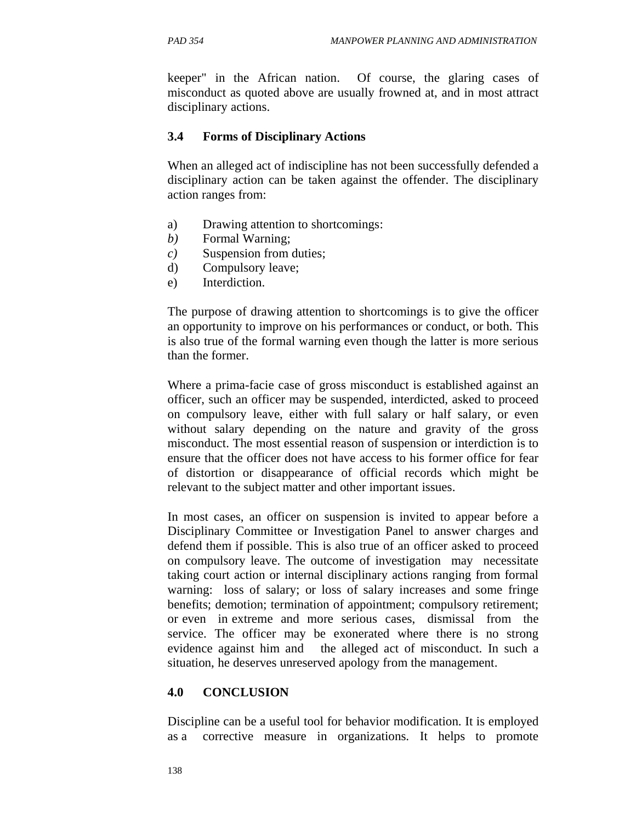keeper" in the African nation. Of course, the glaring cases of misconduct as quoted above are usually frowned at, and in most attract disciplinary actions.

#### **3.4 Forms of Disciplinary Actions**

When an alleged act of indiscipline has not been successfully defended a disciplinary action can be taken against the offender. The disciplinary action ranges from:

- a) Drawing attention to shortcomings:
- *b)* Formal Warning;
- *c*) Suspension from duties;
- d) Compulsory leave;
- e) Interdiction.

The purpose of drawing attention to shortcomings is to give the officer an opportunity to improve on his performances or conduct, or both. This is also true of the formal warning even though the latter is more serious than the former.

Where a prima-facie case of gross misconduct is established against an officer, such an officer may be suspended, interdicted, asked to proceed on compulsory leave, either with full salary or half salary, or even without salary depending on the nature and gravity of the gross misconduct. The most essential reason of suspension or interdiction is to ensure that the officer does not have access to his former office for fear of distortion or disappearance of official records which might be relevant to the subject matter and other important issues.

In most cases, an officer on suspension is invited to appear before a Disciplinary Committee or Investigation Panel to answer charges and defend them if possible. This is also true of an officer asked to proceed on compulsory leave. The outcome of investigation may necessitate taking court action or internal disciplinary actions ranging from formal warning: loss of salary; or loss of salary increases and some fringe benefits; demotion; termination of appointment; compulsory retirement; or even in extreme and more serious cases, dismissal from the service. The officer may be exonerated where there is no strong evidence against him and the alleged act of misconduct. In such a situation, he deserves unreserved apology from the management.

#### **4.0 CONCLUSION**

Discipline can be a useful tool for behavior modification. It is employed as a corrective measure in organizations. It helps to promote